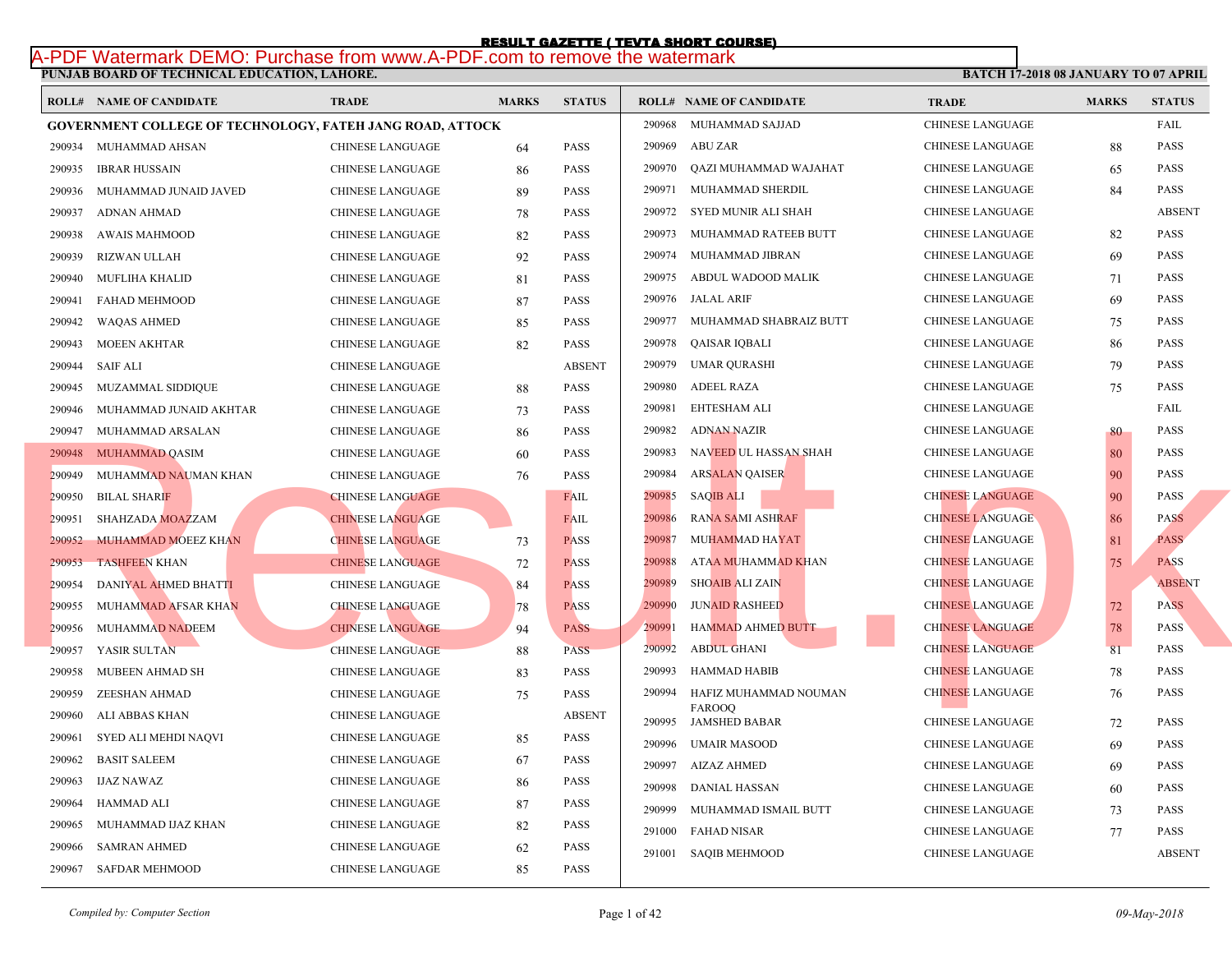## **PUNJAB BOARD OF TECHNICAL EDUCATION, LAHORE.**  RESULT GAZETTE ( TEVTA SHORT COURSE)<br>[A-PDF Watermark DEMO: Purchase from www.A-PDF.com to remove the watermark](http://www.result.pk/)

|        | <b>ROLL# NAME OF CANDIDATE</b>                                   | <b>TRADE</b>            | <b>MARKS</b> | <b>STATUS</b> |        | <b>ROLL# NAME OF CANDIDATE</b> | <b>TRA</b>  |
|--------|------------------------------------------------------------------|-------------------------|--------------|---------------|--------|--------------------------------|-------------|
|        | <b>GOVERNMENT COLLEGE OF TECHNOLOGY, FATEH JANG ROAD, ATTOCK</b> |                         |              |               | 290968 | MUHAMMAD SAJJAD                | <b>CHIN</b> |
|        | 290934 MUHAMMAD AHSAN                                            | CHINESE LANGUAGE        | 64           | <b>PASS</b>   | 290969 | <b>ABU ZAR</b>                 | <b>CHIN</b> |
| 290935 | <b>IBRAR HUSSAIN</b>                                             | <b>CHINESE LANGUAGE</b> | 86           | <b>PASS</b>   | 290970 | QAZI MUHAMMAD WAJAHAT          | <b>CHIN</b> |
| 290936 | MUHAMMAD JUNAID JAVED                                            | <b>CHINESE LANGUAGE</b> | 89           | <b>PASS</b>   | 290971 | MUHAMMAD SHERDIL               | <b>CHIN</b> |
| 290937 | ADNAN AHMAD                                                      | <b>CHINESE LANGUAGE</b> | 78           | <b>PASS</b>   | 290972 | SYED MUNIR ALI SHAH            | <b>CHIN</b> |
| 290938 | <b>AWAIS MAHMOOD</b>                                             | <b>CHINESE LANGUAGE</b> | 82           | <b>PASS</b>   | 290973 | MUHAMMAD RATEEB BUTT           | <b>CHIN</b> |
| 290939 | RIZWAN ULLAH                                                     | <b>CHINESE LANGUAGE</b> | 92           | <b>PASS</b>   | 290974 | MUHAMMAD JIBRAN                | <b>CHIN</b> |
| 290940 | MUFLIHA KHALID                                                   | <b>CHINESE LANGUAGE</b> | 81           | <b>PASS</b>   | 290975 | ABDUL WADOOD MALIK             | <b>CHIN</b> |
| 290941 | FAHAD MEHMOOD                                                    | CHINESE LANGUAGE        | 87           | <b>PASS</b>   | 290976 | JALAL ARIF                     | <b>CHIN</b> |
| 290942 | <b>WAQAS AHMED</b>                                               | CHINESE LANGUAGE        | 85           | <b>PASS</b>   | 290977 | MUHAMMAD SHABRAIZ BUTT         | <b>CHIN</b> |
| 290943 | <b>MOEEN AKHTAR</b>                                              | CHINESE LANGUAGE        | 82           | <b>PASS</b>   | 290978 | QAISAR IQBALI                  | <b>CHIN</b> |
| 290944 | <b>SAIF ALI</b>                                                  | <b>CHINESE LANGUAGE</b> |              | <b>ABSENT</b> | 290979 | <b>UMAR QURASHI</b>            | <b>CHIN</b> |
| 290945 | MUZAMMAL SIDDIQUE                                                | CHINESE LANGUAGE        | 88           | <b>PASS</b>   | 290980 | <b>ADEEL RAZA</b>              | <b>CHIN</b> |
| 290946 | MUHAMMAD JUNAID AKHTAR                                           | CHINESE LANGUAGE        | 73           | <b>PASS</b>   | 290981 | EHTESHAM ALI                   | <b>CHIN</b> |
| 290947 | MUHAMMAD ARSALAN                                                 | <b>CHINESE LANGUAGE</b> | 86           | <b>PASS</b>   | 290982 | <b>ADNAN NAZIR</b>             | <b>CHIN</b> |
|        | 290948 MUHAMMAD QASIM                                            | CHINESE LANGUAGE        | 60           | <b>PASS</b>   | 290983 | NAVEED UL HASSAN SHAH          | <b>CHIN</b> |
| 290949 | MUHAMMAD NAUMAN KHAN                                             | CHINESE LANGUAGE        | 76           | <b>PASS</b>   | 290984 | <b>ARSALAN QAISER</b>          | <b>CHIN</b> |
| 290950 | <b>BILAL SHARIF</b>                                              | <b>CHINESE LANGUAGE</b> |              | <b>FAIL</b>   | 290985 | <b>SAQIB ALI</b>               | <b>CHIN</b> |
| 290951 | SHAHZADA MOAZZAM                                                 | <b>CHINESE LANGUAGE</b> |              | <b>FAIL</b>   | 290986 | <b>RANA SAMI ASHRAF</b>        | <b>CHIN</b> |
| 290952 | MUHAMMAD MOEEZ KHAN                                              | <b>CHINESE LANGUAGE</b> | 73           | <b>PASS</b>   | 290987 | <b>MUHAMMAD HAYAT</b>          | <b>CHIN</b> |
| 290953 | <b>TASHFEEN KHAN</b>                                             | <b>CHINESE LANGUAGE</b> | 72           | <b>PASS</b>   | 290988 | ATAA MUHAMMAD KHAN             | <b>CHIN</b> |
| 290954 | DANIYAL AHMED BHATTI                                             | CHINESE LANGUAGE        | 84           | <b>PASS</b>   | 290989 | <b>SHOAIB ALI ZAIN</b>         | <b>CHIN</b> |
| 290955 | MUHAMMAD AFSAR KHAN                                              | <b>CHINESE LANGUAGE</b> | 78           | <b>PASS</b>   | 290990 | <b>JUNAID RASHEED</b>          | <b>CHIN</b> |
| 290956 | <b>MUHAMMAD NADEEM</b>                                           | <b>CHINESE LANGUAGE</b> | 94           | <b>PASS</b>   | 290991 | <b>HAMMAD AHMED BUTT</b>       | <b>CHIN</b> |
| 290957 | YASIR SULTAN                                                     | <b>CHINESE LANGUAGE</b> | 88           | <b>PASS</b>   | 290992 | ABDUL GHANI                    | <b>CHIN</b> |
| 290958 | MUBEEN AHMAD SH                                                  | <b>CHINESE LANGUAGE</b> | 83           | <b>PASS</b>   | 290993 | HAMMAD HABIB                   | <b>CHIN</b> |
| 290959 | <b>ZEESHAN AHMAD</b>                                             | CHINESE LANGUAGE        | 75           | <b>PASS</b>   | 290994 | HAFIZ MUHAMMAD NOUMAN          | <b>CHIN</b> |
| 290960 | ALI ABBAS KHAN                                                   | CHINESE LANGUAGE        |              | <b>ABSENT</b> | 290995 | FAROOQ<br><b>JAMSHED BABAR</b> | <b>CHIN</b> |
| 290961 | SYED ALI MEHDI NAQVI                                             | <b>CHINESE LANGUAGE</b> | 85           | <b>PASS</b>   | 290996 | <b>UMAIR MASOOD</b>            | <b>CHIN</b> |
| 290962 | <b>BASIT SALEEM</b>                                              | CHINESE LANGUAGE        | 67           | <b>PASS</b>   | 290997 | <b>AIZAZ AHMED</b>             | <b>CHIN</b> |
| 290963 | IJAZ NAWAZ                                                       | CHINESE LANGUAGE        | 86           | <b>PASS</b>   | 290998 | DANIAL HASSAN                  | <b>CHIN</b> |
| 290964 | HAMMAD ALI                                                       | CHINESE LANGUAGE        | 87           | <b>PASS</b>   | 290999 | MUHAMMAD ISMAIL BUTT           | <b>CHIN</b> |
| 290965 | MUHAMMAD IJAZ KHAN                                               | <b>CHINESE LANGUAGE</b> | 82           | <b>PASS</b>   | 291000 | <b>FAHAD NISAR</b>             | <b>CHIN</b> |
| 290966 | <b>SAMRAN AHMED</b>                                              | <b>CHINESE LANGUAGE</b> | 62           | <b>PASS</b>   | 291001 | <b>SAQIB MEHMOOD</b>           | <b>CHIN</b> |
|        | 290967 SAFDAR MEHMOOD                                            | <b>CHINESE LANGUAGE</b> | 85           | <b>PASS</b>   |        |                                |             |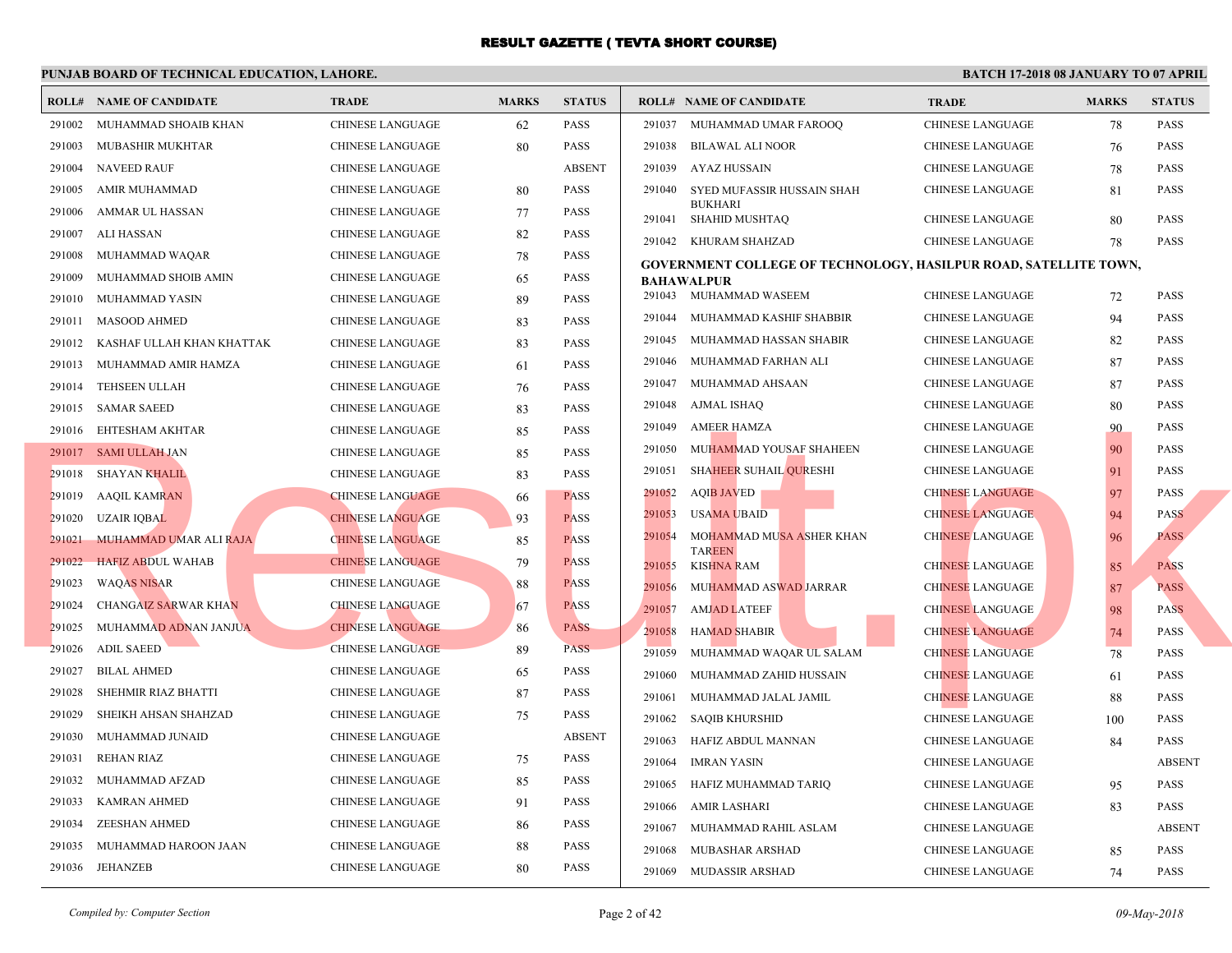|        | <b>ROLL# NAME OF CANDIDATE</b> | <b>TRADE</b>            | <b>MARKS</b> | <b>STATUS</b> |        | <b>ROLL# NAME OF CANDIDATE</b>                 | <b>TRA</b>  |
|--------|--------------------------------|-------------------------|--------------|---------------|--------|------------------------------------------------|-------------|
| 291002 | MUHAMMAD SHOAIB KHAN           | <b>CHINESE LANGUAGE</b> | 62           | <b>PASS</b>   | 291037 | MUHAMMAD UMAR FAROOQ                           | <b>CHIN</b> |
| 291003 | MUBASHIR MUKHTAR               | CHINESE LANGUAGE        | 80           | <b>PASS</b>   | 291038 | BILAWAL ALI NOOR                               | <b>CHIN</b> |
| 291004 | <b>NAVEED RAUF</b>             | CHINESE LANGUAGE        |              | <b>ABSENT</b> | 291039 | <b>AYAZ HUSSAIN</b>                            | <b>CHIN</b> |
| 291005 | AMIR MUHAMMAD                  | <b>CHINESE LANGUAGE</b> | 80           | <b>PASS</b>   | 291040 | SYED MUFASSIR HUSSAIN SHAH                     | <b>CHIN</b> |
| 291006 | AMMAR UL HASSAN                | CHINESE LANGUAGE        | 77           | <b>PASS</b>   |        | <b>BUKHARI</b><br>291041 SHAHID MUSHTAQ        | <b>CHIN</b> |
| 291007 | ALI HASSAN                     | CHINESE LANGUAGE        | 82           | <b>PASS</b>   |        | 291042 KHURAM SHAHZAD                          | <b>CHIN</b> |
| 291008 | MUHAMMAD WAQAR                 | CHINESE LANGUAGE        | 78           | PASS          |        | <b>GOVERNMENT COLLEGE OF TECHNOLOGY, HASIL</b> |             |
| 291009 | MUHAMMAD SHOIB AMIN            | <b>CHINESE LANGUAGE</b> | 65           | <b>PASS</b>   |        | <b>BAHAWALPUR</b>                              |             |
| 291010 | MUHAMMAD YASIN                 | <b>CHINESE LANGUAGE</b> | 89           | <b>PASS</b>   |        | 291043 MUHAMMAD WASEEM                         | <b>CHIN</b> |
| 291011 | <b>MASOOD AHMED</b>            | <b>CHINESE LANGUAGE</b> | 83           | <b>PASS</b>   | 291044 | MUHAMMAD KASHIF SHABBIR                        | <b>CHIN</b> |
| 291012 | KASHAF ULLAH KHAN KHATTAK      | <b>CHINESE LANGUAGE</b> | 83           | <b>PASS</b>   | 291045 | MUHAMMAD HASSAN SHABIR                         | <b>CHIN</b> |
| 291013 | MUHAMMAD AMIR HAMZA            | <b>CHINESE LANGUAGE</b> | 61           | <b>PASS</b>   | 291046 | MUHAMMAD FARHAN ALI                            | <b>CHIN</b> |
| 291014 | TEHSEEN ULLAH                  | CHINESE LANGUAGE        | 76           | <b>PASS</b>   | 291047 | MUHAMMAD AHSAAN                                | <b>CHIN</b> |
|        | 291015 SAMAR SAEED             | CHINESE LANGUAGE        | 83           | <b>PASS</b>   | 291048 | AJMAL ISHAQ                                    | <b>CHIN</b> |
|        | 291016 EHTESHAM AKHTAR         | CHINESE LANGUAGE        | 85           | <b>PASS</b>   | 291049 | <b>AMEER HAMZA</b>                             | <b>CHIN</b> |
|        | 291017 SAMI ULLAH JAN          | <b>CHINESE LANGUAGE</b> | 85           | <b>PASS</b>   | 291050 | MUHAMMAD YOUSAF SHAHEEN                        | <b>CHIN</b> |
| 291018 | SHAYAN KHALIL                  | CHINESE LANGUAGE        | 83           | <b>PASS</b>   | 291051 | SHAHEER SUHAIL QURESHI                         | <b>CHIN</b> |
| 291019 | <b>AAQIL KAMRAN</b>            | <b>CHINESE LANGUAGE</b> | 66           | <b>PASS</b>   | 291052 | AQI <mark>B</mark> JAVED                       | <b>CHIN</b> |
| 291020 | <b>UZAIR IQBAL</b>             | <b>CHINESE LANGUAGE</b> | 93           | <b>PASS</b>   | 291053 | <b>USAMA UBAID</b>                             | <b>CHIN</b> |
| 291021 | MUHAMMAD UMAR ALI RAJA         | <b>CHINESE LANGUAGE</b> | 85           | <b>PASS</b>   | 291054 | MOHAMMAD MUSA ASHER KHAN                       | <b>CHIN</b> |
| 291022 | <b>HAFIZ ABDUL WAHAB</b>       | <b>CHINESE LANGUAGE</b> | 79           | <b>PASS</b>   | 291055 | <b>TAREEN</b><br>KISHNA RAM                    | <b>CHIN</b> |
| 291023 | <b>WAQAS NISAR</b>             | <b>CHINESE LANGUAGE</b> | 88           | <b>PASS</b>   | 291056 | MUHAMMAD ASWAD JARRAR                          | <b>CHIN</b> |
| 291024 | <b>CHANGAIZ SARWAR KHAN</b>    | <b>CHINESE LANGUAGE</b> | 67           | <b>PASS</b>   | 291057 | <b>AMJAD LATEEF</b>                            | <b>CHIN</b> |
| 291025 | MUHAMMAD ADNAN JANJUA          | <b>CHINESE LANGUAGE</b> | 86           | <b>PASS</b>   | 291058 | <b>HAMAD SHABIR</b>                            | <b>CHIN</b> |
| 291026 | <b>ADIL SAEED</b>              | <b>CHINESE LANGUAGE</b> | 89           | <b>PASS</b>   | 291059 | MUHAMMAD WAQAR UL SALAM                        | <b>CHIN</b> |
| 291027 | <b>BILAL AHMED</b>             | <b>CHINESE LANGUAGE</b> | 65           | <b>PASS</b>   | 291060 | MUHAMMAD ZAHID HUSSAIN                         | <b>CHIN</b> |
| 291028 | SHEHMIR RIAZ BHATTI            | <b>CHINESE LANGUAGE</b> | 87           | <b>PASS</b>   | 291061 | MUHAMMAD JALAL JAMIL                           | <b>CHIN</b> |
| 291029 | SHEIKH AHSAN SHAHZAD           | CHINESE LANGUAGE        | 75           | <b>PASS</b>   | 291062 | SAQIB KHURSHID                                 | <b>CHIN</b> |
| 291030 | MUHAMMAD JUNAID                | CHINESE LANGUAGE        |              | <b>ABSENT</b> | 291063 | HAFIZ ABDUL MANNAN                             | <b>CHIN</b> |
| 291031 | REHAN RIAZ                     | CHINESE LANGUAGE        | 75           | <b>PASS</b>   | 291064 | <b>IMRAN YASIN</b>                             | <b>CHIN</b> |
| 291032 | MUHAMMAD AFZAD                 | CHINESE LANGUAGE        | 85           | <b>PASS</b>   | 291065 | HAFIZ MUHAMMAD TARIQ                           | <b>CHIN</b> |
| 291033 | KAMRAN AHMED                   | CHINESE LANGUAGE        | 91           | <b>PASS</b>   | 291066 | AMIR LASHARI                                   | <b>CHIN</b> |
| 291034 | <b>ZEESHAN AHMED</b>           | <b>CHINESE LANGUAGE</b> | 86           | <b>PASS</b>   | 291067 | MUHAMMAD RAHIL ASLAM                           | <b>CHIN</b> |
| 291035 | MUHAMMAD HAROON JAAN           | <b>CHINESE LANGUAGE</b> | 88           | <b>PASS</b>   | 291068 | MUBASHAR ARSHAD                                | <b>CHIN</b> |
|        | 291036 JEHANZEB                | <b>CHINESE LANGUAGE</b> | 80           | <b>PASS</b>   | 291069 | MUDASSIR ARSHAD                                | <b>CHIN</b> |
|        |                                |                         |              |               |        |                                                |             |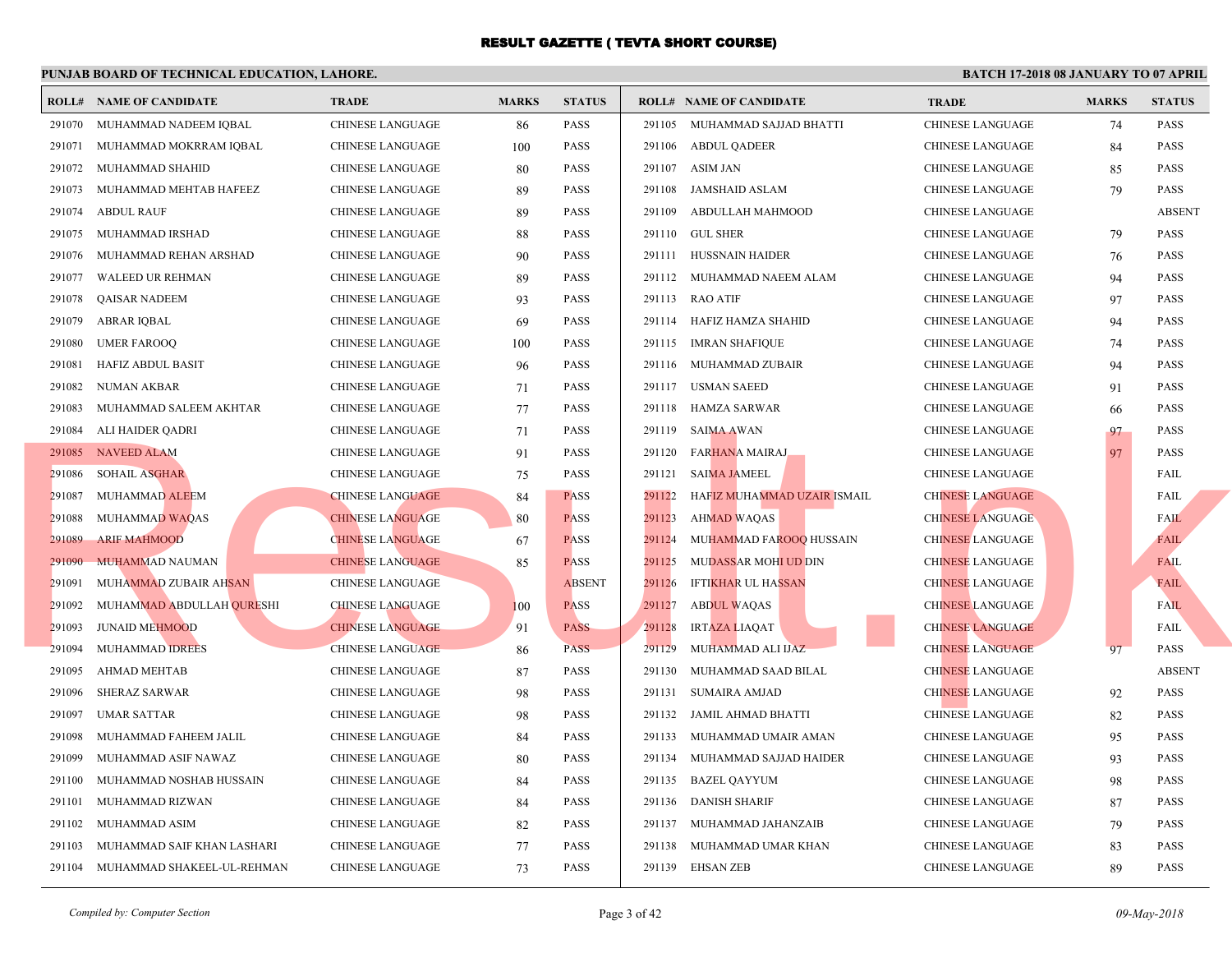|        | <b>ROLL# NAME OF CANDIDATE</b>    | <b>TRADE</b>            | <b>MARKS</b> | <b>STATUS</b> |        | <b>ROLL# NAME OF CANDIDATE</b> | <b>TRA</b>  |
|--------|-----------------------------------|-------------------------|--------------|---------------|--------|--------------------------------|-------------|
| 291070 | MUHAMMAD NADEEM IQBAL             | CHINESE LANGUAGE        | 86           | <b>PASS</b>   |        | 291105 MUHAMMAD SAJJAD BHATTI  | <b>CHIN</b> |
|        | 291071 MUHAMMAD MOKRRAM IQBAL     | CHINESE LANGUAGE        | 100          | <b>PASS</b>   |        | 291106 ABDUL QADEER            | <b>CHIN</b> |
| 291072 | MUHAMMAD SHAHID                   | CHINESE LANGUAGE        | 80           | <b>PASS</b>   |        | 291107 ASIM JAN                | <b>CHIN</b> |
| 291073 | MUHAMMAD MEHTAB HAFEEZ            | CHINESE LANGUAGE        | 89           | <b>PASS</b>   |        | 291108 JAMSHAID ASLAM          | <b>CHIN</b> |
| 291074 | <b>ABDUL RAUF</b>                 | <b>CHINESE LANGUAGE</b> | 89           | <b>PASS</b>   |        | 291109 ABDULLAH MAHMOOD        | <b>CHIN</b> |
| 291075 | MUHAMMAD IRSHAD                   | CHINESE LANGUAGE        | 88           | <b>PASS</b>   |        | 291110 GUL SHER                | <b>CHIN</b> |
| 291076 | MUHAMMAD REHAN ARSHAD             | <b>CHINESE LANGUAGE</b> | 90           | <b>PASS</b>   |        | 291111 HUSSNAIN HAIDER         | <b>CHIN</b> |
| 291077 | WALEED UR REHMAN                  | CHINESE LANGUAGE        | 89           | <b>PASS</b>   |        | 291112 MUHAMMAD NAEEM ALAM     | <b>CHIN</b> |
| 291078 | QAISAR NADEEM                     | CHINESE LANGUAGE        | 93           | <b>PASS</b>   |        | 291113 RAO ATIF                | <b>CHIN</b> |
| 291079 | <b>ABRAR IQBAL</b>                | <b>CHINESE LANGUAGE</b> | 69           | <b>PASS</b>   |        | 291114 HAFIZ HAMZA SHAHID      | <b>CHIN</b> |
| 291080 | <b>UMER FAROOQ</b>                | <b>CHINESE LANGUAGE</b> | 100          | <b>PASS</b>   |        | 291115 IMRAN SHAFIQUE          | <b>CHIN</b> |
| 291081 | <b>HAFIZ ABDUL BASIT</b>          | CHINESE LANGUAGE        | 96           | <b>PASS</b>   |        | 291116 MUHAMMAD ZUBAIR         | <b>CHIN</b> |
| 291082 | NUMAN AKBAR                       | CHINESE LANGUAGE        | 71           | <b>PASS</b>   |        | 291117 USMAN SAEED             | <b>CHIN</b> |
| 291083 | MUHAMMAD SALEEM AKHTAR            | CHINESE LANGUAGE        | 77           | <b>PASS</b>   |        | 291118 HAMZA SARWAR            | <b>CHIN</b> |
| 291084 | ALI HAIDER QADRI                  | CHINESE LANGUAGE        | 71           | <b>PASS</b>   |        | 291119 SAIMA AWAN              | <b>CHIN</b> |
|        | 291085 NAVEED ALAM                | CHINESE LANGUAGE        | 91           | <b>PASS</b>   | 291120 | FAR <mark>HAN</mark> A MAIRAJ  | <b>CHIN</b> |
| 291086 | <b>SOHAIL ASGHAR</b>              | CHINESE LANGUAGE        | 75           | <b>PASS</b>   |        | 291121 SAIMA JAMEEL            | <b>CHIN</b> |
| 291087 | MUHAMMAD ALEEM                    | <b>CHINESE LANGUAGE</b> | 84           | <b>PASS</b>   | 291122 | HAFIZ MUHAMMAD UZAIR ISMAIL    | <b>CHIN</b> |
| 291088 | <b>MUHAMMAD WAQAS</b>             | <b>CHINESE LANGUAGE</b> | 80           | <b>PASS</b>   | 291123 | <b>AHMAD WAQAS</b>             | <b>CHIN</b> |
| 291089 | <b>ARIF MAHMOOD</b>               | <b>CHINESE LANGUAGE</b> | 67           | <b>PASS</b>   | 291124 | MUHAMMAD FAROOQ HUSSAIN        | <b>CHIN</b> |
| 291090 | <b>MUHAMMAD NAUMAN</b>            | <b>CHINESE LANGUAGE</b> | 85           | <b>PASS</b>   | 291125 | MUDASSAR MOHI UD DIN           | <b>CHIN</b> |
| 291091 | MUHAMMAD ZUBAIR AHSAN             | <b>CHINESE LANGUAGE</b> |              | <b>ABSENT</b> | 291126 | <b>IFTIKHAR UL HASSAN</b>      | <b>CHIN</b> |
| 291092 | MUHAMMAD ABDULLAH QURESHI         | <b>CHINESE LANGUAGE</b> | <b>100</b>   | <b>PASS</b>   | 291127 | <b>ABDUL WAQAS</b>             | <b>CHIN</b> |
| 291093 | <b>JUNAID MEHMOOD</b>             | <b>CHINESE LANGUAGE</b> | 91           | <b>PASS</b>   | 291128 | <b>IRTAZA LIAQAT</b>           | <b>CHIN</b> |
| 291094 | MUHAMMAD IDREES                   | <b>CHINESE LANGUAGE</b> | 86           | <b>PASS</b>   | 291129 | MUHAMMAD ALI IJAZ              | <b>CHIN</b> |
| 291095 | AHMAD MEHTAB                      | <b>CHINESE LANGUAGE</b> | 87           | <b>PASS</b>   | 291130 | MUHAMMAD SAAD BILAL            | <b>CHIN</b> |
| 291096 | SHERAZ SARWAR                     | CHINESE LANGUAGE        | 98           | <b>PASS</b>   |        | 291131 SUMAIRA AMJAD           | <b>CHIN</b> |
| 291097 | <b>UMAR SATTAR</b>                | CHINESE LANGUAGE        | 98           | <b>PASS</b>   |        | 291132 JAMIL AHMAD BHATTI      | <b>CHIN</b> |
| 291098 | MUHAMMAD FAHEEM JALIL             | CHINESE LANGUAGE        | 84           | <b>PASS</b>   |        | 291133 MUHAMMAD UMAIR AMAN     | <b>CHIN</b> |
| 291099 | MUHAMMAD ASIF NAWAZ               | CHINESE LANGUAGE        | 80           | <b>PASS</b>   |        | 291134 MUHAMMAD SAJJAD HAIDER  | <b>CHIN</b> |
| 291100 | MUHAMMAD NOSHAB HUSSAIN           | CHINESE LANGUAGE        | 84           | <b>PASS</b>   |        | 291135 BAZEL QAYYUM            | <b>CHIN</b> |
| 291101 | MUHAMMAD RIZWAN                   | CHINESE LANGUAGE        | 84           | <b>PASS</b>   |        | 291136 DANISH SHARIF           | <b>CHIN</b> |
| 291102 | MUHAMMAD ASIM                     | <b>CHINESE LANGUAGE</b> | 82           | <b>PASS</b>   |        | 291137 MUHAMMAD JAHANZAIB      | <b>CHIN</b> |
| 291103 | MUHAMMAD SAIF KHAN LASHARI        | CHINESE LANGUAGE        | 77           | PASS          | 291138 | MUHAMMAD UMAR KHAN             | <b>CHIN</b> |
|        | 291104 MUHAMMAD SHAKEEL-UL-REHMAN | CHINESE LANGUAGE        | 73           | <b>PASS</b>   |        | 291139 EHSAN ZEB               | <b>CHIN</b> |
|        |                                   |                         |              |               |        |                                |             |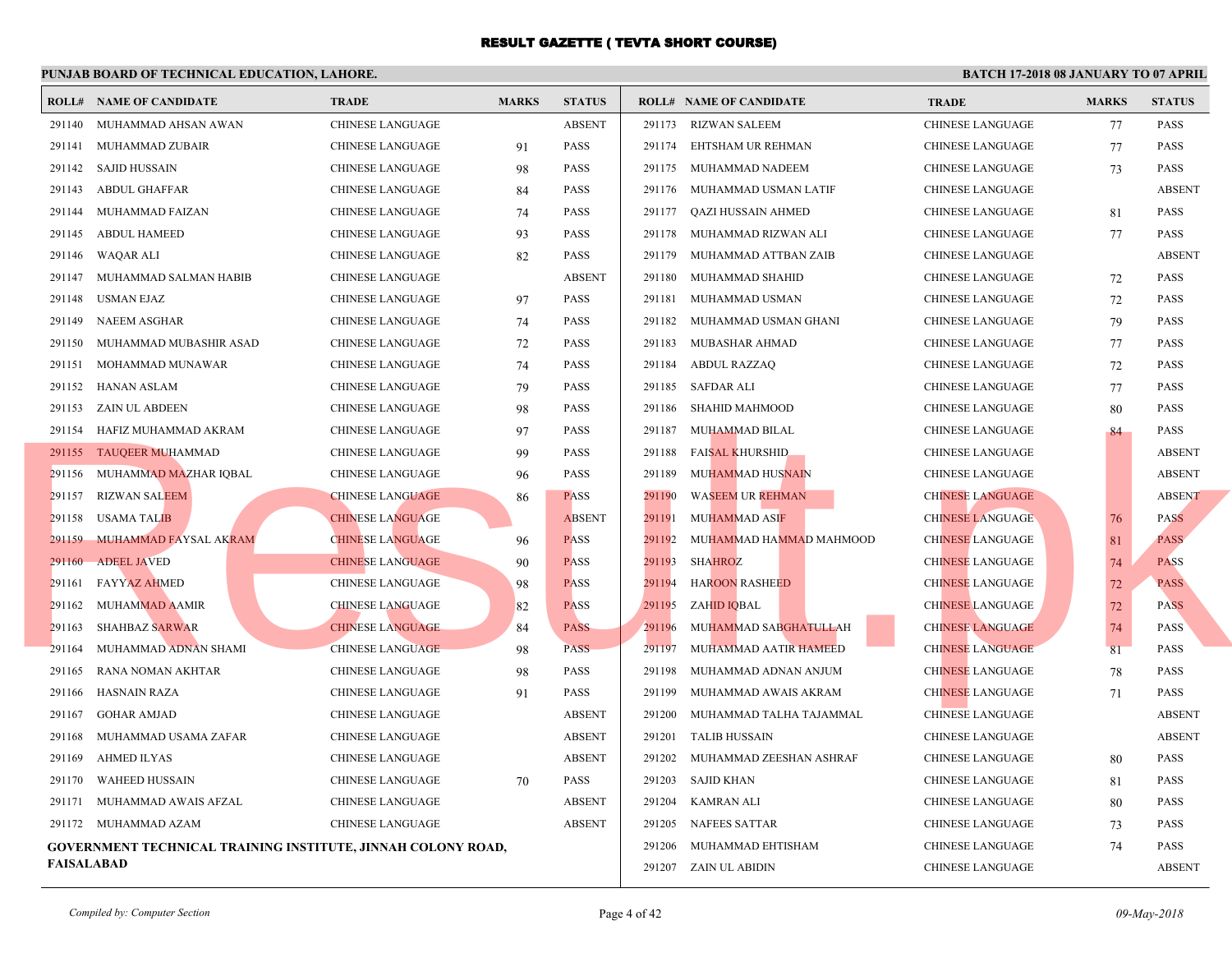|                   | <b>ROLL# NAME OF CANDIDATE</b>                                      | <b>TRADE</b>            | <b>MARKS</b> | <b>STATUS</b> |        | <b>ROLL# NAME OF CANDIDATE</b> | <b>TRA</b>  |
|-------------------|---------------------------------------------------------------------|-------------------------|--------------|---------------|--------|--------------------------------|-------------|
|                   | 291140 MUHAMMAD AHSAN AWAN                                          | CHINESE LANGUAGE        |              | <b>ABSENT</b> |        | 291173 RIZWAN SALEEM           | <b>CHIN</b> |
|                   | 291141 MUHAMMAD ZUBAIR                                              | <b>CHINESE LANGUAGE</b> | 91           | PASS          |        | 291174 EHTSHAM UR REHMAN       | <b>CHIN</b> |
|                   | 291142 SAJID HUSSAIN                                                | CHINESE LANGUAGE        | 98           | <b>PASS</b>   |        | 291175 MUHAMMAD NADEEM         | <b>CHIN</b> |
|                   | 291143 ABDUL GHAFFAR                                                | CHINESE LANGUAGE        | 84           | <b>PASS</b>   |        | 291176 MUHAMMAD USMAN LATIF    | <b>CHIN</b> |
|                   | 291144 MUHAMMAD FAIZAN                                              | CHINESE LANGUAGE        | 74           | <b>PASS</b>   |        | 291177 QAZI HUSSAIN AHMED      | <b>CHIN</b> |
| 291145            | ABDUL HAMEED                                                        | CHINESE LANGUAGE        | 93           | <b>PASS</b>   |        | 291178 MUHAMMAD RIZWAN ALI     | <b>CHIN</b> |
|                   | 291146 WAQAR ALI                                                    | CHINESE LANGUAGE        | 82           | <b>PASS</b>   |        | 291179 MUHAMMAD ATTBAN ZAIB    | <b>CHIN</b> |
|                   | 291147 MUHAMMAD SALMAN HABIB                                        | <b>CHINESE LANGUAGE</b> |              | <b>ABSENT</b> |        | 291180 MUHAMMAD SHAHID         | <b>CHIN</b> |
| 291148            | USMAN EJAZ                                                          | CHINESE LANGUAGE        | 97           | <b>PASS</b>   |        | 291181 MUHAMMAD USMAN          | <b>CHIN</b> |
| 291149            | NAEEM ASGHAR                                                        | CHINESE LANGUAGE        | 74           | <b>PASS</b>   |        | 291182 MUHAMMAD USMAN GHANI    | <b>CHIN</b> |
|                   | 291150 MUHAMMAD MUBASHIR ASAD                                       | CHINESE LANGUAGE        | 72           | <b>PASS</b>   |        | 291183 MUBASHAR AHMAD          | <b>CHIN</b> |
|                   | 291151 MOHAMMAD MUNAWAR                                             | <b>CHINESE LANGUAGE</b> | 74           | <b>PASS</b>   |        | 291184 ABDUL RAZZAQ            | <b>CHIN</b> |
|                   | 291152 HANAN ASLAM                                                  | CHINESE LANGUAGE        | 79           | PASS          |        | 291185 SAFDAR ALI              | <b>CHIN</b> |
|                   | 291153 ZAIN UL ABDEEN                                               | CHINESE LANGUAGE        | 98           | <b>PASS</b>   |        | 291186 SHAHID MAHMOOD          | <b>CHIN</b> |
|                   | 291154 HAFIZ MUHAMMAD AKRAM                                         | CHINESE LANGUAGE        | 97           | <b>PASS</b>   |        | 291187 MUHAMMAD BILAL          | <b>CHIN</b> |
|                   | 291155 TAUQEER MUHAMMAD                                             | CHINESE LANGUAGE        | 99           | <b>PASS</b>   |        | 291188 FAISAL KHURSHID         | <b>CHIN</b> |
|                   | 291156 MUHAMMAD MAZHAR IQBAL                                        | CHINESE LANGUAGE        | 96           | <b>PASS</b>   | 291189 | <b>MUHAMMAD HUSNAIN</b>        | <b>CHIN</b> |
|                   | 291157 RIZWAN SALEEM                                                | <b>CHINESE LANGUAGE</b> | 86           | <b>PASS</b>   | 291190 | <b>WASEEM UR REHMAN</b>        | <b>CHIN</b> |
|                   | 291158 USAMA TALIB                                                  | <b>CHINESE LANGUAGE</b> |              | <b>ABSENT</b> | 291191 | <b>MUHAMMAD ASIF</b>           | <b>CHIN</b> |
|                   | 291159 MUHAMMAD FAYSAL AKRAM                                        | <b>CHINESE LANGUAGE</b> | 96           | <b>PASS</b>   | 291192 | MUHAMMAD HAMMAD MAHMOOD        | <b>CHIN</b> |
|                   | 291160 ADEEL JAVED                                                  | <b>CHINESE LANGUAGE</b> | 90           | <b>PASS</b>   | 291193 | <b>SHAHROZ</b>                 | <b>CHIN</b> |
|                   | 291161 FAYYAZ AHMED                                                 | CHINESE LANGUAGE        | 98           | <b>PASS</b>   | 291194 | <b>HAROON RASHEED</b>          | <b>CHIN</b> |
|                   | 291162 MUHAMMAD AAMIR                                               | <b>CHINESE LANGUAGE</b> | 82           | <b>PASS</b>   | 291195 | ZAHID IQBAL                    | <b>CHIN</b> |
|                   | 291163 SHAHBAZ SARWAR                                               | <b>CHINESE LANGUAGE</b> | 84           | <b>PASS</b>   | 291196 | MUHAMMAD SABGHATULLAH          | <b>CHIN</b> |
| 291164            | MUHAMMAD ADNAN SHAMI                                                | <b>CHINESE LANGUAGE</b> | 98           | <b>PASS</b>   | 291197 | MUHAMMAD AATIR HAMEED          | <b>CHIN</b> |
| 291165            | RANA NOMAN AKHTAR                                                   | CHINESE LANGUAGE        | 98           | <b>PASS</b>   |        | 291198 MUHAMMAD ADNAN ANJUM    | <b>CHIN</b> |
|                   | 291166 HASNAIN RAZA                                                 | CHINESE LANGUAGE        | 91           | <b>PASS</b>   |        | 291199 MUHAMMAD AWAIS AKRAM    | <b>CHIN</b> |
|                   | 291167 GOHAR AMJAD                                                  | CHINESE LANGUAGE        |              | <b>ABSENT</b> |        | 291200 MUHAMMAD TALHA TAJAMMAL | <b>CHIN</b> |
| 291168            | MUHAMMAD USAMA ZAFAR                                                | CHINESE LANGUAGE        |              | <b>ABSENT</b> |        | 291201 TALIB HUSSAIN           | <b>CHIN</b> |
| 291169            | AHMED ILYAS                                                         | CHINESE LANGUAGE        |              | <b>ABSENT</b> |        | 291202 MUHAMMAD ZEESHAN ASHRAF | <b>CHIN</b> |
| 291170            | WAHEED HUSSAIN                                                      | CHINESE LANGUAGE        | 70           | <b>PASS</b>   |        | 291203 SAJID KHAN              | <b>CHIN</b> |
|                   | 291171 MUHAMMAD AWAIS AFZAL                                         | <b>CHINESE LANGUAGE</b> |              | <b>ABSENT</b> |        | 291204 KAMRAN ALI              | <b>CHIN</b> |
|                   | 291172 MUHAMMAD AZAM                                                | <b>CHINESE LANGUAGE</b> |              | <b>ABSENT</b> |        | 291205 NAFEES SATTAR           | <b>CHIN</b> |
|                   | <b>GOVERNMENT TECHNICAL TRAINING INSTITUTE, JINNAH COLONY ROAD,</b> |                         |              |               |        | 291206 MUHAMMAD EHTISHAM       | <b>CHIN</b> |
| <b>FAISALABAD</b> |                                                                     |                         |              |               |        | 291207 ZAIN UL ABIDIN          | <b>CHIN</b> |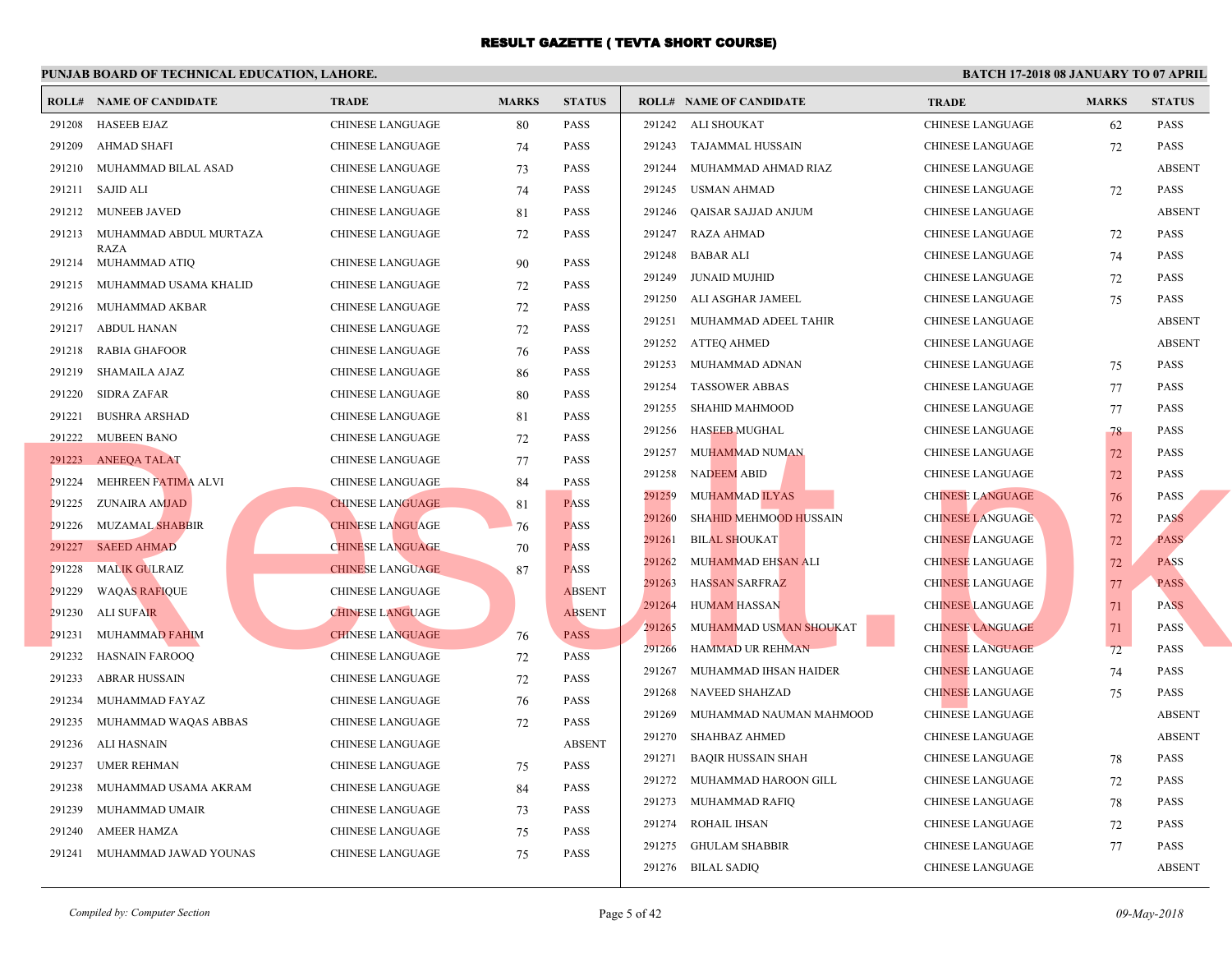|        | <b>ROLL# NAME OF CANDIDATE</b> | <b>TRADE</b>            | <b>MARKS</b> | <b>STATUS</b> |        | <b>ROLL# NAME OF CANDIDATE</b> | <b>TRA</b>  |
|--------|--------------------------------|-------------------------|--------------|---------------|--------|--------------------------------|-------------|
| 291208 | <b>HASEEB EJAZ</b>             | <b>CHINESE LANGUAGE</b> | 80           | <b>PASS</b>   |        | 291242 ALI SHOUKAT             | <b>CHIN</b> |
| 291209 | AHMAD SHAFI                    | CHINESE LANGUAGE        | 74           | <b>PASS</b>   |        | 291243 TAJAMMAL HUSSAIN        | <b>CHIN</b> |
|        | 291210 MUHAMMAD BILAL ASAD     | CHINESE LANGUAGE        | 73           | <b>PASS</b>   |        | 291244 MUHAMMAD AHMAD RIAZ     | <b>CHIN</b> |
|        | 291211 SAJID ALI               | CHINESE LANGUAGE        | 74           | <b>PASS</b>   | 291245 | USMAN AHMAD                    | <b>CHIN</b> |
|        | 291212 MUNEEB JAVED            | CHINESE LANGUAGE        | 81           | <b>PASS</b>   | 291246 | QAISAR SAJJAD ANJUM            | <b>CHIN</b> |
| 291213 | MUHAMMAD ABDUL MURTAZA         | CHINESE LANGUAGE        | 72           | <b>PASS</b>   | 291247 | RAZA AHMAD                     | <b>CHIN</b> |
|        | RAZA<br>291214 MUHAMMAD ATIQ   | CHINESE LANGUAGE        | 90           | <b>PASS</b>   | 291248 | <b>BABAR ALI</b>               | <b>CHIN</b> |
|        | 291215 MUHAMMAD USAMA KHALID   | CHINESE LANGUAGE        | 72           | PASS          | 291249 | JUNAID MUJHID                  | <b>CHIN</b> |
| 291216 | MUHAMMAD AKBAR                 | CHINESE LANGUAGE        | 72           | <b>PASS</b>   | 291250 | ALI ASGHAR JAMEEL              | <b>CHIN</b> |
| 291217 | ABDUL HANAN                    | <b>CHINESE LANGUAGE</b> | 72           | <b>PASS</b>   |        | 291251 MUHAMMAD ADEEL TAHIR    | <b>CHIN</b> |
| 291218 | <b>RABIA GHAFOOR</b>           | <b>CHINESE LANGUAGE</b> | 76           | <b>PASS</b>   |        | 291252 ATTEQ AHMED             | <b>CHIN</b> |
| 291219 | <b>SHAMAILA AJAZ</b>           | CHINESE LANGUAGE        | 86           | <b>PASS</b>   | 291253 | MUHAMMAD ADNAN                 | <b>CHIN</b> |
| 291220 | <b>SIDRA ZAFAR</b>             | <b>CHINESE LANGUAGE</b> | 80           | <b>PASS</b>   | 291254 | <b>TASSOWER ABBAS</b>          | <b>CHIN</b> |
| 291221 | <b>BUSHRA ARSHAD</b>           | CHINESE LANGUAGE        | 81           | <b>PASS</b>   | 291255 | SHAHID MAHMOOD                 | <b>CHIN</b> |
| 291222 | <b>MUBEEN BANO</b>             | <b>CHINESE LANGUAGE</b> | 72           | <b>PASS</b>   | 291256 | <b>HASEEB MUGHAL</b>           | <b>CHIN</b> |
| 291223 | <b>ANEEQA TALAT</b>            | CHINESE LANGUAGE        | 77           | <b>PASS</b>   |        | 291257 MUHAMMAD NUMAN          | <b>CHIN</b> |
| 291224 | MEHREEN FATIMA ALVI            | CHINESE LANGUAGE        | 84           | <b>PASS</b>   | 291258 | <b>NADEEM ABID</b>             | <b>CHIN</b> |
|        | 291225 ZUNAIRA AMJAD           | <b>CHINESE LANGUAGE</b> | 81           | <b>PASS</b>   | 291259 | MUHAMMAD ILYAS                 | <b>CHIN</b> |
|        | 291226 MUZAMAL SHABBIR         | <b>CHINESE LANGUAGE</b> | 76           | <b>PASS</b>   | 291260 | <b>SHAHID MEHMOOD HUSSAIN</b>  | <b>CHIN</b> |
|        | 291227 SAEED AHMAD             | <b>CHINESE LANGUAGE</b> | 70           | <b>PASS</b>   | 291261 | <b>BILAL SHOUKAT</b>           | <b>CHIN</b> |
| 291228 | <b>MALIK GULRAIZ</b>           | <b>CHINESE LANGUAGE</b> | 87           | <b>PASS</b>   | 291262 | MUHAMMAD EHSAN ALI             | <b>CHIN</b> |
| 291229 | <b>WAQAS RAFIQUE</b>           | <b>CHINESE LANGUAGE</b> |              | <b>ABSENT</b> | 291263 | <b>HASSAN SARFRAZ</b>          | <b>CHIN</b> |
| 291230 | ALI SUFAIR                     | <b>CHINESE LANGUAGE</b> |              | <b>ABSENT</b> | 291264 | <b>HUMAM HASSAN</b>            | <b>CHIN</b> |
| 291231 | MUHAMMAD FAHIM                 | <b>CHINESE LANGUAGE</b> | 76           | <b>PASS</b>   | 291265 | MUHAMMAD USMAN SHOUKAT         | <b>CHIN</b> |
| 291232 | <b>HASNAIN FAROOQ</b>          | CHINESE LANGUAGE        | 72           | PASS          | 291266 | <b>HAMMAD UR REHMAN</b>        | <b>CHIN</b> |
| 291233 | <b>ABRAR HUSSAIN</b>           | CHINESE LANGUAGE        | 72           | PASS          | 291267 | MUHAMMAD IHSAN HAIDER          | <b>CHIN</b> |
| 291234 | MUHAMMAD FAYAZ                 | CHINESE LANGUAGE        | 76           | <b>PASS</b>   | 291268 | NAVEED SHAHZAD                 | <b>CHIN</b> |
| 291235 | MUHAMMAD WAQAS ABBAS           | CHINESE LANGUAGE        | 72           | <b>PASS</b>   | 291269 | MUHAMMAD NAUMAN MAHMOOD        | <b>CHIN</b> |
| 291236 | ALI HASNAIN                    | <b>CHINESE LANGUAGE</b> |              | <b>ABSENT</b> | 291270 | SHAHBAZ AHMED                  | <b>CHIN</b> |
| 291237 | <b>UMER REHMAN</b>             | <b>CHINESE LANGUAGE</b> | 75           | <b>PASS</b>   | 291271 | BAQIR HUSSAIN SHAH             | <b>CHIN</b> |
| 291238 | MUHAMMAD USAMA AKRAM           | CHINESE LANGUAGE        | 84           | <b>PASS</b>   | 291272 | MUHAMMAD HAROON GILL           | <b>CHIN</b> |
| 291239 | MUHAMMAD UMAIR                 | <b>CHINESE LANGUAGE</b> | 73           | <b>PASS</b>   |        | 291273 MUHAMMAD RAFIQ          | <b>CHIN</b> |
| 291240 | <b>AMEER HAMZA</b>             | <b>CHINESE LANGUAGE</b> | 75           | <b>PASS</b>   | 291274 | ROHAIL IHSAN                   | <b>CHIN</b> |
|        | 291241 MUHAMMAD JAWAD YOUNAS   | <b>CHINESE LANGUAGE</b> | 75           | PASS          |        | 291275 GHULAM SHABBIR          | <b>CHIN</b> |
|        |                                |                         |              |               |        | 291276 BILAL SADIO             | <b>CHIN</b> |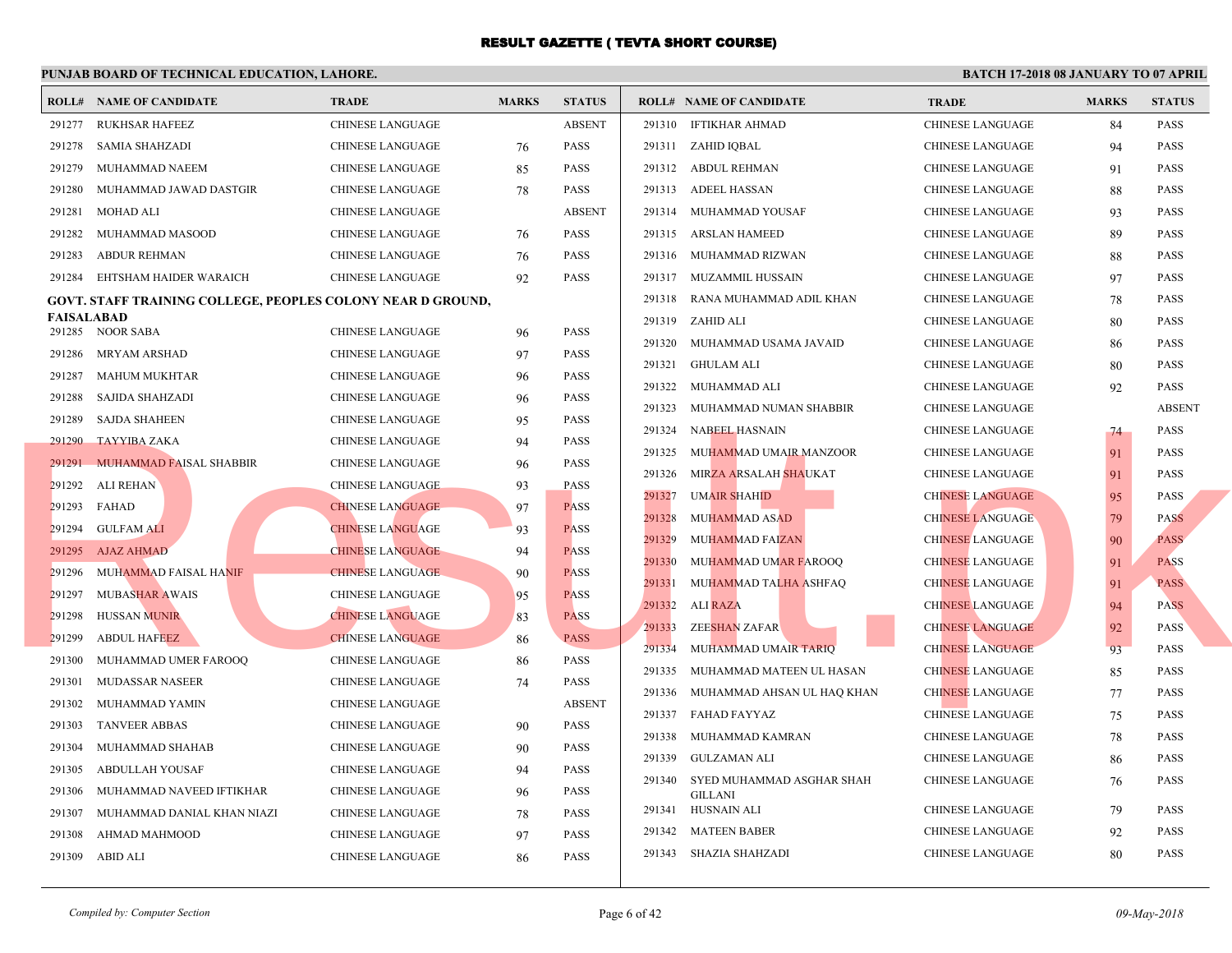|                   | <b>ROLL# NAME OF CANDIDATE</b>                                     | <b>TRADE</b>            | <b>MARKS</b> | <b>STATUS</b>              |        | <b>ROLL# NAME OF CANDIDATE</b> | <b>TRA</b>  |
|-------------------|--------------------------------------------------------------------|-------------------------|--------------|----------------------------|--------|--------------------------------|-------------|
|                   | 291277 RUKHSAR HAFEEZ                                              | CHINESE LANGUAGE        |              | <b>ABSENT</b>              |        | 291310 IFTIKHAR AHMAD          | <b>CHIN</b> |
| 291278            | SAMIA SHAHZADI                                                     | CHINESE LANGUAGE        | 76           | <b>PASS</b>                |        | 291311 ZAHID IQBAL             | <b>CHIN</b> |
| 291279            | MUHAMMAD NAEEM                                                     | <b>CHINESE LANGUAGE</b> | 85           | <b>PASS</b>                |        | 291312 ABDUL REHMAN            | <b>CHIN</b> |
| 291280            | MUHAMMAD JAWAD DASTGIR                                             | <b>CHINESE LANGUAGE</b> | 78           | <b>PASS</b>                |        | 291313 ADEEL HASSAN            | <b>CHIN</b> |
| 291281            | MOHAD ALI                                                          | CHINESE LANGUAGE        |              | <b>ABSENT</b>              |        | 291314 MUHAMMAD YOUSAF         | <b>CHIN</b> |
| 291282            | MUHAMMAD MASOOD                                                    | CHINESE LANGUAGE        | 76           | <b>PASS</b>                |        | 291315 ARSLAN HAMEED           | <b>CHIN</b> |
| 291283            | ABDUR REHMAN                                                       | CHINESE LANGUAGE        | 76           | <b>PASS</b>                |        | 291316 MUHAMMAD RIZWAN         | <b>CHIN</b> |
| 291284            | EHTSHAM HAIDER WARAICH                                             | <b>CHINESE LANGUAGE</b> | 92           | <b>PASS</b>                |        | 291317 MUZAMMIL HUSSAIN        | <b>CHIN</b> |
|                   | <b>GOVT. STAFF TRAINING COLLEGE, PEOPLES COLONY NEAR D GROUND,</b> |                         |              |                            | 291318 | RANA MUHAMMAD ADIL KHAN        | <b>CHIN</b> |
| <b>FAISALABAD</b> |                                                                    |                         |              |                            |        | 291319 ZAHID ALI               | <b>CHIN</b> |
|                   | 291285 NOOR SABA<br>MRYAM ARSHAD                                   | CHINESE LANGUAGE        | 96           | <b>PASS</b><br><b>PASS</b> |        | 291320 MUHAMMAD USAMA JAVAID   | <b>CHIN</b> |
| 291286            |                                                                    | <b>CHINESE LANGUAGE</b> | 97           |                            |        | 291321 GHULAM ALI              | <b>CHIN</b> |
| 291287            | <b>MAHUM MUKHTAR</b>                                               | <b>CHINESE LANGUAGE</b> | 96           | <b>PASS</b>                | 291322 | MUHAMMAD ALI                   | <b>CHIN</b> |
| 291288            | SAJIDA SHAHZADI                                                    | CHINESE LANGUAGE        | 96           | <b>PASS</b>                | 291323 | MUHAMMAD NUMAN SHABBIR         | <b>CHIN</b> |
| 291289            | <b>SAJDA SHAHEEN</b>                                               | CHINESE LANGUAGE        | 95           | PASS                       |        | 291324 NABEEL HASNAIN          | <b>CHIN</b> |
| 291290            | <b>TAYYIBA ZAKA</b>                                                | <b>CHINESE LANGUAGE</b> | 94           | <b>PASS</b>                | 291325 | MUHAMMAD UMAIR MANZOOR         | <b>CHIN</b> |
| 291291            | MUHAMMAD FAISAL SHABBIR                                            | <b>CHINESE LANGUAGE</b> | 96           | <b>PASS</b>                |        | 291326 MIRZA ARSALAH SHAUKAT   | <b>CHIN</b> |
| 291292            | ALI REHAN                                                          | <b>CHINESE LANGUAGE</b> | 93           | <b>PASS</b>                | 291327 | <b>UMAIR SHAHID</b>            | <b>CHIN</b> |
|                   | 291293 FAHAD                                                       | <b>CHINESE LANGUAGE</b> | 97           | <b>PASS</b>                | 291328 | <b>MUHAMMAD ASAD</b>           | <b>CHIN</b> |
|                   | 291294 GULFAM ALI                                                  | <b>CHINESE LANGUAGE</b> | 93           | <b>PASS</b>                | 291329 | MUHAMMAD FAIZAN                | <b>CHIN</b> |
|                   | 291295 AJAZ AHMAD                                                  | <b>CHINESE LANGUAGE</b> | 94           | <b>PASS</b>                | 291330 | MUHAMMAD UMAR FAROOQ           | <b>CHIN</b> |
|                   | 291296 MUHAMMAD FAISAL HANIF                                       | <b>CHINESE LANGUAGE</b> | 90           | <b>PASS</b>                | 291331 | MUHAMMAD TALHA ASHFAQ          | <b>CHIN</b> |
| 291297            | <b>MUBASHAR AWAIS</b>                                              | <b>CHINESE LANGUAGE</b> | 95           | <b>PASS</b>                | 291332 | ALI RAZA                       | <b>CHIN</b> |
| 291298            | <b>HUSSAN MUNIR</b>                                                | <b>CHINESE LANGUAGE</b> | 83           | <b>PASS</b>                | 291333 | ZEE <mark>SHAN</mark> ZAFAR    | <b>CHIN</b> |
| 291299            | <b>ABDUL HAFEEZ</b>                                                | <b>CHINESE LANGUAGE</b> | 86           | <b>PASS</b>                | 291334 | MUHAMMAD UMAIR TARIO           | <b>CHIN</b> |
| 291300            | MUHAMMAD UMER FAROOQ                                               | CHINESE LANGUAGE        | 86           | <b>PASS</b>                | 291335 | MUHAMMAD MATEEN UL HASAN       | <b>CHIN</b> |
| 291301            | MUDASSAR NASEER                                                    | CHINESE LANGUAGE        | 74           | <b>PASS</b>                | 291336 | MUHAMMAD AHSAN UL HAQ KHAN     | <b>CHIN</b> |
| 291302            | MUHAMMAD YAMIN                                                     | CHINESE LANGUAGE        |              | <b>ABSENT</b>              |        | 291337 FAHAD FAYYAZ            | <b>CHIN</b> |
| 291303            | <b>TANVEER ABBAS</b>                                               | <b>CHINESE LANGUAGE</b> | 90           | <b>PASS</b>                | 291338 | MUHAMMAD KAMRAN                | <b>CHIN</b> |
| 291304            | MUHAMMAD SHAHAB                                                    | CHINESE LANGUAGE        | 90           | <b>PASS</b>                |        | 291339 GULZAMAN ALI            | <b>CHIN</b> |
| 291305            | ABDULLAH YOUSAF                                                    | CHINESE LANGUAGE        | 94           | <b>PASS</b>                | 291340 | SYED MUHAMMAD ASGHAR SHAH      | <b>CHIN</b> |
| 291306            | MUHAMMAD NAVEED IFTIKHAR                                           | <b>CHINESE LANGUAGE</b> | 96           | <b>PASS</b>                |        | <b>GILLANI</b>                 | <b>CHIN</b> |
| 291307            | MUHAMMAD DANIAL KHAN NIAZI                                         | <b>CHINESE LANGUAGE</b> | 78           | <b>PASS</b>                |        | 291341 HUSNAIN ALI             |             |
| 291308            | AHMAD MAHMOOD                                                      | <b>CHINESE LANGUAGE</b> | 97           | <b>PASS</b>                |        | 291342 MATEEN BABER            | <b>CHIN</b> |
| 291309            | ABID ALI                                                           | <b>CHINESE LANGUAGE</b> | 86           | <b>PASS</b>                |        | 291343 SHAZIA SHAHZADI         | <b>CHIN</b> |
|                   |                                                                    |                         |              |                            |        |                                |             |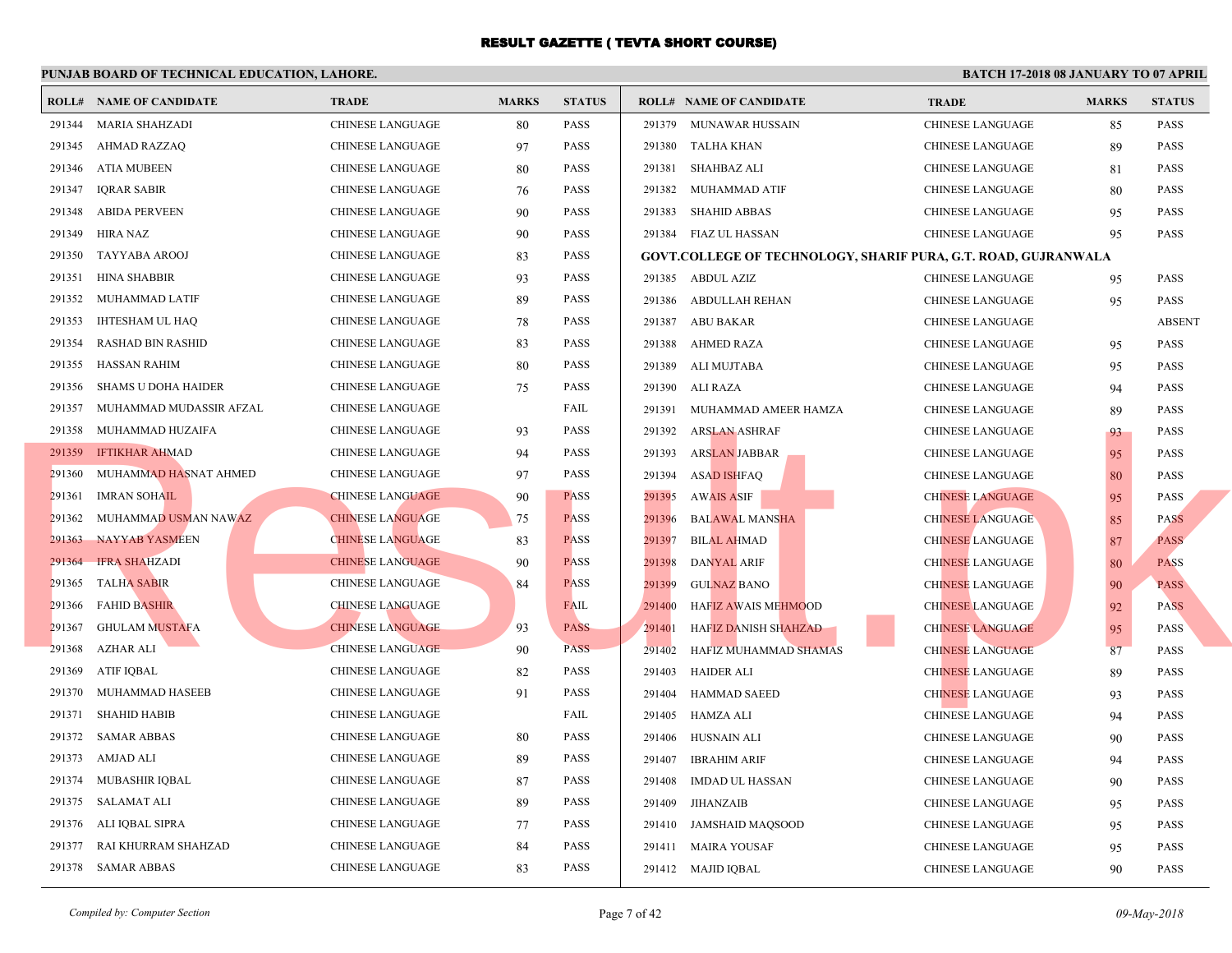|        | <b>ROLL# NAME OF CANDIDATE</b> | <b>TRADE</b>            | <b>MARKS</b> | <b>STATUS</b> |        | <b>ROLL# NAME OF CANDIDATE</b>                  | <b>TRA</b>  |
|--------|--------------------------------|-------------------------|--------------|---------------|--------|-------------------------------------------------|-------------|
| 291344 | <b>MARIA SHAHZADI</b>          | <b>CHINESE LANGUAGE</b> | 80           | <b>PASS</b>   |        | 291379 MUNAWAR HUSSAIN                          | <b>CHIN</b> |
| 291345 | AHMAD RAZZAQ                   | CHINESE LANGUAGE        | 97           | <b>PASS</b>   |        | 291380 TALHA KHAN                               | <b>CHIN</b> |
| 291346 | ATIA MUBEEN                    | <b>CHINESE LANGUAGE</b> | 80           | <b>PASS</b>   |        | 291381 SHAHBAZ ALI                              | <b>CHIN</b> |
| 291347 | <b>IQRAR SABIR</b>             | CHINESE LANGUAGE        | 76           | <b>PASS</b>   | 291382 | MUHAMMAD ATIF                                   | <b>CHIN</b> |
| 291348 | <b>ABIDA PERVEEN</b>           | CHINESE LANGUAGE        | 90           | <b>PASS</b>   | 291383 | <b>SHAHID ABBAS</b>                             | <b>CHIN</b> |
| 291349 | HIRA NAZ                       | CHINESE LANGUAGE        | 90           | <b>PASS</b>   |        | 291384 FIAZ UL HASSAN                           | <b>CHIN</b> |
| 291350 | TAYYABA AROOJ                  | CHINESE LANGUAGE        | 83           | <b>PASS</b>   |        | <b>GOVT.COLLEGE OF TECHNOLOGY, SHARIF PURA,</b> |             |
| 291351 | <b>HINA SHABBIR</b>            | CHINESE LANGUAGE        | 93           | <b>PASS</b>   |        | 291385 ABDUL AZIZ                               | <b>CHIN</b> |
| 291352 | MUHAMMAD LATIF                 | <b>CHINESE LANGUAGE</b> | 89           | <b>PASS</b>   |        | 291386 ABDULLAH REHAN                           | <b>CHIN</b> |
| 291353 | <b>IHTESHAM UL HAQ</b>         | CHINESE LANGUAGE        | 78           | <b>PASS</b>   |        | 291387 ABU BAKAR                                | <b>CHIN</b> |
| 291354 | <b>RASHAD BIN RASHID</b>       | CHINESE LANGUAGE        | 83           | <b>PASS</b>   |        | 291388 AHMED RAZA                               | <b>CHIN</b> |
| 291355 | <b>HASSAN RAHIM</b>            | CHINESE LANGUAGE        | 80           | <b>PASS</b>   |        | 291389 ALI MUJTABA                              | <b>CHIN</b> |
| 291356 | <b>SHAMS U DOHA HAIDER</b>     | CHINESE LANGUAGE        | 75           | <b>PASS</b>   |        | 291390 ALI RAZA                                 | <b>CHIN</b> |
| 291357 | MUHAMMAD MUDASSIR AFZAL        | CHINESE LANGUAGE        |              | FAIL          |        | 291391 MUHAMMAD AMEER HAMZA                     | <b>CHIN</b> |
| 291358 | MUHAMMAD HUZAIFA               | CHINESE LANGUAGE        | 93           | <b>PASS</b>   | 291392 | ARSLAN ASHRAF                                   | <b>CHIN</b> |
|        | 291359 IFTIKHAR AHMAD          | CHINESE LANGUAGE        | 94           | <b>PASS</b>   | 291393 | <b>ARSLAN JABBAR</b>                            | <b>CHIN</b> |
| 291360 | MUHAMMAD HASNAT AHMED          | CHINESE LANGUAGE        | 97           | <b>PASS</b>   | 291394 | <b>ASAD ISHFAQ</b>                              | <b>CHIN</b> |
| 291361 | <b>IMRAN SOHAIL</b>            | <b>CHINESE LANGUAGE</b> | 90           | <b>PASS</b>   | 291395 | <b>AWAIS ASIF</b>                               | <b>CHIN</b> |
| 291362 | MUHAMMAD USMAN NAWAZ           | <b>CHINESE LANGUAGE</b> | 75           | <b>PASS</b>   | 291396 | <b>BALAWAL MANSHA</b>                           | <b>CHIN</b> |
|        | 291363 NAYYAB YASMEEN          | <b>CHINESE LANGUAGE</b> | 83           | <b>PASS</b>   | 291397 | <b>BILAL AHMAD</b>                              | <b>CHIN</b> |
| 291364 | <b>IFRA SHAHZADI</b>           | <b>CHINESE LANGUAGE</b> | 90           | <b>PASS</b>   | 291398 | <b>DANYAL ARIF</b>                              | <b>CHIN</b> |
| 291365 | <b>TALHA SABIR</b>             | CHINESE LANGUAGE        | 84           | <b>PASS</b>   | 291399 | <b>GULNAZ BANO</b>                              | <b>CHIN</b> |
| 291366 | <b>FAHID BASHIR</b>            | <b>CHINESE LANGUAGE</b> |              | FAIL          | 291400 | HAFIZ AWAIS MEHMOOD                             | <b>CHIN</b> |
| 291367 | <b>GHULAM MUSTAFA</b>          | <b>CHINESE LANGUAGE</b> | 93           | <b>PASS</b>   | 291401 | HAFIZ DANISH SHAHZAD                            | <b>CHIN</b> |
| 291368 | <b>AZHAR ALI</b>               | <b>CHINESE LANGUAGE</b> | 90           | <b>PASS</b>   | 291402 | HAFIZ MUHAMMAD SHAMAS                           | <b>CHIN</b> |
| 291369 | ATIF IQBAL                     | CHINESE LANGUAGE        | 82           | <b>PASS</b>   | 291403 | HAIDER ALI                                      | <b>CHIN</b> |
| 291370 | MUHAMMAD HASEEB                | CHINESE LANGUAGE        | 91           | <b>PASS</b>   | 291404 | <b>HAMMAD SAEED</b>                             | <b>CHIN</b> |
|        | 291371 SHAHID HABIB            | CHINESE LANGUAGE        |              | FAIL          | 291405 | HAMZA ALI                                       | <b>CHIN</b> |
|        | 291372 SAMAR ABBAS             | CHINESE LANGUAGE        | 80           | <b>PASS</b>   | 291406 | HUSNAIN ALI                                     | <b>CHIN</b> |
| 291373 | AMJAD ALI                      | CHINESE LANGUAGE        | 89           | <b>PASS</b>   | 291407 | <b>IBRAHIM ARIF</b>                             | <b>CHIN</b> |
|        | 291374 MUBASHIR IQBAL          | CHINESE LANGUAGE        | 87           | <b>PASS</b>   | 291408 | <b>IMDAD UL HASSAN</b>                          | <b>CHIN</b> |
|        | 291375 SALAMAT ALI             | CHINESE LANGUAGE        | 89           | PASS          | 291409 | JIHANZAIB                                       | <b>CHIN</b> |
| 291376 | ALI IQBAL SIPRA                | CHINESE LANGUAGE        | 77           | <b>PASS</b>   |        | 291410 JAMSHAID MAQSOOD                         | <b>CHIN</b> |
| 291377 | RAI KHURRAM SHAHZAD            | <b>CHINESE LANGUAGE</b> | 84           | PASS          |        | 291411 MAIRA YOUSAF                             | CHIN.       |
|        | 291378 SAMAR ABBAS             | <b>CHINESE LANGUAGE</b> | 83           | <b>PASS</b>   |        | 291412 MAJID IQBAL                              | <b>CHIN</b> |
|        |                                |                         |              |               |        |                                                 |             |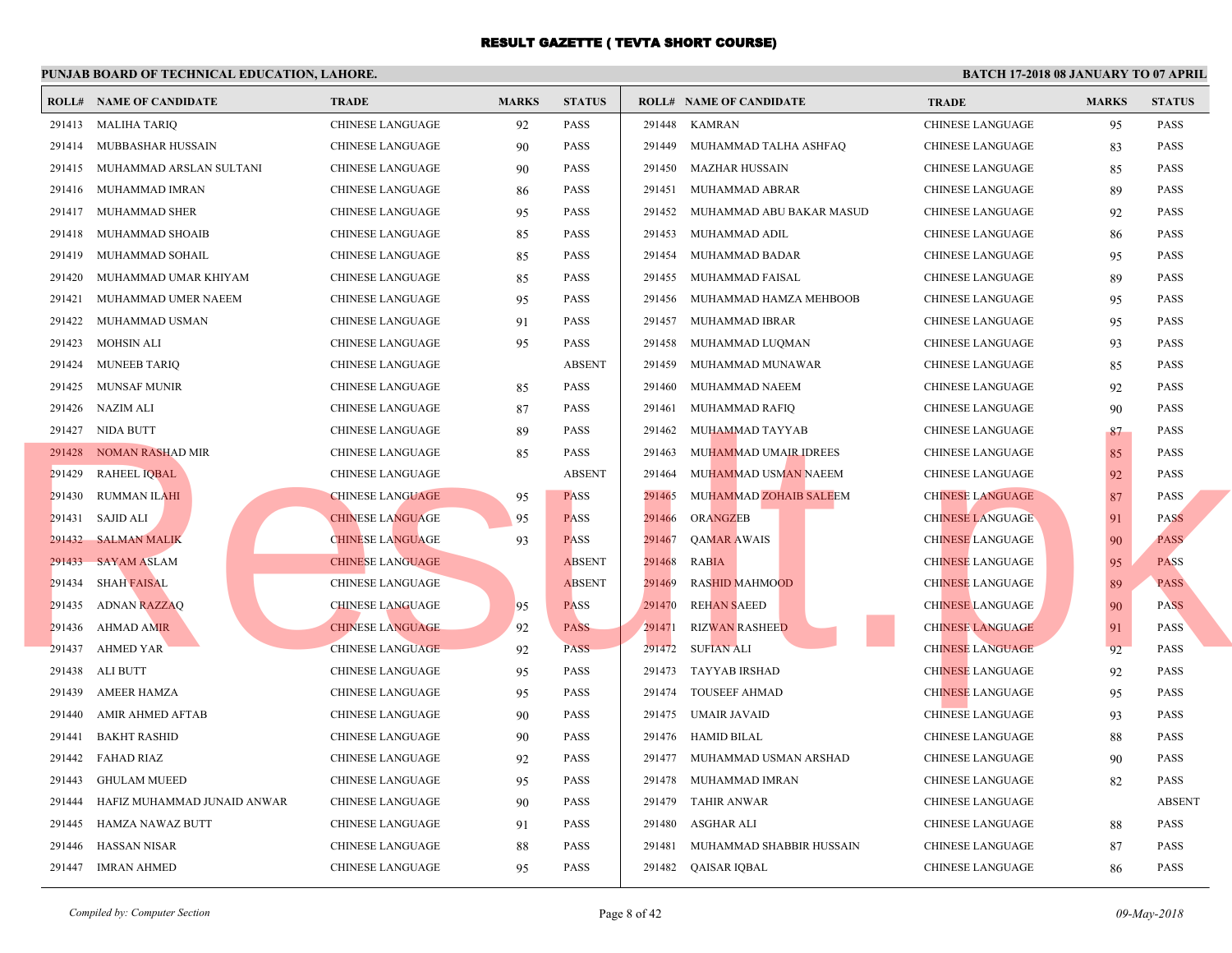|        | <b>ROLL# NAME OF CANDIDATE</b> | <b>TRADE</b>            | <b>MARKS</b> | <b>STATUS</b> |        | <b>ROLL# NAME OF CANDIDATE</b> | <b>TRA</b>  |
|--------|--------------------------------|-------------------------|--------------|---------------|--------|--------------------------------|-------------|
|        | 291413 MALIHA TARIQ            | CHINESE LANGUAGE        | 92           | <b>PASS</b>   | 291448 | KAMRAN                         | <b>CHIN</b> |
|        | 291414 MUBBASHAR HUSSAIN       | CHINESE LANGUAGE        | 90           | <b>PASS</b>   | 291449 | MUHAMMAD TALHA ASHFAQ          | <b>CHIN</b> |
|        | 291415 MUHAMMAD ARSLAN SULTANI | CHINESE LANGUAGE        | 90           | <b>PASS</b>   |        | 291450 MAZHAR HUSSAIN          | <b>CHIN</b> |
| 291416 | MUHAMMAD IMRAN                 | CHINESE LANGUAGE        | 86           | <b>PASS</b>   |        | 291451 MUHAMMAD ABRAR          | <b>CHIN</b> |
|        | 291417 MUHAMMAD SHER           | <b>CHINESE LANGUAGE</b> | 95           | <b>PASS</b>   | 291452 | MUHAMMAD ABU BAKAR MASUD       | <b>CHIN</b> |
| 291418 | MUHAMMAD SHOAIB                | CHINESE LANGUAGE        | 85           | <b>PASS</b>   | 291453 | MUHAMMAD ADIL                  | <b>CHIN</b> |
| 291419 | MUHAMMAD SOHAIL                | <b>CHINESE LANGUAGE</b> | 85           | <b>PASS</b>   | 291454 | MUHAMMAD BADAR                 | <b>CHIN</b> |
| 291420 | MUHAMMAD UMAR KHIYAM           | CHINESE LANGUAGE        | 85           | <b>PASS</b>   | 291455 | MUHAMMAD FAISAL                | <b>CHIN</b> |
| 291421 | MUHAMMAD UMER NAEEM            | CHINESE LANGUAGE        | 95           | <b>PASS</b>   | 291456 | MUHAMMAD HAMZA MEHBOOB         | <b>CHIN</b> |
| 291422 | MUHAMMAD USMAN                 | <b>CHINESE LANGUAGE</b> | 91           | <b>PASS</b>   | 291457 | MUHAMMAD IBRAR                 | <b>CHIN</b> |
| 291423 | MOHSIN ALI                     | CHINESE LANGUAGE        | 95           | <b>PASS</b>   | 291458 | MUHAMMAD LUQMAN                | <b>CHIN</b> |
| 291424 | <b>MUNEEB TARIQ</b>            | CHINESE LANGUAGE        |              | <b>ABSENT</b> | 291459 | MUHAMMAD MUNAWAR               | <b>CHIN</b> |
| 291425 | MUNSAF MUNIR                   | CHINESE LANGUAGE        | 85           | <b>PASS</b>   | 291460 | MUHAMMAD NAEEM                 | <b>CHIN</b> |
|        | 291426 NAZIM ALI               | CHINESE LANGUAGE        | 87           | <b>PASS</b>   | 291461 | MUHAMMAD RAFIQ                 | <b>CHIN</b> |
|        | 291427 NIDA BUTT               | CHINESE LANGUAGE        | 89           | <b>PASS</b>   | 291462 | MUHAMMAD TAYYAB                | <b>CHIN</b> |
|        | 291428 NOMAN RASHAD MIR        | CHINESE LANGUAGE        | 85           | <b>PASS</b>   | 291463 | MUHAMMAD UMAIR IDREES          | <b>CHIN</b> |
|        | 291429 RAHEEL IQBAL            | CHINESE LANGUAGE        |              | <b>ABSENT</b> | 291464 | MUHAMMAD USMAN NAEEM           | <b>CHIN</b> |
| 291430 | RUMMAN ILAHI                   | <b>CHINESE LANGUAGE</b> | 95           | <b>PASS</b>   | 291465 | MUHAMMAD ZOHAIB SALEEM         | <b>CHIN</b> |
|        | 291431 SAJID ALI               | <b>CHINESE LANGUAGE</b> | 95           | <b>PASS</b>   | 291466 | ORANGZEB                       | <b>CHIN</b> |
|        | 291432 SALMAN MALIK            | <b>CHINESE LANGUAGE</b> | 93           | <b>PASS</b>   | 291467 | <b>QAMAR AWAIS</b>             | <b>CHIN</b> |
| 291433 | <b>SAYAM ASLAM</b>             | <b>CHINESE LANGUAGE</b> |              | <b>ABSENT</b> | 291468 | <b>RABIA</b>                   | <b>CHIN</b> |
| 291434 | <b>SHAH FAISAL</b>             | CHINESE LANGUAGE        |              | <b>ABSENT</b> | 291469 | <b>RASHID MAHMOOD</b>          | <b>CHIN</b> |
| 291435 | ADNAN RAZZAQ                   | <b>CHINESE LANGUAGE</b> | 95           | <b>PASS</b>   | 291470 | <b>REHAN SAEED</b>             | <b>CHIN</b> |
| 291436 | AHMAD AMIR                     | <b>CHINESE LANGUAGE</b> | 92           | <b>PASS</b>   | 291471 | <b>RIZWAN RASHEED</b>          | <b>CHIN</b> |
| 291437 | <b>AHMED YAR</b>               | <b>CHINESE LANGUAGE</b> | 92           | <b>PASS</b>   | 291472 | SUFIAN ALI                     | <b>CHIN</b> |
| 291438 | ALI BUTT                       | CHINESE LANGUAGE        | 95           | <b>PASS</b>   |        | 291473 TAYYAB IRSHAD           | <b>CHIN</b> |
| 291439 | AMEER HAMZA                    | CHINESE LANGUAGE        | 95           | <b>PASS</b>   |        | 291474 TOUSEEF AHMAD           | <b>CHIN</b> |
| 291440 | AMIR AHMED AFTAB               | CHINESE LANGUAGE        | 90           | <b>PASS</b>   |        | 291475 UMAIR JAVAID            | <b>CHIN</b> |
| 291441 | <b>BAKHT RASHID</b>            | CHINESE LANGUAGE        | 90           | <b>PASS</b>   |        | 291476 HAMID BILAL             | <b>CHIN</b> |
| 291442 | <b>FAHAD RIAZ</b>              | CHINESE LANGUAGE        | 92           | <b>PASS</b>   |        | 291477 MUHAMMAD USMAN ARSHAD   | <b>CHIN</b> |
| 291443 | <b>GHULAM MUEED</b>            | CHINESE LANGUAGE        | 95           | <b>PASS</b>   |        | 291478 MUHAMMAD IMRAN          | <b>CHIN</b> |
| 291444 | HAFIZ MUHAMMAD JUNAID ANWAR    | CHINESE LANGUAGE        | 90           | <b>PASS</b>   |        | 291479 TAHIR ANWAR             | <b>CHIN</b> |
| 291445 | HAMZA NAWAZ BUTT               | <b>CHINESE LANGUAGE</b> | 91           | <b>PASS</b>   | 291480 | ASGHAR ALI                     | <b>CHIN</b> |
| 291446 | <b>HASSAN NISAR</b>            | CHINESE LANGUAGE        | 88           | PASS          | 291481 | MUHAMMAD SHABBIR HUSSAIN       | <b>CHIN</b> |
|        | 291447 IMRAN AHMED             | CHINESE LANGUAGE        | 95           | <b>PASS</b>   |        | 291482 QAISAR IQBAL            | <b>CHIN</b> |
|        |                                |                         |              |               |        |                                |             |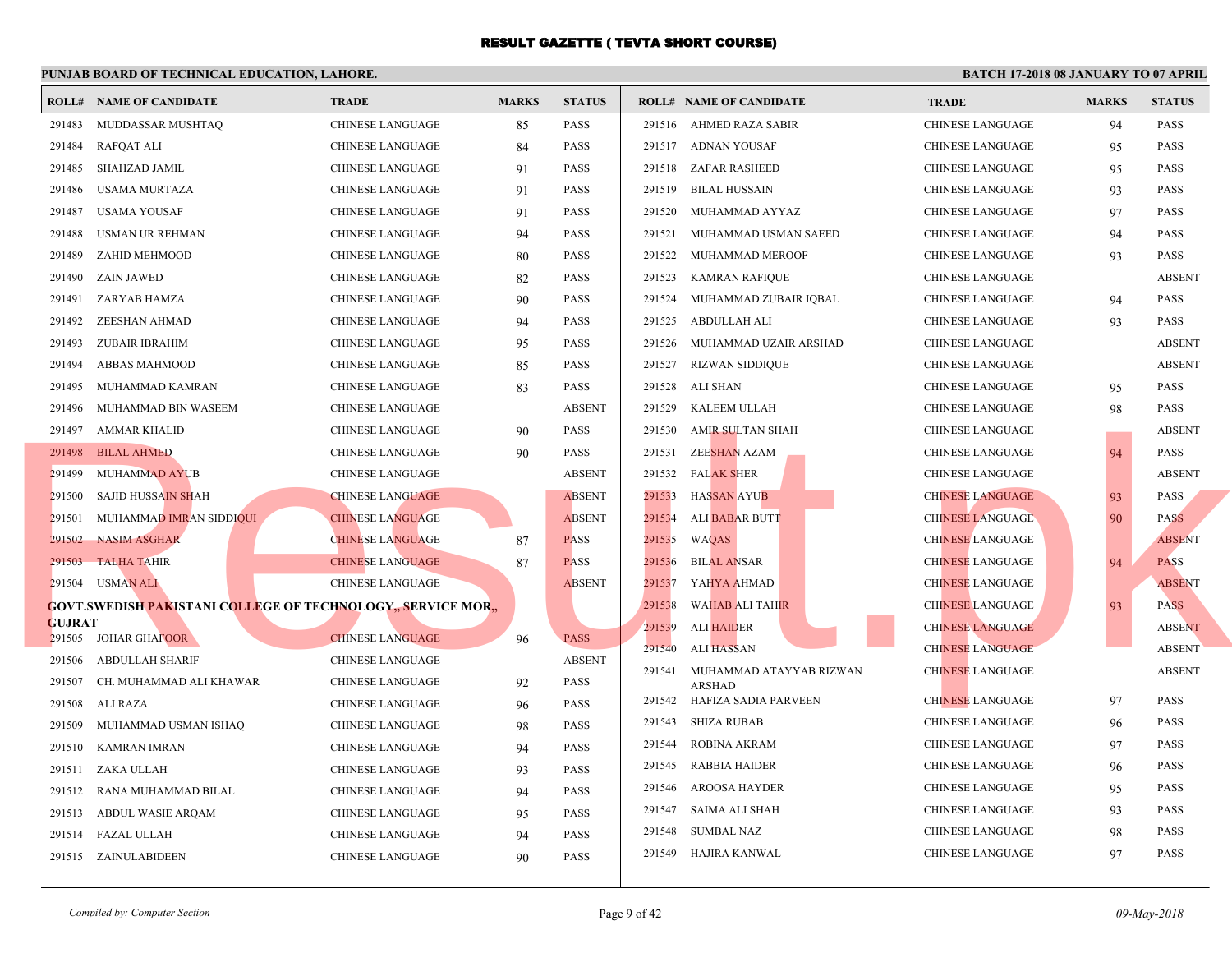|               | <b>ROLL# NAME OF CANDIDATE</b>                                     | <b>TRADE</b>                                       | <b>MARKS</b> | <b>STATUS</b>                |        | <b>ROLL# NAME OF CANDIDATE</b>           | <b>TRA</b>  |
|---------------|--------------------------------------------------------------------|----------------------------------------------------|--------------|------------------------------|--------|------------------------------------------|-------------|
| 291483        | MUDDASSAR MUSHTAQ                                                  | CHINESE LANGUAGE                                   | 85           | <b>PASS</b>                  |        | 291516 AHMED RAZA SABIR                  | <b>CHIN</b> |
| 291484        | RAFQAT ALI                                                         | CHINESE LANGUAGE                                   | 84           | <b>PASS</b>                  |        | 291517 ADNAN YOUSAF                      | <b>CHIN</b> |
| 291485        | SHAHZAD JAMIL                                                      | <b>CHINESE LANGUAGE</b>                            | 91           | <b>PASS</b>                  |        | 291518 ZAFAR RASHEED                     | <b>CHIN</b> |
| 291486        | USAMA MURTAZA                                                      | <b>CHINESE LANGUAGE</b>                            | 91           | <b>PASS</b>                  | 291519 | BILAL HUSSAIN                            | <b>CHIN</b> |
| 291487        | USAMA YOUSAF                                                       | CHINESE LANGUAGE                                   | 91           | <b>PASS</b>                  | 291520 | MUHAMMAD AYYAZ                           | <b>CHIN</b> |
| 291488        | USMAN UR REHMAN                                                    | <b>CHINESE LANGUAGE</b>                            | 94           | <b>PASS</b>                  | 291521 | MUHAMMAD USMAN SAEED                     | <b>CHIN</b> |
| 291489        | ZAHID MEHMOOD                                                      | <b>CHINESE LANGUAGE</b>                            | 80           | <b>PASS</b>                  | 291522 | MUHAMMAD MEROOF                          | <b>CHIN</b> |
| 291490        | ZAIN JAWED                                                         | <b>CHINESE LANGUAGE</b>                            | 82           | <b>PASS</b>                  | 291523 | KAMRAN RAFIQUE                           | <b>CHIN</b> |
| 291491        | ZARYAB HAMZA                                                       | <b>CHINESE LANGUAGE</b>                            | 90           | <b>PASS</b>                  |        | 291524 MUHAMMAD ZUBAIR IQBAL             | <b>CHIN</b> |
| 291492        | ZEESHAN AHMAD                                                      | CHINESE LANGUAGE                                   | 94           | <b>PASS</b>                  | 291525 | ABDULLAH ALI                             | <b>CHIN</b> |
| 291493        | ZUBAIR IBRAHIM                                                     | CHINESE LANGUAGE                                   | 95           | <b>PASS</b>                  |        | 291526 MUHAMMAD UZAIR ARSHAD             | <b>CHIN</b> |
| 291494        | ABBAS MAHMOOD                                                      | CHINESE LANGUAGE                                   | 85           | <b>PASS</b>                  |        | 291527 RIZWAN SIDDIQUE                   | <b>CHIN</b> |
| 291495        | MUHAMMAD KAMRAN                                                    | CHINESE LANGUAGE                                   | 83           | <b>PASS</b>                  |        | 291528 ALI SHAN                          | <b>CHIN</b> |
| 291496        | MUHAMMAD BIN WASEEM                                                | <b>CHINESE LANGUAGE</b>                            |              | <b>ABSENT</b>                | 291529 | KALEEM ULLAH                             | <b>CHIN</b> |
| 291497        | AMMAR KHALID                                                       | <b>CHINESE LANGUAGE</b>                            | 90           | <b>PASS</b>                  | 291530 | AMIR SULTAN SHAH                         | <b>CHIN</b> |
|               | 291498 BILAL AHMED                                                 | CHINESE LANGUAGE                                   | 90           | <b>PASS</b>                  | 291531 | ZEE <mark>SHAN</mark> AZAM               | <b>CHIN</b> |
| 291499        | MUHAMMAD AYUB                                                      | <b>CHINESE LANGUAGE</b>                            |              | <b>ABSENT</b>                | 291532 | <b>FALAK SHER</b>                        | <b>CHIN</b> |
| 291500        | SAJID HUSSAIN SHAH                                                 | <b>CHINESE LANGUAGE</b>                            |              | <b>ABSENT</b>                | 291533 | <b>HASSAN AYUB</b>                       | <b>CHIN</b> |
|               | 291501 MUHAMMAD IMRAN SIDDIQUI                                     | <b>CHINESE LANGUAGE</b>                            |              | <b>ABSENT</b>                | 291534 | ALI BABAR BUTT                           | <b>CHIN</b> |
|               | 291502 NASIM ASGHAR                                                | <b>CHINESE LANGUAGE</b>                            | 87           | <b>PASS</b>                  | 291535 | WAQAS                                    | <b>CHIN</b> |
| 291503        | <b>TALHA TAHIR</b>                                                 | <b>CHINESE LANGUAGE</b>                            | 87           | <b>PASS</b>                  | 291536 | <b>BILAL ANSAR</b>                       | <b>CHIN</b> |
|               | 291504 USMAN ALI                                                   | <b>CHINESE LANGUAGE</b>                            |              | <b>ABSENT</b>                | 291537 | YAHYA AHMAD                              | <b>CHIN</b> |
|               | <b>GOVT.SWEDISH PAKISTANI COLLEGE OF TECHNOLOGY, SERVICE MOR.,</b> |                                                    |              |                              | 291538 | <b>WAHAB ALI TAHIR</b>                   | <b>CHIN</b> |
| <b>GUJRAT</b> |                                                                    |                                                    |              |                              | 291539 | ALI HAIDER                               | <b>CHIN</b> |
| 291506        | 291505 JOHAR GHAFOOR<br>ABDULLAH SHARIF                            | <b>CHINESE LANGUAGE</b><br><b>CHINESE LANGUAGE</b> | 96           | <b>PASS</b><br><b>ABSENT</b> | 291540 | ALI HASSAN                               | <b>CHIN</b> |
| 291507        | CH. MUHAMMAD ALI KHAWAR                                            | CHINESE LANGUAGE                                   | 92           | <b>PASS</b>                  | 291541 | MUHAMMAD ATAYYAB RIZWAN<br><b>ARSHAD</b> | <b>CHIN</b> |
| 291508        | ALI RAZA                                                           | CHINESE LANGUAGE                                   | 96           | <b>PASS</b>                  |        | 291542 HAFIZA SADIA PARVEEN              | <b>CHIN</b> |
| 291509        | MUHAMMAD USMAN ISHAQ                                               | CHINESE LANGUAGE                                   | 98           | <b>PASS</b>                  | 291543 | SHIZA RUBAB                              | <b>CHIN</b> |
| 291510        | KAMRAN IMRAN                                                       | <b>CHINESE LANGUAGE</b>                            | 94           | <b>PASS</b>                  | 291544 | ROBINA AKRAM                             | <b>CHIN</b> |
|               | 291511 ZAKA ULLAH                                                  | <b>CHINESE LANGUAGE</b>                            | 93           | <b>PASS</b>                  | 291545 | RABBIA HAIDER                            | <b>CHIN</b> |
|               | 291512 RANA MUHAMMAD BILAL                                         | CHINESE LANGUAGE                                   | 94           | <b>PASS</b>                  | 291546 | AROOSA HAYDER                            | <b>CHIN</b> |
|               | 291513 ABDUL WASIE ARQAM                                           | CHINESE LANGUAGE                                   | 95           | <b>PASS</b>                  | 291547 | SAIMA ALI SHAH                           | <b>CHIN</b> |
|               | 291514 FAZAL ULLAH                                                 | <b>CHINESE LANGUAGE</b>                            | 94           | <b>PASS</b>                  | 291548 | SUMBAL NAZ                               | <b>CHIN</b> |
|               | 291515 ZAINULABIDEEN                                               | <b>CHINESE LANGUAGE</b>                            | 90           | <b>PASS</b>                  |        | 291549 HAJIRA KANWAL                     | <b>CHIN</b> |
|               |                                                                    |                                                    |              |                              |        |                                          |             |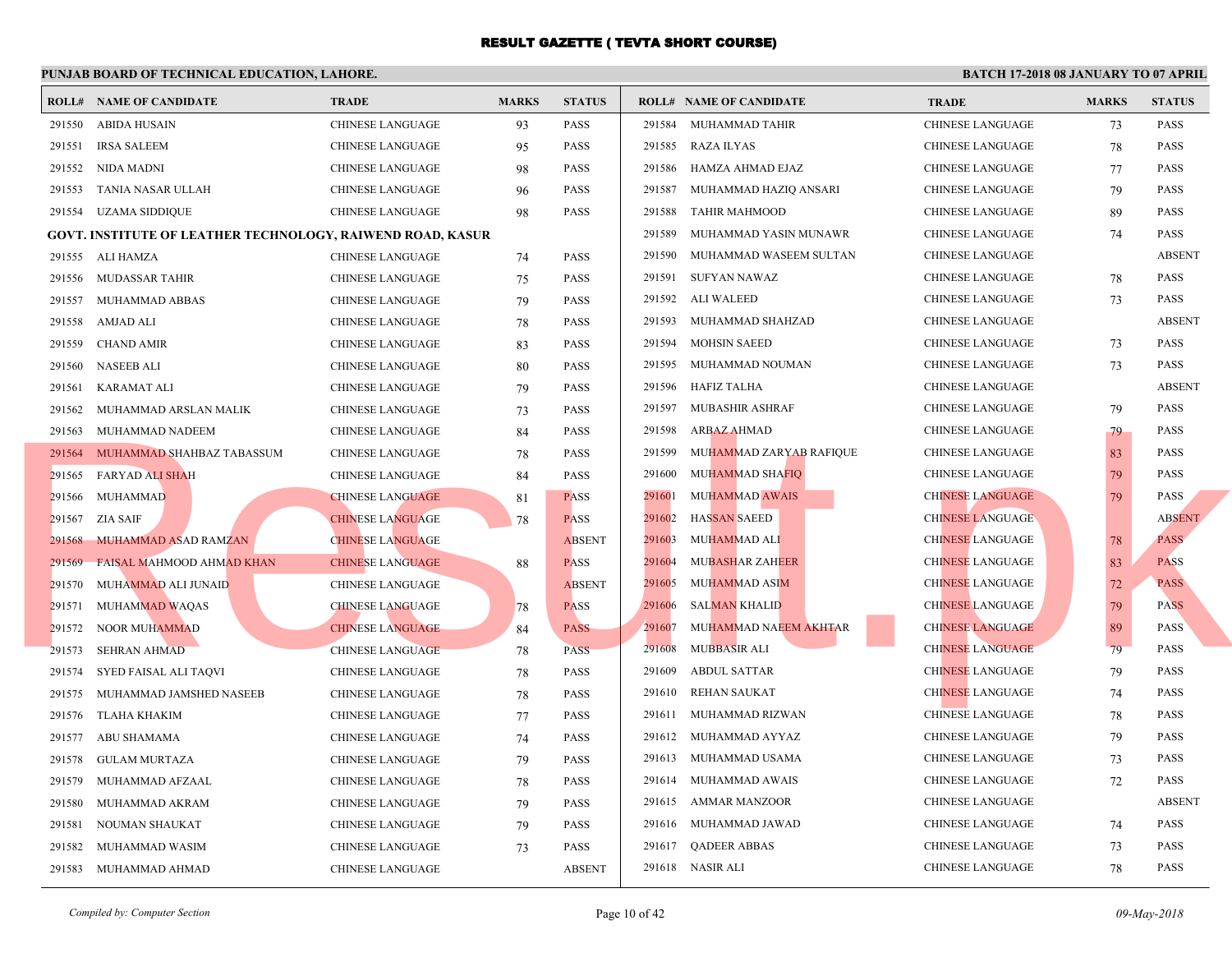|        | <b>ROLL# NAME OF CANDIDATE</b>                                    | <b>TRADE</b>            | <b>MARKS</b> | <b>STATUS</b> |        | <b>ROLL# NAME OF CANDIDATE</b> | <b>TRA</b>  |
|--------|-------------------------------------------------------------------|-------------------------|--------------|---------------|--------|--------------------------------|-------------|
| 291550 | ABIDA HUSAIN                                                      | CHINESE LANGUAGE        | 93           | PASS          |        | 291584 MUHAMMAD TAHIR          | <b>CHIN</b> |
| 291551 | <b>IRSA SALEEM</b>                                                | CHINESE LANGUAGE        | 95           | <b>PASS</b>   | 291585 | RAZA ILYAS                     | <b>CHIN</b> |
| 291552 | NIDA MADNI                                                        | <b>CHINESE LANGUAGE</b> | 98           | <b>PASS</b>   | 291586 | HAMZA AHMAD EJAZ               | <b>CHIN</b> |
| 291553 | TANIA NASAR ULLAH                                                 | CHINESE LANGUAGE        | 96           | <b>PASS</b>   | 291587 | MUHAMMAD HAZIQ ANSARI          | <b>CHIN</b> |
|        | 291554 UZAMA SIDDIQUE                                             | CHINESE LANGUAGE        | 98           | <b>PASS</b>   | 291588 | TAHIR MAHMOOD                  | <b>CHIN</b> |
|        | <b>GOVT. INSTITUTE OF LEATHER TECHNOLOGY, RAIWEND ROAD, KASUR</b> |                         |              |               | 291589 | MUHAMMAD YASIN MUNAWR          | <b>CHIN</b> |
|        | 291555 ALI HAMZA                                                  | <b>CHINESE LANGUAGE</b> | 74           | <b>PASS</b>   | 291590 | MUHAMMAD WASEEM SULTAN         | <b>CHIN</b> |
| 291556 | MUDASSAR TAHIR                                                    | <b>CHINESE LANGUAGE</b> | 75           | <b>PASS</b>   | 291591 | SUFYAN NAWAZ                   | <b>CHIN</b> |
| 291557 | MUHAMMAD ABBAS                                                    | <b>CHINESE LANGUAGE</b> | 79           | <b>PASS</b>   | 291592 | <b>ALI WALEED</b>              | <b>CHIN</b> |
| 291558 | AMJAD ALI                                                         | CHINESE LANGUAGE        | 78           | <b>PASS</b>   | 291593 | MUHAMMAD SHAHZAD               | <b>CHIN</b> |
| 291559 | <b>CHAND AMIR</b>                                                 | CHINESE LANGUAGE        | 83           | PASS          | 291594 | MOHSIN SAEED                   | <b>CHIN</b> |
| 291560 | <b>NASEEB ALI</b>                                                 | CHINESE LANGUAGE        | 80           | <b>PASS</b>   |        | 291595 MUHAMMAD NOUMAN         | <b>CHIN</b> |
| 291561 | <b>KARAMAT ALI</b>                                                | CHINESE LANGUAGE        | 79           | <b>PASS</b>   | 291596 | HAFIZ TALHA                    | <b>CHIN</b> |
| 291562 | MUHAMMAD ARSLAN MALIK                                             | CHINESE LANGUAGE        | 73           | <b>PASS</b>   | 291597 | MUBASHIR ASHRAF                | <b>CHIN</b> |
| 291563 | <b>MUHAMMAD NADEEM</b>                                            | CHINESE LANGUAGE        | 84           | <b>PASS</b>   | 291598 | ARBAZ AHMAD                    | <b>CHIN</b> |
|        | 291564 MUHAMMAD SHAHBAZ TABASSUM                                  | <b>CHINESE LANGUAGE</b> | 78           | <b>PASS</b>   | 291599 | MUHAMMAD ZARYAB RAFIQUE        | <b>CHIN</b> |
|        | 291565 FARYAD ALI SHAH                                            | CHINESE LANGUAGE        | 84           | <b>PASS</b>   | 291600 | MUHAMMAD SHAFIQ                | <b>CHIN</b> |
| 291566 | MUHAMMAD                                                          | <b>CHINESE LANGUAGE</b> | 81           | <b>PASS</b>   | 291601 | <b>MUHAMMAD AWAIS</b>          | <b>CHIN</b> |
| 291567 | <b>ZIA SAIF</b>                                                   | <b>CHINESE LANGUAGE</b> | 78           | <b>PASS</b>   | 291602 | <b>HASSAN SAEED</b>            | <b>CHIN</b> |
| 291568 | MUHAMMAD ASAD RAMZAN                                              | <b>CHINESE LANGUAGE</b> |              | <b>ABSENT</b> | 291603 | MUHAMMAD ALI                   | <b>CHIN</b> |
| 291569 | FAISAL MAHMOOD AHMAD KHAN                                         | <b>CHINESE LANGUAGE</b> | 88           | <b>PASS</b>   | 291604 | <b>MUBASHAR ZAHEER</b>         | <b>CHIN</b> |
| 291570 | MUHAMMAD ALI JUNAID                                               | CHINESE LANGUAGE        |              | <b>ABSENT</b> | 291605 | MUHAMMAD ASIM                  | <b>CHIN</b> |
| 291571 | <b>MUHAMMAD WAQAS</b>                                             | <b>CHINESE LANGUAGE</b> | 78           | <b>PASS</b>   | 291606 | <b>SALMAN KHALID</b>           | <b>CHIN</b> |
| 291572 | <b>NOOR MUHAMMAD</b>                                              | <b>CHINESE LANGUAGE</b> | 84           | <b>PASS</b>   | 291607 | MUHAMMAD NAEEM AKHTAR          | <b>CHIN</b> |
| 291573 | <b>SEHRAN AHMAD</b>                                               | <b>CHINESE LANGUAGE</b> | 78           | <b>PASS</b>   | 291608 | <b>MUBBASIR ALI</b>            | <b>CHIN</b> |
| 291574 | SYED FAISAL ALI TAQVI                                             | <b>CHINESE LANGUAGE</b> | 78           | <b>PASS</b>   | 291609 | <b>ABDUL SATTAR</b>            | <b>CHIN</b> |
| 291575 | MUHAMMAD JAMSHED NASEEB                                           | <b>CHINESE LANGUAGE</b> | 78           | <b>PASS</b>   | 291610 | <b>REHAN SAUKAT</b>            | <b>CHIN</b> |
| 291576 | TLAHA KHAKIM                                                      | <b>CHINESE LANGUAGE</b> | 77           | <b>PASS</b>   | 291611 | MUHAMMAD RIZWAN                | <b>CHIN</b> |
| 291577 | ABU SHAMAMA                                                       | CHINESE LANGUAGE        | 74           | <b>PASS</b>   | 291612 | MUHAMMAD AYYAZ                 | <b>CHIN</b> |
| 291578 | <b>GULAM MURTAZA</b>                                              | CHINESE LANGUAGE        | 79           | <b>PASS</b>   |        | 291613 MUHAMMAD USAMA          | <b>CHIN</b> |
| 291579 | MUHAMMAD AFZAAL                                                   | CHINESE LANGUAGE        | 78           | <b>PASS</b>   |        | 291614 MUHAMMAD AWAIS          | <b>CHIN</b> |
| 291580 | MUHAMMAD AKRAM                                                    | CHINESE LANGUAGE        | 79           | <b>PASS</b>   |        | 291615 AMMAR MANZOOR           | <b>CHIN</b> |
| 291581 | NOUMAN SHAUKAT                                                    | CHINESE LANGUAGE        | 79           | <b>PASS</b>   |        | 291616 MUHAMMAD JAWAD          | <b>CHIN</b> |
| 291582 | MUHAMMAD WASIM                                                    | <b>CHINESE LANGUAGE</b> | 73           | PASS          |        | 291617 QADEER ABBAS            | <b>CHIN</b> |
|        | 291583 MUHAMMAD AHMAD                                             | <b>CHINESE LANGUAGE</b> |              | <b>ABSENT</b> |        | 291618 NASIR ALI               | <b>CHIN</b> |
|        |                                                                   |                         |              |               |        |                                |             |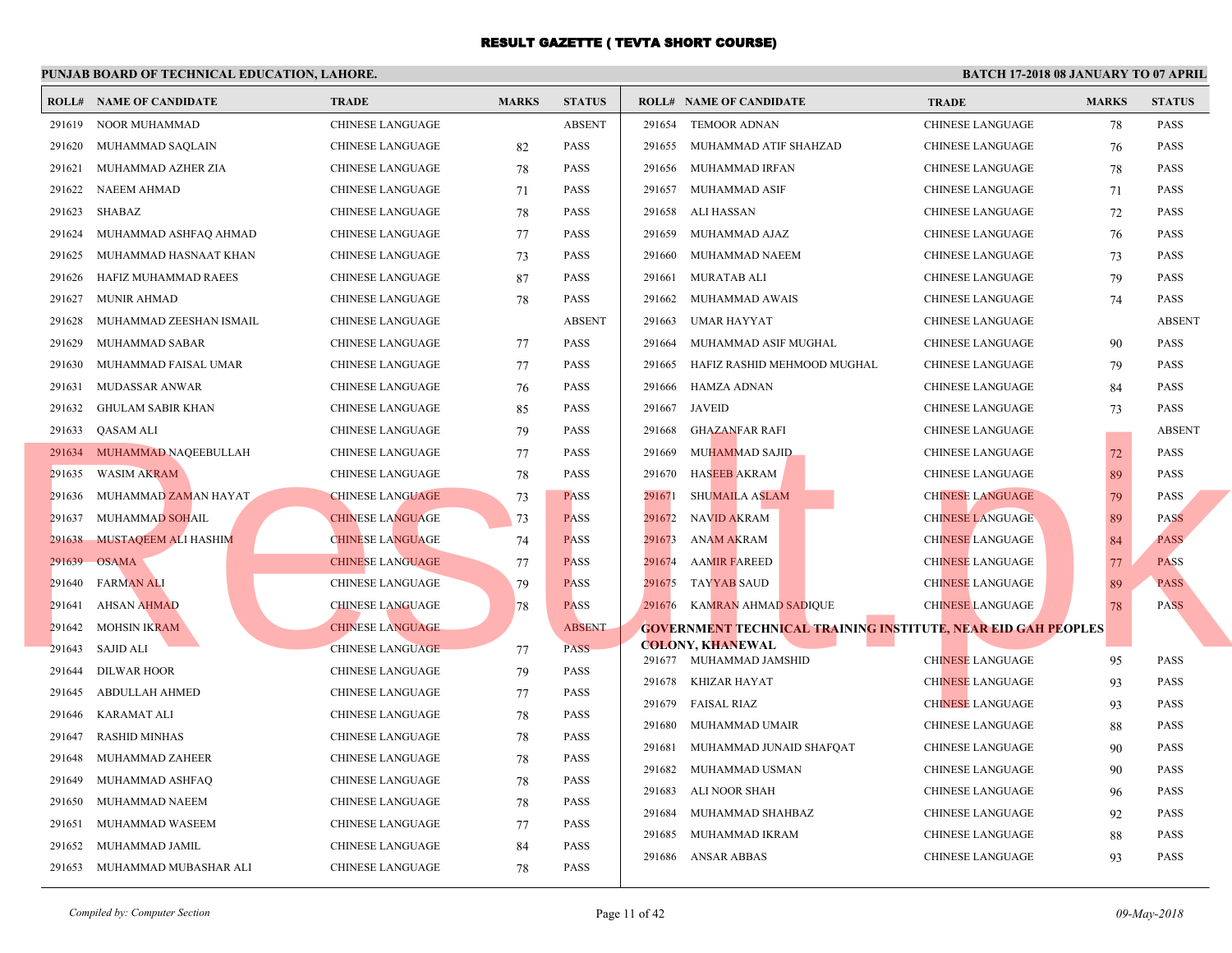|        | <b>ROLL# NAME OF CANDIDATE</b> | <b>TRADE</b>            | <b>MARKS</b> | <b>STATUS</b> |        | <b>ROLL# NAME OF CANDIDATE</b>                  | <b>TRA</b>  |
|--------|--------------------------------|-------------------------|--------------|---------------|--------|-------------------------------------------------|-------------|
| 291619 | NOOR MUHAMMAD                  | CHINESE LANGUAGE        |              | <b>ABSENT</b> |        | 291654 TEMOOR ADNAN                             | <b>CHIN</b> |
| 291620 | MUHAMMAD SAQLAIN               | CHINESE LANGUAGE        | 82           | <b>PASS</b>   | 291655 | MUHAMMAD ATIF SHAHZAD                           | <b>CHIN</b> |
| 291621 | MUHAMMAD AZHER ZIA             | <b>CHINESE LANGUAGE</b> | 78           | <b>PASS</b>   | 291656 | MUHAMMAD IRFAN                                  | <b>CHIN</b> |
| 291622 | NAEEM AHMAD                    | CHINESE LANGUAGE        | 71           | <b>PASS</b>   | 291657 | MUHAMMAD ASIF                                   | <b>CHIN</b> |
| 291623 | SHABAZ                         | CHINESE LANGUAGE        | 78           | <b>PASS</b>   | 291658 | ALI HASSAN                                      | <b>CHIN</b> |
| 291624 | MUHAMMAD ASHFAQ AHMAD          | CHINESE LANGUAGE        | 77           | <b>PASS</b>   | 291659 | MUHAMMAD AJAZ                                   | <b>CHIN</b> |
| 291625 | MUHAMMAD HASNAAT KHAN          | CHINESE LANGUAGE        | 73           | <b>PASS</b>   | 291660 | MUHAMMAD NAEEM                                  | <b>CHIN</b> |
| 291626 | HAFIZ MUHAMMAD RAEES           | CHINESE LANGUAGE        | 87           | <b>PASS</b>   | 291661 | MURATAB ALI                                     | <b>CHIN</b> |
| 291627 | <b>MUNIR AHMAD</b>             | CHINESE LANGUAGE        | 78           | PASS          | 291662 | MUHAMMAD AWAIS                                  | <b>CHIN</b> |
| 291628 | MUHAMMAD ZEESHAN ISMAIL        | <b>CHINESE LANGUAGE</b> |              | <b>ABSENT</b> | 291663 | <b>UMAR HAYYAT</b>                              | <b>CHIN</b> |
| 291629 | MUHAMMAD SABAR                 | <b>CHINESE LANGUAGE</b> | 77           | <b>PASS</b>   | 291664 | MUHAMMAD ASIF MUGHAL                            | <b>CHIN</b> |
| 291630 | MUHAMMAD FAISAL UMAR           | CHINESE LANGUAGE        | 77           | <b>PASS</b>   | 291665 | HAFIZ RASHID MEHMOOD MUGHAL                     | <b>CHIN</b> |
| 291631 | MUDASSAR ANWAR                 | CHINESE LANGUAGE        | 76           | <b>PASS</b>   | 291666 | HAMZA ADNAN                                     | <b>CHIN</b> |
| 291632 | <b>GHULAM SABIR KHAN</b>       | CHINESE LANGUAGE        | 85           | <b>PASS</b>   | 291667 | JAVEID                                          | <b>CHIN</b> |
| 291633 | QASAM ALI                      | CHINESE LANGUAGE        | 79           | <b>PASS</b>   | 291668 | GHAZANFAR RAFI                                  | <b>CHIN</b> |
|        | 291634 MUHAMMAD NAQEEBULLAH    | CHINESE LANGUAGE        | 77           | <b>PASS</b>   | 291669 | <b>MUHAMMAD SAJID</b>                           | <b>CHIN</b> |
| 291635 | <b>WASIM AKRAM</b>             | CHINESE LANGUAGE        | 78           | <b>PASS</b>   | 291670 | <b>HASEEB AKRAM</b>                             | <b>CHIN</b> |
| 291636 | MUHAMMAD ZAMAN HAYAT           | <b>CHINESE LANGUAGE</b> | 73           | <b>PASS</b>   | 291671 | SHUMAILA ASLAM                                  | <b>CHIN</b> |
| 291637 | <b>MUHAMMAD SOHAIL</b>         | <b>CHINESE LANGUAGE</b> | 73           | <b>PASS</b>   | 291672 | <b>NAVID AKRAM</b>                              | <b>CHIN</b> |
| 291638 | MUSTAQEEM ALI HASHIM           | <b>CHINESE LANGUAGE</b> | 74           | <b>PASS</b>   | 291673 | ANAM AKRAM                                      | <b>CHIN</b> |
| 291639 | <b>OSAMA</b>                   | <b>CHINESE LANGUAGE</b> | 77           | <b>PASS</b>   | 291674 | <b>AAMIR FAREED</b>                             | <b>CHIN</b> |
| 291640 | <b>FARMAN ALI</b>              | <b>CHINESE LANGUAGE</b> | 79           | <b>PASS</b>   | 291675 | <b>TAYYAB SAUD</b>                              | <b>CHIN</b> |
| 291641 | <b>AHSAN AHMAD</b>             | <b>CHINESE LANGUAGE</b> | 78           | <b>PASS</b>   |        | 291676 KAMRAN AHMAD SADIQUE                     | <b>CHIN</b> |
| 291642 | <b>MOHSIN IKRAM</b>            | <b>CHINESE LANGUAGE</b> |              | <b>ABSENT</b> |        | <b>GOVERNMENT TECHNICAL TRAINING INSTITUTE,</b> |             |
| 291643 | <b>SAJID ALI</b>               | <b>CHINESE LANGUAGE</b> | 77           | <b>PASS</b>   |        | <b>COLONY, KHANEWAL</b>                         |             |
| 291644 | DILWAR HOOR                    | <b>CHINESE LANGUAGE</b> | 79           | <b>PASS</b>   |        | 291677 MUHAMMAD JAMSHID                         | <b>CHIN</b> |
| 291645 | <b>ABDULLAH AHMED</b>          | CHINESE LANGUAGE        | 77           | PASS          |        | 291678 KHIZAR HAYAT                             | <b>CHIN</b> |
| 291646 | <b>KARAMAT ALI</b>             | CHINESE LANGUAGE        | 78           | PASS          | 291679 | <b>FAISAL RIAZ</b>                              | <b>CHIN</b> |
| 291647 | <b>RASHID MINHAS</b>           | CHINESE LANGUAGE        | 78           | <b>PASS</b>   | 291680 | MUHAMMAD UMAIR                                  | <b>CHIN</b> |
| 291648 | MUHAMMAD ZAHEER                | CHINESE LANGUAGE        | 78           | <b>PASS</b>   | 291681 | MUHAMMAD JUNAID SHAFQAT                         | <b>CHIN</b> |
| 291649 | MUHAMMAD ASHFAQ                | CHINESE LANGUAGE        | 78           | <b>PASS</b>   | 291682 | MUHAMMAD USMAN                                  | <b>CHIN</b> |
| 291650 | MUHAMMAD NAEEM                 | <b>CHINESE LANGUAGE</b> | 78           | <b>PASS</b>   | 291683 | ALI NOOR SHAH                                   | <b>CHIN</b> |
| 291651 | MUHAMMAD WASEEM                | CHINESE LANGUAGE        | 77           | <b>PASS</b>   | 291684 | MUHAMMAD SHAHBAZ                                | <b>CHIN</b> |
| 291652 | MUHAMMAD JAMIL                 | CHINESE LANGUAGE        | 84           | PASS          | 291685 | MUHAMMAD IKRAM                                  | <b>CHIN</b> |
|        | 291653 MUHAMMAD MUBASHAR ALI   | <b>CHINESE LANGUAGE</b> | 78           | <b>PASS</b>   |        | 291686 ANSAR ABBAS                              | <b>CHIN</b> |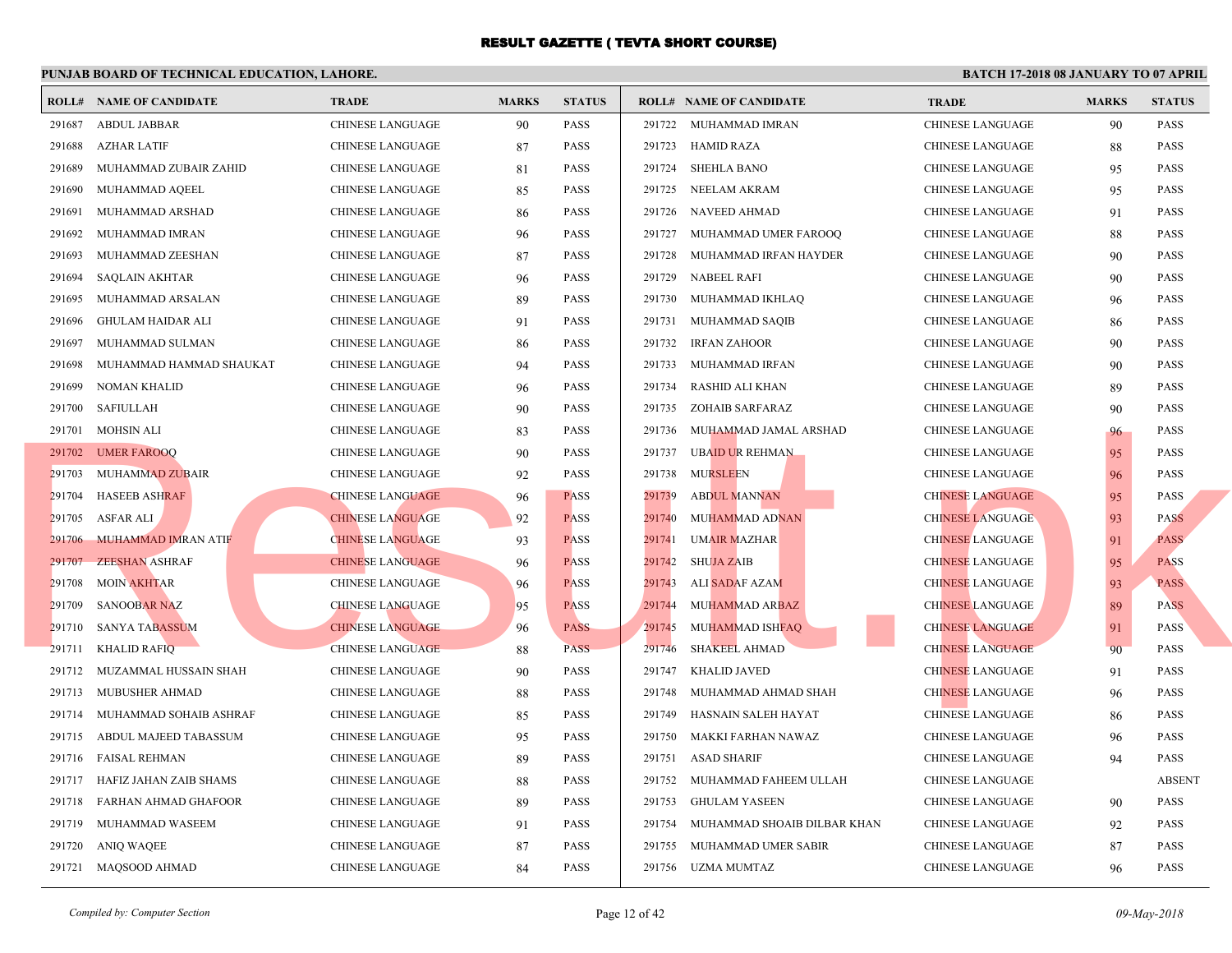|        | <b>ROLL# NAME OF CANDIDATE</b> | <b>TRADE</b>            | <b>MARKS</b> | <b>STATUS</b> |        | <b>ROLL# NAME OF CANDIDATE</b>     | <b>TRA</b>  |
|--------|--------------------------------|-------------------------|--------------|---------------|--------|------------------------------------|-------------|
| 291687 | <b>ABDUL JABBAR</b>            | <b>CHINESE LANGUAGE</b> | 90           | <b>PASS</b>   |        | 291722 MUHAMMAD IMRAN              | <b>CHIN</b> |
| 291688 | <b>AZHAR LATIF</b>             | <b>CHINESE LANGUAGE</b> | 87           | <b>PASS</b>   |        | 291723 HAMID RAZA                  | <b>CHIN</b> |
| 291689 | MUHAMMAD ZUBAIR ZAHID          | CHINESE LANGUAGE        | 81           | <b>PASS</b>   |        | 291724 SHEHLA BANO                 | <b>CHIN</b> |
| 291690 | MUHAMMAD AQEEL                 | CHINESE LANGUAGE        | 85           | <b>PASS</b>   |        | 291725 NEELAM AKRAM                | <b>CHIN</b> |
| 291691 | MUHAMMAD ARSHAD                | CHINESE LANGUAGE        | 86           | <b>PASS</b>   |        | 291726 NAVEED AHMAD                | <b>CHIN</b> |
| 291692 | MUHAMMAD IMRAN                 | CHINESE LANGUAGE        | 96           | <b>PASS</b>   |        | 291727 MUHAMMAD UMER FAROOQ        | <b>CHIN</b> |
| 291693 | MUHAMMAD ZEESHAN               | <b>CHINESE LANGUAGE</b> | 87           | <b>PASS</b>   | 291728 | MUHAMMAD IRFAN HAYDER              | <b>CHIN</b> |
| 291694 | <b>SAQLAIN AKHTAR</b>          | <b>CHINESE LANGUAGE</b> | 96           | <b>PASS</b>   |        | 291729 NABEEL RAFI                 | <b>CHIN</b> |
| 291695 | MUHAMMAD ARSALAN               | <b>CHINESE LANGUAGE</b> | 89           | <b>PASS</b>   |        | 291730 MUHAMMAD IKHLAQ             | <b>CHIN</b> |
| 291696 | GHULAM HAIDAR ALI              | <b>CHINESE LANGUAGE</b> | 91           | <b>PASS</b>   |        | 291731 MUHAMMAD SAQIB              | <b>CHIN</b> |
| 291697 | MUHAMMAD SULMAN                | CHINESE LANGUAGE        | 86           | <b>PASS</b>   | 291732 | <b>IRFAN ZAHOOR</b>                | <b>CHIN</b> |
| 291698 | MUHAMMAD HAMMAD SHAUKAT        | CHINESE LANGUAGE        | 94           | <b>PASS</b>   | 291733 | MUHAMMAD IRFAN                     | <b>CHIN</b> |
| 291699 | NOMAN KHALID                   | CHINESE LANGUAGE        | 96           | <b>PASS</b>   | 291734 | RASHID ALI KHAN                    | <b>CHIN</b> |
| 291700 | SAFIULLAH                      | CHINESE LANGUAGE        | 90           | <b>PASS</b>   | 291735 | ZOHAIB SARFARAZ                    | <b>CHIN</b> |
|        | 291701 MOHSIN ALI              | <b>CHINESE LANGUAGE</b> | 83           | <b>PASS</b>   | 291736 | MUHAMMAD JAMAL ARSHAD              | <b>CHIN</b> |
|        | 291702 UMER FAROOQ             | CHINESE LANGUAGE        | 90           | <b>PASS</b>   | 291737 | UBAID UR REHMAN                    | <b>CHIN</b> |
|        | 291703 MUHAMMAD ZUBAIR         | CHINESE LANGUAGE        | 92           | <b>PASS</b>   | 291738 | <b>MURSLEEN</b>                    | <b>CHIN</b> |
| 291704 | <b>HASEEB ASHRAF</b>           | <b>CHINESE LANGUAGE</b> | 96           | <b>PASS</b>   | 291739 | <b>ABDUL MANNAN</b>                | <b>CHIN</b> |
| 291705 | ASFAR ALI                      | <b>CHINESE LANGUAGE</b> | 92           | <b>PASS</b>   | 291740 | MUHAMMAD ADNAN                     | <b>CHIN</b> |
|        | 291706 MUHAMMAD IMRAN ATIF     | <b>CHINESE LANGUAGE</b> | 93           | <b>PASS</b>   | 291741 | <b>UMAIR MAZHAR</b>                | <b>CHIN</b> |
| 291707 | <b>ZEESHAN ASHRAF</b>          | <b>CHINESE LANGUAGE</b> | 96           | <b>PASS</b>   | 291742 | <b>SHUJA ZAIB</b>                  | <b>CHIN</b> |
| 291708 | <b>MOIN AKHTAR</b>             | <b>CHINESE LANGUAGE</b> | 96           | <b>PASS</b>   | 291743 | ALI SADAF AZAM                     | <b>CHIN</b> |
| 291709 | <b>SANOOBAR NAZ</b>            | <b>CHINESE LANGUAGE</b> | 95           | <b>PASS</b>   | 291744 | <b>MUHAMMAD ARBAZ</b>              | <b>CHIN</b> |
| 291710 | SANYA TABASSUM                 | <b>CHINESE LANGUAGE</b> | 96           | <b>PASS</b>   | 291745 | MUHAMMAD ISHFAQ                    | <b>CHIN</b> |
| 291711 | <b>KHALID RAFIQ</b>            | <b>CHINESE LANGUAGE</b> | 88           | <b>PASS</b>   | 291746 | SHAKEEL AHMAD                      | <b>CHIN</b> |
|        | 291712 MUZAMMAL HUSSAIN SHAH   | CHINESE LANGUAGE        | 90           | <b>PASS</b>   | 291747 | KHALID JAVED                       | <b>CHIN</b> |
|        | 291713 MUBUSHER AHMAD          | CHINESE LANGUAGE        | 88           | <b>PASS</b>   | 291748 | MUHAMMAD AHMAD SHAH                | <b>CHIN</b> |
|        | 291714 MUHAMMAD SOHAIB ASHRAF  | <b>CHINESE LANGUAGE</b> | 85           | <b>PASS</b>   | 291749 | HASNAIN SALEH HAYAT                | <b>CHIN</b> |
| 291715 | ABDUL MAJEED TABASSUM          | CHINESE LANGUAGE        | 95           | <b>PASS</b>   |        | 291750 MAKKI FARHAN NAWAZ          | <b>CHIN</b> |
|        | 291716 FAISAL REHMAN           | CHINESE LANGUAGE        | 89           | <b>PASS</b>   |        | 291751 ASAD SHARIF                 | <b>CHIN</b> |
|        | 291717 HAFIZ JAHAN ZAIB SHAMS  | CHINESE LANGUAGE        | 88           | <b>PASS</b>   |        | 291752 MUHAMMAD FAHEEM ULLAH       | <b>CHIN</b> |
| 291718 | FARHAN AHMAD GHAFOOR           | CHINESE LANGUAGE        | 89           | <b>PASS</b>   | 291753 | GHULAM YASEEN                      | <b>CHIN</b> |
| 291719 | MUHAMMAD WASEEM                | <b>CHINESE LANGUAGE</b> | 91           | <b>PASS</b>   |        | 291754 MUHAMMAD SHOAIB DILBAR KHAN | <b>CHIN</b> |
| 291720 | ANIQ WAQEE                     | CHINESE LANGUAGE        | 87           | <b>PASS</b>   |        | 291755 MUHAMMAD UMER SABIR         | <b>CHIN</b> |
|        | 291721 MAQSOOD AHMAD           | <b>CHINESE LANGUAGE</b> | 84           | <b>PASS</b>   |        | 291756 UZMA MUMTAZ                 | <b>CHIN</b> |
|        |                                |                         |              |               |        |                                    |             |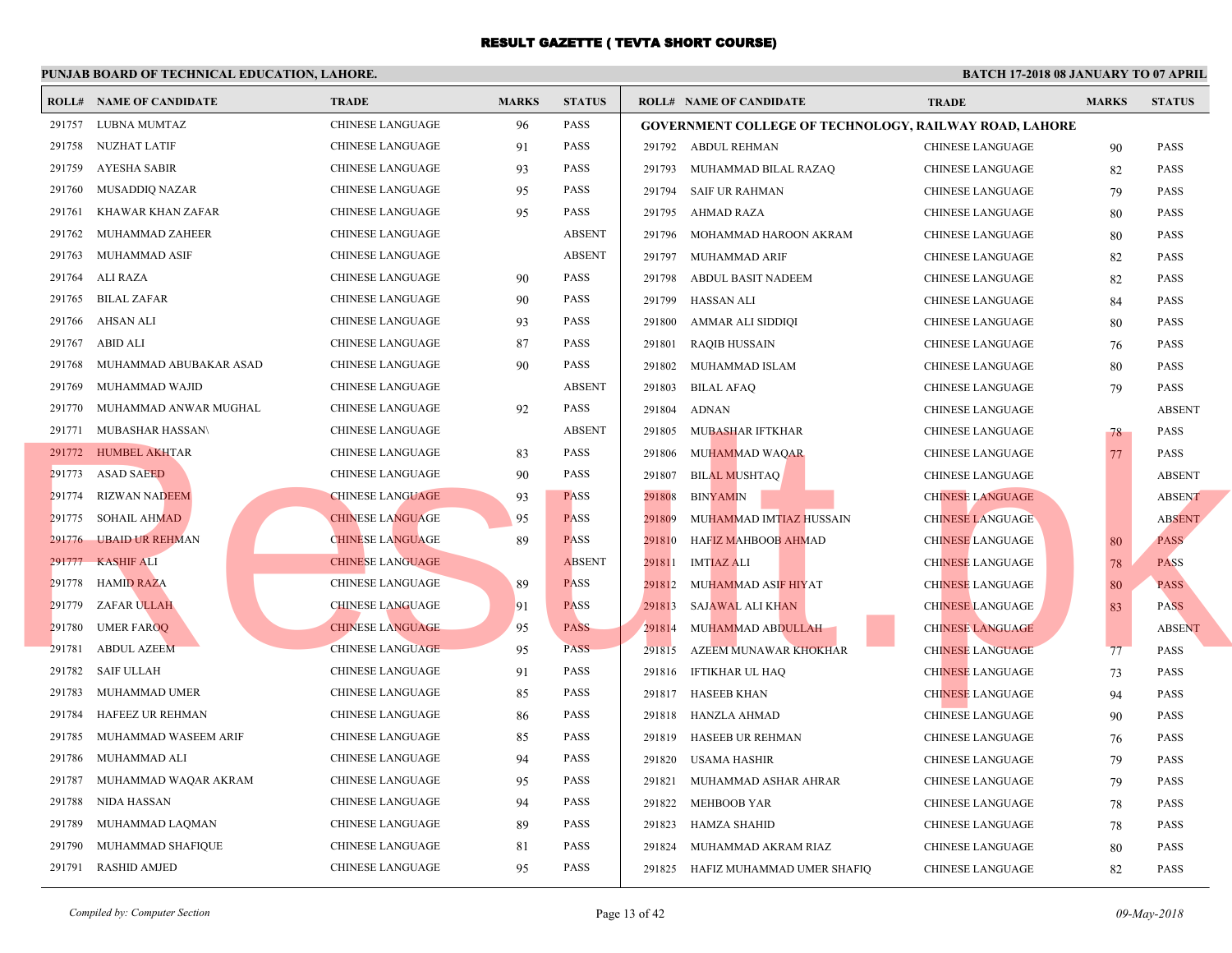|        | <b>ROLL# NAME OF CANDIDATE</b> | <b>TRADE</b>            | <b>MARKS</b> | <b>STATUS</b> |        | <b>ROLL# NAME OF CANDIDATE</b>                 | <b>TRA</b>  |
|--------|--------------------------------|-------------------------|--------------|---------------|--------|------------------------------------------------|-------------|
|        | 291757 LUBNA MUMTAZ            | <b>CHINESE LANGUAGE</b> | 96           | <b>PASS</b>   |        | <b>GOVERNMENT COLLEGE OF TECHNOLOGY, RAILV</b> |             |
|        | 291758 NUZHAT LATIF            | CHINESE LANGUAGE        | 91           | <b>PASS</b>   |        | 291792 ABDUL REHMAN                            | <b>CHIN</b> |
| 291759 | <b>AYESHA SABIR</b>            | CHINESE LANGUAGE        | 93           | <b>PASS</b>   |        | 291793 MUHAMMAD BILAL RAZAQ                    | <b>CHIN</b> |
| 291760 | MUSADDIQ NAZAR                 | <b>CHINESE LANGUAGE</b> | 95           | <b>PASS</b>   |        | 291794 SAIF UR RAHMAN                          | <b>CHIN</b> |
| 291761 | KHAWAR KHAN ZAFAR              | CHINESE LANGUAGE        | 95           | <b>PASS</b>   |        | 291795 AHMAD RAZA                              | <b>CHIN</b> |
| 291762 | MUHAMMAD ZAHEER                | CHINESE LANGUAGE        |              | <b>ABSENT</b> | 291796 | MOHAMMAD HAROON AKRAM                          | <b>CHIN</b> |
| 291763 | MUHAMMAD ASIF                  | <b>CHINESE LANGUAGE</b> |              | <b>ABSENT</b> |        | 291797 MUHAMMAD ARIF                           | <b>CHIN</b> |
| 291764 | ALI RAZA                       | CHINESE LANGUAGE        | 90           | <b>PASS</b>   | 291798 | ABDUL BASIT NADEEM                             | <b>CHIN</b> |
| 291765 | <b>BILAL ZAFAR</b>             | CHINESE LANGUAGE        | 90           | <b>PASS</b>   | 291799 | HASSAN ALI                                     | <b>CHIN</b> |
| 291766 | AHSAN ALI                      | <b>CHINESE LANGUAGE</b> | 93           | <b>PASS</b>   | 291800 | AMMAR ALI SIDDIQI                              | <b>CHIN</b> |
| 291767 | ABID ALI                       | <b>CHINESE LANGUAGE</b> | 87           | <b>PASS</b>   | 291801 | <b>RAQIB HUSSAIN</b>                           | <b>CHIN</b> |
| 291768 | MUHAMMAD ABUBAKAR ASAD         | CHINESE LANGUAGE        | 90           | <b>PASS</b>   | 291802 | MUHAMMAD ISLAM                                 | <b>CHIN</b> |
| 291769 | MUHAMMAD WAJID                 | CHINESE LANGUAGE        |              | <b>ABSENT</b> | 291803 | <b>BILAL AFAQ</b>                              | <b>CHIN</b> |
| 291770 | MUHAMMAD ANWAR MUGHAL          | <b>CHINESE LANGUAGE</b> | 92           | <b>PASS</b>   | 291804 | ADNAN                                          | <b>CHIN</b> |
|        | 291771 MUBASHAR HASSAN\        | CHINESE LANGUAGE        |              | <b>ABSENT</b> | 291805 | MUBASHAR IFTKHAR                               | <b>CHIN</b> |
|        | 291772 HUMBEL AKHTAR           | CHINESE LANGUAGE        | 83           | <b>PASS</b>   | 291806 | MUHAMMAD WAQAR                                 | <b>CHIN</b> |
|        | 291773 ASAD SAEED              | CHINESE LANGUAGE        | 90           | PASS          | 291807 | <b>BILAL MUSHTAQ</b>                           | <b>CHIN</b> |
| 291774 | RIZWAN NADEEM                  | <b>CHINESE LANGUAGE</b> | 93           | <b>PASS</b>   | 291808 | <b>BINYAMIN</b>                                | <b>CHIN</b> |
|        | 291775 SOHAIL AHMAD            | <b>CHINESE LANGUAGE</b> | 95           | <b>PASS</b>   | 291809 | MUHAMMAD IMTIAZ HUSSAIN                        | <b>CHIN</b> |
|        | 291776 UBAID UR REHMAN         | <b>CHINESE LANGUAGE</b> | 89           | <b>PASS</b>   | 291810 | HAFIZ MAHBOOB AHMAD                            | <b>CHIN</b> |
| 291777 | <b>KASHIF ALI</b>              | <b>CHINESE LANGUAGE</b> |              | <b>ABSENT</b> | 291811 | <b>IMTIAZ ALI</b>                              | <b>CHIN</b> |
|        | 291778 HAMID RAZA              | CHINESE LANGUAGE        | 89           | <b>PASS</b>   | 291812 | MUHAMMAD ASIF HIYAT                            | <b>CHIN</b> |
| 291779 | <b>ZAFAR ULLAH</b>             | <b>CHINESE LANGUAGE</b> | 91           | <b>PASS</b>   | 291813 | <b>SAJAWAL ALI KHAN</b>                        | <b>CHIN</b> |
| 291780 | <b>UMER FAROO</b>              | <b>CHINESE LANGUAGE</b> | 95           | <b>PASS</b>   | 291814 | MUHAMMAD ABDULLAH                              | <b>CHIN</b> |
| 291781 | <b>ABDUL AZEEM</b>             | <b>CHINESE LANGUAGE</b> | 95           | <b>PASS</b>   | 291815 | AZEEM MUNAWAR KHOKHAR                          | <b>CHIN</b> |
| 291782 | <b>SAIF ULLAH</b>              | <b>CHINESE LANGUAGE</b> | 91           | <b>PASS</b>   |        | 291816 IFTIKHAR UL HAQ                         | <b>CHIN</b> |
| 291783 | MUHAMMAD UMER                  | <b>CHINESE LANGUAGE</b> | 85           | <b>PASS</b>   |        | 291817 HASEEB KHAN                             | <b>CHIN</b> |
| 291784 | HAFEEZ UR REHMAN               | CHINESE LANGUAGE        | 86           | <b>PASS</b>   | 291818 | HANZLA AHMAD                                   | <b>CHIN</b> |
| 291785 | MUHAMMAD WASEEM ARIF           | CHINESE LANGUAGE        | 85           | <b>PASS</b>   | 291819 | HASEEB UR REHMAN                               | <b>CHIN</b> |
| 291786 | MUHAMMAD ALI                   | CHINESE LANGUAGE        | 94           | <b>PASS</b>   | 291820 | USAMA HASHIR                                   | <b>CHIN</b> |
| 291787 | MUHAMMAD WAQAR AKRAM           | CHINESE LANGUAGE        | 95           | <b>PASS</b>   | 291821 | MUHAMMAD ASHAR AHRAR                           | <b>CHIN</b> |
| 291788 | NIDA HASSAN                    | CHINESE LANGUAGE        | 94           | <b>PASS</b>   | 291822 | <b>MEHBOOB YAR</b>                             | <b>CHIN</b> |
| 291789 | MUHAMMAD LAQMAN                | CHINESE LANGUAGE        | 89           | <b>PASS</b>   | 291823 | HAMZA SHAHID                                   | <b>CHIN</b> |
| 291790 | MUHAMMAD SHAFIQUE              | <b>CHINESE LANGUAGE</b> | 81           | PASS          | 291824 | MUHAMMAD AKRAM RIAZ                            | CHIN.       |
|        | 291791 RASHID AMJED            | <b>CHINESE LANGUAGE</b> | 95           | <b>PASS</b>   |        | 291825 HAFIZ MUHAMMAD UMER SHAFIQ              | <b>CHIN</b> |
|        |                                |                         |              |               |        |                                                |             |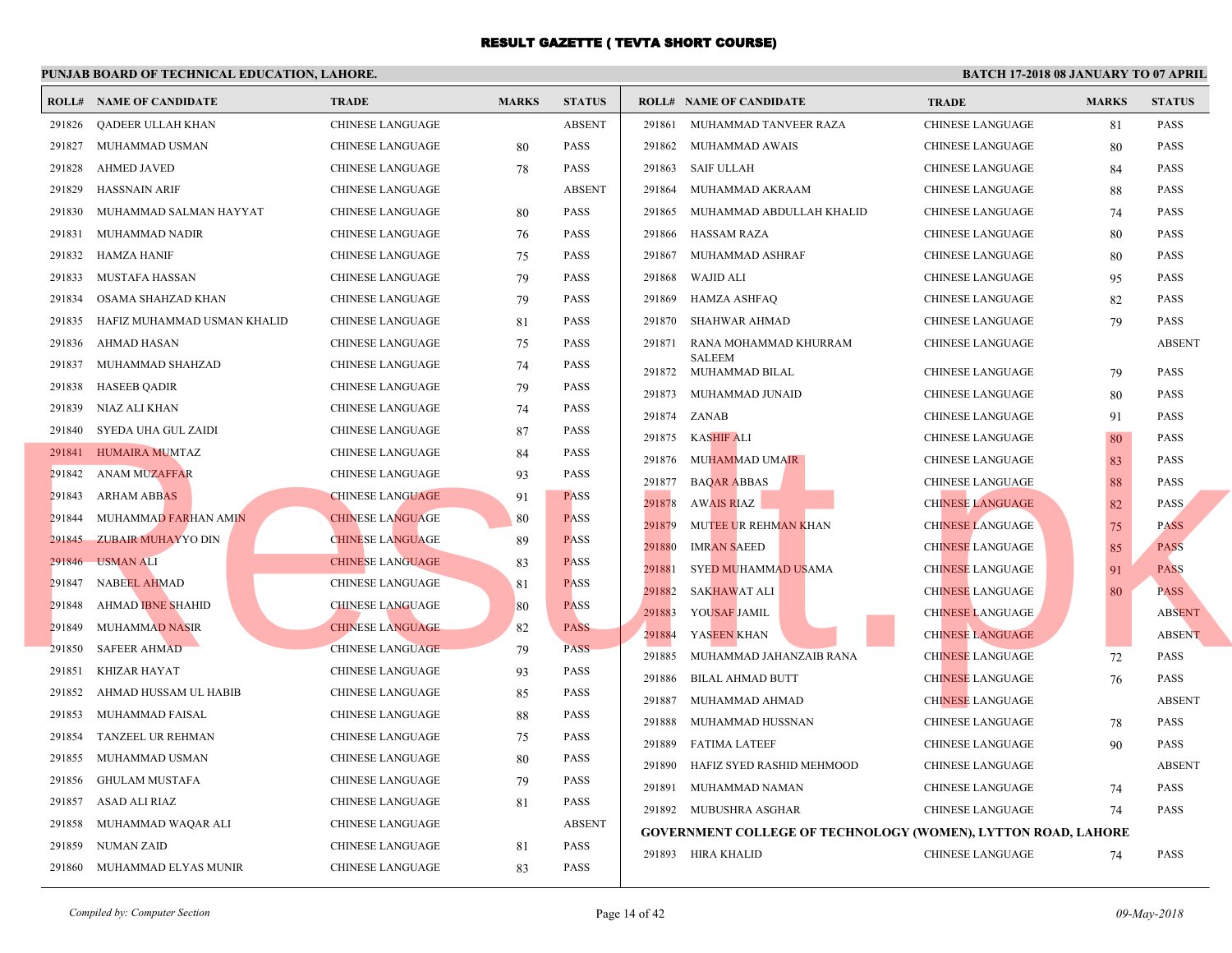|        | <b>ROLL# NAME OF CANDIDATE</b> | <b>TRADE</b>            | <b>MARKS</b> | <b>STATUS</b> |        | <b>ROLL# NAME OF CANDIDATE</b>                | <b>TRA</b>  |
|--------|--------------------------------|-------------------------|--------------|---------------|--------|-----------------------------------------------|-------------|
| 291826 | QADEER ULLAH KHAN              | <b>CHINESE LANGUAGE</b> |              | <b>ABSENT</b> |        | 291861 MUHAMMAD TANVEER RAZA                  | <b>CHIN</b> |
| 291827 | MUHAMMAD USMAN                 | CHINESE LANGUAGE        | 80           | <b>PASS</b>   | 291862 | MUHAMMAD AWAIS                                | <b>CHIN</b> |
| 291828 | <b>AHMED JAVED</b>             | <b>CHINESE LANGUAGE</b> | 78           | <b>PASS</b>   | 291863 | SAIF ULLAH                                    | <b>CHIN</b> |
| 291829 | <b>HASSNAIN ARIF</b>           | <b>CHINESE LANGUAGE</b> |              | <b>ABSENT</b> | 291864 | MUHAMMAD AKRAAM                               | <b>CHIN</b> |
| 291830 | MUHAMMAD SALMAN HAYYAT         | CHINESE LANGUAGE        | 80           | <b>PASS</b>   | 291865 | MUHAMMAD ABDULLAH KHALID                      | <b>CHIN</b> |
| 291831 | MUHAMMAD NADIR                 | CHINESE LANGUAGE        | 76           | <b>PASS</b>   | 291866 | HASSAM RAZA                                   | <b>CHIN</b> |
| 291832 | <b>HAMZA HANIF</b>             | <b>CHINESE LANGUAGE</b> | 75           | <b>PASS</b>   | 291867 | MUHAMMAD ASHRAF                               | <b>CHIN</b> |
| 291833 | MUSTAFA HASSAN                 | <b>CHINESE LANGUAGE</b> | 79           | <b>PASS</b>   | 291868 | WAJID ALI                                     | <b>CHIN</b> |
| 291834 | OSAMA SHAHZAD KHAN             | <b>CHINESE LANGUAGE</b> | 79           | <b>PASS</b>   | 291869 | HAMZA ASHFAQ                                  | <b>CHIN</b> |
| 291835 | HAFIZ MUHAMMAD USMAN KHALID    | <b>CHINESE LANGUAGE</b> | 81           | <b>PASS</b>   | 291870 | SHAHWAR AHMAD                                 | <b>CHIN</b> |
| 291836 | AHMAD HASAN                    | <b>CHINESE LANGUAGE</b> | 75           | <b>PASS</b>   | 291871 | RANA MOHAMMAD KHURRAM                         | <b>CHIN</b> |
| 291837 | MUHAMMAD SHAHZAD               | CHINESE LANGUAGE        | 74           | <b>PASS</b>   | 291872 | <b>SALEEM</b><br>MUHAMMAD BILAL               | <b>CHIN</b> |
| 291838 | <b>HASEEB QADIR</b>            | CHINESE LANGUAGE        | 79           | <b>PASS</b>   | 291873 | MUHAMMAD JUNAID                               | <b>CHIN</b> |
| 291839 | NIAZ ALI KHAN                  | CHINESE LANGUAGE        | 74           | <b>PASS</b>   | 291874 | ZANAB                                         | <b>CHIN</b> |
| 291840 | SYEDA UHA GUL ZAIDI            | CHINESE LANGUAGE        | 87           | <b>PASS</b>   | 291875 | KASHIF ALI                                    | <b>CHIN</b> |
|        | 291841 HUMAIRA MUMTAZ          | CHINESE LANGUAGE        | 84           | <b>PASS</b>   |        | 291876 MUHAMMAD UMAIR                         | <b>CHIN</b> |
| 291842 | <b>ANAM MUZAFFAR</b>           | CHINESE LANGUAGE        | 93           | <b>PASS</b>   | 291877 | <b>BAQAR ABBAS</b>                            | <b>CHIN</b> |
| 291843 | ARHAM ABBAS                    | <b>CHINESE LANGUAGE</b> | 91           | <b>PASS</b>   | 291878 | <b>AWAIS RIAZ</b>                             | <b>CHIN</b> |
| 291844 | MUHAMMAD FARHAN AMIN           | <b>CHINESE LANGUAGE</b> | 80           | <b>PASS</b>   | 291879 | MUTEE UR REHM <mark>AN K</mark> HAN           | <b>CHIN</b> |
| 291845 | <b>ZUBAIR MUHAYYO DIN</b>      | <b>CHINESE LANGUAGE</b> | 89           | <b>PASS</b>   | 291880 | <b>IMRAN SAEED</b>                            | <b>CHIN</b> |
| 291846 | <b>USMAN ALI</b>               | <b>CHINESE LANGUAGE</b> | 83           | <b>PASS</b>   | 291881 | SYED MUHAMMAD USAMA                           | <b>CHIN</b> |
| 291847 | <b>NABEEL AHMAD</b>            | <b>CHINESE LANGUAGE</b> | 81           | <b>PASS</b>   | 291882 | <b>SAKHAWAT ALI</b>                           | <b>CHIN</b> |
| 291848 | <b>AHMAD IBNE SHAHID</b>       | <b>CHINESE LANGUAGE</b> | 80           | <b>PASS</b>   | 291883 | YOUSAF JAMIL                                  | <b>CHIN</b> |
| 291849 | <b>MUHAMMAD NASIR</b>          | <b>CHINESE LANGUAGE</b> | 82           | <b>PASS</b>   | 291884 | YASEEN KHAN                                   | <b>CHIN</b> |
| 291850 | <b>SAFEER AHMAD</b>            | <b>CHINESE LANGUAGE</b> | 79           | <b>PASS</b>   | 291885 | MUHAMMAD JAHANZAIB RANA                       | <b>CHIN</b> |
| 291851 | KHIZAR HAYAT                   | <b>CHINESE LANGUAGE</b> | 93           | <b>PASS</b>   | 291886 | <b>BILAL AHMAD BUTT</b>                       | <b>CHIN</b> |
| 291852 | AHMAD HUSSAM UL HABIB          | <b>CHINESE LANGUAGE</b> | 85           | <b>PASS</b>   | 291887 | MUHAMMAD AHMAD                                | <b>CHIN</b> |
| 291853 | MUHAMMAD FAISAL                | CHINESE LANGUAGE        | 88           | <b>PASS</b>   | 291888 | MUHAMMAD HUSSNAN                              | <b>CHIN</b> |
| 291854 | TANZEEL UR REHMAN              | CHINESE LANGUAGE        | 75           | PASS          | 291889 | <b>FATIMA LATEEF</b>                          | <b>CHIN</b> |
| 291855 | MUHAMMAD USMAN                 | CHINESE LANGUAGE        | 80           | <b>PASS</b>   | 291890 | HAFIZ SYED RASHID MEHMOOD                     | <b>CHIN</b> |
| 291856 | <b>GHULAM MUSTAFA</b>          | <b>CHINESE LANGUAGE</b> | 79           | <b>PASS</b>   | 291891 | MUHAMMAD NAMAN                                | <b>CHIN</b> |
| 291857 | ASAD ALI RIAZ                  | CHINESE LANGUAGE        | 81           | <b>PASS</b>   |        | 291892 MUBUSHRA ASGHAR                        | <b>CHIN</b> |
| 291858 | MUHAMMAD WAQAR ALI             | CHINESE LANGUAGE        |              | <b>ABSENT</b> |        | <b>GOVERNMENT COLLEGE OF TECHNOLOGY (WOM)</b> |             |
| 291859 | NUMAN ZAID                     | <b>CHINESE LANGUAGE</b> | 81           | <b>PASS</b>   |        | 291893 HIRA KHALID                            | <b>CHIN</b> |
| 291860 | MUHAMMAD ELYAS MUNIR           | <b>CHINESE LANGUAGE</b> | 83           | <b>PASS</b>   |        |                                               |             |
|        |                                |                         |              |               |        |                                               |             |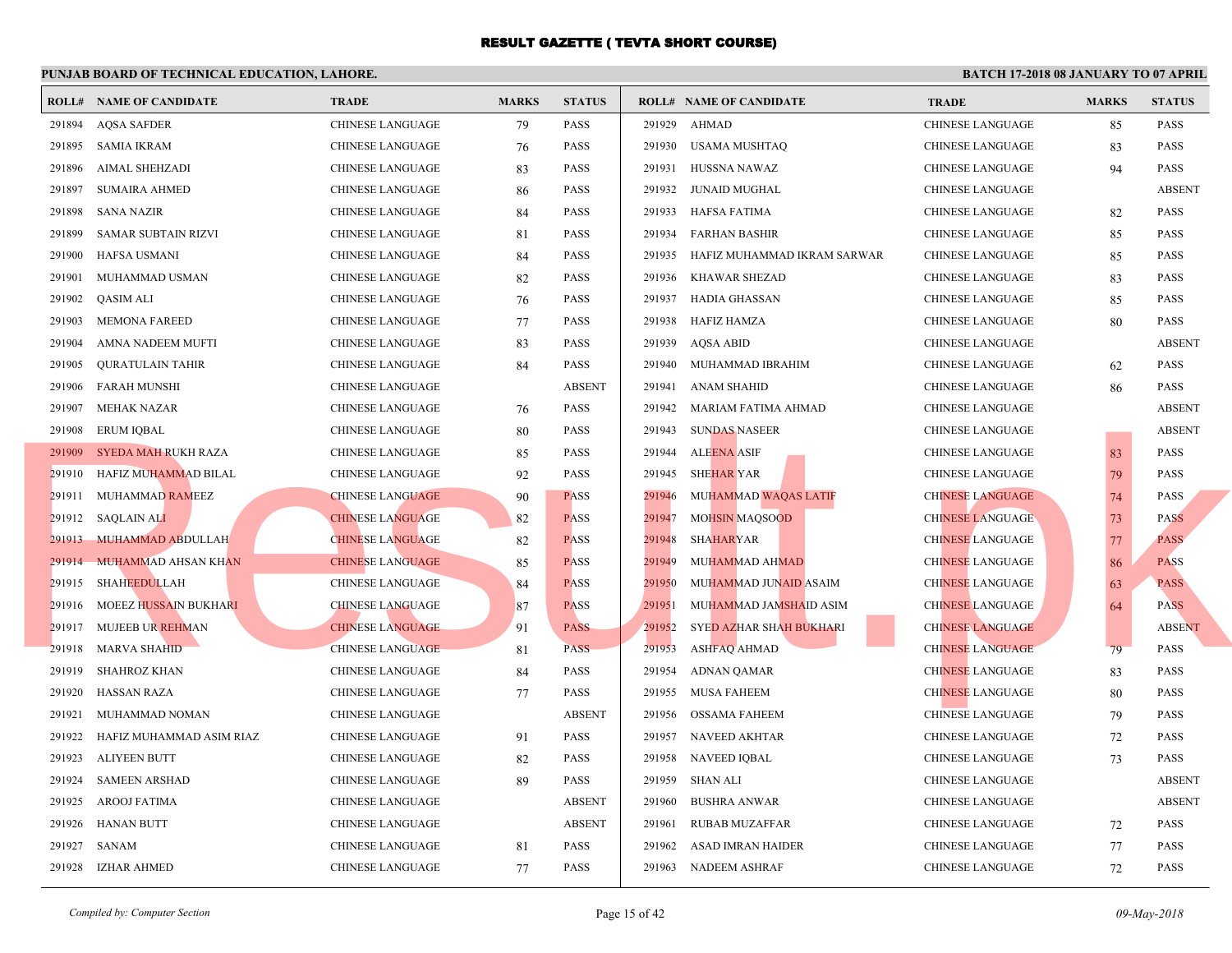|        | <b>ROLL# NAME OF CANDIDATE</b> | <b>TRADE</b>            | <b>MARKS</b> | <b>STATUS</b> |        | <b>ROLL# NAME OF CANDIDATE</b> | <b>TRA</b>  |
|--------|--------------------------------|-------------------------|--------------|---------------|--------|--------------------------------|-------------|
| 291894 | <b>AQSA SAFDER</b>             | <b>CHINESE LANGUAGE</b> | 79           | <b>PASS</b>   | 291929 | AHMAD                          | <b>CHIN</b> |
| 291895 | SAMIA IKRAM                    | CHINESE LANGUAGE        | 76           | <b>PASS</b>   | 291930 | USAMA MUSHTAQ                  | <b>CHIN</b> |
| 291896 | <b>AIMAL SHEHZADI</b>          | CHINESE LANGUAGE        | 83           | <b>PASS</b>   | 291931 | HUSSNA NAWAZ                   | <b>CHIN</b> |
| 291897 | <b>SUMAIRA AHMED</b>           | CHINESE LANGUAGE        | 86           | <b>PASS</b>   | 291932 | JUNAID MUGHAL                  | <b>CHIN</b> |
| 291898 | SANA NAZIR                     | CHINESE LANGUAGE        | 84           | <b>PASS</b>   | 291933 | HAFSA FATIMA                   | <b>CHIN</b> |
| 291899 | SAMAR SUBTAIN RIZVI            | <b>CHINESE LANGUAGE</b> | 81           | <b>PASS</b>   | 291934 | FARHAN BASHIR                  | <b>CHIN</b> |
| 291900 | HAFSA USMANI                   | CHINESE LANGUAGE        | 84           | <b>PASS</b>   | 291935 | HAFIZ MUHAMMAD IKRAM SARWAR    | <b>CHIN</b> |
| 291901 | MUHAMMAD USMAN                 | <b>CHINESE LANGUAGE</b> | 82           | <b>PASS</b>   | 291936 | KHAWAR SHEZAD                  | <b>CHIN</b> |
| 291902 | QASIM ALI                      | CHINESE LANGUAGE        | 76           | <b>PASS</b>   | 291937 | HADIA GHASSAN                  | <b>CHIN</b> |
| 291903 | <b>MEMONA FAREED</b>           | CHINESE LANGUAGE        | 77           | <b>PASS</b>   | 291938 | <b>HAFIZ HAMZA</b>             | <b>CHIN</b> |
| 291904 | AMNA NADEEM MUFTI              | <b>CHINESE LANGUAGE</b> | 83           | <b>PASS</b>   | 291939 | AQSA ABID                      | <b>CHIN</b> |
| 291905 | <b>QURATULAIN TAHIR</b>        | CHINESE LANGUAGE        | 84           | <b>PASS</b>   | 291940 | MUHAMMAD IBRAHIM               | <b>CHIN</b> |
| 291906 | <b>FARAH MUNSHI</b>            | CHINESE LANGUAGE        |              | <b>ABSENT</b> | 291941 | ANAM SHAHID                    | <b>CHIN</b> |
| 291907 | <b>MEHAK NAZAR</b>             | <b>CHINESE LANGUAGE</b> | 76           | <b>PASS</b>   | 291942 | MARIAM FATIMA AHMAD            | <b>CHIN</b> |
| 291908 | <b>ERUM IQBAL</b>              | CHINESE LANGUAGE        | 80           | <b>PASS</b>   |        | 291943 SUNDAS NASEER           | <b>CHIN</b> |
|        | 291909 SYEDA MAH RUKH RAZA     | CHINESE LANGUAGE        | 85           | <b>PASS</b>   | 291944 | <b>ALEENA ASIF</b>             | <b>CHIN</b> |
|        | 291910 HAFIZ MUHAMMAD BILAL    | CHINESE LANGUAGE        | 92           | <b>PASS</b>   | 291945 | SHE <mark>HAR</mark> YAR       | <b>CHIN</b> |
|        | 291911 MUHAMMAD RAMEEZ         | <b>CHINESE LANGUAGE</b> | 90           | <b>PASS</b>   | 291946 | MUHAMMAD WAQAS LATIF           | <b>CHIN</b> |
|        | 291912 SAQLAIN ALI             | <b>CHINESE LANGUAGE</b> | 82           | <b>PASS</b>   | 291947 | <b>MOHSIN MAQSOOD</b>          | <b>CHIN</b> |
|        | 291913 MUHAMMAD ABDULLAH       | <b>CHINESE LANGUAGE</b> | 82           | <b>PASS</b>   | 291948 | <b>SHAHARYAR</b>               | <b>CHIN</b> |
| 291914 | <b>MUHAMMAD AHSAN KHAN</b>     | <b>CHINESE LANGUAGE</b> | 85           | <b>PASS</b>   | 291949 | MUHAMMAD AHMAD                 | <b>CHIN</b> |
|        | 291915 SHAHEEDULLAH            | <b>CHINESE LANGUAGE</b> | 84           | <b>PASS</b>   | 291950 | MUHAMMAD JUNAID ASAIM          | <b>CHIN</b> |
| 291916 | MOEEZ HUSSAIN BUKHARI          | <b>CHINESE LANGUAGE</b> | 87           | <b>PASS</b>   | 291951 | MUHAMMAD JAMSHAID ASIM         | <b>CHIN</b> |
|        | 291917 MUJEEB UR REHMAN        | <b>CHINESE LANGUAGE</b> | 91           | <b>PASS</b>   | 291952 | SYED AZHAR SHAH BUKHARI        | <b>CHIN</b> |
| 291918 | <b>MARVA SHAHID</b>            | <b>CHINESE LANGUAGE</b> | 81           | <b>PASS</b>   | 291953 | <b>ASHFAQ AHMAD</b>            | <b>CHIN</b> |
| 291919 | SHAHROZ KHAN                   | CHINESE LANGUAGE        | 84           | <b>PASS</b>   | 291954 | ADNAN QAMAR                    | <b>CHIN</b> |
| 291920 | <b>HASSAN RAZA</b>             | <b>CHINESE LANGUAGE</b> | 77           | PASS          | 291955 | <b>MUSA FAHEEM</b>             | <b>CHIN</b> |
| 291921 | MUHAMMAD NOMAN                 | <b>CHINESE LANGUAGE</b> |              | <b>ABSENT</b> | 291956 | OSSAMA FAHEEM                  | <b>CHIN</b> |
| 291922 | HAFIZ MUHAMMAD ASIM RIAZ       | CHINESE LANGUAGE        | 91           | <b>PASS</b>   |        | 291957 NAVEED AKHTAR           | <b>CHIN</b> |
| 291923 | ALIYEEN BUTT                   | CHINESE LANGUAGE        | 82           | <b>PASS</b>   |        | 291958 NAVEED IQBAL            | <b>CHIN</b> |
| 291924 | <b>SAMEEN ARSHAD</b>           | CHINESE LANGUAGE        | 89           | <b>PASS</b>   | 291959 | SHAN ALI                       | <b>CHIN</b> |
| 291925 | <b>AROOJ FATIMA</b>            | CHINESE LANGUAGE        |              | <b>ABSENT</b> | 291960 | <b>BUSHRA ANWAR</b>            | <b>CHIN</b> |
| 291926 | <b>HANAN BUTT</b>              | <b>CHINESE LANGUAGE</b> |              | <b>ABSENT</b> | 291961 | RUBAB MUZAFFAR                 | <b>CHIN</b> |
| 291927 | SANAM                          | <b>CHINESE LANGUAGE</b> | 81           | <b>PASS</b>   | 291962 | ASAD IMRAN HAIDER              | <b>CHIN</b> |
|        | 291928 IZHAR AHMED             | <b>CHINESE LANGUAGE</b> | 77           | <b>PASS</b>   |        | 291963 NADEEM ASHRAF           | <b>CHIN</b> |
|        |                                |                         |              |               |        |                                |             |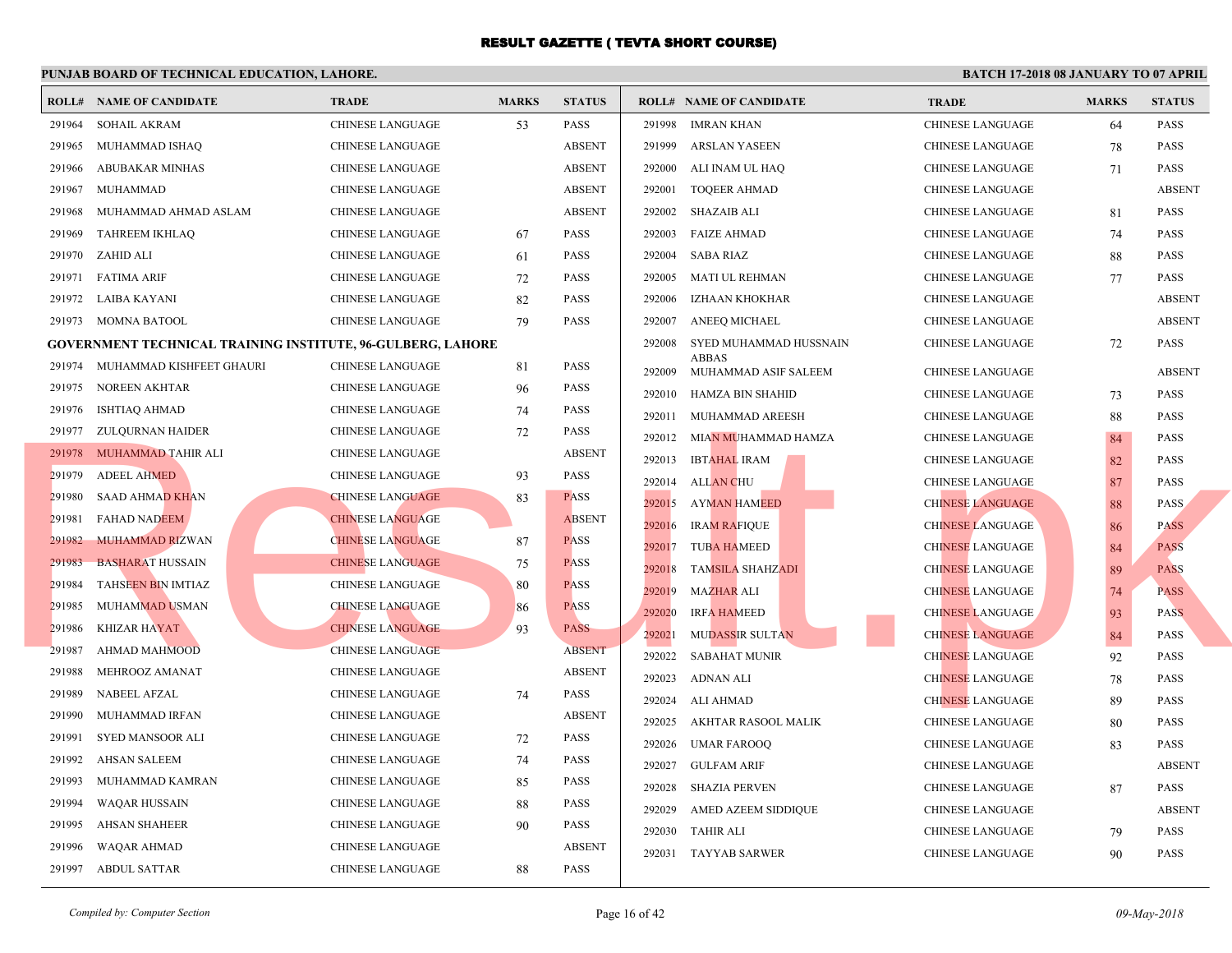|        | <b>ROLL# NAME OF CANDIDATE</b>                                     | <b>TRADE</b>            | <b>MARKS</b> | <b>STATUS</b> |        | <b>ROLL# NAME OF CANDIDATE</b> | <b>TRA</b>  |
|--------|--------------------------------------------------------------------|-------------------------|--------------|---------------|--------|--------------------------------|-------------|
| 291964 | <b>SOHAIL AKRAM</b>                                                | <b>CHINESE LANGUAGE</b> | 53           | <b>PASS</b>   | 291998 | <b>IMRAN KHAN</b>              | <b>CHIN</b> |
| 291965 | MUHAMMAD ISHAQ                                                     | <b>CHINESE LANGUAGE</b> |              | <b>ABSENT</b> | 291999 | ARSLAN YASEEN                  | <b>CHIN</b> |
| 291966 | ABUBAKAR MINHAS                                                    | <b>CHINESE LANGUAGE</b> |              | <b>ABSENT</b> | 292000 | ALI INAM UL HAQ                | <b>CHIN</b> |
| 291967 | MUHAMMAD                                                           | <b>CHINESE LANGUAGE</b> |              | <b>ABSENT</b> | 292001 | <b>TOQEER AHMAD</b>            | <b>CHIN</b> |
| 291968 | MUHAMMAD AHMAD ASLAM                                               | <b>CHINESE LANGUAGE</b> |              | <b>ABSENT</b> | 292002 | SHAZAIB ALI                    | <b>CHIN</b> |
| 291969 | TAHREEM IKHLAQ                                                     | CHINESE LANGUAGE        | 67           | <b>PASS</b>   | 292003 | <b>FAIZE AHMAD</b>             | <b>CHIN</b> |
| 291970 | ZAHID ALI                                                          | CHINESE LANGUAGE        | 61           | <b>PASS</b>   | 292004 | <b>SABA RIAZ</b>               | <b>CHIN</b> |
| 291971 | <b>FATIMA ARIF</b>                                                 | CHINESE LANGUAGE        | 72           | <b>PASS</b>   | 292005 | MATI UL REHMAN                 | <b>CHIN</b> |
| 291972 | LAIBA KAYANI                                                       | <b>CHINESE LANGUAGE</b> | 82           | <b>PASS</b>   | 292006 | IZHAAN KHOKHAR                 | <b>CHIN</b> |
|        | 291973 MOMNA BATOOL                                                | CHINESE LANGUAGE        | 79           | <b>PASS</b>   | 292007 | ANEEQ MICHAEL                  | <b>CHIN</b> |
|        | <b>GOVERNMENT TECHNICAL TRAINING INSTITUTE, 96-GULBERG, LAHORE</b> |                         |              |               | 292008 | SYED MUHAMMAD HUSSNAIN         | <b>CHIN</b> |
|        | 291974 MUHAMMAD KISHFEET GHAURI                                    | CHINESE LANGUAGE        | 81           | <b>PASS</b>   | 292009 | ABBAS<br>MUHAMMAD ASIF SALEEM  | <b>CHIN</b> |
| 291975 | NOREEN AKHTAR                                                      | CHINESE LANGUAGE        | 96           | <b>PASS</b>   | 292010 | HAMZA BIN SHAHID               | <b>CHIN</b> |
| 291976 | ISHTIAQ AHMAD                                                      | <b>CHINESE LANGUAGE</b> | 74           | <b>PASS</b>   | 292011 | MUHAMMAD AREESH                | <b>CHIN</b> |
|        | 291977 ZULQURNAN HAIDER                                            | CHINESE LANGUAGE        | 72           | PASS          | 292012 | MIAN MUHAMMAD HAMZA            | <b>CHIN</b> |
|        | 291978 MUHAMMAD TAHIR ALI                                          | <b>CHINESE LANGUAGE</b> |              | <b>ABSENT</b> | 292013 | <b>IBTAHAL IRAM</b>            | <b>CHIN</b> |
| 291979 | <b>ADEEL AHMED</b>                                                 | CHINESE LANGUAGE        | 93           | <b>PASS</b>   | 292014 | <b>ALLAN CHU</b>               | <b>CHIN</b> |
| 291980 | <b>SAAD AHMAD KHAN</b>                                             | <b>CHINESE LANGUAGE</b> | 83           | <b>PASS</b>   | 292015 | <b>AYMAN HAMEED</b>            | <b>CHIN</b> |
| 291981 | <b>FAHAD NADEEM</b>                                                | <b>CHINESE LANGUAGE</b> |              | <b>ABSENT</b> | 292016 | <b>IRAM RAFIQUE</b>            | <b>CHIN</b> |
| 291982 | MUHAMMAD RIZWAN                                                    | <b>CHINESE LANGUAGE</b> | 87           | <b>PASS</b>   | 292017 | <b>TUBA HAMEED</b>             | <b>CHIN</b> |
| 291983 | <b>BASHARAT HUSSAIN</b>                                            | <b>CHINESE LANGUAGE</b> | 75           | <b>PASS</b>   | 292018 | <b>TAMSILA SHAHZADI</b>        | <b>CHIN</b> |
| 291984 | TAHSEEN BIN IMTIAZ                                                 | <b>CHINESE LANGUAGE</b> | 80           | <b>PASS</b>   | 292019 | <b>MAZHAR ALI</b>              | <b>CHIN</b> |
| 291985 | <b>MUHAMMAD USMAN</b>                                              | <b>CHINESE LANGUAGE</b> | 86           | <b>PASS</b>   | 292020 | <b>IRFA HAMEED</b>             | <b>CHIN</b> |
| 291986 | <b>KHIZAR HAYAT</b>                                                | <b>CHINESE LANGUAGE</b> | 93           | <b>PASS</b>   | 292021 | MUDASSIR SULTAN                | <b>CHIN</b> |
| 291987 | <b>AHMAD MAHMOOD</b>                                               | <b>CHINESE LANGUAGE</b> |              | <b>ABSENT</b> | 292022 | <b>SABAHAT MUNIR</b>           | <b>CHIN</b> |
| 291988 | MEHROOZ AMANAT                                                     | <b>CHINESE LANGUAGE</b> |              | <b>ABSENT</b> | 292023 | ADNAN ALI                      | <b>CHIN</b> |
| 291989 | <b>NABEEL AFZAL</b>                                                | <b>CHINESE LANGUAGE</b> | 74           | <b>PASS</b>   | 292024 | ALI AHMAD                      | <b>CHIN</b> |
| 291990 | MUHAMMAD IRFAN                                                     | <b>CHINESE LANGUAGE</b> |              | <b>ABSENT</b> | 292025 | AKHTAR RASOOL MALIK            | <b>CHIN</b> |
| 291991 | SYED MANSOOR ALI                                                   | CHINESE LANGUAGE        | 72           | <b>PASS</b>   | 292026 | <b>UMAR FAROOQ</b>             | <b>CHIN</b> |
| 291992 | AHSAN SALEEM                                                       | CHINESE LANGUAGE        | 74           | <b>PASS</b>   | 292027 | <b>GULFAM ARIF</b>             | <b>CHIN</b> |
| 291993 | MUHAMMAD KAMRAN                                                    | <b>CHINESE LANGUAGE</b> | 85           | <b>PASS</b>   | 292028 | SHAZIA PERVEN                  | <b>CHIN</b> |
| 291994 | <b>WAQAR HUSSAIN</b>                                               | CHINESE LANGUAGE        | 88           | PASS          | 292029 | AMED AZEEM SIDDIQUE            | <b>CHIN</b> |
| 291995 | <b>AHSAN SHAHEER</b>                                               | <b>CHINESE LANGUAGE</b> | 90           | <b>PASS</b>   | 292030 | TAHIR ALI                      | <b>CHIN</b> |
| 291996 | <b>WAQAR AHMAD</b>                                                 | <b>CHINESE LANGUAGE</b> |              | <b>ABSENT</b> | 292031 | <b>TAYYAB SARWER</b>           | <b>CHIN</b> |
| 291997 | <b>ABDUL SATTAR</b>                                                | <b>CHINESE LANGUAGE</b> | 88           | <b>PASS</b>   |        |                                |             |
|        |                                                                    |                         |              |               |        |                                |             |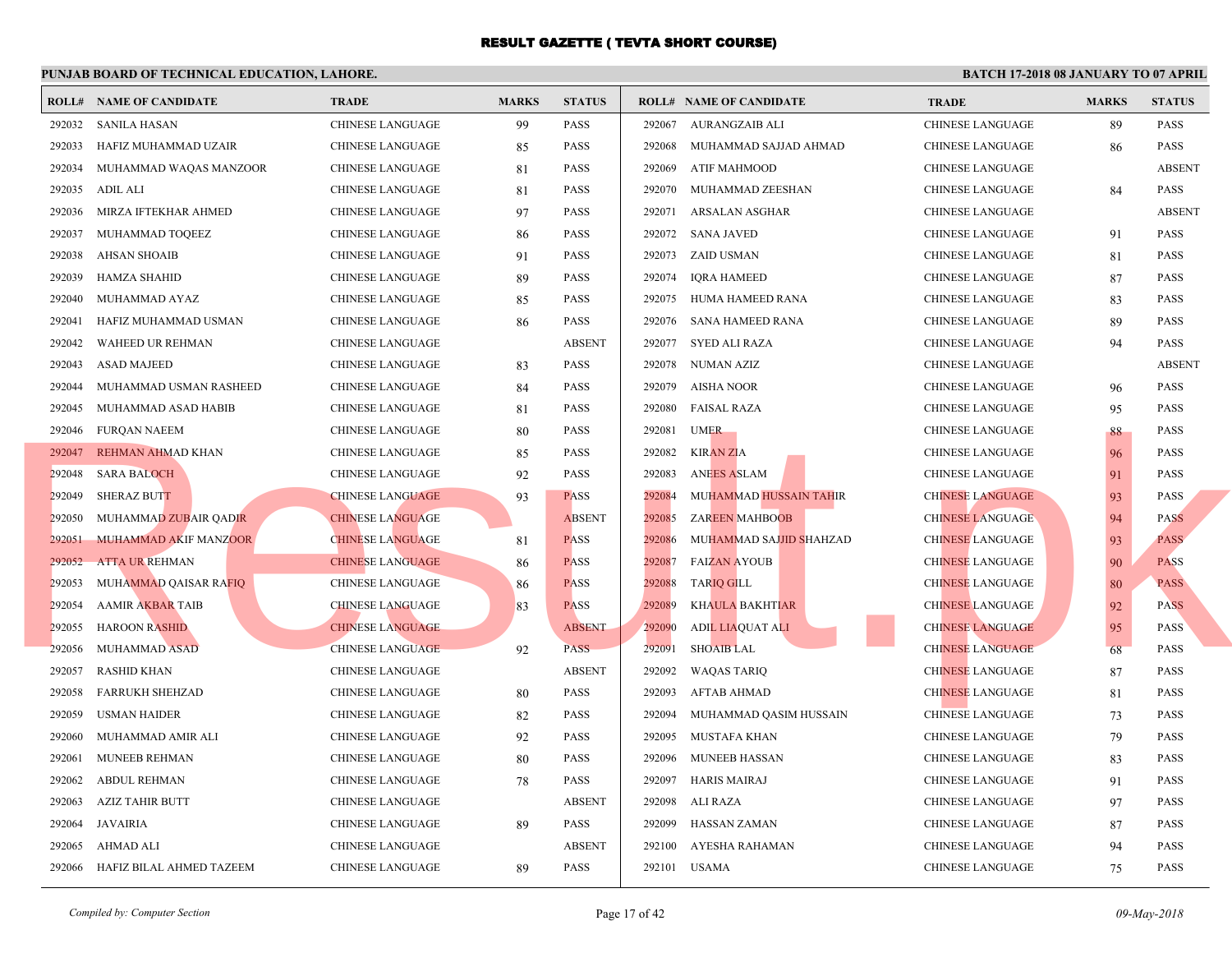|        | <b>ROLL# NAME OF CANDIDATE</b> | <b>TRADE</b>            | <b>MARKS</b> | <b>STATUS</b> |        | <b>ROLL# NAME OF CANDIDATE</b> | <b>TRA</b>  |
|--------|--------------------------------|-------------------------|--------------|---------------|--------|--------------------------------|-------------|
| 292032 | <b>SANILA HASAN</b>            | <b>CHINESE LANGUAGE</b> | 99           | PASS          | 292067 | AURANGZAIB ALI                 | <b>CHIN</b> |
| 292033 | HAFIZ MUHAMMAD UZAIR           | CHINESE LANGUAGE        | 85           | <b>PASS</b>   | 292068 | MUHAMMAD SAJJAD AHMAD          | <b>CHIN</b> |
| 292034 | MUHAMMAD WAQAS MANZOOR         | CHINESE LANGUAGE        | 81           | <b>PASS</b>   | 292069 | ATIF MAHMOOD                   | <b>CHIN</b> |
| 292035 | ADIL ALI                       | CHINESE LANGUAGE        | 81           | <b>PASS</b>   | 292070 | MUHAMMAD ZEESHAN               | <b>CHIN</b> |
| 292036 | MIRZA IFTEKHAR AHMED           | <b>CHINESE LANGUAGE</b> | 97           | <b>PASS</b>   | 292071 | ARSALAN ASGHAR                 | <b>CHIN</b> |
| 292037 | MUHAMMAD TOQEEZ                | CHINESE LANGUAGE        | 86           | <b>PASS</b>   |        | 292072 SANA JAVED              | <b>CHIN</b> |
| 292038 | <b>AHSAN SHOAIB</b>            | CHINESE LANGUAGE        | 91           | <b>PASS</b>   | 292073 | ZAID USMAN                     | <b>CHIN</b> |
| 292039 | <b>HAMZA SHAHID</b>            | <b>CHINESE LANGUAGE</b> | 89           | <b>PASS</b>   | 292074 | IORA HAMEED                    | <b>CHIN</b> |
| 292040 | MUHAMMAD AYAZ                  | CHINESE LANGUAGE        | 85           | <b>PASS</b>   | 292075 | HUMA HAMEED RANA               | <b>CHIN</b> |
| 292041 | HAFIZ MUHAMMAD USMAN           | <b>CHINESE LANGUAGE</b> | 86           | PASS          | 292076 | SANA HAMEED RANA               | <b>CHIN</b> |
| 292042 | WAHEED UR REHMAN               | CHINESE LANGUAGE        |              | <b>ABSENT</b> | 292077 | SYED ALI RAZA                  | <b>CHIN</b> |
| 292043 | <b>ASAD MAJEED</b>             | <b>CHINESE LANGUAGE</b> | 83           | <b>PASS</b>   | 292078 | NUMAN AZIZ                     | <b>CHIN</b> |
| 292044 | MUHAMMAD USMAN RASHEED         | CHINESE LANGUAGE        | 84           | <b>PASS</b>   | 292079 | <b>AISHA NOOR</b>              | <b>CHIN</b> |
| 292045 | MUHAMMAD ASAD HABIB            | CHINESE LANGUAGE        | 81           | <b>PASS</b>   | 292080 | <b>FAISAL RAZA</b>             | <b>CHIN</b> |
| 292046 | <b>FURQAN NAEEM</b>            | CHINESE LANGUAGE        | 80           | <b>PASS</b>   | 292081 | <b>UMER</b>                    | <b>CHIN</b> |
|        | 292047 REHMAN AHMAD KHAN       | CHINESE LANGUAGE        | 85           | <b>PASS</b>   | 292082 | <b>KIRAN ZIA</b>               | <b>CHIN</b> |
| 292048 | <b>SARA BALOCH</b>             | CHINESE LANGUAGE        | 92           | <b>PASS</b>   | 292083 | <b>ANEES ASLAM</b>             | <b>CHIN</b> |
| 292049 | <b>SHERAZ BUTT</b>             | <b>CHINESE LANGUAGE</b> | 93           | <b>PASS</b>   | 292084 | MUHAMMAD HUSSAIN TAHIR         | <b>CHIN</b> |
| 292050 | MUHAMMAD ZUBAIR QADIR          | <b>CHINESE LANGUAGE</b> |              | <b>ABSENT</b> | 292085 | <b>ZAREEN MAHBOOB</b>          | <b>CHIN</b> |
| 292051 | MUHAMMAD AKIF MANZOOR          | <b>CHINESE LANGUAGE</b> | 81           | <b>PASS</b>   | 292086 | MUHAMMAD SAJJID SHAHZAD        | <b>CHIN</b> |
| 292052 | <b>ATTA UR REHMAN</b>          | <b>CHINESE LANGUAGE</b> | 86           | <b>PASS</b>   | 292087 | <b>FAIZAN AYOUB</b>            | <b>CHIN</b> |
| 292053 | MUHAMMAD QAISAR RAFIQ          | CHINESE LANGUAGE        | 86           | <b>PASS</b>   | 292088 | <b>TARIQ GILL</b>              | <b>CHIN</b> |
| 292054 | <b>AAMIR AKBAR TAIB</b>        | <b>CHINESE LANGUAGE</b> | 83           | <b>PASS</b>   | 292089 | <b>KHAULA BAKHTIAR</b>         | <b>CHIN</b> |
| 292055 | <b>HAROON RASHID</b>           | <b>CHINESE LANGUAGE</b> |              | <b>ABSENT</b> | 292090 | ADIL LIAQUAT ALI               | <b>CHIN</b> |
| 292056 | <b>MUHAMMAD ASAD</b>           | <b>CHINESE LANGUAGE</b> | 92           | <b>PASS</b>   | 292091 | <b>SHOAIB LAL</b>              | <b>CHIN</b> |
| 292057 | <b>RASHID KHAN</b>             | <b>CHINESE LANGUAGE</b> |              | <b>ABSENT</b> | 292092 | <b>WAQAS TARIQ</b>             | <b>CHIN</b> |
| 292058 | <b>FARRUKH SHEHZAD</b>         | <b>CHINESE LANGUAGE</b> | 80           | <b>PASS</b>   | 292093 | AFTAB AHMAD                    | <b>CHIN</b> |
| 292059 | <b>USMAN HAIDER</b>            | CHINESE LANGUAGE        | 82           | <b>PASS</b>   | 292094 | MUHAMMAD QASIM HUSSAIN         | <b>CHIN</b> |
| 292060 | MUHAMMAD AMIR ALI              | CHINESE LANGUAGE        | 92           | <b>PASS</b>   | 292095 | MUSTAFA KHAN                   | <b>CHIN</b> |
| 292061 | MUNEEB REHMAN                  | CHINESE LANGUAGE        | 80           | <b>PASS</b>   | 292096 | MUNEEB HASSAN                  | <b>CHIN</b> |
| 292062 | <b>ABDUL REHMAN</b>            | <b>CHINESE LANGUAGE</b> | 78           | <b>PASS</b>   | 292097 | <b>HARIS MAIRAJ</b>            | <b>CHIN</b> |
| 292063 | AZIZ TAHIR BUTT                | CHINESE LANGUAGE        |              | <b>ABSENT</b> | 292098 | ALI RAZA                       | <b>CHIN</b> |
| 292064 | JAVAIRIA                       | CHINESE LANGUAGE        | 89           | <b>PASS</b>   | 292099 | HASSAN ZAMAN                   | <b>CHIN</b> |
| 292065 | AHMAD ALI                      | <b>CHINESE LANGUAGE</b> |              | <b>ABSENT</b> | 292100 | AYESHA RAHAMAN                 | CHIN.       |
| 292066 | HAFIZ BILAL AHMED TAZEEM       | <b>CHINESE LANGUAGE</b> | 89           | <b>PASS</b>   |        | 292101 USAMA                   | <b>CHIN</b> |
|        |                                |                         |              |               |        |                                |             |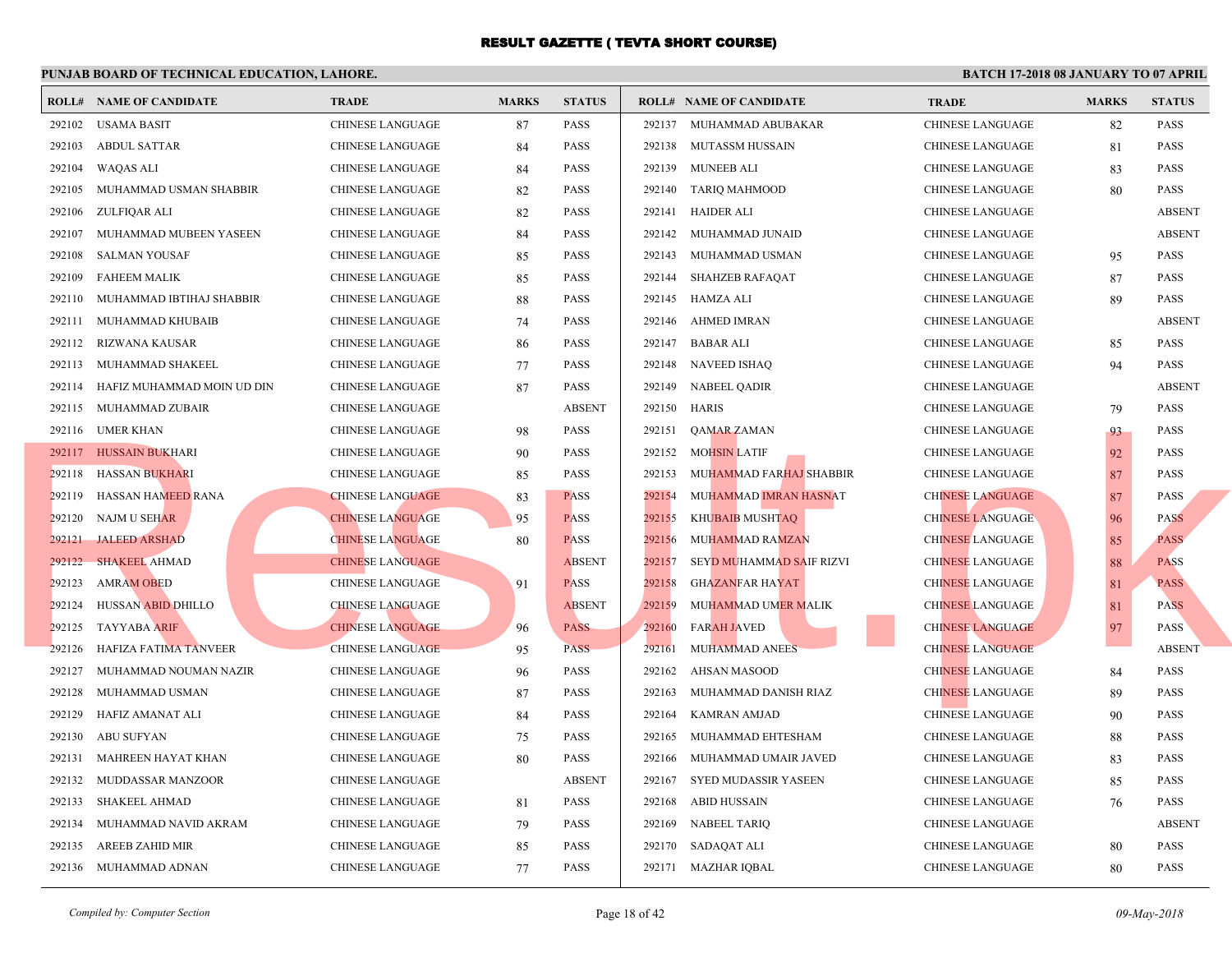|        | <b>ROLL# NAME OF CANDIDATE</b> | <b>TRADE</b>            | <b>MARKS</b> | <b>STATUS</b> |        | <b>ROLL# NAME OF CANDIDATE</b> | <b>TRA</b>  |
|--------|--------------------------------|-------------------------|--------------|---------------|--------|--------------------------------|-------------|
| 292102 | USAMA BASIT                    | CHINESE LANGUAGE        | 87           | <b>PASS</b>   |        | 292137 MUHAMMAD ABUBAKAR       | <b>CHIN</b> |
| 292103 | <b>ABDUL SATTAR</b>            | CHINESE LANGUAGE        | 84           | <b>PASS</b>   | 292138 | MUTASSM HUSSAIN                | <b>CHIN</b> |
| 292104 | WAQAS ALI                      | CHINESE LANGUAGE        | 84           | <b>PASS</b>   |        | 292139 MUNEEB ALI              | <b>CHIN</b> |
| 292105 | MUHAMMAD USMAN SHABBIR         | CHINESE LANGUAGE        | 82           | <b>PASS</b>   | 292140 | <b>TARIQ MAHMOOD</b>           | <b>CHIN</b> |
| 292106 | ZULFIQAR ALI                   | <b>CHINESE LANGUAGE</b> | 82           | <b>PASS</b>   | 292141 | HAIDER ALI                     | <b>CHIN</b> |
| 292107 | MUHAMMAD MUBEEN YASEEN         | CHINESE LANGUAGE        | 84           | <b>PASS</b>   | 292142 | MUHAMMAD JUNAID                | <b>CHIN</b> |
| 292108 | <b>SALMAN YOUSAF</b>           | <b>CHINESE LANGUAGE</b> | 85           | <b>PASS</b>   | 292143 | MUHAMMAD USMAN                 | <b>CHIN</b> |
| 292109 | <b>FAHEEM MALIK</b>            | CHINESE LANGUAGE        | 85           | <b>PASS</b>   | 292144 | SHAHZEB RAFAQAT                | <b>CHIN</b> |
| 292110 | MUHAMMAD IBTIHAJ SHABBIR       | CHINESE LANGUAGE        | 88           | <b>PASS</b>   | 292145 | HAMZA ALI                      | <b>CHIN</b> |
| 292111 | MUHAMMAD KHUBAIB               | <b>CHINESE LANGUAGE</b> | 74           | <b>PASS</b>   | 292146 | <b>AHMED IMRAN</b>             | <b>CHIN</b> |
| 292112 | RIZWANA KAUSAR                 | <b>CHINESE LANGUAGE</b> | 86           | <b>PASS</b>   | 292147 | BABAR ALI                      | <b>CHIN</b> |
| 292113 | MUHAMMAD SHAKEEL               | CHINESE LANGUAGE        | 77           | <b>PASS</b>   | 292148 | <b>NAVEED ISHAQ</b>            | <b>CHIN</b> |
| 292114 | HAFIZ MUHAMMAD MOIN UD DIN     | CHINESE LANGUAGE        | 87           | <b>PASS</b>   | 292149 | NABEEL QADIR                   | <b>CHIN</b> |
|        | 292115 MUHAMMAD ZUBAIR         | CHINESE LANGUAGE        |              | <b>ABSENT</b> | 292150 | HARIS                          | <b>CHIN</b> |
|        | 292116 UMER KHAN               | CHINESE LANGUAGE        | 98           | <b>PASS</b>   | 292151 | QAMAR ZAMAN                    | <b>CHIN</b> |
|        | 292117 HUSSAIN BUKHARI         | CHINESE LANGUAGE        | 90           | <b>PASS</b>   | 292152 | MOHSIN LATIF                   | <b>CHIN</b> |
|        | 292118 HASSAN BUKHARI          | CHINESE LANGUAGE        | 85           | <b>PASS</b>   | 292153 | MUHAMMAD FARHAJ SHABBIR        | <b>CHIN</b> |
| 292119 | HASSAN HAMEED RANA             | <b>CHINESE LANGUAGE</b> | 83           | <b>PASS</b>   | 292154 | MUHAMMAD IMRAN HASNAT          | <b>CHIN</b> |
| 292120 | NAJM U SEHAR                   | <b>CHINESE LANGUAGE</b> | 95           | <b>PASS</b>   | 292155 | <b>KHUBAIB MUSHTAQ</b>         | <b>CHIN</b> |
| 292121 | <b>JALEED ARSHAD</b>           | <b>CHINESE LANGUAGE</b> | 80           | <b>PASS</b>   | 292156 | MUHAMMAD RAMZAN                | <b>CHIN</b> |
| 292122 | <b>SHAKEEL AHMAD</b>           | <b>CHINESE LANGUAGE</b> |              | <b>ABSENT</b> | 292157 | SEYD MUHAMMAD SAIF RIZVI       | <b>CHIN</b> |
| 292123 | <b>AMRAM OBED</b>              | CHINESE LANGUAGE        | 91           | <b>PASS</b>   | 292158 | <b>GHAZANFAR HAYAT</b>         | <b>CHIN</b> |
| 292124 | <b>HUSSAN ABID DHILLO</b>      | <b>CHINESE LANGUAGE</b> |              | <b>ABSENT</b> | 292159 | MUHAMMAD UMER MALIK            | <b>CHIN</b> |
| 292125 | <b>TAYYABA ARIF</b>            | <b>CHINESE LANGUAGE</b> | 96           | <b>PASS</b>   | 292160 | <b>FARAH JAVED</b>             | <b>CHIN</b> |
| 292126 | <b>HAFIZA FATIMA TANVEER</b>   | <b>CHINESE LANGUAGE</b> | 95           | <b>PASS</b>   | 292161 | MUHAMMAD ANEES                 | <b>CHIN</b> |
| 292127 | MUHAMMAD NOUMAN NAZIR          | <b>CHINESE LANGUAGE</b> | 96           | <b>PASS</b>   | 292162 | AHSAN MASOOD                   | <b>CHIN</b> |
| 292128 | MUHAMMAD USMAN                 | CHINESE LANGUAGE        | 87           | <b>PASS</b>   | 292163 | MUHAMMAD DANISH RIAZ           | <b>CHIN</b> |
| 292129 | HAFIZ AMANAT ALI               | CHINESE LANGUAGE        | 84           | <b>PASS</b>   | 292164 | KAMRAN AMJAD                   | <b>CHIN</b> |
| 292130 | ABU SUFYAN                     | CHINESE LANGUAGE        | 75           | <b>PASS</b>   | 292165 | MUHAMMAD EHTESHAM              | <b>CHIN</b> |
| 292131 | MAHREEN HAYAT KHAN             | CHINESE LANGUAGE        | 80           | <b>PASS</b>   | 292166 | MUHAMMAD UMAIR JAVED           | <b>CHIN</b> |
| 292132 | MUDDASSAR MANZOOR              | CHINESE LANGUAGE        |              | <b>ABSENT</b> | 292167 | SYED MUDASSIR YASEEN           | <b>CHIN</b> |
| 292133 | SHAKEEL AHMAD                  | CHINESE LANGUAGE        | 81           | <b>PASS</b>   | 292168 | ABID HUSSAIN                   | <b>CHIN</b> |
| 292134 | MUHAMMAD NAVID AKRAM           | <b>CHINESE LANGUAGE</b> | 79           | <b>PASS</b>   | 292169 | <b>NABEEL TARIQ</b>            | <b>CHIN</b> |
| 292135 | AREEB ZAHID MIR                | CHINESE LANGUAGE        | 85           | PASS          |        | 292170 SADAQAT ALI             | <b>CHIN</b> |
|        | 292136 MUHAMMAD ADNAN          | CHINESE LANGUAGE        | 77           | <b>PASS</b>   |        | 292171 MAZHAR IQBAL            | <b>CHIN</b> |
|        |                                |                         |              |               |        |                                |             |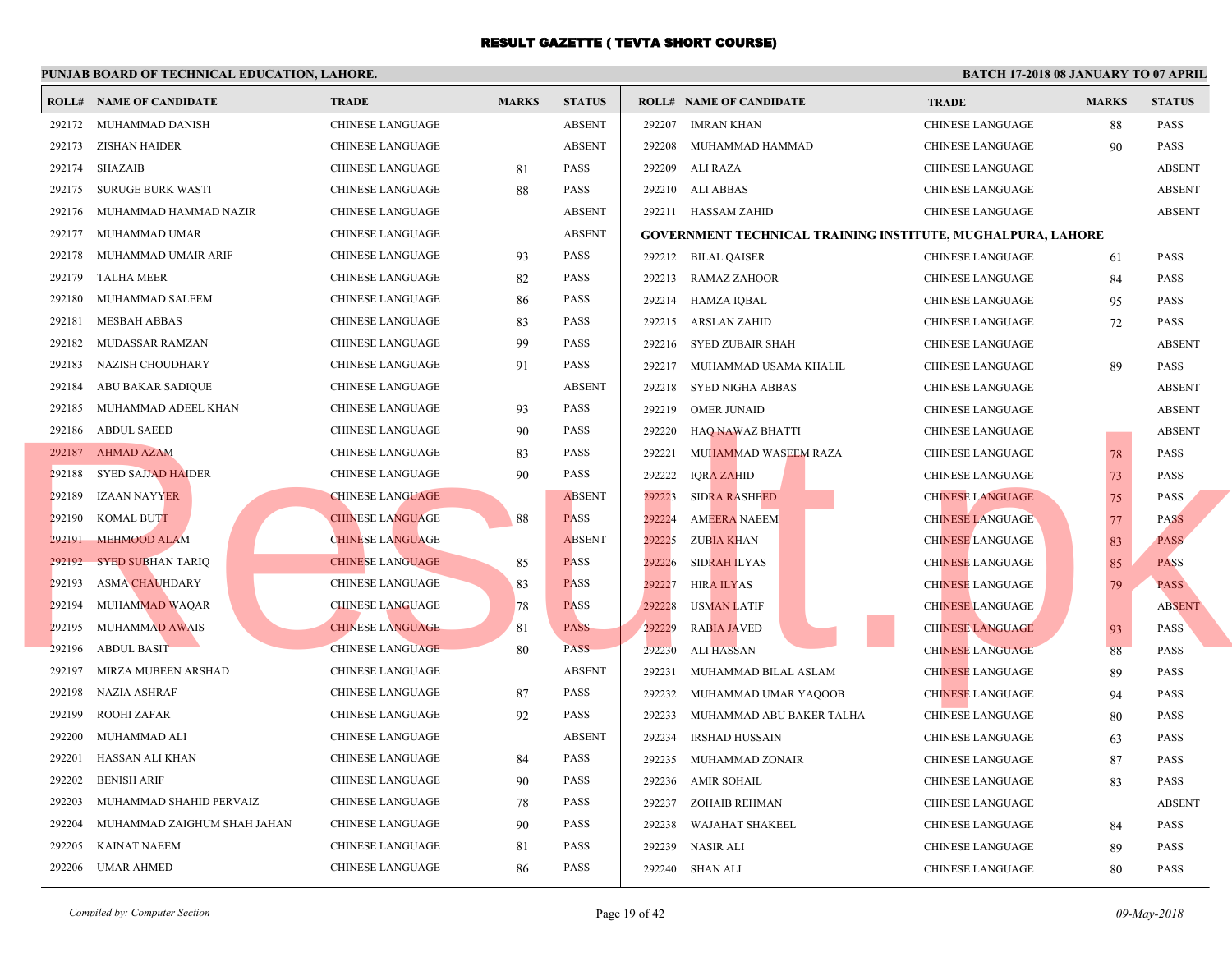|        | <b>ROLL# NAME OF CANDIDATE</b> | <b>TRADE</b>            | <b>MARKS</b> | <b>STATUS</b> |        | <b>ROLL# NAME OF CANDIDATE</b>                  | <b>TRA</b>  |
|--------|--------------------------------|-------------------------|--------------|---------------|--------|-------------------------------------------------|-------------|
|        | 292172 MUHAMMAD DANISH         | <b>CHINESE LANGUAGE</b> |              | <b>ABSENT</b> | 292207 | <b>IMRAN KHAN</b>                               | <b>CHIN</b> |
| 292173 | ZISHAN HAIDER                  | <b>CHINESE LANGUAGE</b> |              | <b>ABSENT</b> | 292208 | MUHAMMAD HAMMAD                                 | <b>CHIN</b> |
|        | 292174 SHAZAIB                 | CHINESE LANGUAGE        | 81           | <b>PASS</b>   | 292209 | ALI RAZA                                        | <b>CHIN</b> |
|        | 292175 SURUGE BURK WASTI       | <b>CHINESE LANGUAGE</b> | 88           | <b>PASS</b>   |        | 292210 ALI ABBAS                                | <b>CHIN</b> |
| 292176 | MUHAMMAD HAMMAD NAZIR          | CHINESE LANGUAGE        |              | <b>ABSENT</b> |        | 292211 HASSAM ZAHID                             | <b>CHIN</b> |
| 292177 | MUHAMMAD UMAR                  | CHINESE LANGUAGE        |              | <b>ABSENT</b> |        | <b>GOVERNMENT TECHNICAL TRAINING INSTITUTE,</b> |             |
| 292178 | MUHAMMAD UMAIR ARIF            | <b>CHINESE LANGUAGE</b> | 93           | <b>PASS</b>   |        | 292212 BILAL QAISER                             | <b>CHIN</b> |
| 292179 | <b>TALHA MEER</b>              | CHINESE LANGUAGE        | 82           | <b>PASS</b>   |        | 292213 RAMAZ ZAHOOR                             | <b>CHIN</b> |
| 292180 | MUHAMMAD SALEEM                | <b>CHINESE LANGUAGE</b> | 86           | <b>PASS</b>   | 292214 | HAMZA IQBAL                                     | <b>CHIN</b> |
| 292181 | <b>MESBAH ABBAS</b>            | <b>CHINESE LANGUAGE</b> | 83           | <b>PASS</b>   | 292215 | ARSLAN ZAHID                                    | <b>CHIN</b> |
| 292182 | MUDASSAR RAMZAN                | <b>CHINESE LANGUAGE</b> | 99           | <b>PASS</b>   |        | 292216 SYED ZUBAIR SHAH                         | <b>CHIN</b> |
| 292183 | NAZISH CHOUDHARY               | CHINESE LANGUAGE        | 91           | <b>PASS</b>   | 292217 | MUHAMMAD USAMA KHALIL                           | <b>CHIN</b> |
| 292184 | ABU BAKAR SADIQUE              | CHINESE LANGUAGE        |              | <b>ABSENT</b> | 292218 | SYED NIGHA ABBAS                                | <b>CHIN</b> |
| 292185 | MUHAMMAD ADEEL KHAN            | CHINESE LANGUAGE        | 93           | <b>PASS</b>   | 292219 | <b>OMER JUNAID</b>                              | <b>CHIN</b> |
| 292186 | <b>ABDUL SAEED</b>             | CHINESE LANGUAGE        | 90           | <b>PASS</b>   | 292220 | HAQ NAWAZ BHATTI                                | <b>CHIN</b> |
|        | 292187 AHMAD AZAM              | <b>CHINESE LANGUAGE</b> | 83           | <b>PASS</b>   | 292221 | MUHAMMAD WASEEM RAZA                            | <b>CHIN</b> |
| 292188 | <b>SYED SAJJAD HAIDER</b>      | CHINESE LANGUAGE        | 90           | <b>PASS</b>   | 292222 | <b>IQRA ZAHID</b>                               | <b>CHIN</b> |
| 292189 | IZAAN NAYYER                   | <b>CHINESE LANGUAGE</b> |              | <b>ABSENT</b> | 292223 | <b>SIDRA RASHEED</b>                            | <b>CHIN</b> |
| 292190 | <b>KOMAL BUTT</b>              | <b>CHINESE LANGUAGE</b> | 88           | <b>PASS</b>   | 292224 | <b>AMEERA NAEEM</b>                             | <b>CHIN</b> |
| 292191 | MEHMOOD ALAM                   | <b>CHINESE LANGUAGE</b> |              | <b>ABSENT</b> | 292225 | ZUBIA KHAN                                      | <b>CHIN</b> |
| 292192 | <b>SYED SUBHAN TARIQ</b>       | <b>CHINESE LANGUAGE</b> | 85           | <b>PASS</b>   | 292226 | <b>SIDRAH ILYAS</b>                             | <b>CHIN</b> |
| 292193 | <b>ASMA CHAUHDARY</b>          | CHINESE LANGUAGE        | 83           | <b>PASS</b>   | 292227 | <b>HIRA ILYAS</b>                               | <b>CHIN</b> |
| 292194 | <b>MUHAMMAD WAQAR</b>          | <b>CHINESE LANGUAGE</b> | 78           | <b>PASS</b>   | 292228 | <b>USMAN LATIF</b>                              | <b>CHIN</b> |
| 292195 | <b>MUHAMMAD AWAIS</b>          | <b>CHINESE LANGUAGE</b> | 81           | <b>PASS</b>   | 292229 | <b>RABIA JAVED</b>                              | <b>CHIN</b> |
| 292196 | <b>ABDUL BASIT</b>             | <b>CHINESE LANGUAGE</b> | 80           | <b>PASS</b>   | 292230 | <b>ALI HASSAN</b>                               | <b>CHIN</b> |
| 292197 | MIRZA MUBEEN ARSHAD            | CHINESE LANGUAGE        |              | <b>ABSENT</b> | 292231 | MUHAMMAD BILAL ASLAM                            | <b>CHIN</b> |
| 292198 | <b>NAZIA ASHRAF</b>            | <b>CHINESE LANGUAGE</b> | 87           | <b>PASS</b>   | 292232 | MUHAMMAD UMAR YAQOOB                            | <b>CHIN</b> |
| 292199 | <b>ROOHI ZAFAR</b>             | <b>CHINESE LANGUAGE</b> | 92           | <b>PASS</b>   | 292233 | MUHAMMAD ABU BAKER TALHA                        | <b>CHIN</b> |
| 292200 | MUHAMMAD ALI                   | <b>CHINESE LANGUAGE</b> |              | <b>ABSENT</b> | 292234 | <b>IRSHAD HUSSAIN</b>                           | <b>CHIN</b> |
| 292201 | HASSAN ALI KHAN                | CHINESE LANGUAGE        | 84           | <b>PASS</b>   | 292235 | MUHAMMAD ZONAIR                                 | <b>CHIN</b> |
| 292202 | <b>BENISH ARIF</b>             | CHINESE LANGUAGE        | 90           | <b>PASS</b>   | 292236 | <b>AMIR SOHAIL</b>                              | <b>CHIN</b> |
| 292203 | MUHAMMAD SHAHID PERVAIZ        | CHINESE LANGUAGE        | 78           | <b>PASS</b>   | 292237 | ZOHAIB REHMAN                                   | <b>CHIN</b> |
| 292204 | MUHAMMAD ZAIGHUM SHAH JAHAN    | CHINESE LANGUAGE        | 90           | <b>PASS</b>   | 292238 | WAJAHAT SHAKEEL                                 | <b>CHIN</b> |
| 292205 | <b>KAINAT NAEEM</b>            | <b>CHINESE LANGUAGE</b> | 81           | PASS          | 292239 | NASIR ALI                                       | <b>CHIN</b> |
|        | 292206 UMAR AHMED              | CHINESE LANGUAGE        | 86           | <b>PASS</b>   |        | 292240 SHAN ALI                                 | <b>CHIN</b> |
|        |                                |                         |              |               |        |                                                 |             |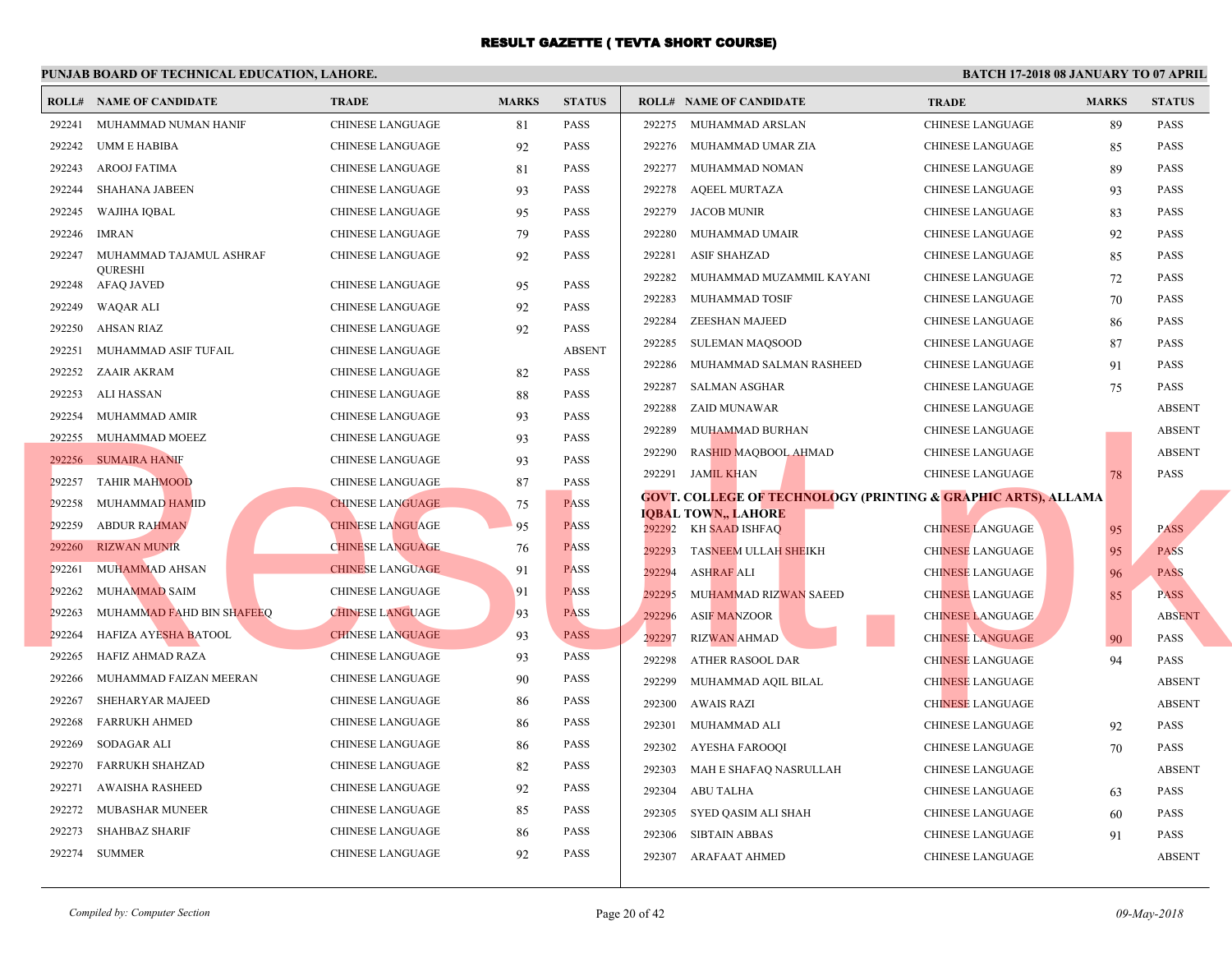|        | <b>ROLL# NAME OF CANDIDATE</b>      | <b>TRADE</b>            | <b>MARKS</b> | <b>STATUS</b> | <b>ROLL# NAME OF CANDIDATE</b>                       | <b>TRA</b>  |
|--------|-------------------------------------|-------------------------|--------------|---------------|------------------------------------------------------|-------------|
| 292241 | MUHAMMAD NUMAN HANIF                | <b>CHINESE LANGUAGE</b> | 81           | <b>PASS</b>   | 292275<br>MUHAMMAD ARSLAN                            | <b>CHIN</b> |
| 292242 | UMM E HABIBA                        | <b>CHINESE LANGUAGE</b> | 92           | <b>PASS</b>   | 292276<br>MUHAMMAD UMAR ZIA                          | <b>CHIN</b> |
| 292243 | AROOJ FATIMA                        | <b>CHINESE LANGUAGE</b> | 81           | <b>PASS</b>   | 292277<br>MUHAMMAD NOMAN                             | <b>CHIN</b> |
| 292244 | <b>SHAHANA JABEEN</b>               | <b>CHINESE LANGUAGE</b> | 93           | <b>PASS</b>   | 292278<br>AQEEL MURTAZA                              | <b>CHIN</b> |
| 292245 | WAJIHA IQBAL                        | <b>CHINESE LANGUAGE</b> | 95           | <b>PASS</b>   | 292279<br>JACOB MUNIR                                | <b>CHIN</b> |
| 292246 | <b>IMRAN</b>                        | <b>CHINESE LANGUAGE</b> | 79           | <b>PASS</b>   | 292280<br>MUHAMMAD UMAIR                             | <b>CHIN</b> |
| 292247 | MUHAMMAD TAJAMUL ASHRAF             | <b>CHINESE LANGUAGE</b> | 92           | <b>PASS</b>   | 292281<br><b>ASIF SHAHZAD</b>                        | <b>CHIN</b> |
| 292248 | <b>OURESHI</b><br><b>AFAQ JAVED</b> | CHINESE LANGUAGE        | 95           | <b>PASS</b>   | 292282<br>MUHAMMAD MUZAMMIL KAYANI                   | <b>CHIN</b> |
| 292249 | WAQAR ALI                           | <b>CHINESE LANGUAGE</b> | 92           | <b>PASS</b>   | 292283<br>MUHAMMAD TOSIF                             | <b>CHIN</b> |
| 292250 | <b>AHSAN RIAZ</b>                   | <b>CHINESE LANGUAGE</b> | 92           | PASS          | ZEESHAN MAJEED<br>292284                             | <b>CHIN</b> |
| 292251 | MUHAMMAD ASIF TUFAIL                | <b>CHINESE LANGUAGE</b> |              | <b>ABSENT</b> | 292285<br><b>SULEMAN MAQSOOD</b>                     | <b>CHIN</b> |
| 292252 | ZAAIR AKRAM                         | CHINESE LANGUAGE        | 82           | <b>PASS</b>   | 292286<br>MUHAMMAD SALMAN RASHEED                    | <b>CHIN</b> |
| 292253 | ALI HASSAN                          | CHINESE LANGUAGE        | 88           | <b>PASS</b>   | 292287<br>SALMAN ASGHAR                              | <b>CHIN</b> |
| 292254 | MUHAMMAD AMIR                       | CHINESE LANGUAGE        | 93           | <b>PASS</b>   | 292288<br>ZAID MUNAWAR                               | <b>CHIN</b> |
| 292255 | MUHAMMAD MOEEZ                      | CHINESE LANGUAGE        | 93           | <b>PASS</b>   | 292289<br>MUHAMMAD BURHAN                            | <b>CHIN</b> |
| 292256 | <b>SUMAIRA HANIF</b>                | <b>CHINESE LANGUAGE</b> | 93           | <b>PASS</b>   | 292290<br>RASHID MAQBOOL AHMAD                       | <b>CHIN</b> |
| 292257 | <b>TAHIR MAHMOOD</b>                | <b>CHINESE LANGUAGE</b> | 87           | <b>PASS</b>   | 292291<br>JAMIL KHAN                                 | <b>CHIN</b> |
| 292258 | MUHAMMAD HAMID                      | <b>CHINESE LANGUAGE</b> | 75           | <b>PASS</b>   | <b>GOVT. COLLEGE OF TECHNOLOGY (PRINTING &amp; G</b> |             |
| 292259 | <b>ABDUR RAHMAN</b>                 | <b>CHINESE LANGUAGE</b> | 95           | <b>PASS</b>   | <b>IOBAL TOWN., LAHORE</b><br>292292 KH SAAD ISHFAQ  | <b>CHIN</b> |
| 292260 | <b>RIZWAN MUNIR</b>                 | <b>CHINESE LANGUAGE</b> | 76           | <b>PASS</b>   | 292293<br><b>TASNEEM ULLAH SHEIKH</b>                | <b>CHIN</b> |
| 292261 | <b>MUHAMMAD AHSAN</b>               | <b>CHINESE LANGUAGE</b> | 91           | <b>PASS</b>   | 292294<br><b>ASHRAF ALI</b>                          | <b>CHIN</b> |
| 292262 | <b>MUHAMMAD SAIM</b>                | <b>CHINESE LANGUAGE</b> | 91           | <b>PASS</b>   | 292295<br>MUHAMMAD RIZWAN SAEED                      | <b>CHIN</b> |
| 292263 | MUHAMMAD FAHD BIN SHAFEEQ           | <b>CHINESE LANGUAGE</b> | 93           | <b>PASS</b>   | 292296<br><b>ASIF MANZOOR</b>                        | <b>CHIN</b> |
| 292264 | HAFIZA AYESHA BATOOL                | <b>CHINESE LANGUAGE</b> | 93           | <b>PASS</b>   | 292297<br><b>RIZWAN AHMAD</b>                        | <b>CHIN</b> |
| 292265 | HAFIZ AHMAD RAZA                    | <b>CHINESE LANGUAGE</b> | 93           | <b>PASS</b>   | 292298<br>ATHER RASOOL DAR                           | <b>CHIN</b> |
| 292266 | MUHAMMAD FAIZAN MEERAN              | CHINESE LANGUAGE        | 90           | <b>PASS</b>   | 292299<br>MUHAMMAD AQIL BILAL                        | <b>CHIN</b> |
| 292267 | SHEHARYAR MAJEED                    | CHINESE LANGUAGE        | 86           | <b>PASS</b>   | 292300<br><b>AWAIS RAZI</b>                          | <b>CHIN</b> |
| 292268 | <b>FARRUKH AHMED</b>                | CHINESE LANGUAGE        | 86           | <b>PASS</b>   | 292301<br>MUHAMMAD ALI                               | <b>CHIN</b> |
| 292269 | SODAGAR ALI                         | CHINESE LANGUAGE        | 86           | <b>PASS</b>   | 292302<br>AYESHA FAROOQI                             | <b>CHIN</b> |
| 292270 | <b>FARRUKH SHAHZAD</b>              | CHINESE LANGUAGE        | 82           | <b>PASS</b>   | 292303<br>MAH E SHAFAQ NASRULLAH                     | <b>CHIN</b> |
| 292271 | <b>AWAISHA RASHEED</b>              | <b>CHINESE LANGUAGE</b> | 92           | <b>PASS</b>   | ABU TALHA<br>292304                                  | <b>CHIN</b> |
| 292272 | MUBASHAR MUNEER                     | <b>CHINESE LANGUAGE</b> | 85           | <b>PASS</b>   | 292305<br>SYED QASIM ALI SHAH                        | <b>CHIN</b> |
| 292273 | <b>SHAHBAZ SHARIF</b>               | <b>CHINESE LANGUAGE</b> | 86           | <b>PASS</b>   | 292306<br><b>SIBTAIN ABBAS</b>                       | <b>CHIN</b> |
|        | 292274 SUMMER                       | <b>CHINESE LANGUAGE</b> | 92           | <b>PASS</b>   | 292307 ARAFAAT AHMED                                 | <b>CHIN</b> |
|        |                                     |                         |              |               |                                                      |             |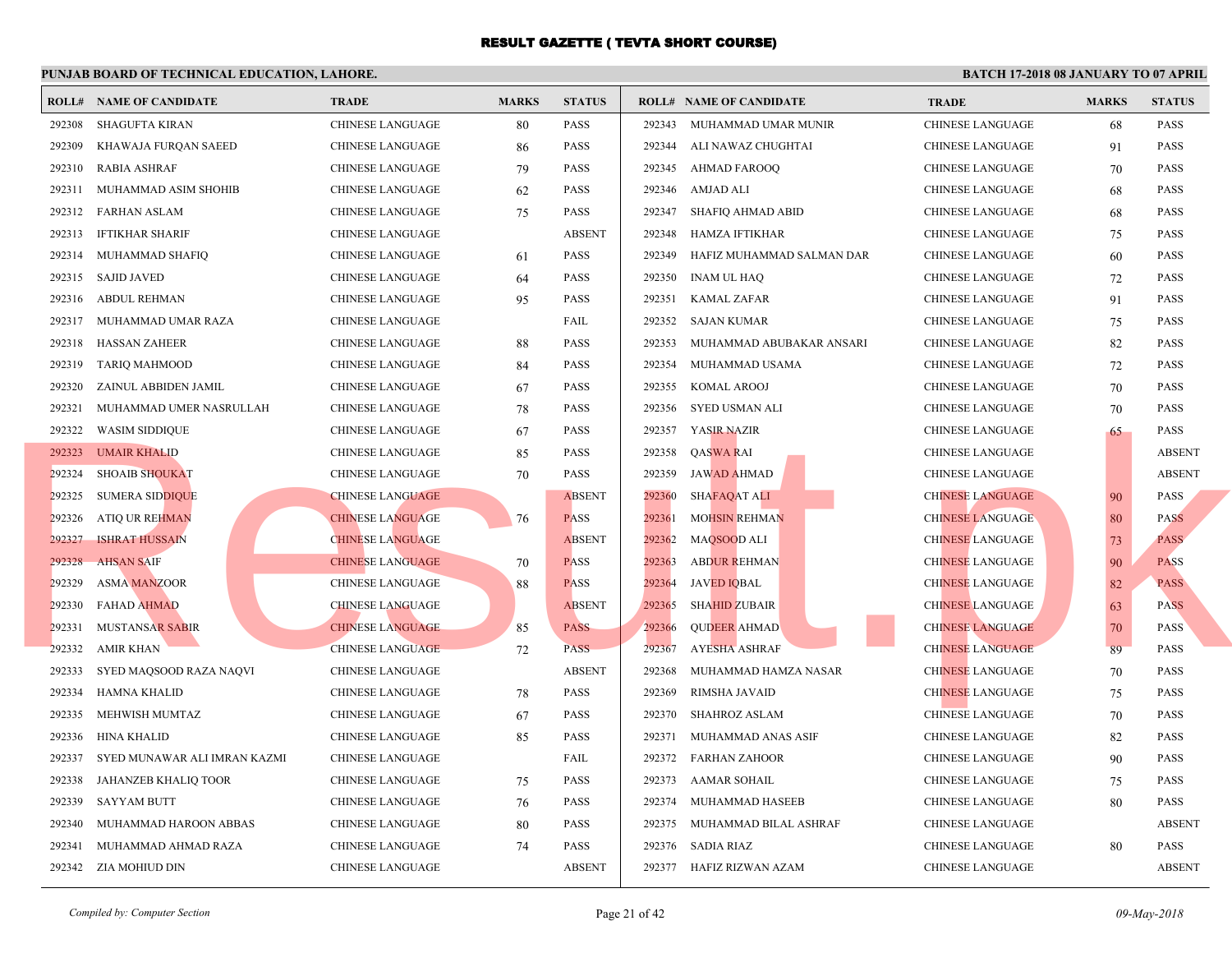|        | <b>ROLL# NAME OF CANDIDATE</b> | <b>TRADE</b>            | <b>MARKS</b> | <b>STATUS</b> |        | <b>ROLL# NAME OF CANDIDATE</b> | <b>TRA</b>  |
|--------|--------------------------------|-------------------------|--------------|---------------|--------|--------------------------------|-------------|
| 292308 | <b>SHAGUFTA KIRAN</b>          | <b>CHINESE LANGUAGE</b> | 80           | <b>PASS</b>   | 292343 | MUHAMMAD UMAR MUNIR            | <b>CHIN</b> |
| 292309 | KHAWAJA FURQAN SAEED           | CHINESE LANGUAGE        | 86           | <b>PASS</b>   | 292344 | ALI NAWAZ CHUGHTAI             | <b>CHIN</b> |
| 292310 | <b>RABIA ASHRAF</b>            | CHINESE LANGUAGE        | 79           | <b>PASS</b>   | 292345 | <b>AHMAD FAROOQ</b>            | <b>CHIN</b> |
| 292311 | MUHAMMAD ASIM SHOHIB           | <b>CHINESE LANGUAGE</b> | 62           | <b>PASS</b>   | 292346 | AMJAD ALI                      | <b>CHIN</b> |
| 292312 | FARHAN ASLAM                   | CHINESE LANGUAGE        | 75           | <b>PASS</b>   | 292347 | SHAFIQ AHMAD ABID              | <b>CHIN</b> |
| 292313 | IFTIKHAR SHARIF                | CHINESE LANGUAGE        |              | <b>ABSENT</b> | 292348 | HAMZA IFTIKHAR                 | <b>CHIN</b> |
| 292314 | MUHAMMAD SHAFIQ                | <b>CHINESE LANGUAGE</b> | 61           | <b>PASS</b>   | 292349 | HAFIZ MUHAMMAD SALMAN DAR      | <b>CHIN</b> |
| 292315 | <b>SAJID JAVED</b>             | <b>CHINESE LANGUAGE</b> | 64           | <b>PASS</b>   | 292350 | <b>INAM UL HAQ</b>             | <b>CHIN</b> |
| 292316 | ABDUL REHMAN                   | CHINESE LANGUAGE        | 95           | <b>PASS</b>   | 292351 | <b>KAMAL ZAFAR</b>             | <b>CHIN</b> |
| 292317 | MUHAMMAD UMAR RAZA             | <b>CHINESE LANGUAGE</b> |              | FAIL          | 292352 | SAJAN KUMAR                    | <b>CHIN</b> |
| 292318 | <b>HASSAN ZAHEER</b>           | <b>CHINESE LANGUAGE</b> | 88           | <b>PASS</b>   | 292353 | MUHAMMAD ABUBAKAR ANSARI       | <b>CHIN</b> |
| 292319 | TARIQ MAHMOOD                  | CHINESE LANGUAGE        | 84           | <b>PASS</b>   | 292354 | MUHAMMAD USAMA                 | <b>CHIN</b> |
| 292320 | ZAINUL ABBIDEN JAMIL           | CHINESE LANGUAGE        | 67           | PASS          | 292355 | KOMAL AROOJ                    | <b>CHIN</b> |
| 292321 | MUHAMMAD UMER NASRULLAH        | CHINESE LANGUAGE        | 78           | <b>PASS</b>   | 292356 | SYED USMAN ALI                 | <b>CHIN</b> |
| 292322 | <b>WASIM SIDDIQUE</b>          | CHINESE LANGUAGE        | 67           | <b>PASS</b>   | 292357 | YASIR NAZIR                    | <b>CHIN</b> |
|        | 292323 UMAIR KHALID            | CHINESE LANGUAGE        | 85           | <b>PASS</b>   | 292358 | QASWA RAI                      | <b>CHIN</b> |
| 292324 | <b>SHOAIB SHOUKAT</b>          | CHINESE LANGUAGE        | 70           | <b>PASS</b>   | 292359 | <b>JAWAD AHMAD</b>             | <b>CHIN</b> |
| 292325 | <b>SUMERA SIDDIQUE</b>         | <b>CHINESE LANGUAGE</b> |              | <b>ABSENT</b> | 292360 | SHAFAQAT ALI                   | <b>CHIN</b> |
| 292326 | <b>ATIQ UR REHMAN</b>          | <b>CHINESE LANGUAGE</b> | 76           | <b>PASS</b>   | 292361 | <b>MOHSIN REHMAN</b>           | <b>CHIN</b> |
| 292327 | <b>ISHRAT HUSSAIN</b>          | <b>CHINESE LANGUAGE</b> |              | <b>ABSENT</b> | 292362 | MAQSOOD ALI                    | <b>CHIN</b> |
| 292328 | <b>AHSAN SAIF</b>              | <b>CHINESE LANGUAGE</b> | 70           | <b>PASS</b>   | 292363 | <b>ABDUR REHMAN</b>            | <b>CHIN</b> |
| 292329 | <b>ASMA MANZOOR</b>            | <b>CHINESE LANGUAGE</b> | 88           | <b>PASS</b>   | 292364 | <b>JAVED IQBAL</b>             | <b>CHIN</b> |
| 292330 | <b>FAHAD AHMAD</b>             | <b>CHINESE LANGUAGE</b> |              | <b>ABSENT</b> | 292365 | <b>SHAHID ZUBAIR</b>           | <b>CHIN</b> |
| 292331 | <b>MUSTANSAR SABIR</b>         | <b>CHINESE LANGUAGE</b> | 85           | <b>PASS</b>   | 292366 | <b>QUDEER AHMAD</b>            | <b>CHIN</b> |
| 292332 | AMIR KHAN                      | <b>CHINESE LANGUAGE</b> | 72           | <b>PASS</b>   | 292367 | <b>AYESHA ASHRAF</b>           | <b>CHIN</b> |
| 292333 | SYED MAQSOOD RAZA NAQVI        | <b>CHINESE LANGUAGE</b> |              | <b>ABSENT</b> | 292368 | MUHAMMAD HAMZA NASAR           | <b>CHIN</b> |
| 292334 | <b>HAMNA KHALID</b>            | CHINESE LANGUAGE        | 78           | <b>PASS</b>   | 292369 | <b>RIMSHA JAVAID</b>           | <b>CHIN</b> |
| 292335 | MEHWISH MUMTAZ                 | CHINESE LANGUAGE        | 67           | <b>PASS</b>   | 292370 | SHAHROZ ASLAM                  | <b>CHIN</b> |
| 292336 | <b>HINA KHALID</b>             | CHINESE LANGUAGE        | 85           | <b>PASS</b>   | 292371 | MUHAMMAD ANAS ASIF             | <b>CHIN</b> |
| 292337 | SYED MUNAWAR ALI IMRAN KAZMI   | CHINESE LANGUAGE        |              | FAIL          | 292372 | FARHAN ZAHOOR                  | <b>CHIN</b> |
| 292338 | JAHANZEB KHALIQ TOOR           | CHINESE LANGUAGE        | 75           | <b>PASS</b>   | 292373 | AAMAR SOHAIL                   | <b>CHIN</b> |
| 292339 | <b>SAYYAM BUTT</b>             | CHINESE LANGUAGE        | 76           | <b>PASS</b>   |        | 292374 MUHAMMAD HASEEB         | <b>CHIN</b> |
| 292340 | MUHAMMAD HAROON ABBAS          | CHINESE LANGUAGE        | 80           | <b>PASS</b>   | 292375 | MUHAMMAD BILAL ASHRAF          | <b>CHIN</b> |
| 292341 | MUHAMMAD AHMAD RAZA            | <b>CHINESE LANGUAGE</b> | 74           | PASS          | 292376 | SADIA RIAZ                     | <b>CHIN</b> |
|        | 292342 ZIA MOHIUD DIN          | <b>CHINESE LANGUAGE</b> |              | <b>ABSENT</b> |        | 292377 HAFIZ RIZWAN AZAM       | <b>CHIN</b> |
|        |                                |                         |              |               |        |                                |             |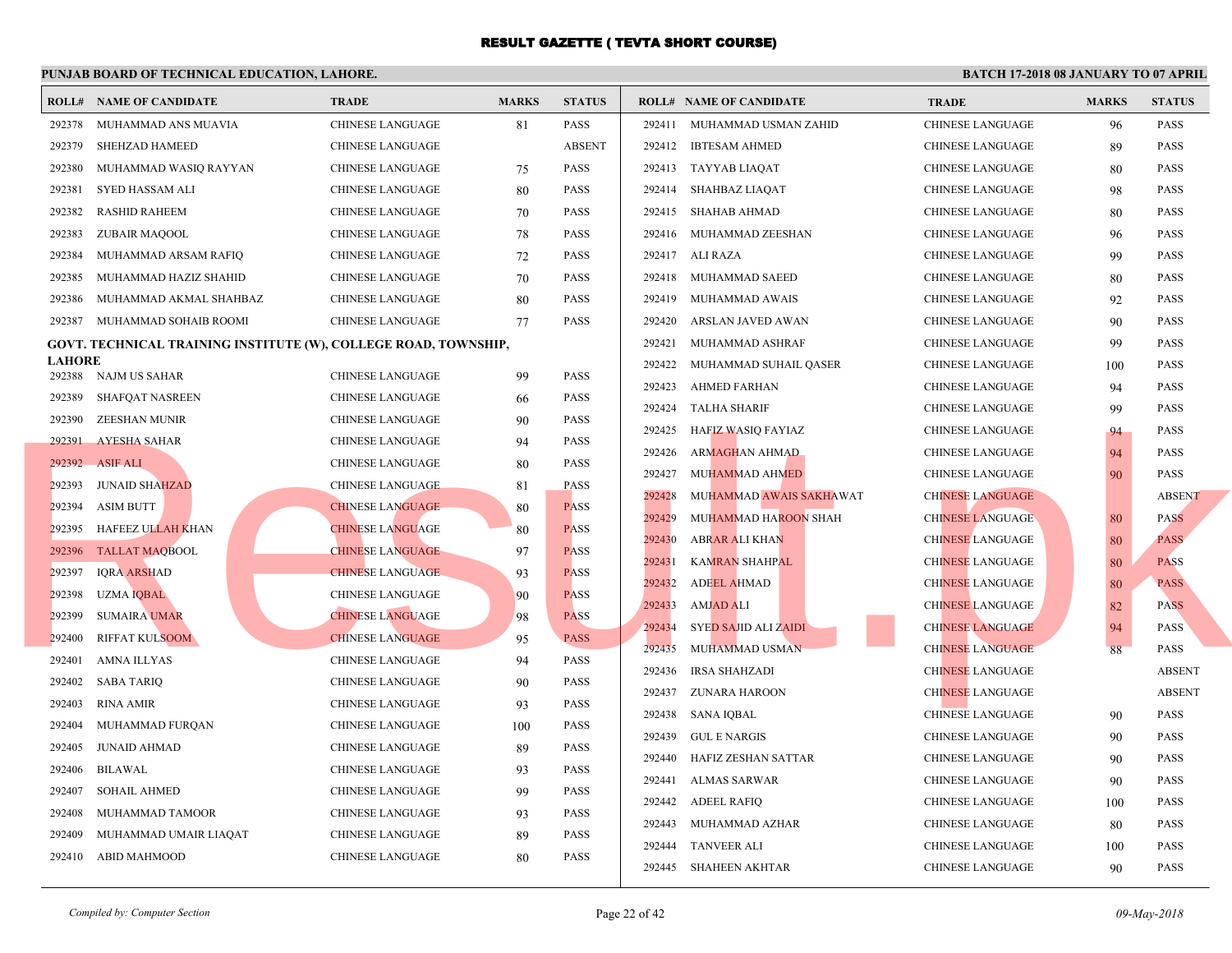|               | <b>ROLL# NAME OF CANDIDATE</b> | <b>TRADE</b>                                                    | <b>MARKS</b> | <b>STATUS</b> |        | <b>ROLL# NAME OF CANDIDATE</b> | <b>TRA</b>  |
|---------------|--------------------------------|-----------------------------------------------------------------|--------------|---------------|--------|--------------------------------|-------------|
| 292378        | MUHAMMAD ANS MUAVIA            | <b>CHINESE LANGUAGE</b>                                         | 81           | PASS          | 292411 | MUHAMMAD USMAN ZAHID           | <b>CHIN</b> |
| 292379        | <b>SHEHZAD HAMEED</b>          | <b>CHINESE LANGUAGE</b>                                         |              | <b>ABSENT</b> | 292412 | <b>IBTESAM AHMED</b>           | <b>CHIN</b> |
| 292380        | MUHAMMAD WASIQ RAYYAN          | CHINESE LANGUAGE                                                | 75           | PASS          |        | 292413 TAYYAB LIAQAT           | <b>CHIN</b> |
| 292381        | SYED HASSAM ALI                | CHINESE LANGUAGE                                                | 80           | <b>PASS</b>   |        | 292414 SHAHBAZ LIAQAT          | <b>CHIN</b> |
| 292382        | <b>RASHID RAHEEM</b>           | CHINESE LANGUAGE                                                | 70           | <b>PASS</b>   | 292415 | SHAHAB AHMAD                   | <b>CHIN</b> |
| 292383        | ZUBAIR MAQOOL                  | <b>CHINESE LANGUAGE</b>                                         | 78           | <b>PASS</b>   | 292416 | MUHAMMAD ZEESHAN               | <b>CHIN</b> |
| 292384        | MUHAMMAD ARSAM RAFIQ           | <b>CHINESE LANGUAGE</b>                                         | 72           | <b>PASS</b>   | 292417 | ALI RAZA                       | <b>CHIN</b> |
| 292385        | MUHAMMAD HAZIZ SHAHID          | <b>CHINESE LANGUAGE</b>                                         | 70           | <b>PASS</b>   | 292418 | MUHAMMAD SAEED                 | <b>CHIN</b> |
| 292386        | MUHAMMAD AKMAL SHAHBAZ         | <b>CHINESE LANGUAGE</b>                                         | 80           | <b>PASS</b>   | 292419 | MUHAMMAD AWAIS                 | <b>CHIN</b> |
| 292387        | MUHAMMAD SOHAIB ROOMI          | CHINESE LANGUAGE                                                | 77           | <b>PASS</b>   | 292420 | ARSLAN JAVED AWAN              | <b>CHIN</b> |
|               |                                | GOVT. TECHNICAL TRAINING INSTITUTE (W), COLLEGE ROAD, TOWNSHIP, |              |               | 292421 | MUHAMMAD ASHRAF                | <b>CHIN</b> |
| <b>LAHORE</b> |                                |                                                                 |              |               | 292422 | MUHAMMAD SUHAIL QASER          | <b>CHIN</b> |
|               | 292388 NAJM US SAHAR           | <b>CHINESE LANGUAGE</b>                                         | 99           | <b>PASS</b>   | 292423 | <b>AHMED FARHAN</b>            | <b>CHIN</b> |
| 292389        | SHAFQAT NASREEN                | CHINESE LANGUAGE                                                | 66           | <b>PASS</b>   | 292424 | <b>TALHA SHARIF</b>            | <b>CHIN</b> |
| 292390        | ZEESHAN MUNIR                  | <b>CHINESE LANGUAGE</b>                                         | 90           | <b>PASS</b>   | 292425 | HAFIZ WASIQ FAYIAZ             | <b>CHIN</b> |
| 292391        | <b>AYESHA SAHAR</b>            | CHINESE LANGUAGE                                                | 94           | <b>PASS</b>   | 292426 | <b>ARMAGHAN AHMAD</b>          | <b>CHIN</b> |
| 292392        | <b>ASIF ALI</b>                | <b>CHINESE LANGUAGE</b>                                         | 80           | <b>PASS</b>   | 292427 | MUHAMMAD AHMED                 | <b>CHIN</b> |
| 292393        | JUNAID SHAHZAD                 | <b>CHINESE LANGUAGE</b>                                         | 81           | <b>PASS</b>   | 292428 | MUHAMMAD AWAIS SAKHAWAT        | <b>CHIN</b> |
| 292394        | <b>ASIM BUTT</b>               | <b>CHINESE LANGUAGE</b>                                         | 80           | <b>PASS</b>   | 292429 | MUHAMMAD HAROON SHAH           | <b>CHIN</b> |
|               | 292395 HAFEEZ ULLAH KHAN       | <b>CHINESE LANGUAGE</b>                                         | 80           | <b>PASS</b>   | 292430 | <b>ABRAR ALI KHAN</b>          | <b>CHIN</b> |
|               | 292396 TALLAT MAQBOOL          | <b>CHINESE LANGUAGE</b>                                         | 97           | <b>PASS</b>   | 292431 | <b>KAMRAN SHAHPAL</b>          | <b>CHIN</b> |
| 292397        | <b>IQRA ARSHAD</b>             | <b>CHINESE LANGUAGE</b>                                         | 93           | <b>PASS</b>   | 292432 | <b>ADEEL AHMAD</b>             | <b>CHIN</b> |
| 292398        | <b>UZMA IQBAL</b>              | <b>CHINESE LANGUAGE</b>                                         | 90           | <b>PASS</b>   | 292433 | <b>AMJAD ALI</b>               | <b>CHIN</b> |
| 292399        | <b>SUMAIRA UMAR</b>            | <b>CHINESE LANGUAGE</b>                                         | 98           | <b>PASS</b>   | 292434 | SYED SAJID ALI ZAIDI           | <b>CHIN</b> |
| 292400        | <b>RIFFAT KULSOOM</b>          | <b>CHINESE LANGUAGE</b>                                         | 95           | <b>PASS</b>   | 292435 | MUHAMMAD USMAN                 | <b>CHIN</b> |
| 292401        | AMNA ILLYAS                    | CHINESE LANGUAGE                                                | 94           | <b>PASS</b>   | 292436 | <b>IRSA SHAHZADI</b>           | <b>CHIN</b> |
| 292402        | <b>SABA TARIQ</b>              | CHINESE LANGUAGE                                                | 90           | <b>PASS</b>   | 292437 | ZUNARA HAROON                  | <b>CHIN</b> |
| 292403        | RINA AMIR                      | <b>CHINESE LANGUAGE</b>                                         | 93           | <b>PASS</b>   | 292438 | SANA IQBAL                     | <b>CHIN</b> |
| 292404        | MUHAMMAD FURQAN                | CHINESE LANGUAGE                                                | 100          | <b>PASS</b>   | 292439 | <b>GUL E NARGIS</b>            | <b>CHIN</b> |
| 292405        | <b>JUNAID AHMAD</b>            | <b>CHINESE LANGUAGE</b>                                         | 89           | <b>PASS</b>   | 292440 | HAFIZ ZESHAN SATTAR            | <b>CHIN</b> |
| 292406        | <b>BILAWAL</b>                 | <b>CHINESE LANGUAGE</b>                                         | 93           | <b>PASS</b>   | 292441 | ALMAS SARWAR                   | <b>CHIN</b> |
| 292407        | <b>SOHAIL AHMED</b>            | CHINESE LANGUAGE                                                | 99           | PASS          | 292442 | <b>ADEEL RAFIQ</b>             | <b>CHIN</b> |
| 292408        | MUHAMMAD TAMOOR                | <b>CHINESE LANGUAGE</b>                                         | 93           | <b>PASS</b>   | 292443 | MUHAMMAD AZHAR                 | <b>CHIN</b> |
| 292409        | MUHAMMAD UMAIR LIAQAT          | <b>CHINESE LANGUAGE</b>                                         | 89           | <b>PASS</b>   | 292444 | TANVEER ALI                    | <b>CHIN</b> |
| 292410        | ABID MAHMOOD                   | <b>CHINESE LANGUAGE</b>                                         | 80           | <b>PASS</b>   |        | 292445 SHAHEEN AKHTAR          | <b>CHIN</b> |
|               |                                |                                                                 |              |               |        |                                |             |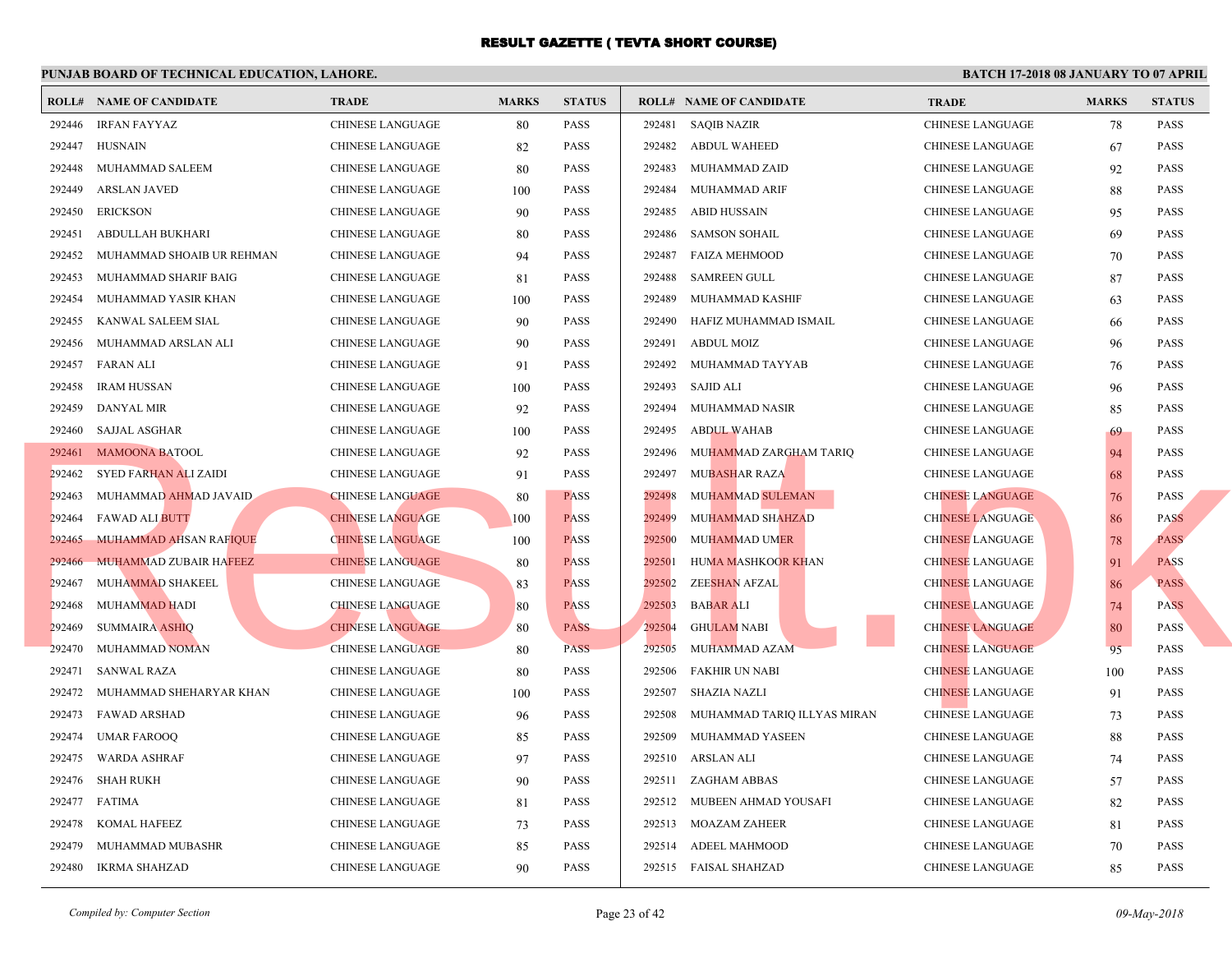|        | <b>ROLL# NAME OF CANDIDATE</b> | <b>TRADE</b>            | <b>MARKS</b> | <b>STATUS</b> |        | <b>ROLL# NAME OF CANDIDATE</b> | <b>TRA</b>  |
|--------|--------------------------------|-------------------------|--------------|---------------|--------|--------------------------------|-------------|
| 292446 | <b>IRFAN FAYYAZ</b>            | <b>CHINESE LANGUAGE</b> | 80           | PASS          | 292481 | <b>SAQIB NAZIR</b>             | <b>CHIN</b> |
| 292447 | <b>HUSNAIN</b>                 | CHINESE LANGUAGE        | 82           | <b>PASS</b>   | 292482 | <b>ABDUL WAHEED</b>            | <b>CHIN</b> |
| 292448 | MUHAMMAD SALEEM                | CHINESE LANGUAGE        | 80           | <b>PASS</b>   | 292483 | MUHAMMAD ZAID                  | <b>CHIN</b> |
| 292449 | <b>ARSLAN JAVED</b>            | CHINESE LANGUAGE        | 100          | <b>PASS</b>   | 292484 | MUHAMMAD ARIF                  | <b>CHIN</b> |
| 292450 | <b>ERICKSON</b>                | CHINESE LANGUAGE        | 90           | <b>PASS</b>   | 292485 | ABID HUSSAIN                   | <b>CHIN</b> |
| 292451 | ABDULLAH BUKHARI               | CHINESE LANGUAGE        | 80           | <b>PASS</b>   | 292486 | <b>SAMSON SOHAIL</b>           | <b>CHIN</b> |
| 292452 | MUHAMMAD SHOAIB UR REHMAN      | <b>CHINESE LANGUAGE</b> | 94           | <b>PASS</b>   | 292487 | FAIZA MEHMOOD                  | <b>CHIN</b> |
| 292453 | MUHAMMAD SHARIF BAIG           | CHINESE LANGUAGE        | 81           | <b>PASS</b>   | 292488 | <b>SAMREEN GULL</b>            | <b>CHIN</b> |
| 292454 | MUHAMMAD YASIR KHAN            | CHINESE LANGUAGE        | 100          | <b>PASS</b>   | 292489 | MUHAMMAD KASHIF                | <b>CHIN</b> |
| 292455 | KANWAL SALEEM SIAL             | <b>CHINESE LANGUAGE</b> | 90           | <b>PASS</b>   | 292490 | HAFIZ MUHAMMAD ISMAIL          | <b>CHIN</b> |
| 292456 | MUHAMMAD ARSLAN ALI            | <b>CHINESE LANGUAGE</b> | 90           | <b>PASS</b>   | 292491 | ABDUL MOIZ                     | <b>CHIN</b> |
| 292457 | FARAN ALI                      | CHINESE LANGUAGE        | 91           | <b>PASS</b>   | 292492 | MUHAMMAD TAYYAB                | <b>CHIN</b> |
| 292458 | <b>IRAM HUSSAN</b>             | CHINESE LANGUAGE        | 100          | <b>PASS</b>   | 292493 | SAJID ALI                      | <b>CHIN</b> |
| 292459 | <b>DANYAL MIR</b>              | CHINESE LANGUAGE        | 92           | <b>PASS</b>   | 292494 | MUHAMMAD NASIR                 | <b>CHIN</b> |
| 292460 | <b>SAJJAL ASGHAR</b>           | CHINESE LANGUAGE        | 100          | <b>PASS</b>   | 292495 | <b>ABDUL WAHAB</b>             | <b>CHIN</b> |
|        | 292461 MAMOONA BATOOL          | CHINESE LANGUAGE        | 92           | <b>PASS</b>   | 292496 | MUHAMMAD ZARGHAM TARIQ         | <b>CHIN</b> |
| 292462 | SYED FARHAN ALI ZAIDI          | CHINESE LANGUAGE        | 91           | PASS          | 292497 | <b>MUBASHAR RAZA</b>           | CHIN.       |
| 292463 | MUHAMMAD AHMAD JAVAID          | <b>CHINESE LANGUAGE</b> | 80           | <b>PASS</b>   | 292498 | MUHAMMAD SULEMAN               | <b>CHIN</b> |
| 292464 | <b>FAWAD ALI BUTT</b>          | <b>CHINESE LANGUAGE</b> | 100          | <b>PASS</b>   | 292499 | MUHAMMAD SHAHZAD               | <b>CHIN</b> |
| 292465 | MUHAMMAD AHSAN RAFIQUE         | <b>CHINESE LANGUAGE</b> | 100          | <b>PASS</b>   | 292500 | <b>MUHAMMAD UMER</b>           | <b>CHIN</b> |
| 292466 | <b>MUHAMMAD ZUBAIR HAFEEZ</b>  | <b>CHINESE LANGUAGE</b> | 80           | <b>PASS</b>   | 292501 | HUMA MASHKOOR KHAN             | <b>CHIN</b> |
| 292467 | MUHAMMAD SHAKEEL               | CHINESE LANGUAGE        | 83           | <b>PASS</b>   | 292502 | ZEESHAN AFZAL                  | <b>CHIN</b> |
| 292468 | <b>MUHAMMAD HADI</b>           | <b>CHINESE LANGUAGE</b> | 80           | <b>PASS</b>   | 292503 | <b>BABAR ALI</b>               | <b>CHIN</b> |
| 292469 | <b>SUMMAIRA ASHIQ</b>          | <b>CHINESE LANGUAGE</b> | 80           | <b>PASS</b>   | 292504 | GHULAM NABI                    | <b>CHIN</b> |
| 292470 | MUHAMMAD NOMAN                 | <b>CHINESE LANGUAGE</b> | 80           | <b>PASS</b>   | 292505 | MUHAMMAD AZAM                  | <b>CHIN</b> |
| 292471 | <b>SANWAL RAZA</b>             | <b>CHINESE LANGUAGE</b> | 80           | <b>PASS</b>   | 292506 | FAKHIR UN NABI                 | <b>CHIN</b> |
| 292472 | MUHAMMAD SHEHARYAR KHAN        | CHINESE LANGUAGE        | 100          | <b>PASS</b>   | 292507 | SHAZIA NAZLI                   | <b>CHIN</b> |
| 292473 | FAWAD ARSHAD                   | CHINESE LANGUAGE        | 96           | <b>PASS</b>   | 292508 | MUHAMMAD TARIQ ILLYAS MIRAN    | <b>CHIN</b> |
| 292474 | <b>UMAR FAROOQ</b>             | CHINESE LANGUAGE        | 85           | <b>PASS</b>   | 292509 | MUHAMMAD YASEEN                | <b>CHIN</b> |
| 292475 | WARDA ASHRAF                   | CHINESE LANGUAGE        | 97           | <b>PASS</b>   | 292510 | ARSLAN ALI                     | <b>CHIN</b> |
| 292476 | SHAH RUKH                      | CHINESE LANGUAGE        | 90           | <b>PASS</b>   | 292511 | ZAGHAM ABBAS                   | <b>CHIN</b> |
| 292477 | FATIMA                         | CHINESE LANGUAGE        | 81           | <b>PASS</b>   | 292512 | MUBEEN AHMAD YOUSAFI           | <b>CHIN</b> |
| 292478 | KOMAL HAFEEZ                   | <b>CHINESE LANGUAGE</b> | 73           | <b>PASS</b>   |        | 292513 MOAZAM ZAHEER           | <b>CHIN</b> |
| 292479 | MUHAMMAD MUBASHR               | <b>CHINESE LANGUAGE</b> | 85           | PASS          | 292514 | ADEEL MAHMOOD                  | <b>CHIN</b> |
| 292480 | IKRMA SHAHZAD                  | <b>CHINESE LANGUAGE</b> | 90           | <b>PASS</b>   |        | 292515 FAISAL SHAHZAD          | <b>CHIN</b> |
|        |                                |                         |              |               |        |                                |             |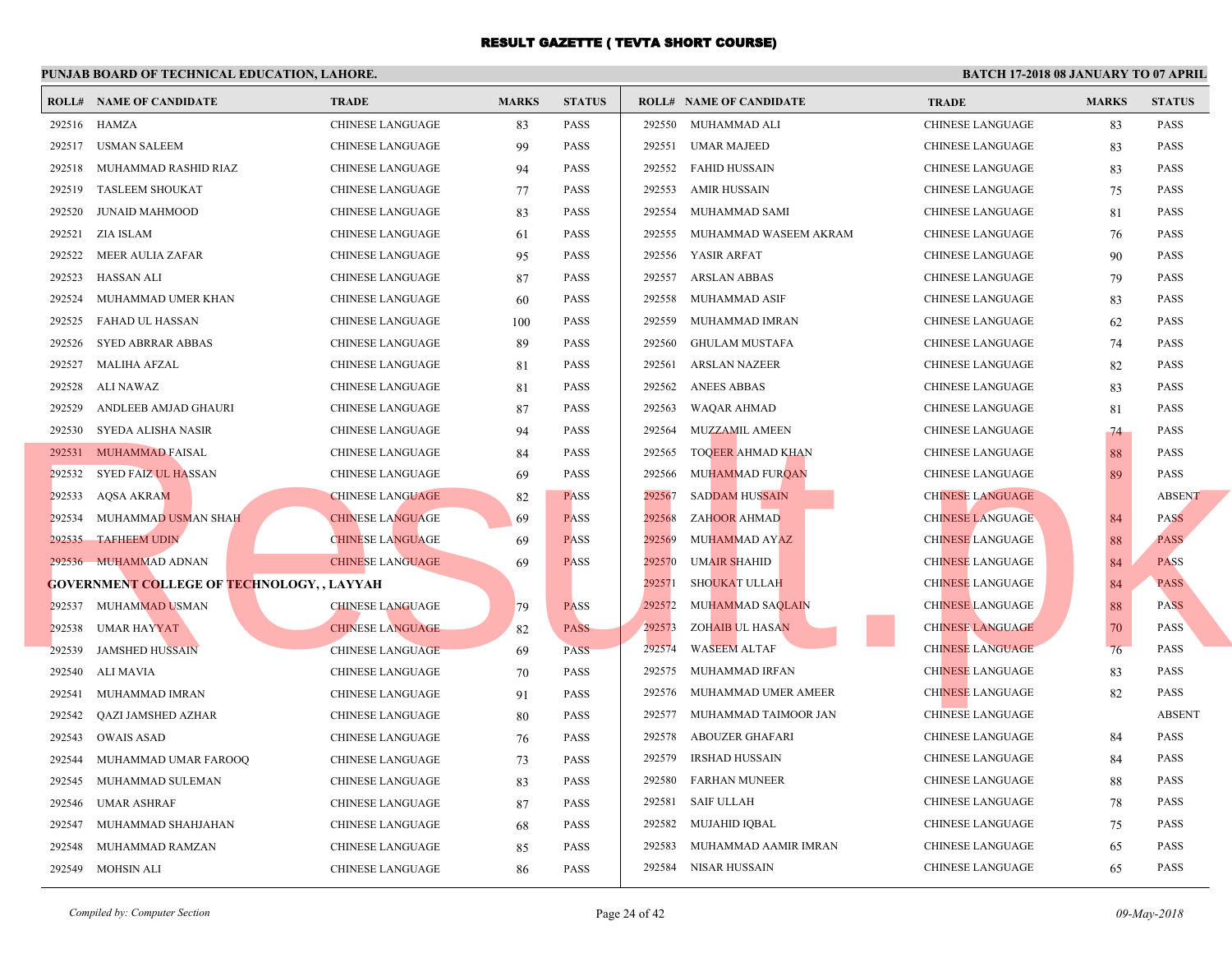|        | <b>ROLL# NAME OF CANDIDATE</b>                   | <b>TRADE</b>            | <b>MARKS</b> | <b>STATUS</b> |        | <b>ROLL# NAME OF CANDIDATE</b> | <b>TRA</b>  |
|--------|--------------------------------------------------|-------------------------|--------------|---------------|--------|--------------------------------|-------------|
|        | 292516 HAMZA                                     | <b>CHINESE LANGUAGE</b> | 83           | <b>PASS</b>   | 292550 | MUHAMMAD ALI                   | <b>CHIN</b> |
| 292517 | USMAN SALEEM                                     | CHINESE LANGUAGE        | 99           | <b>PASS</b>   | 292551 | <b>UMAR MAJEED</b>             | <b>CHIN</b> |
| 292518 | MUHAMMAD RASHID RIAZ                             | CHINESE LANGUAGE        | 94           | <b>PASS</b>   | 292552 | <b>FAHID HUSSAIN</b>           | <b>CHIN</b> |
| 292519 | <b>TASLEEM SHOUKAT</b>                           | <b>CHINESE LANGUAGE</b> | 77           | <b>PASS</b>   | 292553 | <b>AMIR HUSSAIN</b>            | <b>CHIN</b> |
| 292520 | <b>JUNAID MAHMOOD</b>                            | CHINESE LANGUAGE        | 83           | <b>PASS</b>   | 292554 | MUHAMMAD SAMI                  | <b>CHIN</b> |
| 292521 | <b>ZIA ISLAM</b>                                 | CHINESE LANGUAGE        | 61           | <b>PASS</b>   | 292555 | MUHAMMAD WASEEM AKRAM          | <b>CHIN</b> |
| 292522 | MEER AULIA ZAFAR                                 | CHINESE LANGUAGE        | 95           | <b>PASS</b>   | 292556 | YASIR ARFAT                    | <b>CHIN</b> |
| 292523 | HASSAN ALI                                       | <b>CHINESE LANGUAGE</b> | 87           | <b>PASS</b>   | 292557 | <b>ARSLAN ABBAS</b>            | <b>CHIN</b> |
| 292524 | MUHAMMAD UMER KHAN                               | <b>CHINESE LANGUAGE</b> | 60           | <b>PASS</b>   | 292558 | MUHAMMAD ASIF                  | CHIN.       |
| 292525 | FAHAD UL HASSAN                                  | <b>CHINESE LANGUAGE</b> | 100          | <b>PASS</b>   | 292559 | MUHAMMAD IMRAN                 | <b>CHIN</b> |
| 292526 | <b>SYED ABRRAR ABBAS</b>                         | <b>CHINESE LANGUAGE</b> | 89           | <b>PASS</b>   | 292560 | GHULAM MUSTAFA                 | <b>CHIN</b> |
| 292527 | MALIHA AFZAL                                     | CHINESE LANGUAGE        | 81           | <b>PASS</b>   | 292561 | ARSLAN NAZEER                  | <b>CHIN</b> |
| 292528 | ALI NAWAZ                                        | CHINESE LANGUAGE        | 81           | <b>PASS</b>   | 292562 | <b>ANEES ABBAS</b>             | <b>CHIN</b> |
| 292529 | ANDLEEB AMJAD GHAURI                             | CHINESE LANGUAGE        | 87           | <b>PASS</b>   | 292563 | WAQAR AHMAD                    | <b>CHIN</b> |
| 292530 | SYEDA ALISHA NASIR                               | CHINESE LANGUAGE        | 94           | <b>PASS</b>   | 292564 | <b>MUZZAMIL AMEEN</b>          | <b>CHIN</b> |
|        | 292531 MUHAMMAD FAISAL                           | CHINESE LANGUAGE        | 84           | <b>PASS</b>   | 292565 | <b>TOQEER AHMAD KHAN</b>       | <b>CHIN</b> |
| 292532 | SYED FAIZ UL HASSAN                              | CHINESE LANGUAGE        | 69           | <b>PASS</b>   | 292566 | MUHAMMAD FURQAN                | <b>CHIN</b> |
| 292533 | <b>AQSA AKRAM</b>                                | <b>CHINESE LANGUAGE</b> | 82           | <b>PASS</b>   | 292567 | <b>SADDAM HUSSAIN</b>          | <b>CHIN</b> |
| 292534 | MUHAMMAD USMAN SHAH                              | <b>CHINESE LANGUAGE</b> | 69           | <b>PASS</b>   | 292568 | <b>ZAHOOR AHMAD</b>            | <b>CHIN</b> |
| 292535 | <b>TAFHEEM UDIN</b>                              | <b>CHINESE LANGUAGE</b> | 69           | <b>PASS</b>   | 292569 | MUHAMMAD AYAZ                  | <b>CHIN</b> |
|        | 292536 MUHAMMAD ADNAN                            | <b>CHINESE LANGUAGE</b> | 69           | <b>PASS</b>   | 292570 | <b>UMAIR SHAHID</b>            | <b>CHIN</b> |
|        | <b>GOVERNMENT COLLEGE OF TECHNOLOGY,, LAYYAH</b> |                         |              |               | 292571 | <b>SHOUKAT ULLAH</b>           | <b>CHIN</b> |
|        | 292537 MUHAMMAD USMAN                            | <b>CHINESE LANGUAGE</b> | 79           | <b>PASS</b>   | 292572 | <b>MUHAMMAD SAQLAIN</b>        | <b>CHIN</b> |
| 292538 | <b>UMAR HAYYAT</b>                               | <b>CHINESE LANGUAGE</b> | 82           | <b>PASS</b>   | 292573 | <b>ZOHAIB UL HASAN</b>         | <b>CHIN</b> |
| 292539 | <b>JAMSHED HUSSAIN</b>                           | <b>CHINESE LANGUAGE</b> | 69           | <b>PASS</b>   | 292574 | <b>WASEEM ALTAF</b>            | <b>CHIN</b> |
| 292540 | ALI MAVIA                                        | CHINESE LANGUAGE        | 70           | <b>PASS</b>   | 292575 | MUHAMMAD IRFAN                 | <b>CHIN</b> |
| 292541 | MUHAMMAD IMRAN                                   | CHINESE LANGUAGE        | 91           | <b>PASS</b>   | 292576 | MUHAMMAD UMER AMEER            | <b>CHIN</b> |
| 292542 | QAZI JAMSHED AZHAR                               | CHINESE LANGUAGE        | 80           | <b>PASS</b>   |        | 292577 MUHAMMAD TAIMOOR JAN    | <b>CHIN</b> |
| 292543 | <b>OWAIS ASAD</b>                                | <b>CHINESE LANGUAGE</b> | 76           | <b>PASS</b>   | 292578 | ABOUZER GHAFARI                | <b>CHIN</b> |
| 292544 | MUHAMMAD UMAR FAROOQ                             | CHINESE LANGUAGE        | 73           | <b>PASS</b>   | 292579 | IRSHAD HUSSAIN                 | <b>CHIN</b> |
| 292545 | MUHAMMAD SULEMAN                                 | <b>CHINESE LANGUAGE</b> | 83           | <b>PASS</b>   | 292580 | <b>FARHAN MUNEER</b>           | <b>CHIN</b> |
| 292546 | <b>UMAR ASHRAF</b>                               | CHINESE LANGUAGE        | 87           | <b>PASS</b>   | 292581 | SAIF ULLAH                     | <b>CHIN</b> |
| 292547 | MUHAMMAD SHAHJAHAN                               | CHINESE LANGUAGE        | 68           | <b>PASS</b>   | 292582 | MUJAHID IQBAL                  | <b>CHIN</b> |
| 292548 | MUHAMMAD RAMZAN                                  | CHINESE LANGUAGE        | 85           | <b>PASS</b>   | 292583 | MUHAMMAD AAMIR IMRAN           | <b>CHIN</b> |
|        | 292549 MOHSIN ALI                                | <b>CHINESE LANGUAGE</b> | 86           | <b>PASS</b>   |        | 292584 NISAR HUSSAIN           | <b>CHIN</b> |
|        |                                                  |                         |              |               |        |                                |             |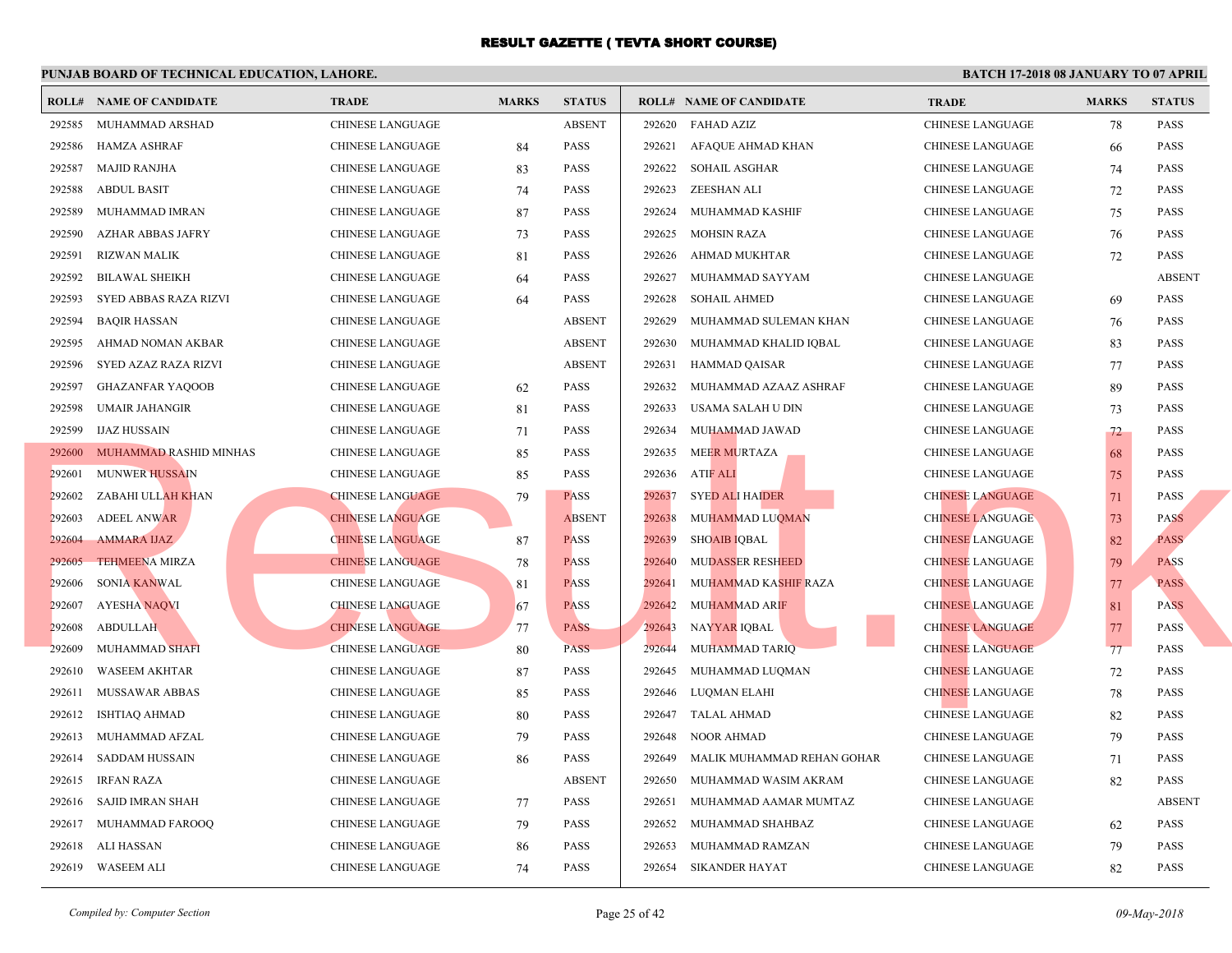| <b>ABSENT</b><br><b>FAHAD AZIZ</b><br><b>CHIN</b><br>292585<br>MUHAMMAD ARSHAD<br><b>CHINESE LANGUAGE</b><br>292620<br><b>HAMZA ASHRAF</b><br><b>PASS</b><br>292621<br>AFAQUE AHMAD KHAN<br><b>CHIN</b><br>292586<br><b>CHINESE LANGUAGE</b><br>84<br><b>MAJID RANJHA</b><br><b>CHIN</b><br>292587<br>CHINESE LANGUAGE<br>83<br><b>PASS</b><br>292622<br>SOHAIL ASGHAR<br><b>CHIN</b><br>292588<br><b>ABDUL BASIT</b><br>CHINESE LANGUAGE<br><b>PASS</b><br>292623<br>ZEESHAN ALI<br>74<br>292589<br>MUHAMMAD IMRAN<br>87<br><b>PASS</b><br>MUHAMMAD KASHIF<br><b>CHIN</b><br>CHINESE LANGUAGE<br>292624<br><b>CHIN</b><br>292590<br>AZHAR ABBAS JAFRY<br><b>PASS</b><br>292625<br><b>MOHSIN RAZA</b><br>CHINESE LANGUAGE<br>73<br><b>CHIN</b><br>292591<br>RIZWAN MALIK<br>CHINESE LANGUAGE<br>81<br><b>PASS</b><br>292626<br>AHMAD MUKHTAR<br><b>CHIN</b><br>292592<br><b>BILAWAL SHEIKH</b><br><b>CHINESE LANGUAGE</b><br><b>PASS</b><br>292627<br>MUHAMMAD SAYYAM<br>64<br>SYED ABBAS RAZA RIZVI<br><b>PASS</b><br>292628<br><b>SOHAIL AHMED</b><br><b>CHIN</b><br>292593<br><b>CHINESE LANGUAGE</b><br>64<br><b>ABSENT</b><br>292629<br><b>CHIN</b><br>292594<br><b>BAQIR HASSAN</b><br><b>CHINESE LANGUAGE</b><br>MUHAMMAD SULEMAN KHAN<br><b>ABSENT</b><br>292630<br><b>CHIN</b><br>292595<br>AHMAD NOMAN AKBAR<br><b>CHINESE LANGUAGE</b><br>MUHAMMAD KHALID IQBAL<br>SYED AZAZ RAZA RIZVI<br>CHINESE LANGUAGE<br><b>ABSENT</b><br>292631<br>HAMMAD QAISAR<br><b>CHIN</b><br>292596<br><b>PASS</b><br>292597<br><b>GHAZANFAR YAQOOB</b><br>CHINESE LANGUAGE<br>292632<br>MUHAMMAD AZAAZ ASHRAF<br><b>CHIN</b><br>62<br>292598<br><b>UMAIR JAHANGIR</b><br>81<br><b>PASS</b><br>292633<br>USAMA SALAH U DIN<br><b>CHIN</b><br>CHINESE LANGUAGE<br>292599<br><b>IJAZ HUSSAIN</b><br>CHINESE LANGUAGE<br><b>PASS</b><br>292634<br>MUHAMMAD JAWAD<br><b>CHIN</b><br>71<br>MUHAMMAD RASHID MINHAS<br><b>MEER MURTAZA</b><br><b>CHIN</b><br>292600<br>CHINESE LANGUAGE<br>85<br><b>PASS</b><br>292635<br><b>MUNWER HUSSAIN</b><br><b>PASS</b><br>292636<br><b>ATIF ALI</b><br><b>CHIN</b><br>292601<br><b>CHINESE LANGUAGE</b><br>85<br><b>SYED ALI HAIDER</b><br><b>CHIN</b><br>ZABAHI ULLAH KHAN<br><b>CHINESE LANGUAGE</b><br>79<br><b>PASS</b><br>292637<br>292602<br>MUHAMMAD LUQMAN<br><b>CHIN</b><br>292603<br><b>ADEEL ANWAR</b><br><b>CHINESE LANGUAGE</b><br><b>ABSENT</b><br>292638<br><b>CHIN</b><br><b>AMMARA IJAZ</b><br><b>CHINESE LANGUAGE</b><br><b>PASS</b><br>292639<br><b>SHOAIB IQBAL</b><br>292604<br>87<br><b>CHIN</b><br>292605<br><b>TEHMEENA MIRZA</b><br><b>CHINESE LANGUAGE</b><br><b>PASS</b><br>292640<br><b>MUDASSER RESHEED</b><br>78<br><b>CHIN</b><br>292606<br><b>SONIA KANWAL</b><br>CHINESE LANGUAGE<br>81<br><b>PASS</b><br>292641<br>MUHAMMAD KASHIF RAZA<br><b>AYESHA NAQVI</b><br><b>CHINESE LANGUAGE</b><br><b>PASS</b><br>292642<br><b>MUHAMMAD ARIF</b><br><b>CHIN</b><br>292607<br>67<br><b>PASS</b><br>292608<br><b>ABDULLAH</b><br><b>CHINESE LANGUAGE</b><br>292643<br>NAYYAR IQBAL<br><b>CHIN</b><br>77<br><b>PASS</b><br>MUHAMMAD TARIQ<br><b>CHIN</b><br><b>MUHAMMAD SHAFI</b><br><b>CHINESE LANGUAGE</b><br>292644<br>292609<br>80<br><b>WASEEM AKHTAR</b><br>MUHAMMAD LUQMAN<br><b>CHIN</b><br>292610<br>CHINESE LANGUAGE<br><b>PASS</b><br>292645<br>87<br><b>CHIN</b><br>292611<br>MUSSAWAR ABBAS<br>CHINESE LANGUAGE<br>85<br><b>PASS</b><br>292646<br>LUQMAN ELAHI<br><b>CHIN</b><br>292612<br><b>ISHTIAQ AHMAD</b><br>CHINESE LANGUAGE<br>80<br><b>PASS</b><br>292647<br>TALAL AHMAD<br>MUHAMMAD AFZAL<br><b>CHIN</b><br>292613<br>CHINESE LANGUAGE<br>79<br><b>PASS</b><br>292648<br>NOOR AHMAD<br>SADDAM HUSSAIN<br><b>PASS</b><br>292649<br>MALIK MUHAMMAD REHAN GOHAR<br><b>CHIN</b><br>292614<br>CHINESE LANGUAGE<br>86<br><b>ABSENT</b><br><b>CHIN</b><br>292615<br><b>IRFAN RAZA</b><br>CHINESE LANGUAGE<br>292650<br>MUHAMMAD WASIM AKRAM<br><b>SAJID IMRAN SHAH</b><br><b>PASS</b><br><b>CHIN</b><br>292616<br>CHINESE LANGUAGE<br>292651<br>MUHAMMAD AAMAR MUMTAZ<br>77 |        | <b>ROLL# NAME OF CANDIDATE</b> | <b>TRADE</b>     | <b>MARKS</b> | <b>STATUS</b> |        | <b>ROLL# NAME OF CANDIDATE</b> | <b>TRA</b>  |
|-----------------------------------------------------------------------------------------------------------------------------------------------------------------------------------------------------------------------------------------------------------------------------------------------------------------------------------------------------------------------------------------------------------------------------------------------------------------------------------------------------------------------------------------------------------------------------------------------------------------------------------------------------------------------------------------------------------------------------------------------------------------------------------------------------------------------------------------------------------------------------------------------------------------------------------------------------------------------------------------------------------------------------------------------------------------------------------------------------------------------------------------------------------------------------------------------------------------------------------------------------------------------------------------------------------------------------------------------------------------------------------------------------------------------------------------------------------------------------------------------------------------------------------------------------------------------------------------------------------------------------------------------------------------------------------------------------------------------------------------------------------------------------------------------------------------------------------------------------------------------------------------------------------------------------------------------------------------------------------------------------------------------------------------------------------------------------------------------------------------------------------------------------------------------------------------------------------------------------------------------------------------------------------------------------------------------------------------------------------------------------------------------------------------------------------------------------------------------------------------------------------------------------------------------------------------------------------------------------------------------------------------------------------------------------------------------------------------------------------------------------------------------------------------------------------------------------------------------------------------------------------------------------------------------------------------------------------------------------------------------------------------------------------------------------------------------------------------------------------------------------------------------------------------------------------------------------------------------------------------------------------------------------------------------------------------------------------------------------------------------------------------------------------------------------------------------------------------------------------------------------------------------------------------------------------------------------------------------------------------------------------------------------------------------------------------------------------------------------------------------------------------------------------------------------------------------------------------------------------------------------------------------------------------------------------------------------------------------------------------------------------------------------------------------|--------|--------------------------------|------------------|--------------|---------------|--------|--------------------------------|-------------|
|                                                                                                                                                                                                                                                                                                                                                                                                                                                                                                                                                                                                                                                                                                                                                                                                                                                                                                                                                                                                                                                                                                                                                                                                                                                                                                                                                                                                                                                                                                                                                                                                                                                                                                                                                                                                                                                                                                                                                                                                                                                                                                                                                                                                                                                                                                                                                                                                                                                                                                                                                                                                                                                                                                                                                                                                                                                                                                                                                                                                                                                                                                                                                                                                                                                                                                                                                                                                                                                                                                                                                                                                                                                                                                                                                                                                                                                                                                                                                                                                                                               |        |                                |                  |              |               |        |                                |             |
|                                                                                                                                                                                                                                                                                                                                                                                                                                                                                                                                                                                                                                                                                                                                                                                                                                                                                                                                                                                                                                                                                                                                                                                                                                                                                                                                                                                                                                                                                                                                                                                                                                                                                                                                                                                                                                                                                                                                                                                                                                                                                                                                                                                                                                                                                                                                                                                                                                                                                                                                                                                                                                                                                                                                                                                                                                                                                                                                                                                                                                                                                                                                                                                                                                                                                                                                                                                                                                                                                                                                                                                                                                                                                                                                                                                                                                                                                                                                                                                                                                               |        |                                |                  |              |               |        |                                |             |
|                                                                                                                                                                                                                                                                                                                                                                                                                                                                                                                                                                                                                                                                                                                                                                                                                                                                                                                                                                                                                                                                                                                                                                                                                                                                                                                                                                                                                                                                                                                                                                                                                                                                                                                                                                                                                                                                                                                                                                                                                                                                                                                                                                                                                                                                                                                                                                                                                                                                                                                                                                                                                                                                                                                                                                                                                                                                                                                                                                                                                                                                                                                                                                                                                                                                                                                                                                                                                                                                                                                                                                                                                                                                                                                                                                                                                                                                                                                                                                                                                                               |        |                                |                  |              |               |        |                                |             |
|                                                                                                                                                                                                                                                                                                                                                                                                                                                                                                                                                                                                                                                                                                                                                                                                                                                                                                                                                                                                                                                                                                                                                                                                                                                                                                                                                                                                                                                                                                                                                                                                                                                                                                                                                                                                                                                                                                                                                                                                                                                                                                                                                                                                                                                                                                                                                                                                                                                                                                                                                                                                                                                                                                                                                                                                                                                                                                                                                                                                                                                                                                                                                                                                                                                                                                                                                                                                                                                                                                                                                                                                                                                                                                                                                                                                                                                                                                                                                                                                                                               |        |                                |                  |              |               |        |                                |             |
|                                                                                                                                                                                                                                                                                                                                                                                                                                                                                                                                                                                                                                                                                                                                                                                                                                                                                                                                                                                                                                                                                                                                                                                                                                                                                                                                                                                                                                                                                                                                                                                                                                                                                                                                                                                                                                                                                                                                                                                                                                                                                                                                                                                                                                                                                                                                                                                                                                                                                                                                                                                                                                                                                                                                                                                                                                                                                                                                                                                                                                                                                                                                                                                                                                                                                                                                                                                                                                                                                                                                                                                                                                                                                                                                                                                                                                                                                                                                                                                                                                               |        |                                |                  |              |               |        |                                |             |
|                                                                                                                                                                                                                                                                                                                                                                                                                                                                                                                                                                                                                                                                                                                                                                                                                                                                                                                                                                                                                                                                                                                                                                                                                                                                                                                                                                                                                                                                                                                                                                                                                                                                                                                                                                                                                                                                                                                                                                                                                                                                                                                                                                                                                                                                                                                                                                                                                                                                                                                                                                                                                                                                                                                                                                                                                                                                                                                                                                                                                                                                                                                                                                                                                                                                                                                                                                                                                                                                                                                                                                                                                                                                                                                                                                                                                                                                                                                                                                                                                                               |        |                                |                  |              |               |        |                                |             |
|                                                                                                                                                                                                                                                                                                                                                                                                                                                                                                                                                                                                                                                                                                                                                                                                                                                                                                                                                                                                                                                                                                                                                                                                                                                                                                                                                                                                                                                                                                                                                                                                                                                                                                                                                                                                                                                                                                                                                                                                                                                                                                                                                                                                                                                                                                                                                                                                                                                                                                                                                                                                                                                                                                                                                                                                                                                                                                                                                                                                                                                                                                                                                                                                                                                                                                                                                                                                                                                                                                                                                                                                                                                                                                                                                                                                                                                                                                                                                                                                                                               |        |                                |                  |              |               |        |                                |             |
|                                                                                                                                                                                                                                                                                                                                                                                                                                                                                                                                                                                                                                                                                                                                                                                                                                                                                                                                                                                                                                                                                                                                                                                                                                                                                                                                                                                                                                                                                                                                                                                                                                                                                                                                                                                                                                                                                                                                                                                                                                                                                                                                                                                                                                                                                                                                                                                                                                                                                                                                                                                                                                                                                                                                                                                                                                                                                                                                                                                                                                                                                                                                                                                                                                                                                                                                                                                                                                                                                                                                                                                                                                                                                                                                                                                                                                                                                                                                                                                                                                               |        |                                |                  |              |               |        |                                |             |
|                                                                                                                                                                                                                                                                                                                                                                                                                                                                                                                                                                                                                                                                                                                                                                                                                                                                                                                                                                                                                                                                                                                                                                                                                                                                                                                                                                                                                                                                                                                                                                                                                                                                                                                                                                                                                                                                                                                                                                                                                                                                                                                                                                                                                                                                                                                                                                                                                                                                                                                                                                                                                                                                                                                                                                                                                                                                                                                                                                                                                                                                                                                                                                                                                                                                                                                                                                                                                                                                                                                                                                                                                                                                                                                                                                                                                                                                                                                                                                                                                                               |        |                                |                  |              |               |        |                                |             |
|                                                                                                                                                                                                                                                                                                                                                                                                                                                                                                                                                                                                                                                                                                                                                                                                                                                                                                                                                                                                                                                                                                                                                                                                                                                                                                                                                                                                                                                                                                                                                                                                                                                                                                                                                                                                                                                                                                                                                                                                                                                                                                                                                                                                                                                                                                                                                                                                                                                                                                                                                                                                                                                                                                                                                                                                                                                                                                                                                                                                                                                                                                                                                                                                                                                                                                                                                                                                                                                                                                                                                                                                                                                                                                                                                                                                                                                                                                                                                                                                                                               |        |                                |                  |              |               |        |                                |             |
|                                                                                                                                                                                                                                                                                                                                                                                                                                                                                                                                                                                                                                                                                                                                                                                                                                                                                                                                                                                                                                                                                                                                                                                                                                                                                                                                                                                                                                                                                                                                                                                                                                                                                                                                                                                                                                                                                                                                                                                                                                                                                                                                                                                                                                                                                                                                                                                                                                                                                                                                                                                                                                                                                                                                                                                                                                                                                                                                                                                                                                                                                                                                                                                                                                                                                                                                                                                                                                                                                                                                                                                                                                                                                                                                                                                                                                                                                                                                                                                                                                               |        |                                |                  |              |               |        |                                |             |
|                                                                                                                                                                                                                                                                                                                                                                                                                                                                                                                                                                                                                                                                                                                                                                                                                                                                                                                                                                                                                                                                                                                                                                                                                                                                                                                                                                                                                                                                                                                                                                                                                                                                                                                                                                                                                                                                                                                                                                                                                                                                                                                                                                                                                                                                                                                                                                                                                                                                                                                                                                                                                                                                                                                                                                                                                                                                                                                                                                                                                                                                                                                                                                                                                                                                                                                                                                                                                                                                                                                                                                                                                                                                                                                                                                                                                                                                                                                                                                                                                                               |        |                                |                  |              |               |        |                                |             |
|                                                                                                                                                                                                                                                                                                                                                                                                                                                                                                                                                                                                                                                                                                                                                                                                                                                                                                                                                                                                                                                                                                                                                                                                                                                                                                                                                                                                                                                                                                                                                                                                                                                                                                                                                                                                                                                                                                                                                                                                                                                                                                                                                                                                                                                                                                                                                                                                                                                                                                                                                                                                                                                                                                                                                                                                                                                                                                                                                                                                                                                                                                                                                                                                                                                                                                                                                                                                                                                                                                                                                                                                                                                                                                                                                                                                                                                                                                                                                                                                                                               |        |                                |                  |              |               |        |                                |             |
|                                                                                                                                                                                                                                                                                                                                                                                                                                                                                                                                                                                                                                                                                                                                                                                                                                                                                                                                                                                                                                                                                                                                                                                                                                                                                                                                                                                                                                                                                                                                                                                                                                                                                                                                                                                                                                                                                                                                                                                                                                                                                                                                                                                                                                                                                                                                                                                                                                                                                                                                                                                                                                                                                                                                                                                                                                                                                                                                                                                                                                                                                                                                                                                                                                                                                                                                                                                                                                                                                                                                                                                                                                                                                                                                                                                                                                                                                                                                                                                                                                               |        |                                |                  |              |               |        |                                |             |
|                                                                                                                                                                                                                                                                                                                                                                                                                                                                                                                                                                                                                                                                                                                                                                                                                                                                                                                                                                                                                                                                                                                                                                                                                                                                                                                                                                                                                                                                                                                                                                                                                                                                                                                                                                                                                                                                                                                                                                                                                                                                                                                                                                                                                                                                                                                                                                                                                                                                                                                                                                                                                                                                                                                                                                                                                                                                                                                                                                                                                                                                                                                                                                                                                                                                                                                                                                                                                                                                                                                                                                                                                                                                                                                                                                                                                                                                                                                                                                                                                                               |        |                                |                  |              |               |        |                                |             |
|                                                                                                                                                                                                                                                                                                                                                                                                                                                                                                                                                                                                                                                                                                                                                                                                                                                                                                                                                                                                                                                                                                                                                                                                                                                                                                                                                                                                                                                                                                                                                                                                                                                                                                                                                                                                                                                                                                                                                                                                                                                                                                                                                                                                                                                                                                                                                                                                                                                                                                                                                                                                                                                                                                                                                                                                                                                                                                                                                                                                                                                                                                                                                                                                                                                                                                                                                                                                                                                                                                                                                                                                                                                                                                                                                                                                                                                                                                                                                                                                                                               |        |                                |                  |              |               |        |                                |             |
|                                                                                                                                                                                                                                                                                                                                                                                                                                                                                                                                                                                                                                                                                                                                                                                                                                                                                                                                                                                                                                                                                                                                                                                                                                                                                                                                                                                                                                                                                                                                                                                                                                                                                                                                                                                                                                                                                                                                                                                                                                                                                                                                                                                                                                                                                                                                                                                                                                                                                                                                                                                                                                                                                                                                                                                                                                                                                                                                                                                                                                                                                                                                                                                                                                                                                                                                                                                                                                                                                                                                                                                                                                                                                                                                                                                                                                                                                                                                                                                                                                               |        |                                |                  |              |               |        |                                |             |
|                                                                                                                                                                                                                                                                                                                                                                                                                                                                                                                                                                                                                                                                                                                                                                                                                                                                                                                                                                                                                                                                                                                                                                                                                                                                                                                                                                                                                                                                                                                                                                                                                                                                                                                                                                                                                                                                                                                                                                                                                                                                                                                                                                                                                                                                                                                                                                                                                                                                                                                                                                                                                                                                                                                                                                                                                                                                                                                                                                                                                                                                                                                                                                                                                                                                                                                                                                                                                                                                                                                                                                                                                                                                                                                                                                                                                                                                                                                                                                                                                                               |        |                                |                  |              |               |        |                                |             |
|                                                                                                                                                                                                                                                                                                                                                                                                                                                                                                                                                                                                                                                                                                                                                                                                                                                                                                                                                                                                                                                                                                                                                                                                                                                                                                                                                                                                                                                                                                                                                                                                                                                                                                                                                                                                                                                                                                                                                                                                                                                                                                                                                                                                                                                                                                                                                                                                                                                                                                                                                                                                                                                                                                                                                                                                                                                                                                                                                                                                                                                                                                                                                                                                                                                                                                                                                                                                                                                                                                                                                                                                                                                                                                                                                                                                                                                                                                                                                                                                                                               |        |                                |                  |              |               |        |                                |             |
|                                                                                                                                                                                                                                                                                                                                                                                                                                                                                                                                                                                                                                                                                                                                                                                                                                                                                                                                                                                                                                                                                                                                                                                                                                                                                                                                                                                                                                                                                                                                                                                                                                                                                                                                                                                                                                                                                                                                                                                                                                                                                                                                                                                                                                                                                                                                                                                                                                                                                                                                                                                                                                                                                                                                                                                                                                                                                                                                                                                                                                                                                                                                                                                                                                                                                                                                                                                                                                                                                                                                                                                                                                                                                                                                                                                                                                                                                                                                                                                                                                               |        |                                |                  |              |               |        |                                |             |
|                                                                                                                                                                                                                                                                                                                                                                                                                                                                                                                                                                                                                                                                                                                                                                                                                                                                                                                                                                                                                                                                                                                                                                                                                                                                                                                                                                                                                                                                                                                                                                                                                                                                                                                                                                                                                                                                                                                                                                                                                                                                                                                                                                                                                                                                                                                                                                                                                                                                                                                                                                                                                                                                                                                                                                                                                                                                                                                                                                                                                                                                                                                                                                                                                                                                                                                                                                                                                                                                                                                                                                                                                                                                                                                                                                                                                                                                                                                                                                                                                                               |        |                                |                  |              |               |        |                                |             |
|                                                                                                                                                                                                                                                                                                                                                                                                                                                                                                                                                                                                                                                                                                                                                                                                                                                                                                                                                                                                                                                                                                                                                                                                                                                                                                                                                                                                                                                                                                                                                                                                                                                                                                                                                                                                                                                                                                                                                                                                                                                                                                                                                                                                                                                                                                                                                                                                                                                                                                                                                                                                                                                                                                                                                                                                                                                                                                                                                                                                                                                                                                                                                                                                                                                                                                                                                                                                                                                                                                                                                                                                                                                                                                                                                                                                                                                                                                                                                                                                                                               |        |                                |                  |              |               |        |                                |             |
|                                                                                                                                                                                                                                                                                                                                                                                                                                                                                                                                                                                                                                                                                                                                                                                                                                                                                                                                                                                                                                                                                                                                                                                                                                                                                                                                                                                                                                                                                                                                                                                                                                                                                                                                                                                                                                                                                                                                                                                                                                                                                                                                                                                                                                                                                                                                                                                                                                                                                                                                                                                                                                                                                                                                                                                                                                                                                                                                                                                                                                                                                                                                                                                                                                                                                                                                                                                                                                                                                                                                                                                                                                                                                                                                                                                                                                                                                                                                                                                                                                               |        |                                |                  |              |               |        |                                |             |
|                                                                                                                                                                                                                                                                                                                                                                                                                                                                                                                                                                                                                                                                                                                                                                                                                                                                                                                                                                                                                                                                                                                                                                                                                                                                                                                                                                                                                                                                                                                                                                                                                                                                                                                                                                                                                                                                                                                                                                                                                                                                                                                                                                                                                                                                                                                                                                                                                                                                                                                                                                                                                                                                                                                                                                                                                                                                                                                                                                                                                                                                                                                                                                                                                                                                                                                                                                                                                                                                                                                                                                                                                                                                                                                                                                                                                                                                                                                                                                                                                                               |        |                                |                  |              |               |        |                                |             |
|                                                                                                                                                                                                                                                                                                                                                                                                                                                                                                                                                                                                                                                                                                                                                                                                                                                                                                                                                                                                                                                                                                                                                                                                                                                                                                                                                                                                                                                                                                                                                                                                                                                                                                                                                                                                                                                                                                                                                                                                                                                                                                                                                                                                                                                                                                                                                                                                                                                                                                                                                                                                                                                                                                                                                                                                                                                                                                                                                                                                                                                                                                                                                                                                                                                                                                                                                                                                                                                                                                                                                                                                                                                                                                                                                                                                                                                                                                                                                                                                                                               |        |                                |                  |              |               |        |                                |             |
|                                                                                                                                                                                                                                                                                                                                                                                                                                                                                                                                                                                                                                                                                                                                                                                                                                                                                                                                                                                                                                                                                                                                                                                                                                                                                                                                                                                                                                                                                                                                                                                                                                                                                                                                                                                                                                                                                                                                                                                                                                                                                                                                                                                                                                                                                                                                                                                                                                                                                                                                                                                                                                                                                                                                                                                                                                                                                                                                                                                                                                                                                                                                                                                                                                                                                                                                                                                                                                                                                                                                                                                                                                                                                                                                                                                                                                                                                                                                                                                                                                               |        |                                |                  |              |               |        |                                |             |
|                                                                                                                                                                                                                                                                                                                                                                                                                                                                                                                                                                                                                                                                                                                                                                                                                                                                                                                                                                                                                                                                                                                                                                                                                                                                                                                                                                                                                                                                                                                                                                                                                                                                                                                                                                                                                                                                                                                                                                                                                                                                                                                                                                                                                                                                                                                                                                                                                                                                                                                                                                                                                                                                                                                                                                                                                                                                                                                                                                                                                                                                                                                                                                                                                                                                                                                                                                                                                                                                                                                                                                                                                                                                                                                                                                                                                                                                                                                                                                                                                                               |        |                                |                  |              |               |        |                                |             |
|                                                                                                                                                                                                                                                                                                                                                                                                                                                                                                                                                                                                                                                                                                                                                                                                                                                                                                                                                                                                                                                                                                                                                                                                                                                                                                                                                                                                                                                                                                                                                                                                                                                                                                                                                                                                                                                                                                                                                                                                                                                                                                                                                                                                                                                                                                                                                                                                                                                                                                                                                                                                                                                                                                                                                                                                                                                                                                                                                                                                                                                                                                                                                                                                                                                                                                                                                                                                                                                                                                                                                                                                                                                                                                                                                                                                                                                                                                                                                                                                                                               |        |                                |                  |              |               |        |                                |             |
|                                                                                                                                                                                                                                                                                                                                                                                                                                                                                                                                                                                                                                                                                                                                                                                                                                                                                                                                                                                                                                                                                                                                                                                                                                                                                                                                                                                                                                                                                                                                                                                                                                                                                                                                                                                                                                                                                                                                                                                                                                                                                                                                                                                                                                                                                                                                                                                                                                                                                                                                                                                                                                                                                                                                                                                                                                                                                                                                                                                                                                                                                                                                                                                                                                                                                                                                                                                                                                                                                                                                                                                                                                                                                                                                                                                                                                                                                                                                                                                                                                               |        |                                |                  |              |               |        |                                |             |
|                                                                                                                                                                                                                                                                                                                                                                                                                                                                                                                                                                                                                                                                                                                                                                                                                                                                                                                                                                                                                                                                                                                                                                                                                                                                                                                                                                                                                                                                                                                                                                                                                                                                                                                                                                                                                                                                                                                                                                                                                                                                                                                                                                                                                                                                                                                                                                                                                                                                                                                                                                                                                                                                                                                                                                                                                                                                                                                                                                                                                                                                                                                                                                                                                                                                                                                                                                                                                                                                                                                                                                                                                                                                                                                                                                                                                                                                                                                                                                                                                                               |        |                                |                  |              |               |        |                                |             |
|                                                                                                                                                                                                                                                                                                                                                                                                                                                                                                                                                                                                                                                                                                                                                                                                                                                                                                                                                                                                                                                                                                                                                                                                                                                                                                                                                                                                                                                                                                                                                                                                                                                                                                                                                                                                                                                                                                                                                                                                                                                                                                                                                                                                                                                                                                                                                                                                                                                                                                                                                                                                                                                                                                                                                                                                                                                                                                                                                                                                                                                                                                                                                                                                                                                                                                                                                                                                                                                                                                                                                                                                                                                                                                                                                                                                                                                                                                                                                                                                                                               |        |                                |                  |              |               |        |                                |             |
|                                                                                                                                                                                                                                                                                                                                                                                                                                                                                                                                                                                                                                                                                                                                                                                                                                                                                                                                                                                                                                                                                                                                                                                                                                                                                                                                                                                                                                                                                                                                                                                                                                                                                                                                                                                                                                                                                                                                                                                                                                                                                                                                                                                                                                                                                                                                                                                                                                                                                                                                                                                                                                                                                                                                                                                                                                                                                                                                                                                                                                                                                                                                                                                                                                                                                                                                                                                                                                                                                                                                                                                                                                                                                                                                                                                                                                                                                                                                                                                                                                               |        |                                |                  |              |               |        |                                |             |
|                                                                                                                                                                                                                                                                                                                                                                                                                                                                                                                                                                                                                                                                                                                                                                                                                                                                                                                                                                                                                                                                                                                                                                                                                                                                                                                                                                                                                                                                                                                                                                                                                                                                                                                                                                                                                                                                                                                                                                                                                                                                                                                                                                                                                                                                                                                                                                                                                                                                                                                                                                                                                                                                                                                                                                                                                                                                                                                                                                                                                                                                                                                                                                                                                                                                                                                                                                                                                                                                                                                                                                                                                                                                                                                                                                                                                                                                                                                                                                                                                                               | 292617 | MUHAMMAD FAROOQ                | CHINESE LANGUAGE | 79           | <b>PASS</b>   | 292652 | MUHAMMAD SHAHBAZ               | <b>CHIN</b> |
| 292618<br>ALI HASSAN<br>CHINESE LANGUAGE<br><b>PASS</b><br>292653<br>MUHAMMAD RAMZAN<br><b>CHIN</b><br>86                                                                                                                                                                                                                                                                                                                                                                                                                                                                                                                                                                                                                                                                                                                                                                                                                                                                                                                                                                                                                                                                                                                                                                                                                                                                                                                                                                                                                                                                                                                                                                                                                                                                                                                                                                                                                                                                                                                                                                                                                                                                                                                                                                                                                                                                                                                                                                                                                                                                                                                                                                                                                                                                                                                                                                                                                                                                                                                                                                                                                                                                                                                                                                                                                                                                                                                                                                                                                                                                                                                                                                                                                                                                                                                                                                                                                                                                                                                                     |        |                                |                  |              |               |        |                                |             |
| <b>CHIN</b><br>292619 WASEEM ALI<br><b>CHINESE LANGUAGE</b><br>74<br><b>PASS</b><br>292654<br><b>SIKANDER HAYAT</b>                                                                                                                                                                                                                                                                                                                                                                                                                                                                                                                                                                                                                                                                                                                                                                                                                                                                                                                                                                                                                                                                                                                                                                                                                                                                                                                                                                                                                                                                                                                                                                                                                                                                                                                                                                                                                                                                                                                                                                                                                                                                                                                                                                                                                                                                                                                                                                                                                                                                                                                                                                                                                                                                                                                                                                                                                                                                                                                                                                                                                                                                                                                                                                                                                                                                                                                                                                                                                                                                                                                                                                                                                                                                                                                                                                                                                                                                                                                           |        |                                |                  |              |               |        |                                |             |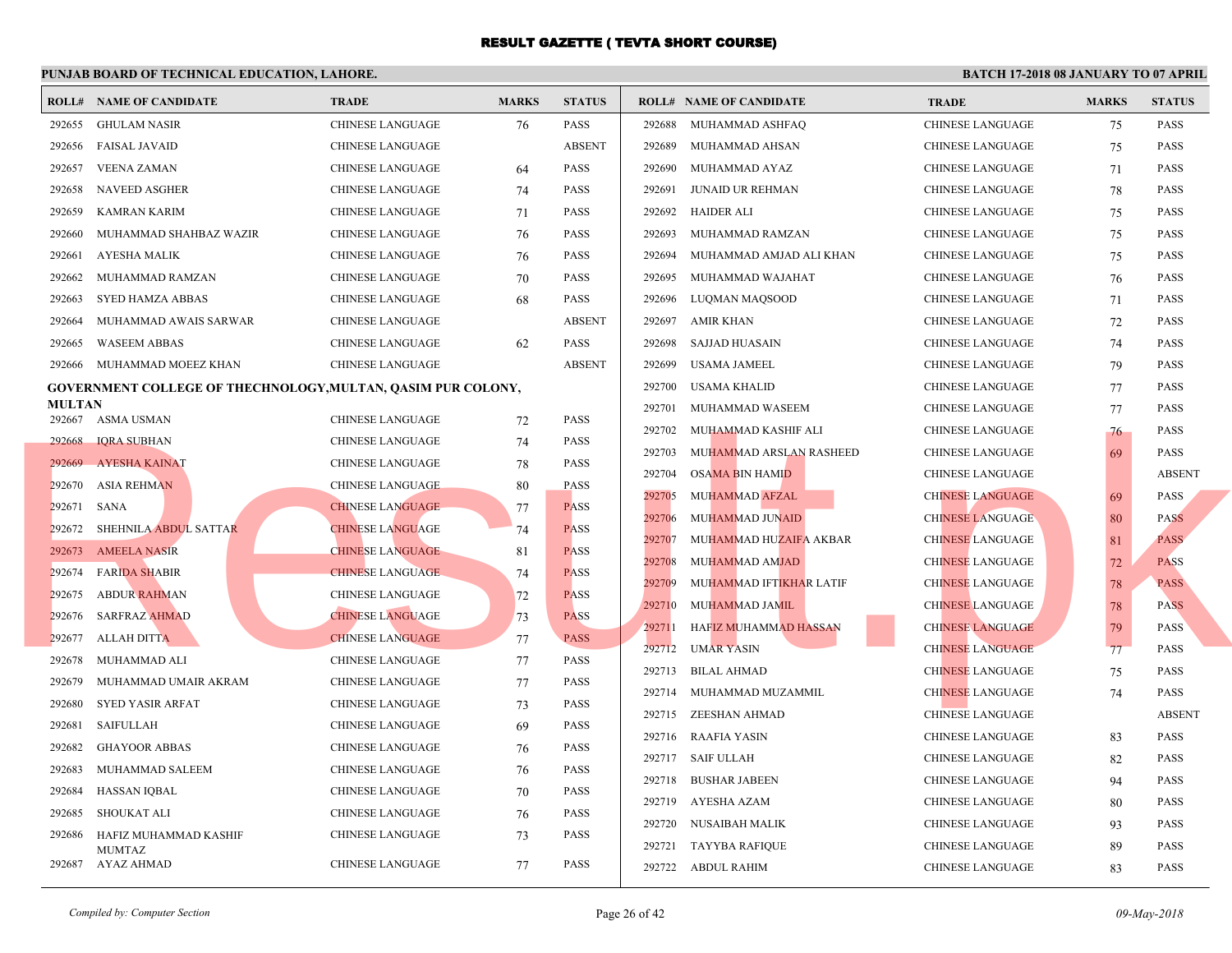|               | <b>ROLL# NAME OF CANDIDATE</b>                               | <b>TRADE</b>            | <b>MARKS</b> | <b>STATUS</b>              |        | <b>ROLL# NAME OF CANDIDATE</b>         | <b>TRA</b>  |
|---------------|--------------------------------------------------------------|-------------------------|--------------|----------------------------|--------|----------------------------------------|-------------|
| 292655        | <b>GHULAM NASIR</b>                                          | <b>CHINESE LANGUAGE</b> | 76           | <b>PASS</b>                | 292688 | MUHAMMAD ASHFAQ                        | <b>CHIN</b> |
| 292656        | <b>FAISAL JAVAID</b>                                         | CHINESE LANGUAGE        |              | <b>ABSENT</b>              | 292689 | MUHAMMAD AHSAN                         | <b>CHIN</b> |
| 292657        | <b>VEENA ZAMAN</b>                                           | CHINESE LANGUAGE        | 64           | <b>PASS</b>                | 292690 | MUHAMMAD AYAZ                          | <b>CHIN</b> |
| 292658        | <b>NAVEED ASGHER</b>                                         | CHINESE LANGUAGE        | 74           | <b>PASS</b>                | 292691 | JUNAID UR REHMAN                       | <b>CHIN</b> |
| 292659        | <b>KAMRAN KARIM</b>                                          | CHINESE LANGUAGE        | 71           | <b>PASS</b>                | 292692 | <b>HAIDER ALI</b>                      | <b>CHIN</b> |
| 292660        | MUHAMMAD SHAHBAZ WAZIR                                       | <b>CHINESE LANGUAGE</b> | 76           | <b>PASS</b>                | 292693 | MUHAMMAD RAMZAN                        | <b>CHIN</b> |
| 292661        | AYESHA MALIK                                                 | CHINESE LANGUAGE        | 76           | <b>PASS</b>                | 292694 | MUHAMMAD AMJAD ALI KHAN                | <b>CHIN</b> |
| 292662        | MUHAMMAD RAMZAN                                              | CHINESE LANGUAGE        | 70           | <b>PASS</b>                | 292695 | MUHAMMAD WAJAHAT                       | <b>CHIN</b> |
| 292663        | SYED HAMZA ABBAS                                             | CHINESE LANGUAGE        | 68           | <b>PASS</b>                | 292696 | LUQMAN MAQSOOD                         | <b>CHIN</b> |
| 292664        | MUHAMMAD AWAIS SARWAR                                        | <b>CHINESE LANGUAGE</b> |              | <b>ABSENT</b>              | 292697 | AMIR KHAN                              | <b>CHIN</b> |
| 292665        | <b>WASEEM ABBAS</b>                                          | CHINESE LANGUAGE        | 62           | <b>PASS</b>                | 292698 | SAJJAD HUASAIN                         | <b>CHIN</b> |
| 292666        | MUHAMMAD MOEEZ KHAN                                          | CHINESE LANGUAGE        |              | <b>ABSENT</b>              | 292699 | USAMA JAMEEL                           | <b>CHIN</b> |
|               | GOVERNMENT COLLEGE OF THECHNOLOGY, MULTAN, QASIM PUR COLONY, |                         |              |                            | 292700 | <b>USAMA KHALID</b>                    | <b>CHIN</b> |
| <b>MULTAN</b> |                                                              |                         |              |                            | 292701 | MUHAMMAD WASEEM                        | <b>CHIN</b> |
|               | 292667 ASMA USMAN                                            | CHINESE LANGUAGE        | 72           | <b>PASS</b>                | 292702 | MUHAMMAD KASHIF ALI                    | <b>CHIN</b> |
| 292668        | <b>IQRA SUBHAN</b>                                           | CHINESE LANGUAGE        | 74           | <b>PASS</b>                | 292703 | MUHAMMAD ARSLAN RASHEED                | <b>CHIN</b> |
| 292669        | <b>AYESHA KAINAT</b>                                         | CHINESE LANGUAGE        | 78           | <b>PASS</b>                | 292704 | <b>OSAMA BIN HAMID</b>                 | <b>CHIN</b> |
| 292670        | <b>ASIA REHMAN</b>                                           | <b>CHINESE LANGUAGE</b> | 80           | <b>PASS</b><br><b>PASS</b> | 292705 | MUHAMMAD AFZAL                         | <b>CHIN</b> |
| 292671        | SANA                                                         | <b>CHINESE LANGUAGE</b> | 77           | <b>PASS</b>                | 292706 | MUHAMMAD JUNAID                        | <b>CHIN</b> |
|               | 292672 SHEHNILA ABDUL SATTAR                                 | <b>CHINESE LANGUAGE</b> | 74           |                            | 292707 | MUHAMMAD HUZAIFA AKBAR                 | <b>CHIN</b> |
|               | 292673 AMEELA NASIR                                          | <b>CHINESE LANGUAGE</b> | 81           | <b>PASS</b>                | 292708 | <b>MUHAMMAD AMJAD</b>                  | <b>CHIN</b> |
| 292674        | <b>FARIDA SHABIR</b>                                         | <b>CHINESE LANGUAGE</b> | 74           | <b>PASS</b>                | 292709 | MUHAMMAD IFTI <mark>KHA</mark> R LATIF | <b>CHIN</b> |
| 292675        | ABDUR RAHMAN                                                 | <b>CHINESE LANGUAGE</b> | 72           | <b>PASS</b>                | 292710 | <b>MUHAMMAD JAMIL</b>                  | <b>CHIN</b> |
| 292676        | <b>SARFRAZ AHMAD</b>                                         | <b>CHINESE LANGUAGE</b> | 73           | <b>PASS</b>                | 292711 | HAFIZ MUHAMMAD HASSAN                  | <b>CHIN</b> |
| 292677        | ALLAH DITTA                                                  | <b>CHINESE LANGUAGE</b> | 77           | <b>PASS</b>                | 292712 | <b>UMAR YASIN</b>                      | <b>CHIN</b> |
| 292678        | MUHAMMAD ALI                                                 | CHINESE LANGUAGE        | 77           | <b>PASS</b>                | 292713 | <b>BILAL AHMAD</b>                     | <b>CHIN</b> |
| 292679        | MUHAMMAD UMAIR AKRAM                                         | CHINESE LANGUAGE        | 77           | <b>PASS</b>                |        | 292714 MUHAMMAD MUZAMMIL               | <b>CHIN</b> |
| 292680        | SYED YASIR ARFAT                                             | CHINESE LANGUAGE        | 73           | <b>PASS</b>                |        | 292715 ZEESHAN AHMAD                   | <b>CHIN</b> |
| 292681        | <b>SAIFULLAH</b>                                             | CHINESE LANGUAGE        | 69           | <b>PASS</b>                | 292716 | RAAFIA YASIN                           | <b>CHIN</b> |
| 292682        | <b>GHAYOOR ABBAS</b>                                         | CHINESE LANGUAGE        | 76           | <b>PASS</b>                |        | 292717 SAIF ULLAH                      | <b>CHIN</b> |
| 292683        | MUHAMMAD SALEEM                                              | CHINESE LANGUAGE        | 76           | <b>PASS</b>                | 292718 | <b>BUSHAR JABEEN</b>                   | <b>CHIN</b> |
| 292684        | <b>HASSAN IQBAL</b>                                          | CHINESE LANGUAGE        | 70           | <b>PASS</b>                |        | 292719 AYESHA AZAM                     | <b>CHIN</b> |
| 292685        | SHOUKAT ALI                                                  | CHINESE LANGUAGE        | 76           | <b>PASS</b>                | 292720 | NUSAIBAH MALIK                         | <b>CHIN</b> |
| 292686        | HAFIZ MUHAMMAD KASHIF<br><b>MUMTAZ</b>                       | CHINESE LANGUAGE        | 73           | <b>PASS</b>                |        | 292721 TAYYBA RAFIQUE                  | <b>CHIN</b> |
|               | 292687 AYAZ AHMAD                                            | <b>CHINESE LANGUAGE</b> | 77           | <b>PASS</b>                |        | 292722 ABDUL RAHIM                     | <b>CHIN</b> |
|               |                                                              |                         |              |                            |        |                                        |             |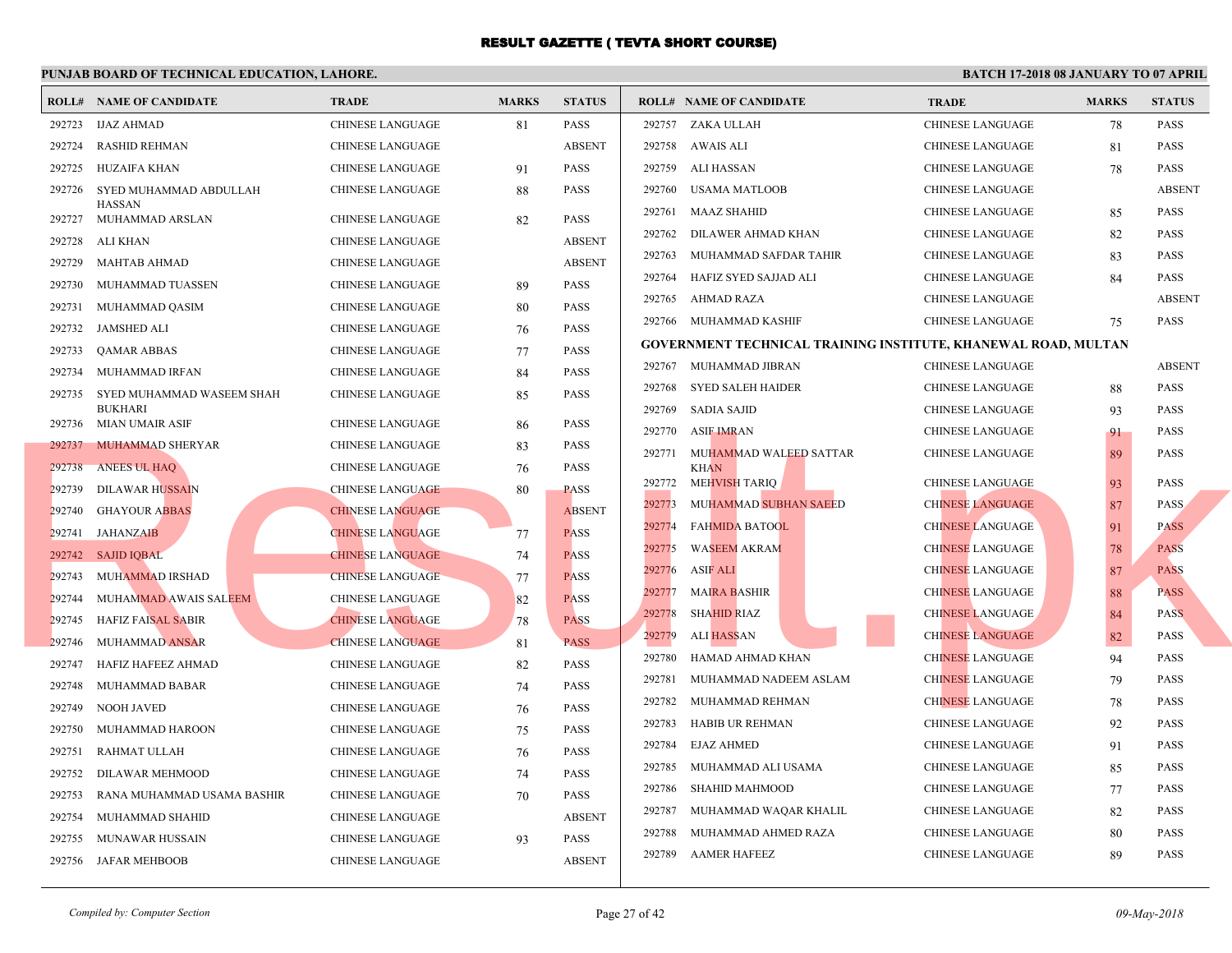|        | <b>ROLL# NAME OF CANDIDATE</b>                    | <b>TRADE</b>                                       | <b>MARKS</b> | <b>STATUS</b>              |        | <b>ROLL# NAME OF CANDIDATE</b>                  | <b>TRA</b>  |
|--------|---------------------------------------------------|----------------------------------------------------|--------------|----------------------------|--------|-------------------------------------------------|-------------|
| 292723 | <b>IJAZ AHMAD</b>                                 | <b>CHINESE LANGUAGE</b>                            | 81           | PASS                       |        | 292757 ZAKA ULLAH                               | <b>CHIN</b> |
| 292724 | <b>RASHID REHMAN</b>                              | <b>CHINESE LANGUAGE</b>                            |              | <b>ABSENT</b>              | 292758 | AWAIS ALI                                       | <b>CHIN</b> |
| 292725 | HUZAIFA KHAN                                      | CHINESE LANGUAGE                                   | 91           | <b>PASS</b>                | 292759 | ALI HASSAN                                      | <b>CHIN</b> |
| 292726 | SYED MUHAMMAD ABDULLAH                            | CHINESE LANGUAGE                                   | 88           | <b>PASS</b>                | 292760 | USAMA MATLOOB                                   | <b>CHIN</b> |
| 292727 | <b>HASSAN</b><br>MUHAMMAD ARSLAN                  | CHINESE LANGUAGE                                   | 82           | <b>PASS</b>                | 292761 | MAAZ SHAHID                                     | <b>CHIN</b> |
| 292728 | ALI KHAN                                          | <b>CHINESE LANGUAGE</b>                            |              | <b>ABSENT</b>              | 292762 | DILAWER AHMAD KHAN                              | CHIN.       |
| 292729 | <b>MAHTAB AHMAD</b>                               | <b>CHINESE LANGUAGE</b>                            |              | <b>ABSENT</b>              | 292763 | MUHAMMAD SAFDAR TAHIR                           | <b>CHIN</b> |
| 292730 | MUHAMMAD TUASSEN                                  | CHINESE LANGUAGE                                   | 89           | PASS                       | 292764 | HAFIZ SYED SAJJAD ALI                           | <b>CHIN</b> |
| 292731 | MUHAMMAD QASIM                                    | <b>CHINESE LANGUAGE</b>                            | 80           | <b>PASS</b>                | 292765 | AHMAD RAZA                                      | <b>CHIN</b> |
| 292732 | <b>JAMSHED ALI</b>                                | <b>CHINESE LANGUAGE</b>                            | 76           | <b>PASS</b>                |        | 292766 MUHAMMAD KASHIF                          | <b>CHIN</b> |
| 292733 | <b>QAMAR ABBAS</b>                                | <b>CHINESE LANGUAGE</b>                            | 77           | <b>PASS</b>                |        | <b>GOVERNMENT TECHNICAL TRAINING INSTITUTE,</b> |             |
| 292734 | MUHAMMAD IRFAN                                    | <b>CHINESE LANGUAGE</b>                            | 84           | <b>PASS</b>                |        | 292767 MUHAMMAD JIBRAN                          | <b>CHIN</b> |
| 292735 | SYED MUHAMMAD WASEEM SHAH                         | CHINESE LANGUAGE                                   | 85           | <b>PASS</b>                | 292768 | SYED SALEH HAIDER                               | <b>CHIN</b> |
|        | <b>BUKHARI</b>                                    |                                                    |              |                            | 292769 | SADIA SAJID                                     | <b>CHIN</b> |
|        | 292736 MIAN UMAIR ASIF<br>292737 MUHAMMAD SHERYAR | <b>CHINESE LANGUAGE</b><br><b>CHINESE LANGUAGE</b> | 86           | <b>PASS</b><br><b>PASS</b> | 292770 | <b>ASIF IMRAN</b>                               | <b>CHIN</b> |
| 292738 | <b>ANEES UL HAQ</b>                               | <b>CHINESE LANGUAGE</b>                            | 83<br>76     | <b>PASS</b>                | 292771 | MUHAMMAD WALEED SATTAR<br><b>KHAN</b>           | <b>CHIN</b> |
| 292739 | DILAWAR HUSSAIN                                   | <b>CHINESE LANGUAGE</b>                            | 80           | <b>PASS</b>                | 292772 | MEHVISH TARIQ                                   | <b>CHIN</b> |
| 292740 | <b>GHAYOUR ABBAS</b>                              | <b>CHINESE LANGUAGE</b>                            |              | <b>ABSENT</b>              | 292773 | MUHAMMAD SUBHAN SAEED                           | <b>CHIN</b> |
| 292741 | <b>JAHANZAIB</b>                                  | <b>CHINESE LANGUAGE</b>                            | 77           | <b>PASS</b>                | 292774 | <b>FAHMIDA BATOOL</b>                           | <b>CHIN</b> |
| 292742 | <b>SAJID IQBAL</b>                                | <b>CHINESE LANGUAGE</b>                            | 74           | <b>PASS</b>                | 292775 | <b>WASEEM AKRAM</b>                             | <b>CHIN</b> |
| 292743 | MUHAMMAD IRSHAD                                   | <b>CHINESE LANGUAGE</b>                            | 77           | <b>PASS</b>                | 292776 | ASIF ALI                                        | <b>CHIN</b> |
| 292744 | MUHAMMAD AWAIS SALEEM                             | <b>CHINESE LANGUAGE</b>                            | 82           | <b>PASS</b>                | 292777 | <b>MAIRA BASHIR</b>                             | <b>CHIN</b> |
| 292745 | <b>HAFIZ FAISAL SABIR</b>                         | <b>CHINESE LANGUAGE</b>                            | 78           | <b>PASS</b>                | 292778 | <b>SHAHID RIAZ</b>                              | <b>CHIN</b> |
| 292746 | MUHAMMAD ANSAR                                    | <b>CHINESE LANGUAGE</b>                            | 81           | <b>PASS</b>                | 292779 | ALI HASSAN                                      | <b>CHIN</b> |
| 292747 | HAFIZ HAFEEZ AHMAD                                | CHINESE LANGUAGE                                   | 82           | <b>PASS</b>                | 292780 | HAMAD AHMAD KHAN                                | <b>CHIN</b> |
| 292748 | MUHAMMAD BABAR                                    | <b>CHINESE LANGUAGE</b>                            | 74           | <b>PASS</b>                | 292781 | MUHAMMAD NADEEM ASLAM                           | <b>CHIN</b> |
| 292749 | <b>NOOH JAVED</b>                                 | <b>CHINESE LANGUAGE</b>                            | 76           | <b>PASS</b>                | 292782 | MUHAMMAD REHMAN                                 | <b>CHIN</b> |
| 292750 | MUHAMMAD HAROON                                   | <b>CHINESE LANGUAGE</b>                            | 75           | <b>PASS</b>                | 292783 | HABIB UR REHMAN                                 | <b>CHIN</b> |
| 292751 | RAHMAT ULLAH                                      | <b>CHINESE LANGUAGE</b>                            | 76           | <b>PASS</b>                | 292784 | <b>EJAZ AHMED</b>                               | <b>CHIN</b> |
| 292752 | DILAWAR MEHMOOD                                   | CHINESE LANGUAGE                                   | 74           | <b>PASS</b>                | 292785 | MUHAMMAD ALI USAMA                              | <b>CHIN</b> |
| 292753 | RANA MUHAMMAD USAMA BASHIR                        | CHINESE LANGUAGE                                   | 70           | <b>PASS</b>                | 292786 | SHAHID MAHMOOD                                  | <b>CHIN</b> |
| 292754 | MUHAMMAD SHAHID                                   | CHINESE LANGUAGE                                   |              | <b>ABSENT</b>              | 292787 | MUHAMMAD WAQAR KHALIL                           | <b>CHIN</b> |
| 292755 | MUNAWAR HUSSAIN                                   | <b>CHINESE LANGUAGE</b>                            | 93           | <b>PASS</b>                | 292788 | MUHAMMAD AHMED RAZA                             | <b>CHIN</b> |
|        | 292756 JAFAR MEHBOOB                              | <b>CHINESE LANGUAGE</b>                            |              | <b>ABSENT</b>              | 292789 | <b>AAMER HAFEEZ</b>                             | <b>CHIN</b> |
|        |                                                   |                                                    |              |                            |        |                                                 |             |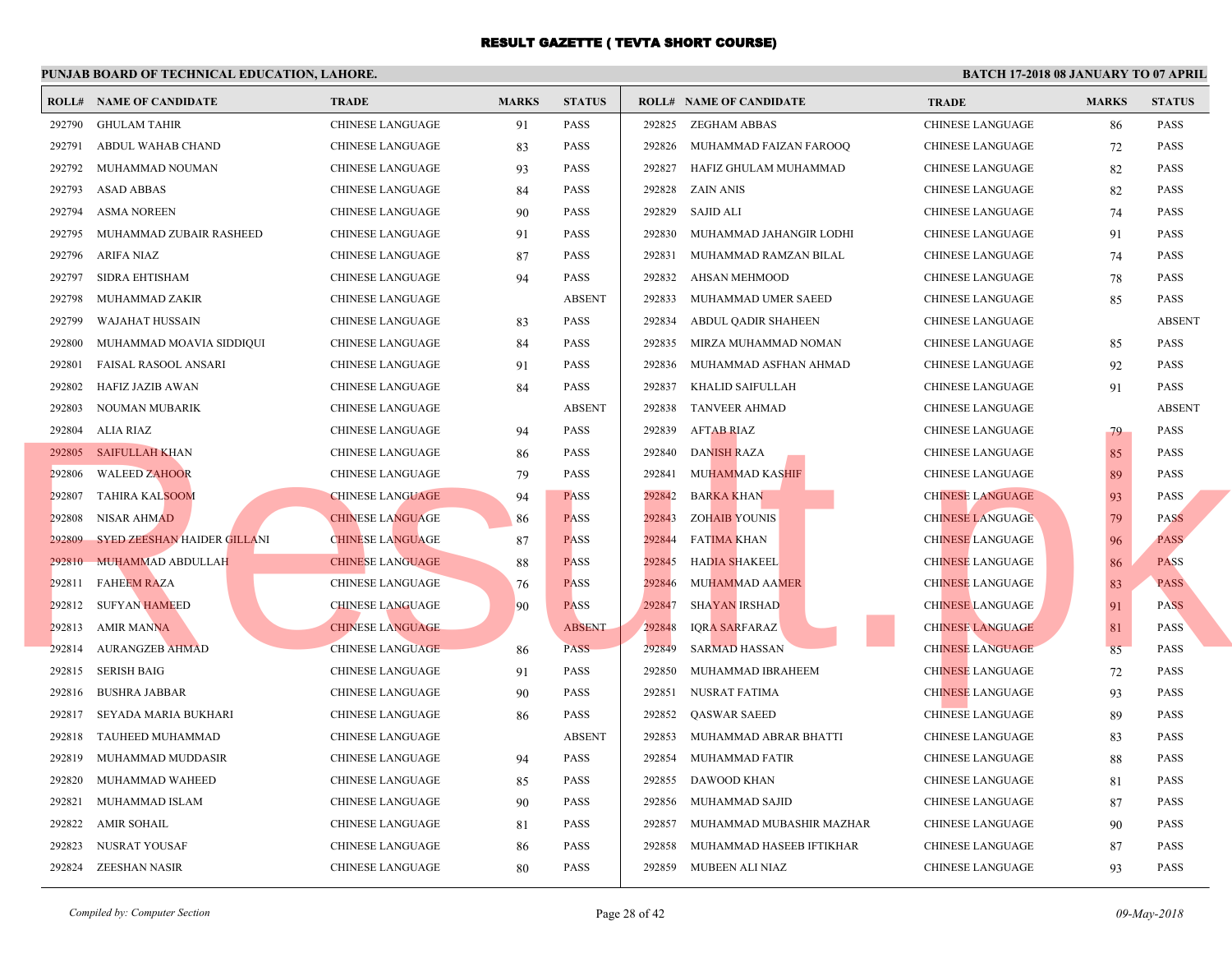|        | <b>ROLL# NAME OF CANDIDATE</b> | <b>TRADE</b>            | <b>MARKS</b> | <b>STATUS</b> |        | <b>ROLL# NAME OF CANDIDATE</b> | <b>TRA</b>  |
|--------|--------------------------------|-------------------------|--------------|---------------|--------|--------------------------------|-------------|
| 292790 | <b>GHULAM TAHIR</b>            | <b>CHINESE LANGUAGE</b> | 91           | <b>PASS</b>   | 292825 | ZEGHAM ABBAS                   | <b>CHIN</b> |
| 292791 | ABDUL WAHAB CHAND              | CHINESE LANGUAGE        | 83           | <b>PASS</b>   | 292826 | MUHAMMAD FAIZAN FAROOQ         | <b>CHIN</b> |
| 292792 | MUHAMMAD NOUMAN                | CHINESE LANGUAGE        | 93           | <b>PASS</b>   | 292827 | HAFIZ GHULAM MUHAMMAD          | <b>CHIN</b> |
| 292793 | <b>ASAD ABBAS</b>              | <b>CHINESE LANGUAGE</b> | 84           | <b>PASS</b>   | 292828 | <b>ZAIN ANIS</b>               | <b>CHIN</b> |
| 292794 | <b>ASMA NOREEN</b>             | CHINESE LANGUAGE        | 90           | <b>PASS</b>   | 292829 | SAJID ALI                      | <b>CHIN</b> |
| 292795 | MUHAMMAD ZUBAIR RASHEED        | CHINESE LANGUAGE        | 91           | <b>PASS</b>   | 292830 | MUHAMMAD JAHANGIR LODHI        | <b>CHIN</b> |
| 292796 | ARIFA NIAZ                     | CHINESE LANGUAGE        | 87           | <b>PASS</b>   | 292831 | MUHAMMAD RAMZAN BILAL          | <b>CHIN</b> |
| 292797 | <b>SIDRA EHTISHAM</b>          | <b>CHINESE LANGUAGE</b> | 94           | <b>PASS</b>   | 292832 | AHSAN MEHMOOD                  | <b>CHIN</b> |
| 292798 | MUHAMMAD ZAKIR                 | <b>CHINESE LANGUAGE</b> |              | <b>ABSENT</b> | 292833 | MUHAMMAD UMER SAEED            | <b>CHIN</b> |
| 292799 | WAJAHAT HUSSAIN                | CHINESE LANGUAGE        | 83           | <b>PASS</b>   | 292834 | ABDUL QADIR SHAHEEN            | <b>CHIN</b> |
| 292800 | MUHAMMAD MOAVIA SIDDIQUI       | <b>CHINESE LANGUAGE</b> | 84           | <b>PASS</b>   | 292835 | MIRZA MUHAMMAD NOMAN           | <b>CHIN</b> |
| 292801 | FAISAL RASOOL ANSARI           | <b>CHINESE LANGUAGE</b> | 91           | <b>PASS</b>   | 292836 | MUHAMMAD ASFHAN AHMAD          | <b>CHIN</b> |
| 292802 | HAFIZ JAZIB AWAN               | CHINESE LANGUAGE        | 84           | <b>PASS</b>   | 292837 | KHALID SAIFULLAH               | <b>CHIN</b> |
| 292803 | NOUMAN MUBARIK                 | CHINESE LANGUAGE        |              | <b>ABSENT</b> | 292838 | <b>TANVEER AHMAD</b>           | <b>CHIN</b> |
| 292804 | <b>ALIA RIAZ</b>               | CHINESE LANGUAGE        | 94           | <b>PASS</b>   | 292839 | AFTAB RIAZ                     | <b>CHIN</b> |
|        | 292805 SAIFULLAH KHAN          | <b>CHINESE LANGUAGE</b> | 86           | <b>PASS</b>   | 292840 | <b>DANISH RAZA</b>             | <b>CHIN</b> |
| 292806 | <b>WALEED ZAHOOR</b>           | CHINESE LANGUAGE        | 79           | <b>PASS</b>   | 292841 | <b>MUHAMMAD KASHIF</b>         | <b>CHIN</b> |
| 292807 | <b>TAHIRA KALSOOM</b>          | <b>CHINESE LANGUAGE</b> | 94           | <b>PASS</b>   | 292842 | <b>BARKA KHAN</b>              | <b>CHIN</b> |
| 292808 | NISAR AHMAD                    | <b>CHINESE LANGUAGE</b> | 86           | <b>PASS</b>   | 292843 | <b>ZOHAIB YOUNIS</b>           | <b>CHIN</b> |
| 292809 | SYED ZEESHAN HAIDER GILLANI    | <b>CHINESE LANGUAGE</b> | 87           | <b>PASS</b>   | 292844 | <b>FATIMA KHAN</b>             | <b>CHIN</b> |
| 292810 | <b>MUHAMMAD ABDULLAH</b>       | <b>CHINESE LANGUAGE</b> | 88           | <b>PASS</b>   | 292845 | <b>HADIA SHAKEEL</b>           | <b>CHIN</b> |
| 292811 | <b>FAHEEM RAZA</b>             | <b>CHINESE LANGUAGE</b> | 76           | <b>PASS</b>   | 292846 | <b>MUHAMMAD AAMER</b>          | <b>CHIN</b> |
| 292812 | <b>SUFYAN HAMEED</b>           | <b>CHINESE LANGUAGE</b> | 90           | <b>PASS</b>   | 292847 | <b>SHAYAN IRSHAD</b>           | <b>CHIN</b> |
| 292813 | <b>AMIR MANNA</b>              | <b>CHINESE LANGUAGE</b> |              | <b>ABSENT</b> | 292848 | <b>IQRA SARFARAZ</b>           | <b>CHIN</b> |
| 292814 | <b>AURANGZEB AHMAD</b>         | <b>CHINESE LANGUAGE</b> | 86           | PASS          | 292849 | <b>SARMAD HASSAN</b>           | <b>CHIN</b> |
| 292815 | <b>SERISH BAIG</b>             | <b>CHINESE LANGUAGE</b> | 91           | <b>PASS</b>   | 292850 | MUHAMMAD IBRAHEEM              | <b>CHIN</b> |
| 292816 | <b>BUSHRA JABBAR</b>           | <b>CHINESE LANGUAGE</b> | 90           | <b>PASS</b>   | 292851 | NUSRAT FATIMA                  | <b>CHIN</b> |
| 292817 | SEYADA MARIA BUKHARI           | CHINESE LANGUAGE        | 86           | <b>PASS</b>   | 292852 | <b>QASWAR SAEED</b>            | <b>CHIN</b> |
| 292818 | TAUHEED MUHAMMAD               | CHINESE LANGUAGE        |              | <b>ABSENT</b> | 292853 | MUHAMMAD ABRAR BHATTI          | <b>CHIN</b> |
| 292819 | MUHAMMAD MUDDASIR              | CHINESE LANGUAGE        | 94           | <b>PASS</b>   | 292854 | MUHAMMAD FATIR                 | <b>CHIN</b> |
| 292820 | MUHAMMAD WAHEED                | CHINESE LANGUAGE        | 85           | <b>PASS</b>   | 292855 | DAWOOD KHAN                    | <b>CHIN</b> |
| 292821 | MUHAMMAD ISLAM                 | CHINESE LANGUAGE        | 90           | <b>PASS</b>   | 292856 | MUHAMMAD SAJID                 | <b>CHIN</b> |
| 292822 | <b>AMIR SOHAIL</b>             | <b>CHINESE LANGUAGE</b> | 81           | <b>PASS</b>   | 292857 | MUHAMMAD MUBASHIR MAZHAR       | <b>CHIN</b> |
| 292823 | NUSRAT YOUSAF                  | <b>CHINESE LANGUAGE</b> | 86           | <b>PASS</b>   | 292858 | MUHAMMAD HASEEB IFTIKHAR       | <b>CHIN</b> |
| 292824 | ZEESHAN NASIR                  | <b>CHINESE LANGUAGE</b> | 80           | <b>PASS</b>   | 292859 | MUBEEN ALI NIAZ                | <b>CHIN</b> |
|        |                                |                         |              |               |        |                                |             |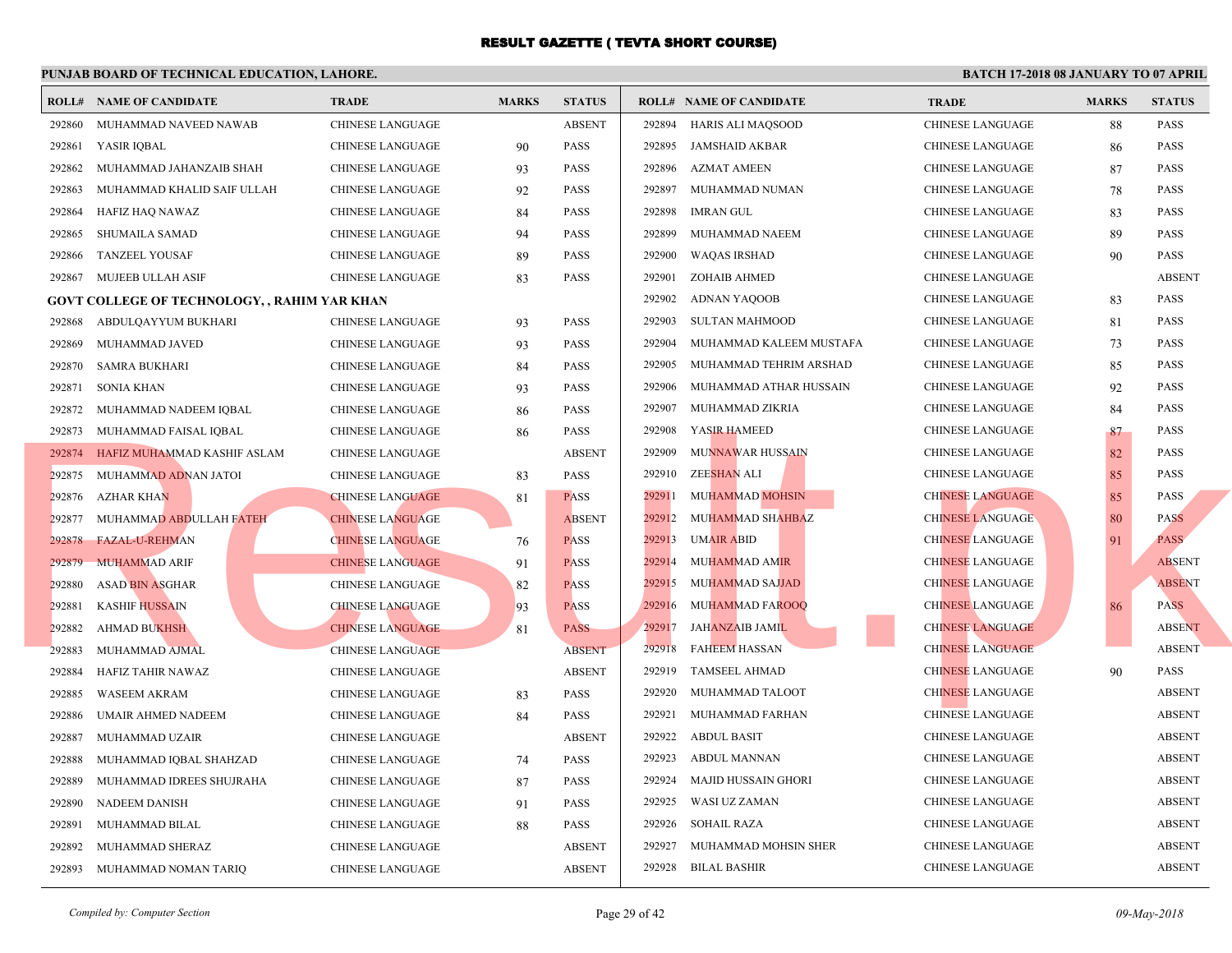|        | <b>ROLL# NAME OF CANDIDATE</b>                      | <b>TRADE</b>            | <b>MARKS</b> | <b>STATUS</b> |        | <b>ROLL# NAME OF CANDIDATE</b> | <b>TRA</b>  |
|--------|-----------------------------------------------------|-------------------------|--------------|---------------|--------|--------------------------------|-------------|
| 292860 | MUHAMMAD NAVEED NAWAB                               | <b>CHINESE LANGUAGE</b> |              | <b>ABSENT</b> | 292894 | HARIS ALI MAQSOOD              | <b>CHIN</b> |
| 292861 | YASIR IQBAL                                         | <b>CHINESE LANGUAGE</b> | 90           | <b>PASS</b>   | 292895 | JAMSHAID AKBAR                 | <b>CHIN</b> |
| 292862 | MUHAMMAD JAHANZAIB SHAH                             | CHINESE LANGUAGE        | 93           | <b>PASS</b>   | 292896 | <b>AZMAT AMEEN</b>             | <b>CHIN</b> |
| 292863 | MUHAMMAD KHALID SAIF ULLAH                          | <b>CHINESE LANGUAGE</b> | 92           | <b>PASS</b>   | 292897 | MUHAMMAD NUMAN                 | <b>CHIN</b> |
| 292864 | HAFIZ HAQ NAWAZ                                     | <b>CHINESE LANGUAGE</b> | 84           | <b>PASS</b>   | 292898 | IMRAN GUL                      | <b>CHIN</b> |
| 292865 | <b>SHUMAILA SAMAD</b>                               | <b>CHINESE LANGUAGE</b> | 94           | <b>PASS</b>   | 292899 | MUHAMMAD NAEEM                 | <b>CHIN</b> |
| 292866 | <b>TANZEEL YOUSAF</b>                               | CHINESE LANGUAGE        | 89           | <b>PASS</b>   | 292900 | <b>WAQAS IRSHAD</b>            | <b>CHIN</b> |
| 292867 | MUJEEB ULLAH ASIF                                   | CHINESE LANGUAGE        | 83           | <b>PASS</b>   | 292901 | ZOHAIB AHMED                   | <b>CHIN</b> |
|        | <b>GOVT COLLEGE OF TECHNOLOGY, , RAHIM YAR KHAN</b> |                         |              |               | 292902 | ADNAN YAQOOB                   | <b>CHIN</b> |
| 292868 | ABDULQAYYUM BUKHARI                                 | CHINESE LANGUAGE        | 93           | <b>PASS</b>   | 292903 | <b>SULTAN MAHMOOD</b>          | <b>CHIN</b> |
| 292869 | MUHAMMAD JAVED                                      | <b>CHINESE LANGUAGE</b> | 93           | <b>PASS</b>   | 292904 | MUHAMMAD KALEEM MUSTAFA        | <b>CHIN</b> |
| 292870 | <b>SAMRA BUKHARI</b>                                | <b>CHINESE LANGUAGE</b> | 84           | <b>PASS</b>   | 292905 | MUHAMMAD TEHRIM ARSHAD         | <b>CHIN</b> |
| 292871 | <b>SONIA KHAN</b>                                   | CHINESE LANGUAGE        | 93           | <b>PASS</b>   | 292906 | MUHAMMAD ATHAR HUSSAIN         | <b>CHIN</b> |
| 292872 | MUHAMMAD NADEEM IQBAL                               | CHINESE LANGUAGE        | 86           | <b>PASS</b>   | 292907 | MUHAMMAD ZIKRIA                | <b>CHIN</b> |
| 292873 | MUHAMMAD FAISAL IQBAL                               | CHINESE LANGUAGE        | 86           | <b>PASS</b>   | 292908 | YASIR HAMEED                   | <b>CHIN</b> |
| 292874 | HAFIZ MUHAMMAD KASHIF ASLAM                         | <b>CHINESE LANGUAGE</b> |              | <b>ABSENT</b> | 292909 | <b>MUNNAWAR HUSSAIN</b>        | <b>CHIN</b> |
| 292875 | MUHAMMAD ADNAN JATOI                                | CHINESE LANGUAGE        | 83           | <b>PASS</b>   | 292910 | ZEE <mark>SHAN</mark> ALI      | <b>CHIN</b> |
| 292876 | <b>AZHAR KHAN</b>                                   | <b>CHINESE LANGUAGE</b> | 81           | <b>PASS</b>   | 292911 | MUHAMMAD MOHSIN                | <b>CHIN</b> |
| 292877 | MUHAMMAD ABDULLAH FATEH                             | <b>CHINESE LANGUAGE</b> |              | <b>ABSENT</b> | 292912 | MUHAMMAD SHAHBAZ               | <b>CHIN</b> |
| 292878 | FAZAL-U-REHMAN                                      | <b>CHINESE LANGUAGE</b> | 76           | <b>PASS</b>   | 292913 | <b>UMAIR ABID</b>              | <b>CHIN</b> |
| 292879 | <b>MUHAMMAD ARIF</b>                                | <b>CHINESE LANGUAGE</b> | 91           | <b>PASS</b>   | 292914 | <b>MUHAMMAD AMIR</b>           | <b>CHIN</b> |
| 292880 | <b>ASAD BIN ASGHAR</b>                              | CHINESE LANGUAGE        | 82           | <b>PASS</b>   | 292915 | MUHAMMAD SAJJAD                | <b>CHIN</b> |
| 292881 | <b>KASHIF HUSSAIN</b>                               | <b>CHINESE LANGUAGE</b> | 93           | <b>PASS</b>   | 292916 | <b>MUHAMMAD FAROOQ</b>         | <b>CHIN</b> |
| 292882 | <b>AHMAD BUKHSH</b>                                 | <b>CHINESE LANGUAGE</b> | 81           | <b>PASS</b>   | 292917 | JAHANZAIB JAMIL                | <b>CHIN</b> |
| 292883 | MUHAMMAD AJMAL                                      | <b>CHINESE LANGUAGE</b> |              | <b>ABSENT</b> | 292918 | <b>FAHEEM HASSAN</b>           | <b>CHIN</b> |
| 292884 | HAFIZ TAHIR NAWAZ                                   | <b>CHINESE LANGUAGE</b> |              | <b>ABSENT</b> | 292919 | <b>TAMSEEL AHMAD</b>           | <b>CHIN</b> |
| 292885 | <b>WASEEM AKRAM</b>                                 | CHINESE LANGUAGE        | 83           | <b>PASS</b>   | 292920 | MUHAMMAD TALOOT                | <b>CHIN</b> |
| 292886 | UMAIR AHMED NADEEM                                  | <b>CHINESE LANGUAGE</b> | 84           | <b>PASS</b>   | 292921 | MUHAMMAD FARHAN                | <b>CHIN</b> |
| 292887 | MUHAMMAD UZAIR                                      | CHINESE LANGUAGE        |              | <b>ABSENT</b> | 292922 | <b>ABDUL BASIT</b>             | <b>CHIN</b> |
| 292888 | MUHAMMAD IQBAL SHAHZAD                              | CHINESE LANGUAGE        | 74           | <b>PASS</b>   | 292923 | ABDUL MANNAN                   | <b>CHIN</b> |
| 292889 | MUHAMMAD IDREES SHUJRAHA                            | CHINESE LANGUAGE        | 87           | <b>PASS</b>   | 292924 | <b>MAJID HUSSAIN GHORI</b>     | <b>CHIN</b> |
| 292890 | NADEEM DANISH                                       | CHINESE LANGUAGE        | 91           | <b>PASS</b>   | 292925 | WASI UZ ZAMAN                  | <b>CHIN</b> |
| 292891 | MUHAMMAD BILAL                                      | CHINESE LANGUAGE        | 88           | <b>PASS</b>   | 292926 | <b>SOHAIL RAZA</b>             | <b>CHIN</b> |
| 292892 | MUHAMMAD SHERAZ                                     | <b>CHINESE LANGUAGE</b> |              | <b>ABSENT</b> | 292927 | MUHAMMAD MOHSIN SHER           | <b>CHIN</b> |
| 292893 | MUHAMMAD NOMAN TARIQ                                | <b>CHINESE LANGUAGE</b> |              | <b>ABSENT</b> | 292928 | <b>BILAL BASHIR</b>            | <b>CHIN</b> |
|        |                                                     |                         |              |               |        |                                |             |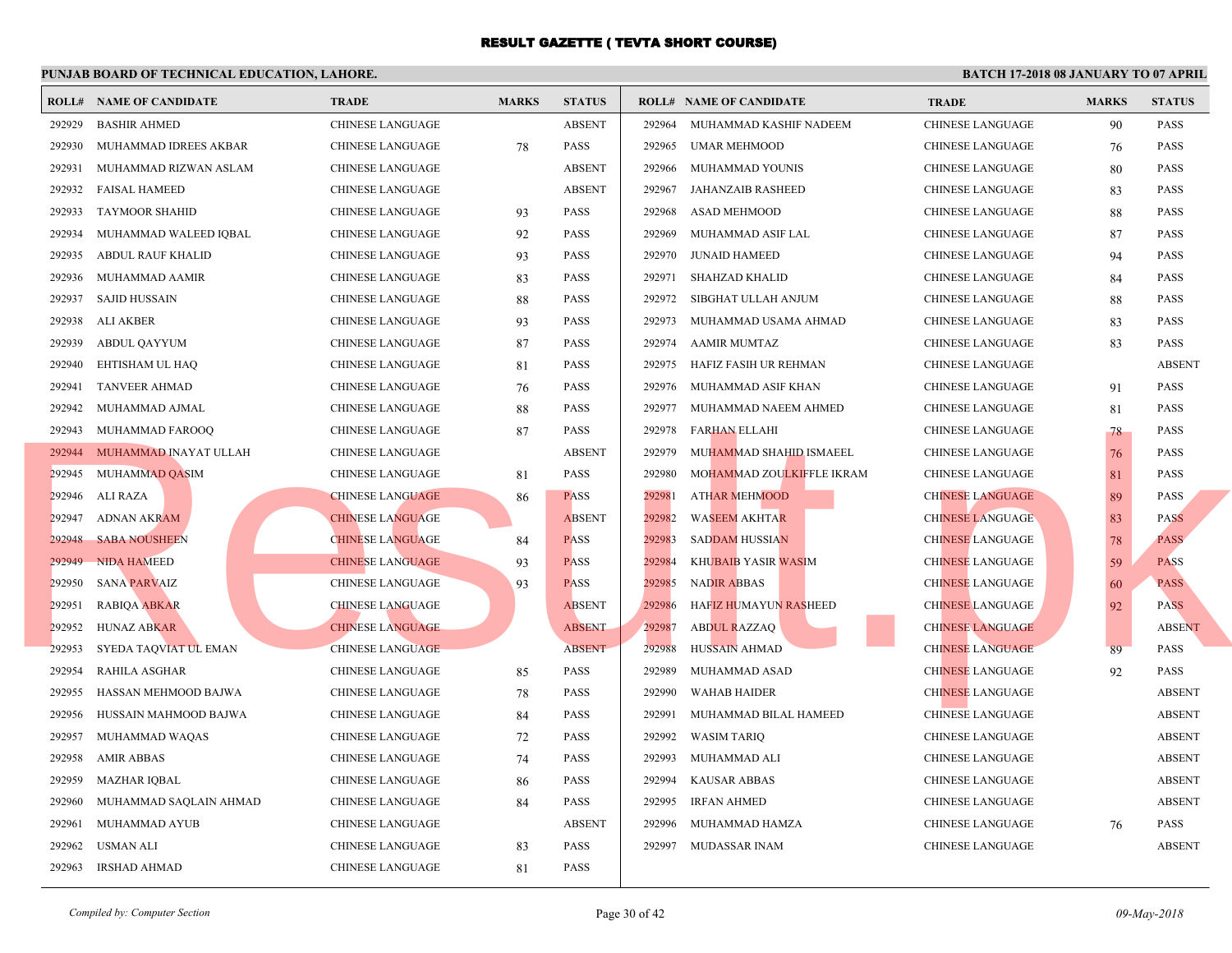|        | <b>ROLL# NAME OF CANDIDATE</b> | <b>TRADE</b>            | <b>MARKS</b> | <b>STATUS</b> |        | <b>ROLL# NAME OF CANDIDATE</b> | <b>TRA</b>  |
|--------|--------------------------------|-------------------------|--------------|---------------|--------|--------------------------------|-------------|
| 292929 | <b>BASHIR AHMED</b>            | <b>CHINESE LANGUAGE</b> |              | <b>ABSENT</b> | 292964 | MUHAMMAD KASHIF NADEEM         | <b>CHIN</b> |
| 292930 | MUHAMMAD IDREES AKBAR          | CHINESE LANGUAGE        | 78           | PASS          | 292965 | UMAR MEHMOOD                   | <b>CHIN</b> |
| 292931 | MUHAMMAD RIZWAN ASLAM          | CHINESE LANGUAGE        |              | <b>ABSENT</b> | 292966 | MUHAMMAD YOUNIS                | <b>CHIN</b> |
| 292932 | <b>FAISAL HAMEED</b>           | CHINESE LANGUAGE        |              | <b>ABSENT</b> | 292967 | JAHANZAIB RASHEED              | <b>CHIN</b> |
| 292933 | <b>TAYMOOR SHAHID</b>          | CHINESE LANGUAGE        | 93           | <b>PASS</b>   | 292968 | ASAD MEHMOOD                   | <b>CHIN</b> |
| 292934 | MUHAMMAD WALEED IQBAL          | CHINESE LANGUAGE        | 92           | <b>PASS</b>   | 292969 | MUHAMMAD ASIF LAL              | <b>CHIN</b> |
| 292935 | <b>ABDUL RAUF KHALID</b>       | CHINESE LANGUAGE        | 93           | <b>PASS</b>   | 292970 | <b>JUNAID HAMEED</b>           | <b>CHIN</b> |
| 292936 | MUHAMMAD AAMIR                 | <b>CHINESE LANGUAGE</b> | 83           | <b>PASS</b>   | 292971 | SHAHZAD KHALID                 | <b>CHIN</b> |
| 292937 | SAJID HUSSAIN                  | <b>CHINESE LANGUAGE</b> | 88           | <b>PASS</b>   | 292972 | SIBGHAT ULLAH ANJUM            | <b>CHIN</b> |
| 292938 | ALI AKBER                      | <b>CHINESE LANGUAGE</b> | 93           | <b>PASS</b>   | 292973 | MUHAMMAD USAMA AHMAD           | <b>CHIN</b> |
| 292939 | <b>ABDUL QAYYUM</b>            | <b>CHINESE LANGUAGE</b> | 87           | <b>PASS</b>   | 292974 | AAMIR MUMTAZ                   | <b>CHIN</b> |
| 292940 | EHTISHAM UL HAQ                | CHINESE LANGUAGE        | 81           | <b>PASS</b>   | 292975 | HAFIZ FASIH UR REHMAN          | <b>CHIN</b> |
| 292941 | <b>TANVEER AHMAD</b>           | CHINESE LANGUAGE        | 76           | <b>PASS</b>   | 292976 | MUHAMMAD ASIF KHAN             | <b>CHIN</b> |
| 292942 | MUHAMMAD AJMAL                 | <b>CHINESE LANGUAGE</b> | 88           | <b>PASS</b>   | 292977 | MUHAMMAD NAEEM AHMED           | <b>CHIN</b> |
| 292943 | MUHAMMAD FAROOQ                | <b>CHINESE LANGUAGE</b> | 87           | PASS          | 292978 | <b>FARHAN ELLAHI</b>           | <b>CHIN</b> |
|        | 292944 MUHAMMAD INAYAT ULLAH   | CHINESE LANGUAGE        |              | <b>ABSENT</b> | 292979 | MUHAMMAD SHAHID ISMAEEL        | <b>CHIN</b> |
| 292945 | MUHAMMAD QASIM                 | CHINESE LANGUAGE        | 81           | <b>PASS</b>   | 292980 | MOHAMMAD ZOULKIFFLE IKRAM      | <b>CHIN</b> |
| 292946 | ALI RAZA                       | <b>CHINESE LANGUAGE</b> | 86           | <b>PASS</b>   | 292981 | <b>ATHAR MEHMOOD</b>           | <b>CHIN</b> |
| 292947 | <b>ADNAN AKRAM</b>             | <b>CHINESE LANGUAGE</b> |              | <b>ABSENT</b> | 292982 | <b>WASEEM AKHTAR</b>           | <b>CHIN</b> |
| 292948 | <b>SABA NOUSHEEN</b>           | <b>CHINESE LANGUAGE</b> | 84           | <b>PASS</b>   | 292983 | <b>SADDAM HUSSIAN</b>          | <b>CHIN</b> |
| 292949 | <b>NIDA HAMEED</b>             | <b>CHINESE LANGUAGE</b> | 93           | <b>PASS</b>   | 292984 | <b>KHUBAIB YASIR WASIM</b>     | <b>CHIN</b> |
| 292950 | <b>SANA PARVAIZ</b>            | CHINESE LANGUAGE        | 93           | <b>PASS</b>   | 292985 | <b>NADIR ABBAS</b>             | <b>CHIN</b> |
| 292951 | <b>RABIQA ABKAR</b>            | <b>CHINESE LANGUAGE</b> |              | <b>ABSENT</b> | 292986 | <b>HAFIZ HUMAYUN RASHEED</b>   | <b>CHIN</b> |
| 292952 | <b>HUNAZ ABKAR</b>             | <b>CHINESE LANGUAGE</b> |              | <b>ABSENT</b> | 292987 | <b>ABDUL RAZZAQ</b>            | <b>CHIN</b> |
| 292953 | SYEDA TAQVIAT UL EMAN          | <b>CHINESE LANGUAGE</b> |              | <b>ABSENT</b> | 292988 | <b>HUSSAIN AHMAD</b>           | <b>CHIN</b> |
| 292954 | RAHILA ASGHAR                  | <b>CHINESE LANGUAGE</b> | 85           | <b>PASS</b>   | 292989 | MUHAMMAD ASAD                  | <b>CHIN</b> |
| 292955 | HASSAN MEHMOOD BAJWA           | CHINESE LANGUAGE        | 78           | <b>PASS</b>   | 292990 | <b>WAHAB HAIDER</b>            | <b>CHIN</b> |
| 292956 | HUSSAIN MAHMOOD BAJWA          | CHINESE LANGUAGE        | 84           | <b>PASS</b>   | 292991 | MUHAMMAD BILAL HAMEED          | <b>CHIN</b> |
| 292957 | MUHAMMAD WAQAS                 | CHINESE LANGUAGE        | 72           | <b>PASS</b>   | 292992 | <b>WASIM TARIQ</b>             | <b>CHIN</b> |
| 292958 | <b>AMIR ABBAS</b>              | CHINESE LANGUAGE        | 74           | <b>PASS</b>   | 292993 | MUHAMMAD ALI                   | <b>CHIN</b> |
| 292959 | <b>MAZHAR IQBAL</b>            | CHINESE LANGUAGE        | 86           | <b>PASS</b>   | 292994 | <b>KAUSAR ABBAS</b>            | <b>CHIN</b> |
| 292960 | MUHAMMAD SAQLAIN AHMAD         | CHINESE LANGUAGE        | 84           | <b>PASS</b>   | 292995 | <b>IRFAN AHMED</b>             | <b>CHIN</b> |
| 292961 | MUHAMMAD AYUB                  | <b>CHINESE LANGUAGE</b> |              | <b>ABSENT</b> | 292996 | MUHAMMAD HAMZA                 | <b>CHIN</b> |
| 292962 | USMAN ALI                      | CHINESE LANGUAGE        | 83           | <b>PASS</b>   | 292997 | MUDASSAR INAM                  | <b>CHIN</b> |
| 292963 | <b>IRSHAD AHMAD</b>            | <b>CHINESE LANGUAGE</b> | 81           | PASS          |        |                                |             |
|        |                                |                         |              |               |        |                                |             |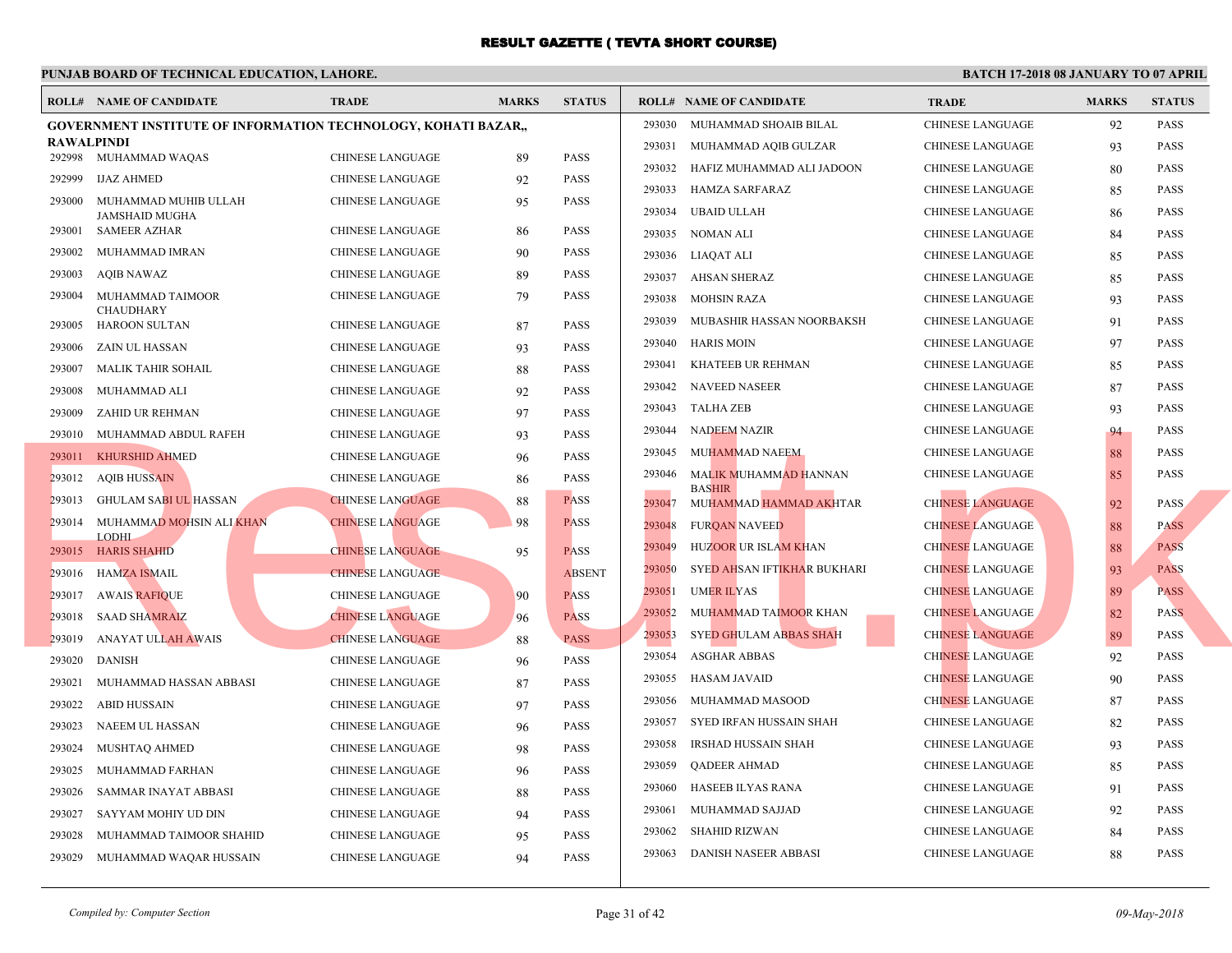|                   | <b>ROLL# NAME OF CANDIDATE</b>                                        | <b>TRADE</b>            | <b>MARKS</b> | <b>STATUS</b> |        | <b>ROLL# NAME OF CANDIDATE</b>                        | <b>TRA</b>  |
|-------------------|-----------------------------------------------------------------------|-------------------------|--------------|---------------|--------|-------------------------------------------------------|-------------|
|                   | <b>GOVERNMENT INSTITUTE OF INFORMATION TECHNOLOGY, KOHATI BAZAR,,</b> |                         |              |               | 293030 | MUHAMMAD SHOAIB BILAL                                 | <b>CHIN</b> |
| <b>RAWALPINDI</b> |                                                                       |                         |              |               | 293031 | MUHAMMAD AQIB GULZAR                                  | <b>CHIN</b> |
|                   | 292998 MUHAMMAD WAQAS                                                 | <b>CHINESE LANGUAGE</b> | 89           | <b>PASS</b>   | 293032 | HAFIZ MUHAMMAD ALI JADOON                             | <b>CHIN</b> |
| 292999            | <b>IJAZ AHMED</b>                                                     | <b>CHINESE LANGUAGE</b> | 92           | <b>PASS</b>   | 293033 | HAMZA SARFARAZ                                        | <b>CHIN</b> |
| 293000            | MUHAMMAD MUHIB ULLAH<br><b>JAMSHAID MUGHA</b>                         | CHINESE LANGUAGE        | 95           | PASS          | 293034 | <b>UBAID ULLAH</b>                                    | <b>CHIN</b> |
| 293001            | SAMEER AZHAR                                                          | <b>CHINESE LANGUAGE</b> | 86           | <b>PASS</b>   | 293035 | NOMAN ALI                                             | <b>CHIN</b> |
| 293002            | MUHAMMAD IMRAN                                                        | CHINESE LANGUAGE        | 90           | <b>PASS</b>   | 293036 | LIAQAT ALI                                            | <b>CHIN</b> |
| 293003            | AQIB NAWAZ                                                            | CHINESE LANGUAGE        | 89           | <b>PASS</b>   | 293037 | <b>AHSAN SHERAZ</b>                                   | <b>CHIN</b> |
| 293004            | MUHAMMAD TAIMOOR<br><b>CHAUDHARY</b>                                  | <b>CHINESE LANGUAGE</b> | 79           | <b>PASS</b>   | 293038 | <b>MOHSIN RAZA</b>                                    | <b>CHIN</b> |
| 293005            | HAROON SULTAN                                                         | CHINESE LANGUAGE        | 87           | <b>PASS</b>   | 293039 | MUBASHIR HASSAN NOORBAKSH                             | <b>CHIN</b> |
| 293006            | ZAIN UL HASSAN                                                        | CHINESE LANGUAGE        | 93           | <b>PASS</b>   | 293040 | HARIS MOIN                                            | <b>CHIN</b> |
| 293007            | MALIK TAHIR SOHAIL                                                    | CHINESE LANGUAGE        | 88           | <b>PASS</b>   | 293041 | KHATEEB UR REHMAN                                     | <b>CHIN</b> |
| 293008            | MUHAMMAD ALI                                                          | <b>CHINESE LANGUAGE</b> | 92           | <b>PASS</b>   | 293042 | <b>NAVEED NASEER</b>                                  | <b>CHIN</b> |
| 293009            | ZAHID UR REHMAN                                                       | <b>CHINESE LANGUAGE</b> | 97           | <b>PASS</b>   | 293043 | TALHA ZEB                                             | <b>CHIN</b> |
|                   | 293010 MUHAMMAD ABDUL RAFEH                                           | <b>CHINESE LANGUAGE</b> | 93           | <b>PASS</b>   | 293044 | NADEEM NAZIR                                          | <b>CHIN</b> |
|                   | 293011 KHURSHID AHMED                                                 | <b>CHINESE LANGUAGE</b> | 96           | <b>PASS</b>   | 293045 | MUHAMMAD NAEEM                                        | <b>CHIN</b> |
|                   | 293012 AQIB HUSSAIN                                                   | <b>CHINESE LANGUAGE</b> | 86           | <b>PASS</b>   | 293046 | MALIK MUHAMM <mark>AD H</mark> ANNAN<br><b>BASHIR</b> | <b>CHIN</b> |
|                   | 293013 GHULAM SABI UL HASSAN                                          | <b>CHINESE LANGUAGE</b> | 88           | <b>PASS</b>   | 293047 | MUHAMMAD HAMMAD AKHTAR                                | <b>CHIN</b> |
|                   | 293014 MUHAMMAD MOHSIN ALI KHAN                                       | <b>CHINESE LANGUAGE</b> | 98           | <b>PASS</b>   | 293048 | <b>FURQAN NAVEED</b>                                  | <b>CHIN</b> |
|                   | <b>LODHI</b><br>293015 HARIS SHAHID                                   | <b>CHINESE LANGUAGE</b> | 95           | <b>PASS</b>   | 293049 | HUZOOR UR ISLAM KHAN                                  | <b>CHIN</b> |
|                   | 293016 HAMZA ISMAIL                                                   | <b>CHINESE LANGUAGE</b> |              | <b>ABSENT</b> | 293050 | SYED AHSAN IFTIKHAR BUKHARI                           | <b>CHIN</b> |
|                   | 293017 AWAIS RAFIQUE                                                  | <b>CHINESE LANGUAGE</b> | 90           | <b>PASS</b>   | 293051 | <b>UMER ILYAS</b>                                     | <b>CHIN</b> |
| 293018            | <b>SAAD SHAMRAIZ</b>                                                  | <b>CHINESE LANGUAGE</b> | 96           | <b>PASS</b>   | 293052 | MUHAMMAD TAIMOOR KHAN                                 | <b>CHIN</b> |
| 293019            | ANAYAT ULLAH AWAIS                                                    | <b>CHINESE LANGUAGE</b> | 88           | <b>PASS</b>   | 293053 | <b>SYED GHULAM ABBAS SHAH</b>                         | <b>CHIN</b> |
| 293020            | <b>DANISH</b>                                                         | <b>CHINESE LANGUAGE</b> | 96           | <b>PASS</b>   | 293054 | <b>ASGHAR ABBAS</b>                                   | <b>CHIN</b> |
| 293021            | MUHAMMAD HASSAN ABBASI                                                | <b>CHINESE LANGUAGE</b> | 87           | <b>PASS</b>   | 293055 | HASAM JAVAID                                          | <b>CHIN</b> |
| 293022            | ABID HUSSAIN                                                          | <b>CHINESE LANGUAGE</b> | 97           | <b>PASS</b>   | 293056 | MUHAMMAD MASOOD                                       | <b>CHIN</b> |
| 293023            | NAEEM UL HASSAN                                                       | <b>CHINESE LANGUAGE</b> | 96           | <b>PASS</b>   | 293057 | SYED IRFAN HUSSAIN SHAH                               | <b>CHIN</b> |
| 293024            | MUSHTAQ AHMED                                                         | <b>CHINESE LANGUAGE</b> | 98           | <b>PASS</b>   | 293058 | IRSHAD HUSSAIN SHAH                                   | <b>CHIN</b> |
| 293025            | MUHAMMAD FARHAN                                                       | <b>CHINESE LANGUAGE</b> | 96           | <b>PASS</b>   | 293059 | QADEER AHMAD                                          | <b>CHIN</b> |
| 293026            | SAMMAR INAYAT ABBASI                                                  | <b>CHINESE LANGUAGE</b> | 88           | <b>PASS</b>   | 293060 | HASEEB ILYAS RANA                                     | <b>CHIN</b> |
| 293027            | SAYYAM MOHIY UD DIN                                                   | CHINESE LANGUAGE        | 94           | <b>PASS</b>   | 293061 | MUHAMMAD SAJJAD                                       | <b>CHIN</b> |
| 293028            | MUHAMMAD TAIMOOR SHAHID                                               | <b>CHINESE LANGUAGE</b> | 95           | <b>PASS</b>   | 293062 | SHAHID RIZWAN                                         | <b>CHIN</b> |
| 293029            | MUHAMMAD WAQAR HUSSAIN                                                | <b>CHINESE LANGUAGE</b> | 94           | <b>PASS</b>   | 293063 | DANISH NASEER ABBASI                                  | <b>CHIN</b> |
|                   |                                                                       |                         |              |               |        |                                                       |             |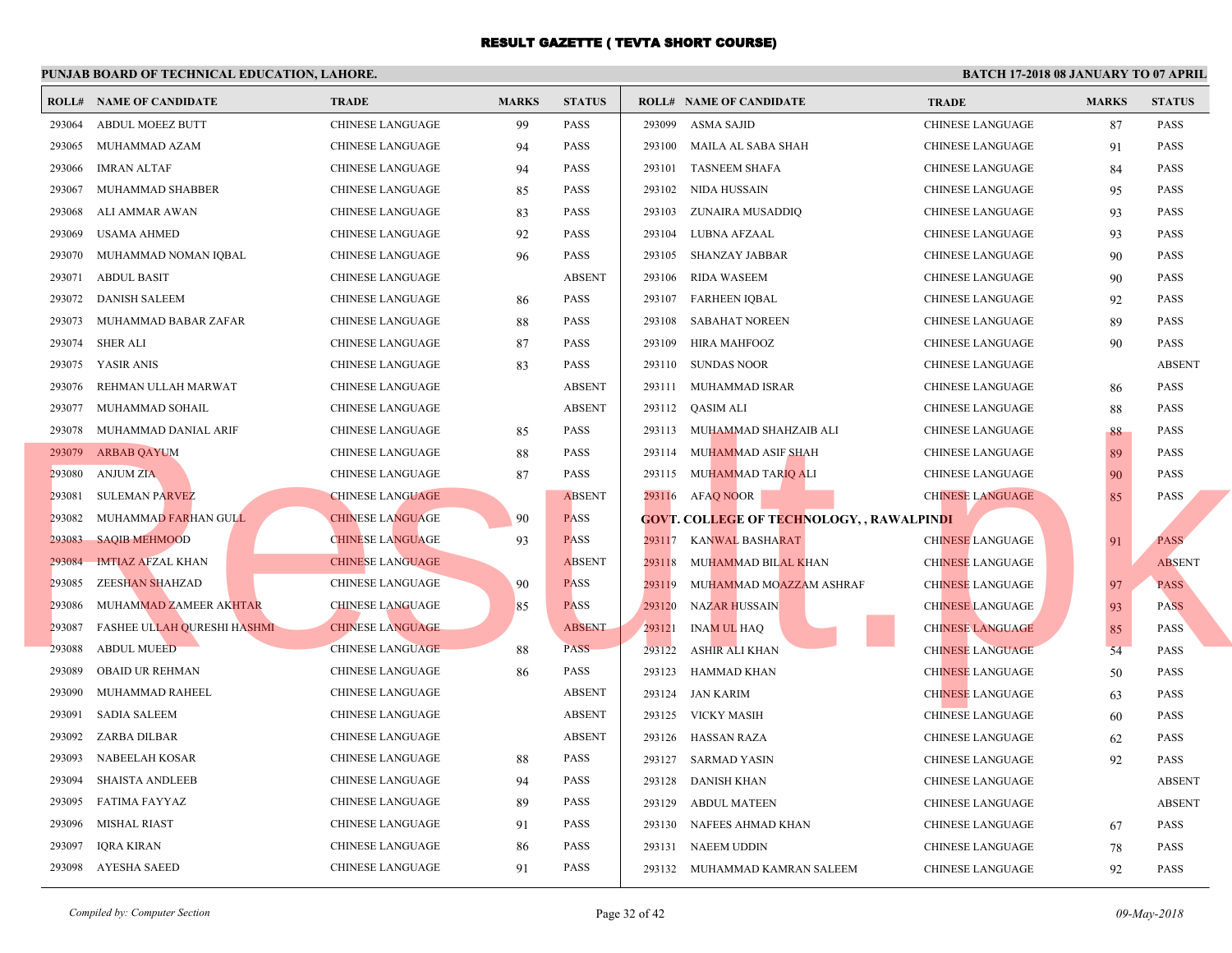|        | <b>ROLL# NAME OF CANDIDATE</b>     | <b>TRADE</b>            | <b>MARKS</b> | <b>STATUS</b> | <b>ROLL# NAME OF CANDIDATE</b>                   | <b>TRA</b>  |
|--------|------------------------------------|-------------------------|--------------|---------------|--------------------------------------------------|-------------|
| 293064 | <b>ABDUL MOEEZ BUTT</b>            | <b>CHINESE LANGUAGE</b> | 99           | <b>PASS</b>   | 293099<br>ASMA SAJID                             | <b>CHIN</b> |
| 293065 | MUHAMMAD AZAM                      | CHINESE LANGUAGE        | 94           | <b>PASS</b>   | 293100<br>MAILA AL SABA SHAH                     | <b>CHIN</b> |
| 293066 | <b>IMRAN ALTAF</b>                 | CHINESE LANGUAGE        | 94           | <b>PASS</b>   | 293101<br><b>TASNEEM SHAFA</b>                   | <b>CHIN</b> |
| 293067 | MUHAMMAD SHABBER                   | <b>CHINESE LANGUAGE</b> | 85           | <b>PASS</b>   | NIDA HUSSAIN<br>293102                           | <b>CHIN</b> |
| 293068 | ALI AMMAR AWAN                     | CHINESE LANGUAGE        | 83           | <b>PASS</b>   | 293103<br>ZUNAIRA MUSADDIQ                       | <b>CHIN</b> |
| 293069 | <b>USAMA AHMED</b>                 | CHINESE LANGUAGE        | 92           | <b>PASS</b>   | 293104<br>LUBNA AFZAAL                           | <b>CHIN</b> |
| 293070 | MUHAMMAD NOMAN IQBAL               | <b>CHINESE LANGUAGE</b> | 96           | <b>PASS</b>   | 293105<br>SHANZAY JABBAR                         | <b>CHIN</b> |
| 293071 | <b>ABDUL BASIT</b>                 | <b>CHINESE LANGUAGE</b> |              | <b>ABSENT</b> | 293106<br><b>RIDA WASEEM</b>                     | <b>CHIN</b> |
| 293072 | <b>DANISH SALEEM</b>               | CHINESE LANGUAGE        | 86           | <b>PASS</b>   | 293107<br>FARHEEN IQBAL                          | <b>CHIN</b> |
| 293073 | MUHAMMAD BABAR ZAFAR               | <b>CHINESE LANGUAGE</b> | 88           | <b>PASS</b>   | 293108<br><b>SABAHAT NOREEN</b>                  | <b>CHIN</b> |
| 293074 | <b>SHER ALI</b>                    | <b>CHINESE LANGUAGE</b> | 87           | <b>PASS</b>   | 293109<br>HIRA MAHFOOZ                           | <b>CHIN</b> |
| 293075 | YASIR ANIS                         | CHINESE LANGUAGE        | 83           | <b>PASS</b>   | 293110 SUNDAS NOOR                               | <b>CHIN</b> |
| 293076 | REHMAN ULLAH MARWAT                | CHINESE LANGUAGE        |              | <b>ABSENT</b> | 293111 MUHAMMAD ISRAR                            | <b>CHIN</b> |
| 293077 | MUHAMMAD SOHAIL                    | CHINESE LANGUAGE        |              | <b>ABSENT</b> | 293112 QASIM ALI                                 | <b>CHIN</b> |
| 293078 | MUHAMMAD DANIAL ARIF               | CHINESE LANGUAGE        | 85           | <b>PASS</b>   | 293113 MUHAMMAD SHAHZAIB ALI                     | <b>CHIN</b> |
|        | 293079 ARBAB QAYUM                 | CHINESE LANGUAGE        | 88           | <b>PASS</b>   | 293114 MUHAMMAD ASIF SHAH                        | <b>CHIN</b> |
| 293080 | <b>ANJUM ZIA</b>                   | CHINESE LANGUAGE        | 87           | <b>PASS</b>   | 293115 MUHAMMAD TARIQ ALI                        | <b>CHIN</b> |
| 293081 | <b>SULEMAN PARVEZ</b>              | <b>CHINESE LANGUAGE</b> |              | <b>ABSENT</b> | 293116 AFAQ NOOR                                 | <b>CHIN</b> |
| 293082 | MUHAMMAD FARHAN GULL               | <b>CHINESE LANGUAGE</b> | 90           | <b>PASS</b>   | <b>GOVT. COLLEGE OF TECHNOLOGY, , RAWALPINDI</b> |             |
| 293083 | <b>SAQIB MEHMOOD</b>               | <b>CHINESE LANGUAGE</b> | 93           | <b>PASS</b>   | 293117<br>KANWAL BASHARAT                        | <b>CHIN</b> |
| 293084 | <b>IMTIAZ AFZAL KHAN</b>           | <b>CHINESE LANGUAGE</b> |              | <b>ABSENT</b> | 293118<br>MUHAMMAD BILAL KHAN                    | <b>CHIN</b> |
| 293085 | <b>ZEESHAN SHAHZAD</b>             | <b>CHINESE LANGUAGE</b> | 90           | <b>PASS</b>   | 293119<br>MUHAMMAD MOAZZAM ASHRAF                | <b>CHIN</b> |
| 293086 | MUHAMMAD ZAMEER AKHTAR             | <b>CHINESE LANGUAGE</b> | 85           | <b>PASS</b>   | 293120<br>NAZAR HUSSAIN                          | <b>CHIN</b> |
| 293087 | <b>FASHEE ULLAH QURESHI HASHMI</b> | <b>CHINESE LANGUAGE</b> |              | <b>ABSENT</b> | 293121<br><b>INAM UL HAQ</b>                     | <b>CHIN</b> |
| 293088 | <b>ABDUL MUEED</b>                 | <b>CHINESE LANGUAGE</b> | 88           | <b>PASS</b>   | 293122<br>ASHIR ALI KHAN                         | <b>CHIN</b> |
| 293089 | <b>OBAID UR REHMAN</b>             | <b>CHINESE LANGUAGE</b> | 86           | PASS          | 293123<br>HAMMAD KHAN                            | <b>CHIN</b> |
| 293090 | MUHAMMAD RAHEEL                    | <b>CHINESE LANGUAGE</b> |              | <b>ABSENT</b> | 293124 JAN KARIM                                 | <b>CHIN</b> |
| 293091 | <b>SADIA SALEEM</b>                | CHINESE LANGUAGE        |              | <b>ABSENT</b> | 293125 VICKY MASIH                               | <b>CHIN</b> |
| 293092 | ZARBA DILBAR                       | CHINESE LANGUAGE        |              | <b>ABSENT</b> | 293126<br>HASSAN RAZA                            | <b>CHIN</b> |
| 293093 | NABEELAH KOSAR                     | CHINESE LANGUAGE        | 88           | <b>PASS</b>   | 293127 SARMAD YASIN                              | <b>CHIN</b> |
| 293094 | <b>SHAISTA ANDLEEB</b>             | CHINESE LANGUAGE        | 94           | <b>PASS</b>   | 293128<br><b>DANISH KHAN</b>                     | <b>CHIN</b> |
| 293095 | FATIMA FAYYAZ                      | CHINESE LANGUAGE        | 89           | <b>PASS</b>   | 293129<br>ABDUL MATEEN                           | <b>CHIN</b> |
| 293096 | <b>MISHAL RIAST</b>                | <b>CHINESE LANGUAGE</b> | 91           | <b>PASS</b>   | 293130 NAFEES AHMAD KHAN                         | <b>CHIN</b> |
| 293097 | <b>IQRA KIRAN</b>                  | <b>CHINESE LANGUAGE</b> | 86           | PASS          | 293131 NAEEM UDDIN                               | CHIN.       |
| 293098 | AYESHA SAEED                       | <b>CHINESE LANGUAGE</b> | 91           | <b>PASS</b>   | 293132 MUHAMMAD KAMRAN SALEEM                    | <b>CHIN</b> |
|        |                                    |                         |              |               |                                                  |             |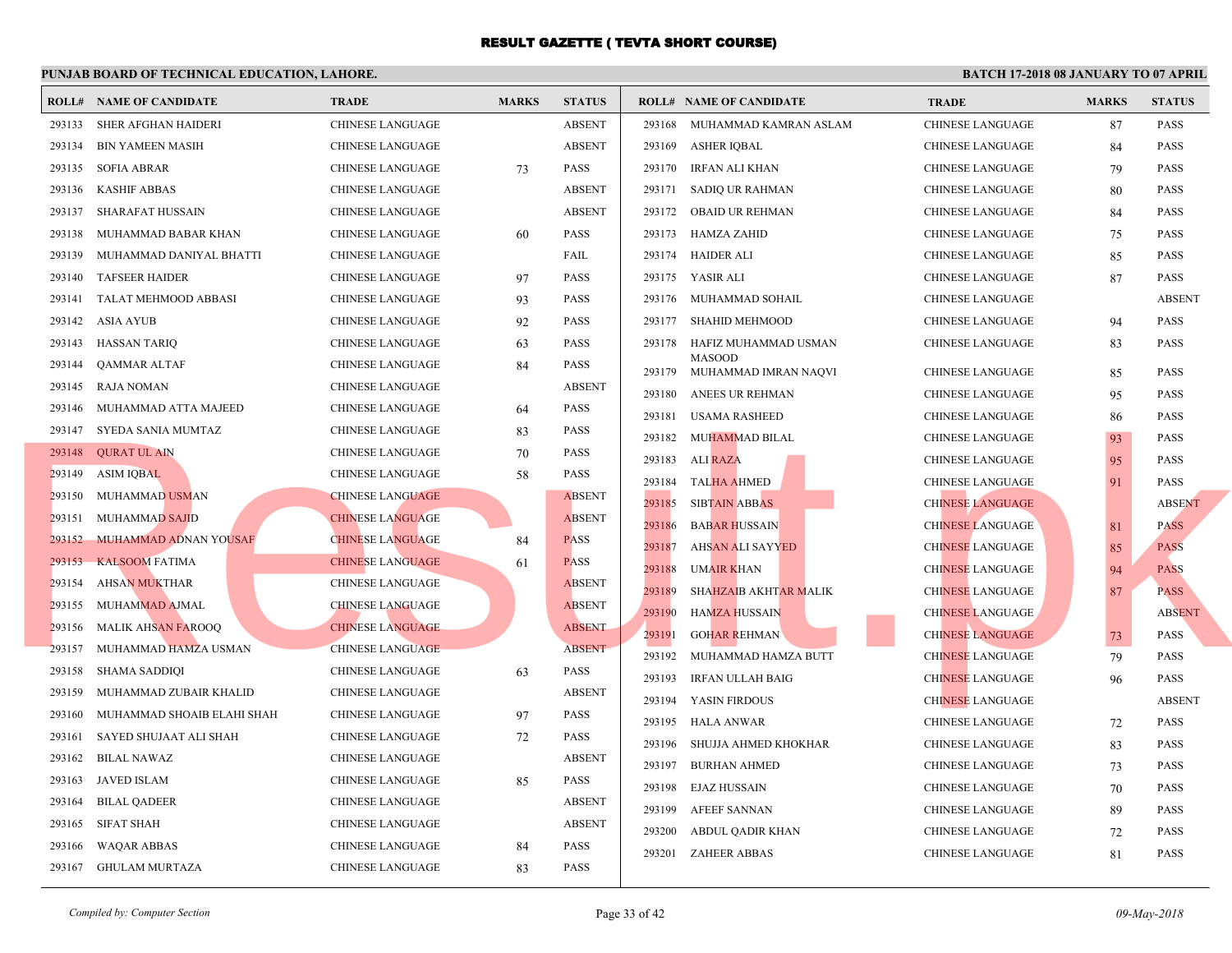|        | <b>ROLL# NAME OF CANDIDATE</b> | <b>TRADE</b>            | <b>MARKS</b> | <b>STATUS</b> |        | <b>ROLL# NAME OF CANDIDATE</b>        | <b>TRA</b>  |
|--------|--------------------------------|-------------------------|--------------|---------------|--------|---------------------------------------|-------------|
| 293133 | SHER AFGHAN HAIDERI            | <b>CHINESE LANGUAGE</b> |              | <b>ABSENT</b> | 293168 | MUHAMMAD KAMRAN ASLAM                 | <b>CHIN</b> |
| 293134 | <b>BIN YAMEEN MASIH</b>        | CHINESE LANGUAGE        |              | <b>ABSENT</b> | 293169 | ASHER IQBAL                           | <b>CHIN</b> |
| 293135 | <b>SOFIA ABRAR</b>             | CHINESE LANGUAGE        | 73           | <b>PASS</b>   | 293170 | IRFAN ALI KHAN                        | <b>CHIN</b> |
| 293136 | <b>KASHIF ABBAS</b>            | <b>CHINESE LANGUAGE</b> |              | <b>ABSENT</b> | 293171 | SADIQ UR RAHMAN                       | <b>CHIN</b> |
| 293137 | SHARAFAT HUSSAIN               | CHINESE LANGUAGE        |              | <b>ABSENT</b> |        | 293172 OBAID UR REHMAN                | <b>CHIN</b> |
| 293138 | MUHAMMAD BABAR KHAN            | CHINESE LANGUAGE        | 60           | PASS          | 293173 | HAMZA ZAHID                           | <b>CHIN</b> |
| 293139 | MUHAMMAD DANIYAL BHATTI        | CHINESE LANGUAGE        |              | FAIL          | 293174 | HAIDER ALI                            | <b>CHIN</b> |
| 293140 | <b>TAFSEER HAIDER</b>          | <b>CHINESE LANGUAGE</b> | 97           | <b>PASS</b>   | 293175 | YASIR ALI                             | <b>CHIN</b> |
| 293141 | TALAT MEHMOOD ABBASI           | <b>CHINESE LANGUAGE</b> | 93           | <b>PASS</b>   | 293176 | MUHAMMAD SOHAIL                       | <b>CHIN</b> |
| 293142 | ASIA AYUB                      | <b>CHINESE LANGUAGE</b> | 92           | <b>PASS</b>   | 293177 | SHAHID MEHMOOD                        | <b>CHIN</b> |
| 293143 | <b>HASSAN TARIQ</b>            | <b>CHINESE LANGUAGE</b> | 63           | <b>PASS</b>   | 293178 | HAFIZ MUHAMMAD USMAN                  | <b>CHIN</b> |
| 293144 | <b>QAMMAR ALTAF</b>            | <b>CHINESE LANGUAGE</b> | 84           | <b>PASS</b>   | 293179 | <b>MASOOD</b><br>MUHAMMAD IMRAN NAQVI | <b>CHIN</b> |
| 293145 | <b>RAJA NOMAN</b>              | <b>CHINESE LANGUAGE</b> |              | <b>ABSENT</b> | 293180 | ANEES UR REHMAN                       | <b>CHIN</b> |
| 293146 | MUHAMMAD ATTA MAJEED           | <b>CHINESE LANGUAGE</b> | 64           | <b>PASS</b>   | 293181 | <b>USAMA RASHEED</b>                  | <b>CHIN</b> |
|        | 293147 SYEDA SANIA MUMTAZ      | CHINESE LANGUAGE        | 83           | PASS          | 293182 | MUHAMMAD BILAL                        | <b>CHIN</b> |
|        | 293148 QURAT UL AIN            | <b>CHINESE LANGUAGE</b> | 70           | <b>PASS</b>   | 293183 | ALI RAZA                              | <b>CHIN</b> |
| 293149 | <b>ASIM IQBAL</b>              | CHINESE LANGUAGE        | 58           | <b>PASS</b>   | 293184 | <b>TALHA AHMED</b>                    | <b>CHIN</b> |
| 293150 | MUHAMMAD USMAN                 | <b>CHINESE LANGUAGE</b> |              | <b>ABSENT</b> | 293185 | <b>SIBTAIN ABBAS</b>                  | <b>CHIN</b> |
| 293151 | <b>MUHAMMAD SAJID</b>          | <b>CHINESE LANGUAGE</b> |              | <b>ABSENT</b> | 293186 | <b>BABAR HUSSAIN</b>                  | <b>CHIN</b> |
| 293152 | MUHAMMAD ADNAN YOUSAF          | <b>CHINESE LANGUAGE</b> | 84           | <b>PASS</b>   | 293187 | AHSAN ALI SAYYED                      | <b>CHIN</b> |
| 293153 | <b>KALSOOM FATIMA</b>          | <b>CHINESE LANGUAGE</b> | 61           | <b>PASS</b>   | 293188 | <b>UMAIR KHAN</b>                     | <b>CHIN</b> |
| 293154 | <b>AHSAN MUKTHAR</b>           | <b>CHINESE LANGUAGE</b> |              | <b>ABSENT</b> | 293189 | SHAHZAIB AKHTAR MALIK                 | <b>CHIN</b> |
| 293155 | MUHAMMAD AJMAL                 | <b>CHINESE LANGUAGE</b> |              | <b>ABSENT</b> | 293190 | <b>HAMZA HUSSAIN</b>                  | <b>CHIN</b> |
| 293156 | <b>MALIK AHSAN FAROOQ</b>      | <b>CHINESE LANGUAGE</b> |              | <b>ABSENT</b> | 293191 | <b>GOHAR REHMAN</b>                   | <b>CHIN</b> |
| 293157 | MUHAMMAD HAMZA USMAN           | <b>CHINESE LANGUAGE</b> |              | <b>ABSENT</b> | 293192 | MUHAMMAD HAMZA BUTT                   | <b>CHIN</b> |
| 293158 | <b>SHAMA SADDIQI</b>           | <b>CHINESE LANGUAGE</b> | 63           | PASS          | 293193 | IRFAN ULLAH BAIG                      | <b>CHIN</b> |
| 293159 | MUHAMMAD ZUBAIR KHALID         | <b>CHINESE LANGUAGE</b> |              | <b>ABSENT</b> | 293194 | YASIN FIRDOUS                         | <b>CHIN</b> |
| 293160 | MUHAMMAD SHOAIB ELAHI SHAH     | CHINESE LANGUAGE        | 97           | <b>PASS</b>   | 293195 | <b>HALA ANWAR</b>                     | <b>CHIN</b> |
| 293161 | SAYED SHUJAAT ALI SHAH         | CHINESE LANGUAGE        | 72           | <b>PASS</b>   | 293196 | SHUJJA AHMED KHOKHAR                  | <b>CHIN</b> |
| 293162 | <b>BILAL NAWAZ</b>             | CHINESE LANGUAGE        |              | <b>ABSENT</b> | 293197 | <b>BURHAN AHMED</b>                   | <b>CHIN</b> |
| 293163 | JAVED ISLAM                    | <b>CHINESE LANGUAGE</b> | 85           | <b>PASS</b>   | 293198 | EJAZ HUSSAIN                          | <b>CHIN</b> |
| 293164 | <b>BILAL QADEER</b>            | CHINESE LANGUAGE        |              | <b>ABSENT</b> | 293199 | <b>AFEEF SANNAN</b>                   | <b>CHIN</b> |
| 293165 | <b>SIFAT SHAH</b>              | <b>CHINESE LANGUAGE</b> |              | <b>ABSENT</b> | 293200 | ABDUL QADIR KHAN                      | <b>CHIN</b> |
| 293166 | <b>WAQAR ABBAS</b>             | <b>CHINESE LANGUAGE</b> | 84           | PASS          |        | 293201 ZAHEER ABBAS                   | <b>CHIN</b> |
|        | 293167 GHULAM MURTAZA          | <b>CHINESE LANGUAGE</b> | 83           | <b>PASS</b>   |        |                                       |             |
|        |                                |                         |              |               |        |                                       |             |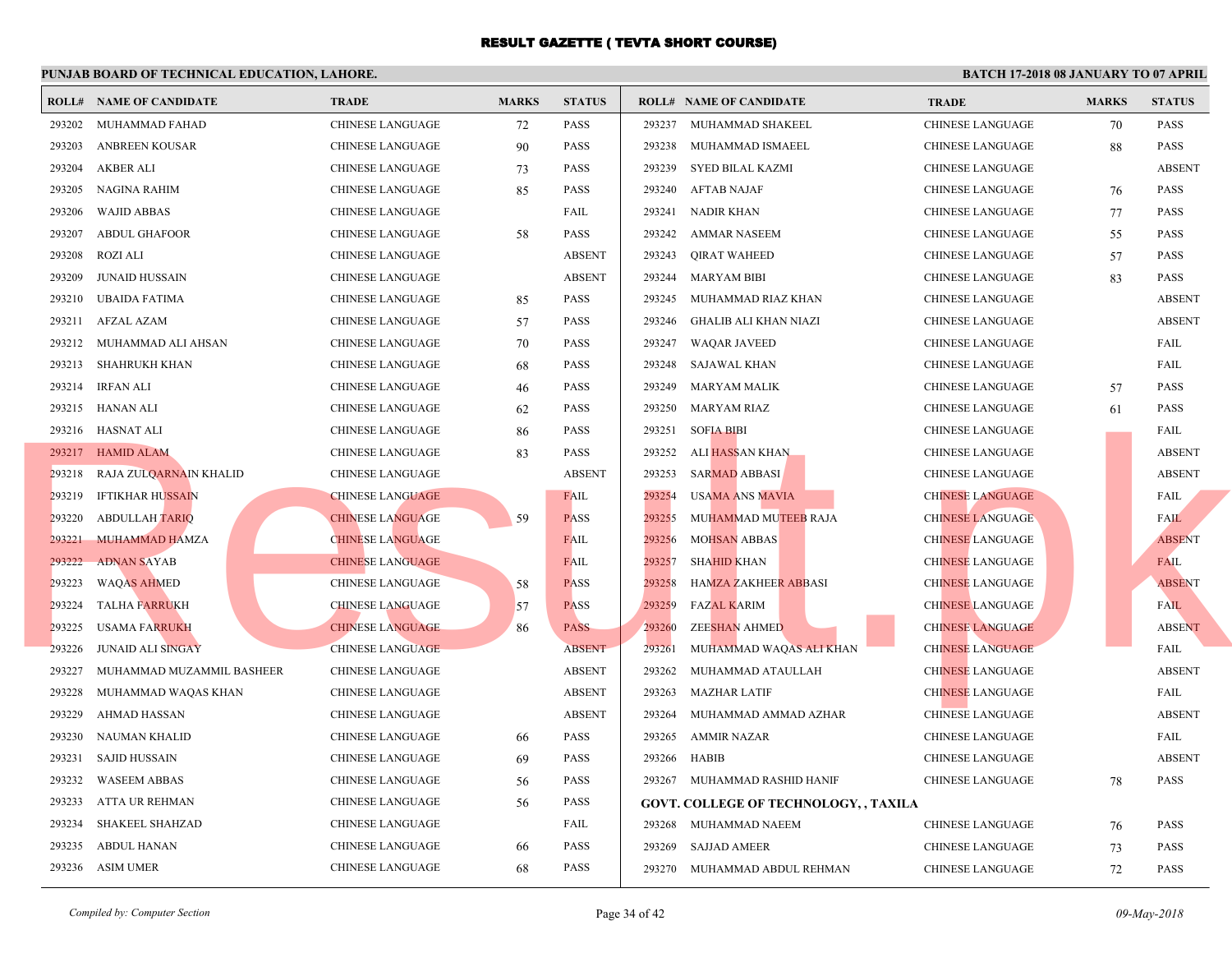|        | <b>ROLL# NAME OF CANDIDATE</b> | <b>TRADE</b>            | <b>MARKS</b> | <b>STATUS</b> |        | <b>ROLL# NAME OF CANDIDATE</b>               | <b>TRA</b>  |
|--------|--------------------------------|-------------------------|--------------|---------------|--------|----------------------------------------------|-------------|
| 293202 | MUHAMMAD FAHAD                 | <b>CHINESE LANGUAGE</b> | 72           | PASS          | 293237 | MUHAMMAD SHAKEEL                             | <b>CHIN</b> |
| 293203 | <b>ANBREEN KOUSAR</b>          | CHINESE LANGUAGE        | 90           | <b>PASS</b>   | 293238 | MUHAMMAD ISMAEEL                             | <b>CHIN</b> |
| 293204 | <b>AKBER ALI</b>               | CHINESE LANGUAGE        | 73           | <b>PASS</b>   | 293239 | SYED BILAL KAZMI                             | <b>CHIN</b> |
| 293205 | <b>NAGINA RAHIM</b>            | CHINESE LANGUAGE        | 85           | <b>PASS</b>   | 293240 | <b>AFTAB NAJAF</b>                           | <b>CHIN</b> |
| 293206 | WAJID ABBAS                    | <b>CHINESE LANGUAGE</b> |              | FAIL          | 293241 | NADIR KHAN                                   | <b>CHIN</b> |
| 293207 | <b>ABDUL GHAFOOR</b>           | CHINESE LANGUAGE        | 58           | <b>PASS</b>   | 293242 | AMMAR NASEEM                                 | <b>CHIN</b> |
| 293208 | <b>ROZI ALI</b>                | <b>CHINESE LANGUAGE</b> |              | <b>ABSENT</b> | 293243 | <b>QIRAT WAHEED</b>                          | <b>CHIN</b> |
| 293209 | <b>JUNAID HUSSAIN</b>          | <b>CHINESE LANGUAGE</b> |              | <b>ABSENT</b> | 293244 | <b>MARYAM BIBI</b>                           | <b>CHIN</b> |
| 293210 | UBAIDA FATIMA                  | CHINESE LANGUAGE        | 85           | <b>PASS</b>   | 293245 | MUHAMMAD RIAZ KHAN                           | <b>CHIN</b> |
| 293211 | AFZAL AZAM                     | <b>CHINESE LANGUAGE</b> | 57           | <b>PASS</b>   | 293246 | <b>GHALIB ALI KHAN NIAZI</b>                 | <b>CHIN</b> |
|        | 293212 MUHAMMAD ALI AHSAN      | CHINESE LANGUAGE        | 70           | <b>PASS</b>   | 293247 | WAQAR JAVEED                                 | <b>CHIN</b> |
| 293213 | SHAHRUKH KHAN                  | CHINESE LANGUAGE        | 68           | <b>PASS</b>   | 293248 | SAJAWAL KHAN                                 | <b>CHIN</b> |
|        | 293214 IRFAN ALI               | CHINESE LANGUAGE        | 46           | <b>PASS</b>   | 293249 | MARYAM MALIK                                 | <b>CHIN</b> |
|        | 293215 HANAN ALI               | CHINESE LANGUAGE        | 62           | <b>PASS</b>   | 293250 | MARYAM RIAZ                                  | <b>CHIN</b> |
|        | 293216 HASNAT ALI              | CHINESE LANGUAGE        | 86           | <b>PASS</b>   | 293251 | <b>SOFIA BIBI</b>                            | <b>CHIN</b> |
|        | 293217 HAMID ALAM              | CHINESE LANGUAGE        | 83           | <b>PASS</b>   | 293252 | ALI HASSAN KHAN                              | <b>CHIN</b> |
| 293218 | RAJA ZULQARNAIN KHALID         | CHINESE LANGUAGE        |              | <b>ABSENT</b> | 293253 | <b>SARMAD ABBASI</b>                         | <b>CHIN</b> |
| 293219 | <b>IFTIKHAR HUSSAIN</b>        | <b>CHINESE LANGUAGE</b> |              | <b>FAIL</b>   | 293254 | <b>USAMA ANS MAVIA</b>                       | <b>CHIN</b> |
| 293220 | <b>ABDULLAH TARIQ</b>          | <b>CHINESE LANGUAGE</b> | 59           | <b>PASS</b>   | 293255 | MUHAMMAD MUTEEB RAJA                         | <b>CHIN</b> |
| 293221 | MUHAMMAD HAMZA                 | <b>CHINESE LANGUAGE</b> |              | FAIL          | 293256 | <b>MOHSAN ABBAS</b>                          | <b>CHIN</b> |
| 293222 | <b>ADNAN SAYAB</b>             | <b>CHINESE LANGUAGE</b> |              | <b>FAIL</b>   | 293257 | <b>SHAHID KHAN</b>                           | <b>CHIN</b> |
| 293223 | <b>WAQAS AHMED</b>             | CHINESE LANGUAGE        | 58           | <b>PASS</b>   | 293258 | <b>HAMZA ZAKHEER ABBASI</b>                  | <b>CHIN</b> |
| 293224 | TALHA FARRUKH                  | <b>CHINESE LANGUAGE</b> | 57           | <b>PASS</b>   | 293259 | <b>FAZAL KARIM</b>                           | <b>CHIN</b> |
| 293225 | <b>USAMA FARRUKH</b>           | <b>CHINESE LANGUAGE</b> | 86           | <b>PASS</b>   | 293260 | <b>ZEESHAN AHMED</b>                         | <b>CHIN</b> |
| 293226 | <b>JUNAID ALI SINGAY</b>       | <b>CHINESE LANGUAGE</b> |              | <b>ABSENT</b> | 293261 | MUHAMMAD WAQAS ALI KHAN                      | <b>CHIN</b> |
| 293227 | MUHAMMAD MUZAMMIL BASHEER      | <b>CHINESE LANGUAGE</b> |              | <b>ABSENT</b> | 293262 | MUHAMMAD ATAULLAH                            | <b>CHIN</b> |
| 293228 | MUHAMMAD WAQAS KHAN            | CHINESE LANGUAGE        |              | <b>ABSENT</b> | 293263 | MAZHAR LATIF                                 | <b>CHIN</b> |
| 293229 | <b>AHMAD HASSAN</b>            | CHINESE LANGUAGE        |              | <b>ABSENT</b> | 293264 | MUHAMMAD AMMAD AZHAR                         | <b>CHIN</b> |
| 293230 | NAUMAN KHALID                  | CHINESE LANGUAGE        | 66           | <b>PASS</b>   | 293265 | <b>AMMIR NAZAR</b>                           | <b>CHIN</b> |
| 293231 | <b>SAJID HUSSAIN</b>           | CHINESE LANGUAGE        | 69           | <b>PASS</b>   | 293266 | HABIB                                        | <b>CHIN</b> |
| 293232 | <b>WASEEM ABBAS</b>            | CHINESE LANGUAGE        | 56           | PASS          |        | 293267 MUHAMMAD RASHID HANIF                 | CHIN.       |
| 293233 | ATTA UR REHMAN                 | CHINESE LANGUAGE        | 56           | PASS          |        | <b>GOVT. COLLEGE OF TECHNOLOGY, , TAXILA</b> |             |
| 293234 | <b>SHAKEEL SHAHZAD</b>         | <b>CHINESE LANGUAGE</b> |              | FAIL          |        | 293268 MUHAMMAD NAEEM                        | CHIN.       |
| 293235 | <b>ABDUL HANAN</b>             | CHINESE LANGUAGE        | 66           | <b>PASS</b>   | 293269 | <b>SAJJAD AMEER</b>                          | <b>CHIN</b> |
|        | 293236 ASIM UMER               | <b>CHINESE LANGUAGE</b> | 68           | <b>PASS</b>   |        | 293270 MUHAMMAD ABDUL REHMAN                 | <b>CHIN</b> |
|        |                                |                         |              |               |        |                                              |             |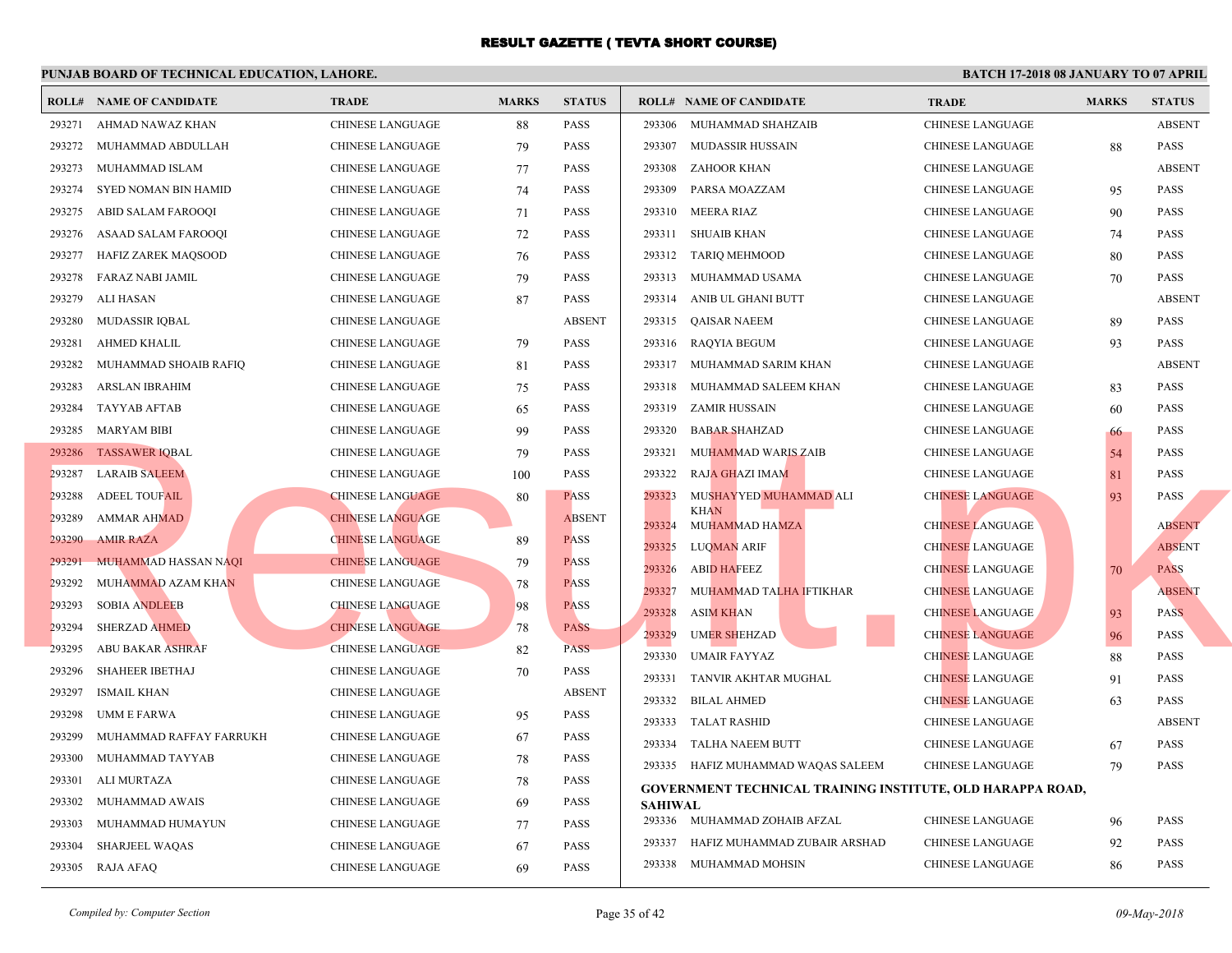|        | <b>ROLL# NAME OF CANDIDATE</b> | <b>TRADE</b>            | <b>MARKS</b> | <b>STATUS</b> |                | <b>ROLL# NAME OF CANDIDATE</b>                  | <b>TRA</b>  |
|--------|--------------------------------|-------------------------|--------------|---------------|----------------|-------------------------------------------------|-------------|
| 293271 | AHMAD NAWAZ KHAN               | <b>CHINESE LANGUAGE</b> | 88           | <b>PASS</b>   | 293306         | MUHAMMAD SHAHZAIB                               | <b>CHIN</b> |
| 293272 | MUHAMMAD ABDULLAH              | CHINESE LANGUAGE        | 79           | <b>PASS</b>   | 293307         | MUDASSIR HUSSAIN                                | <b>CHIN</b> |
| 293273 | MUHAMMAD ISLAM                 | CHINESE LANGUAGE        | 77           | <b>PASS</b>   | 293308         | ZAHOOR KHAN                                     | <b>CHIN</b> |
| 293274 | <b>SYED NOMAN BIN HAMID</b>    | <b>CHINESE LANGUAGE</b> | 74           | <b>PASS</b>   | 293309         | PARSA MOAZZAM                                   | <b>CHIN</b> |
| 293275 | ABID SALAM FAROOQI             | CHINESE LANGUAGE        | 71           | <b>PASS</b>   | 293310         | MEERA RIAZ                                      | <b>CHIN</b> |
| 293276 | ASAAD SALAM FAROOQI            | CHINESE LANGUAGE        | 72           | <b>PASS</b>   | 293311         | SHUAIB KHAN                                     | <b>CHIN</b> |
| 293277 | HAFIZ ZAREK MAQSOOD            | CHINESE LANGUAGE        | 76           | <b>PASS</b>   | 293312         | <b>TARIQ MEHMOOD</b>                            | <b>CHIN</b> |
| 293278 | FARAZ NABI JAMIL               | <b>CHINESE LANGUAGE</b> | 79           | <b>PASS</b>   | 293313         | MUHAMMAD USAMA                                  | <b>CHIN</b> |
| 293279 | ALI HASAN                      | <b>CHINESE LANGUAGE</b> | 87           | <b>PASS</b>   | 293314         | ANIB UL GHANI BUTT                              | <b>CHIN</b> |
| 293280 | <b>MUDASSIR IQBAL</b>          | <b>CHINESE LANGUAGE</b> |              | <b>ABSENT</b> | 293315         | QAISAR NAEEM                                    | <b>CHIN</b> |
| 293281 | AHMED KHALIL                   | <b>CHINESE LANGUAGE</b> | 79           | <b>PASS</b>   | 293316         | RAQYIA BEGUM                                    | <b>CHIN</b> |
| 293282 | MUHAMMAD SHOAIB RAFIQ          | <b>CHINESE LANGUAGE</b> | 81           | <b>PASS</b>   |                | 293317 MUHAMMAD SARIM KHAN                      | <b>CHIN</b> |
| 293283 | ARSLAN IBRAHIM                 | CHINESE LANGUAGE        | 75           | <b>PASS</b>   | 293318         | MUHAMMAD SALEEM KHAN                            | <b>CHIN</b> |
| 293284 | <b>TAYYAB AFTAB</b>            | CHINESE LANGUAGE        | 65           | PASS          | 293319         | ZAMIR HUSSAIN                                   | <b>CHIN</b> |
| 293285 | <b>MARYAM BIBI</b>             | CHINESE LANGUAGE        | 99           | <b>PASS</b>   | 293320         | <b>BABAR SHAHZAD</b>                            | <b>CHIN</b> |
|        | 293286 TASSAWER IQBAL          | CHINESE LANGUAGE        | 79           | <b>PASS</b>   | 293321         | MUHAMMAD WARIS ZAIB                             | <b>CHIN</b> |
| 293287 | <b>LARAIB SALEEM</b>           | <b>CHINESE LANGUAGE</b> | 100          | <b>PASS</b>   | 293322         | <b>RAJA GHAZI IMAM</b>                          | <b>CHIN</b> |
| 293288 | <b>ADEEL TOUFAIL</b>           | <b>CHINESE LANGUAGE</b> | 80           | <b>PASS</b>   | 293323         | MUSHAYYED MUHAMMAD ALI                          | <b>CHIN</b> |
| 293289 | <b>AMMAR AHMAD</b>             | <b>CHINESE LANGUAGE</b> |              | <b>ABSENT</b> | 293324         | <b>KHAN</b><br>MUHAMMAD HAMZA                   | <b>CHIN</b> |
| 293290 | <b>AMIR RAZA</b>               | <b>CHINESE LANGUAGE</b> | 89           | <b>PASS</b>   | 293325         | <b>LUQMAN ARIF</b>                              | <b>CHIN</b> |
| 293291 | <b>MUHAMMAD HASSAN NAQI</b>    | <b>CHINESE LANGUAGE</b> | 79           | <b>PASS</b>   | 293326         | <b>ABID HAFEEZ</b>                              | <b>CHIN</b> |
| 293292 | MUHAMMAD AZAM KHAN             | CHINESE LANGUAGE        | 78           | <b>PASS</b>   | 293327         | MUHAMMAD TALHA IFTIKHAR                         | <b>CHIN</b> |
| 293293 | <b>SOBIA ANDLEEB</b>           | <b>CHINESE LANGUAGE</b> | 98           | <b>PASS</b>   | 293328         | <b>ASIM KHAN</b>                                | <b>CHIN</b> |
| 293294 | <b>SHERZAD AHMED</b>           | <b>CHINESE LANGUAGE</b> | 78           | <b>PASS</b>   | 293329         | <b>UMER SHEHZAD</b>                             | <b>CHIN</b> |
| 293295 | <b>ABU BAKAR ASHRAF</b>        | <b>CHINESE LANGUAGE</b> | 82           | <b>PASS</b>   | 293330         | <b>UMAIR FAYYAZ</b>                             | <b>CHIN</b> |
| 293296 | <b>SHAHEER IBETHAJ</b>         | <b>CHINESE LANGUAGE</b> | 70           | PASS          | 293331         | TANVIR AKHTAR MUGHAL                            | <b>CHIN</b> |
| 293297 | <b>ISMAIL KHAN</b>             | <b>CHINESE LANGUAGE</b> |              | <b>ABSENT</b> | 293332         | <b>BILAL AHMED</b>                              | <b>CHIN</b> |
| 293298 | UMM E FARWA                    | <b>CHINESE LANGUAGE</b> | 95           | <b>PASS</b>   | 293333         | TALAT RASHID                                    | <b>CHIN</b> |
| 293299 | MUHAMMAD RAFFAY FARRUKH        | CHINESE LANGUAGE        | 67           | <b>PASS</b>   | 293334         | TALHA NAEEM BUTT                                | <b>CHIN</b> |
| 293300 | MUHAMMAD TAYYAB                | CHINESE LANGUAGE        | 78           | <b>PASS</b>   |                | 293335 HAFIZ MUHAMMAD WAQAS SALEEM              | <b>CHIN</b> |
| 293301 | ALI MURTAZA                    | CHINESE LANGUAGE        | 78           | PASS          |                | <b>GOVERNMENT TECHNICAL TRAINING INSTITUTE,</b> |             |
| 293302 | MUHAMMAD AWAIS                 | <b>CHINESE LANGUAGE</b> | 69           | <b>PASS</b>   | <b>SAHIWAL</b> |                                                 |             |
| 293303 | MUHAMMAD HUMAYUN               | CHINESE LANGUAGE        | 77           | <b>PASS</b>   |                | 293336 MUHAMMAD ZOHAIB AFZAL                    | <b>CHIN</b> |
| 293304 | <b>SHARJEEL WAQAS</b>          | <b>CHINESE LANGUAGE</b> | 67           | <b>PASS</b>   | 293337         | HAFIZ MUHAMMAD ZUBAIR ARSHAD                    | <b>CHIN</b> |
|        | 293305 RAJA AFAQ               | <b>CHINESE LANGUAGE</b> | 69           | <b>PASS</b>   |                | 293338 MUHAMMAD MOHSIN                          | <b>CHIN</b> |
|        |                                |                         |              |               |                |                                                 |             |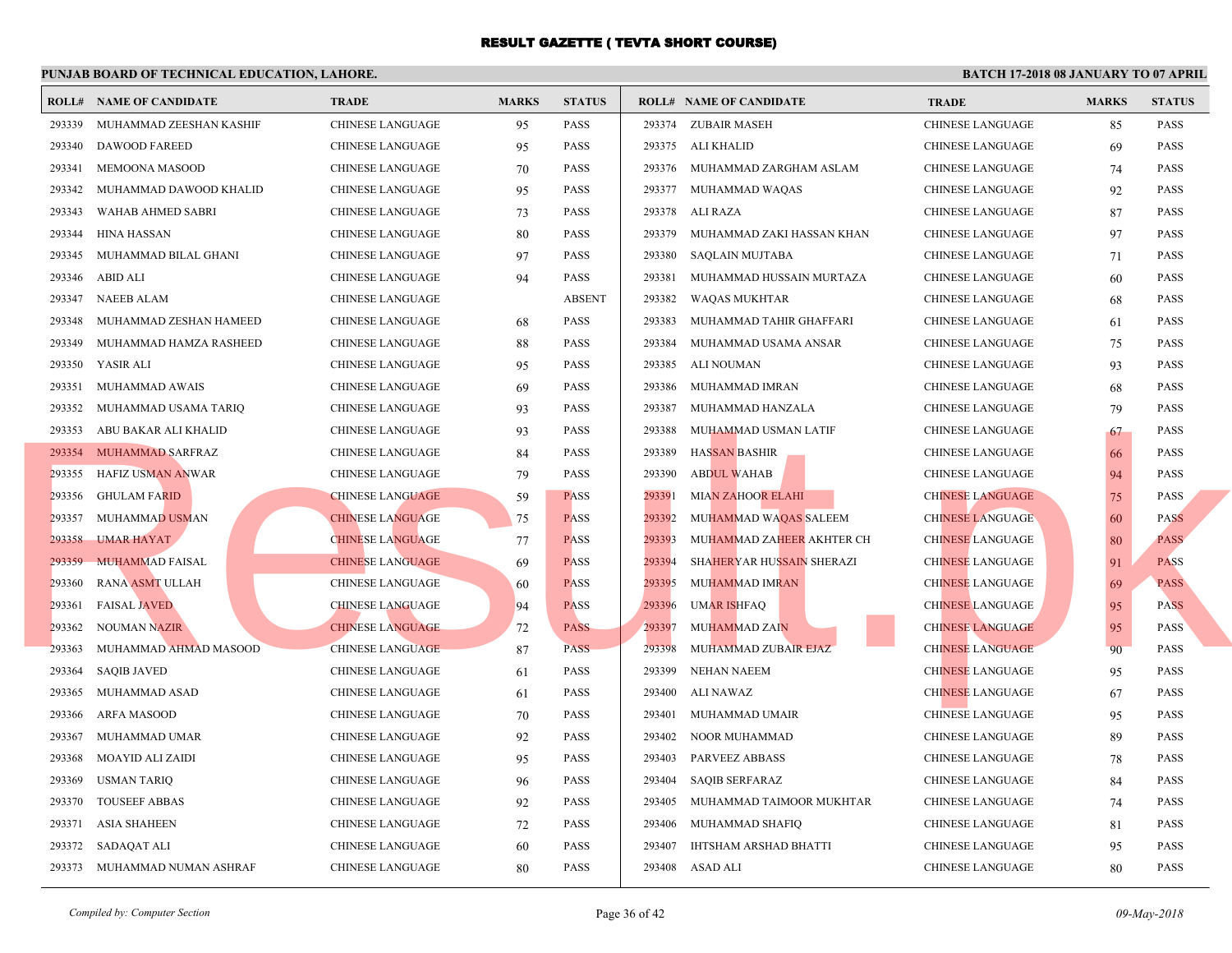|        | <b>ROLL# NAME OF CANDIDATE</b> | <b>TRADE</b>            | <b>MARKS</b> | <b>STATUS</b> |        | <b>ROLL# NAME OF CANDIDATE</b> | <b>TRA</b>  |
|--------|--------------------------------|-------------------------|--------------|---------------|--------|--------------------------------|-------------|
| 293339 | MUHAMMAD ZEESHAN KASHIF        | <b>CHINESE LANGUAGE</b> | 95           | <b>PASS</b>   |        | 293374 ZUBAIR MASEH            | <b>CHIN</b> |
| 293340 | <b>DAWOOD FAREED</b>           | CHINESE LANGUAGE        | 95           | <b>PASS</b>   |        | 293375 ALI KHALID              | <b>CHIN</b> |
| 293341 | MEMOONA MASOOD                 | CHINESE LANGUAGE        | 70           | <b>PASS</b>   | 293376 | MUHAMMAD ZARGHAM ASLAM         | <b>CHIN</b> |
| 293342 | MUHAMMAD DAWOOD KHALID         | CHINESE LANGUAGE        | 95           | <b>PASS</b>   |        | 293377 MUHAMMAD WAQAS          | <b>CHIN</b> |
| 293343 | WAHAB AHMED SABRI              | <b>CHINESE LANGUAGE</b> | 73           | <b>PASS</b>   |        | 293378 ALI RAZA                | <b>CHIN</b> |
| 293344 | HINA HASSAN                    | CHINESE LANGUAGE        | 80           | <b>PASS</b>   | 293379 | MUHAMMAD ZAKI HASSAN KHAN      | <b>CHIN</b> |
| 293345 | MUHAMMAD BILAL GHANI           | <b>CHINESE LANGUAGE</b> | 97           | <b>PASS</b>   | 293380 | SAQLAIN MUJTABA                | <b>CHIN</b> |
| 293346 | ABID ALI                       | <b>CHINESE LANGUAGE</b> | 94           | <b>PASS</b>   | 293381 | MUHAMMAD HUSSAIN MURTAZA       | <b>CHIN</b> |
| 293347 | <b>NAEEB ALAM</b>              | <b>CHINESE LANGUAGE</b> |              | <b>ABSENT</b> | 293382 | WAQAS MUKHTAR                  | <b>CHIN</b> |
| 293348 | MUHAMMAD ZESHAN HAMEED         | <b>CHINESE LANGUAGE</b> | 68           | <b>PASS</b>   | 293383 | MUHAMMAD TAHIR GHAFFARI        | <b>CHIN</b> |
| 293349 | MUHAMMAD HAMZA RASHEED         | <b>CHINESE LANGUAGE</b> | 88           | <b>PASS</b>   | 293384 | MUHAMMAD USAMA ANSAR           | <b>CHIN</b> |
| 293350 | YASIR ALI                      | CHINESE LANGUAGE        | 95           | <b>PASS</b>   | 293385 | ALI NOUMAN                     | <b>CHIN</b> |
| 293351 | MUHAMMAD AWAIS                 | CHINESE LANGUAGE        | 69           | <b>PASS</b>   | 293386 | MUHAMMAD IMRAN                 | <b>CHIN</b> |
| 293352 | MUHAMMAD USAMA TARIQ           | CHINESE LANGUAGE        | 93           | <b>PASS</b>   | 293387 | MUHAMMAD HANZALA               | <b>CHIN</b> |
| 293353 | ABU BAKAR ALI KHALID           | CHINESE LANGUAGE        | 93           | <b>PASS</b>   | 293388 | MUHAMMAD USMAN LATIF           | <b>CHIN</b> |
|        | 293354 MUHAMMAD SARFRAZ        | CHINESE LANGUAGE        | 84           | <b>PASS</b>   | 293389 | <b>HASSAN BASHIR</b>           | <b>CHIN</b> |
| 293355 | HAFIZ USMAN ANWAR              | CHINESE LANGUAGE        | 79           | <b>PASS</b>   | 293390 | <b>ABDUL WAHAB</b>             | <b>CHIN</b> |
| 293356 | <b>GHULAM FARID</b>            | <b>CHINESE LANGUAGE</b> | 59           | <b>PASS</b>   | 293391 | <b>MIAN ZAHOOR ELAHI</b>       | <b>CHIN</b> |
| 293357 | <b>MUHAMMAD USMAN</b>          | <b>CHINESE LANGUAGE</b> | 75           | <b>PASS</b>   | 293392 | MUHAMMAD WAQAS SALEEM          | <b>CHIN</b> |
| 293358 | <b>UMAR HAYAT</b>              | <b>CHINESE LANGUAGE</b> | 77           | <b>PASS</b>   | 293393 | MUHAMMAD ZAHEER AKHTER CH      | <b>CHIN</b> |
| 293359 | <b>MUHAMMAD FAISAL</b>         | <b>CHINESE LANGUAGE</b> | 69           | <b>PASS</b>   | 293394 | SHAHERYAR HUSSAIN SHERAZI      | <b>CHIN</b> |
| 293360 | <b>RANA ASMT ULLAH</b>         | CHINESE LANGUAGE        | 60           | <b>PASS</b>   | 293395 | <b>MUHAMMAD IMRAN</b>          | <b>CHIN</b> |
| 293361 | <b>FAISAL JAVED</b>            | <b>CHINESE LANGUAGE</b> | 94           | <b>PASS</b>   | 293396 | <b>UMAR ISHFAQ</b>             | <b>CHIN</b> |
| 293362 | <b>NOUMAN NAZIR</b>            | <b>CHINESE LANGUAGE</b> | 72           | <b>PASS</b>   | 293397 | <b>MUHAMMAD ZAIN</b>           | <b>CHIN</b> |
| 293363 | MUHAMMAD AHMAD MASOOD          | <b>CHINESE LANGUAGE</b> | 87           | <b>PASS</b>   | 293398 | MUHAMMAD ZUBAIR EJAZ           | <b>CHIN</b> |
| 293364 | <b>SAQIB JAVED</b>             | CHINESE LANGUAGE        | 61           | <b>PASS</b>   | 293399 | NEHAN NAEEM                    | <b>CHIN</b> |
| 293365 | MUHAMMAD ASAD                  | CHINESE LANGUAGE        | 61           | <b>PASS</b>   | 293400 | ALI NAWAZ                      | <b>CHIN</b> |
| 293366 | ARFA MASOOD                    | CHINESE LANGUAGE        | 70           | <b>PASS</b>   | 293401 | MUHAMMAD UMAIR                 | <b>CHIN</b> |
| 293367 | MUHAMMAD UMAR                  | CHINESE LANGUAGE        | 92           | <b>PASS</b>   | 293402 | NOOR MUHAMMAD                  | <b>CHIN</b> |
| 293368 | MOAYID ALI ZAIDI               | CHINESE LANGUAGE        | 95           | <b>PASS</b>   | 293403 | PARVEEZ ABBASS                 | <b>CHIN</b> |
| 293369 | <b>USMAN TARIQ</b>             | CHINESE LANGUAGE        | 96           | <b>PASS</b>   | 293404 | <b>SAQIB SERFARAZ</b>          | <b>CHIN</b> |
| 293370 | <b>TOUSEEF ABBAS</b>           | CHINESE LANGUAGE        | 92           | <b>PASS</b>   | 293405 | MUHAMMAD TAIMOOR MUKHTAR       | <b>CHIN</b> |
| 293371 | <b>ASIA SHAHEEN</b>            | <b>CHINESE LANGUAGE</b> | 72           | <b>PASS</b>   | 293406 | MUHAMMAD SHAFIQ                | <b>CHIN</b> |
| 293372 | SADAQAT ALI                    | CHINESE LANGUAGE        | 60           | PASS          | 293407 | IHTSHAM ARSHAD BHATTI          | <b>CHIN</b> |
|        | 293373 MUHAMMAD NUMAN ASHRAF   | CHINESE LANGUAGE        | 80           | <b>PASS</b>   | 293408 | ASAD ALI                       | <b>CHIN</b> |
|        |                                |                         |              |               |        |                                |             |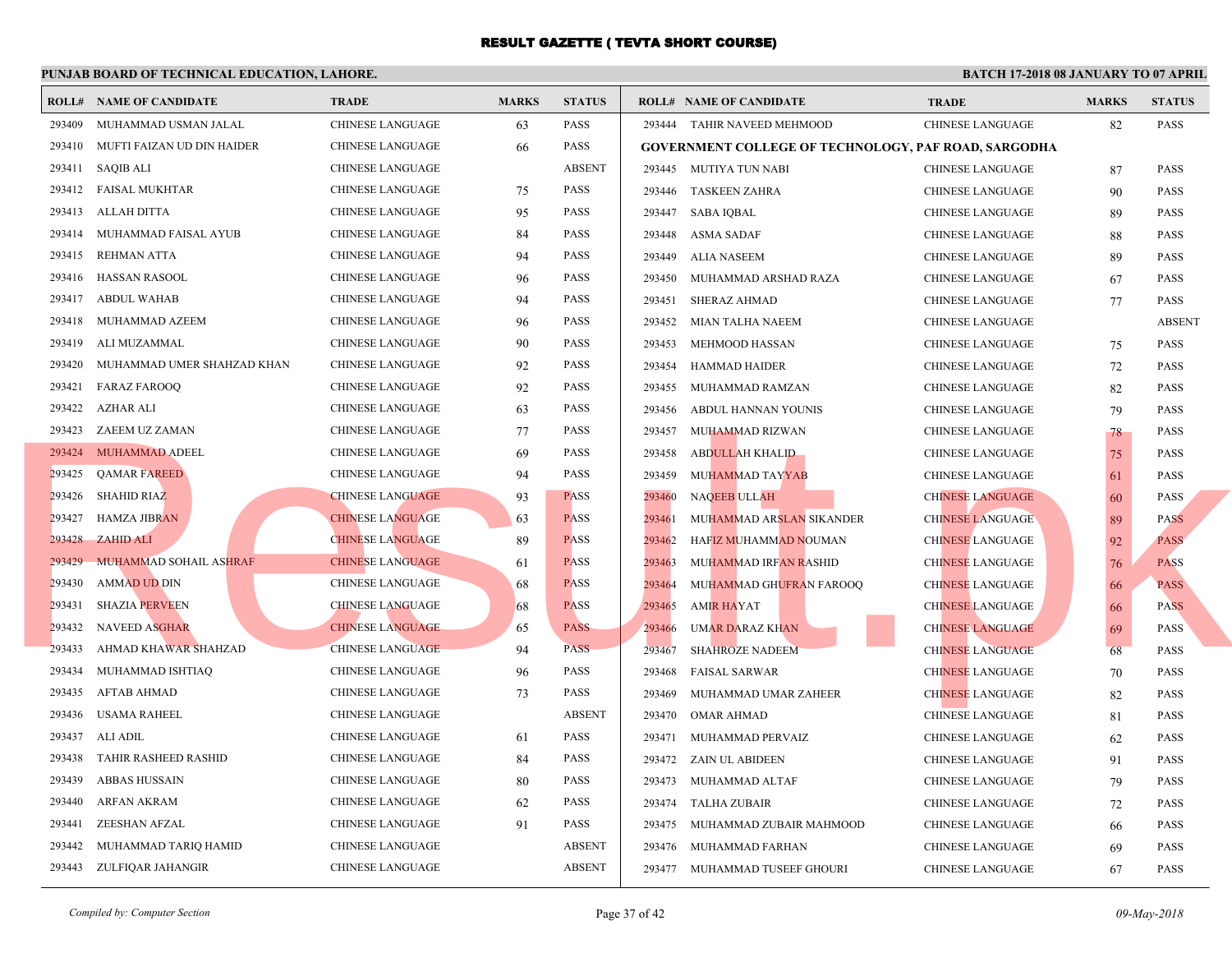|        | <b>ROLL# NAME OF CANDIDATE</b> | <b>TRADE</b>            | <b>MARKS</b> | <b>STATUS</b> |        | <b>ROLL# NAME OF CANDIDATE</b>                 | <b>TRA</b>  |
|--------|--------------------------------|-------------------------|--------------|---------------|--------|------------------------------------------------|-------------|
| 293409 | MUHAMMAD USMAN JALAL           | <b>CHINESE LANGUAGE</b> | 63           | <b>PASS</b>   |        | 293444 TAHIR NAVEED MEHMOOD                    | <b>CHIN</b> |
| 293410 | MUFTI FAIZAN UD DIN HAIDER     | CHINESE LANGUAGE        | 66           | <b>PASS</b>   |        | <b>GOVERNMENT COLLEGE OF TECHNOLOGY, PAF R</b> |             |
|        | 293411 SAQIB ALI               | <b>CHINESE LANGUAGE</b> |              | <b>ABSENT</b> |        | 293445 MUTIYA TUN NABI                         | <b>CHIN</b> |
|        | 293412 FAISAL MUKHTAR          | CHINESE LANGUAGE        | 75           | PASS          |        | 293446 TASKEEN ZAHRA                           | <b>CHIN</b> |
|        | 293413 ALLAH DITTA             | CHINESE LANGUAGE        | 95           | <b>PASS</b>   | 293447 | SABA IQBAL                                     | <b>CHIN</b> |
| 293414 | MUHAMMAD FAISAL AYUB           | CHINESE LANGUAGE        | 84           | <b>PASS</b>   | 293448 | ASMA SADAF                                     | <b>CHIN</b> |
| 293415 | REHMAN ATTA                    | <b>CHINESE LANGUAGE</b> | 94           | <b>PASS</b>   | 293449 | ALIA NASEEM                                    | <b>CHIN</b> |
| 293416 | <b>HASSAN RASOOL</b>           | <b>CHINESE LANGUAGE</b> | 96           | <b>PASS</b>   | 293450 | MUHAMMAD ARSHAD RAZA                           | <b>CHIN</b> |
| 293417 | ABDUL WAHAB                    | <b>CHINESE LANGUAGE</b> | 94           | <b>PASS</b>   | 293451 | SHERAZ AHMAD                                   | <b>CHIN</b> |
| 293418 | MUHAMMAD AZEEM                 | <b>CHINESE LANGUAGE</b> | 96           | <b>PASS</b>   | 293452 | MIAN TALHA NAEEM                               | <b>CHIN</b> |
| 293419 | ALI MUZAMMAL                   | <b>CHINESE LANGUAGE</b> | 90           | PASS          | 293453 | MEHMOOD HASSAN                                 | <b>CHIN</b> |
| 293420 | MUHAMMAD UMER SHAHZAD KHAN     | CHINESE LANGUAGE        | 92           | <b>PASS</b>   | 293454 | HAMMAD HAIDER                                  | <b>CHIN</b> |
| 293421 | <b>FARAZ FAROOQ</b>            | CHINESE LANGUAGE        | 92           | <b>PASS</b>   | 293455 | MUHAMMAD RAMZAN                                | <b>CHIN</b> |
| 293422 | AZHAR ALI                      | CHINESE LANGUAGE        | 63           | <b>PASS</b>   | 293456 | ABDUL HANNAN YOUNIS                            | <b>CHIN</b> |
| 293423 | ZAEEM UZ ZAMAN                 | CHINESE LANGUAGE        | 77           | <b>PASS</b>   | 293457 | MUHAMMAD RIZWAN                                | <b>CHIN</b> |
|        | 293424 MUHAMMAD ADEEL          | CHINESE LANGUAGE        | 69           | <b>PASS</b>   | 293458 | <b>ABDULLAH KHALID</b>                         | <b>CHIN</b> |
| 293425 | <b>QAMAR FAREED</b>            | CHINESE LANGUAGE        | 94           | <b>PASS</b>   | 293459 | <b>MUHAMMAD TAYYAB</b>                         | <b>CHIN</b> |
| 293426 | <b>SHAHID RIAZ</b>             | <b>CHINESE LANGUAGE</b> | 93           | <b>PASS</b>   | 293460 | NAQEEB ULLAH                                   | <b>CHIN</b> |
| 293427 | <b>HAMZA JIBRAN</b>            | <b>CHINESE LANGUAGE</b> | 63           | <b>PASS</b>   | 293461 | MUHAMMAD ARSLAN SIKANDER                       | <b>CHIN</b> |
| 293428 | ZAHID ALI                      | <b>CHINESE LANGUAGE</b> | 89           | <b>PASS</b>   | 293462 | HAFIZ MUHAMMAD NOUMAN                          | <b>CHIN</b> |
| 293429 | <b>MUHAMMAD SOHAIL ASHRAF</b>  | <b>CHINESE LANGUAGE</b> | 61           | <b>PASS</b>   | 293463 | MUHAMMAD IRFAN RASHID                          | <b>CHIN</b> |
| 293430 | <b>AMMAD UD DIN</b>            | <b>CHINESE LANGUAGE</b> | 68           | <b>PASS</b>   | 293464 | MUHAMMAD GHUFRAN FAROOQ                        | <b>CHIN</b> |
| 293431 | <b>SHAZIA PERVEEN</b>          | <b>CHINESE LANGUAGE</b> | 68           | <b>PASS</b>   | 293465 | <b>AMIR HAYAT</b>                              | <b>CHIN</b> |
| 293432 | <b>NAVEED ASGHAR</b>           | <b>CHINESE LANGUAGE</b> | 65           | <b>PASS</b>   | 293466 | UMAR DARAZ KHAN                                | <b>CHIN</b> |
| 293433 | AHMAD KHAWAR SHAHZAD           | <b>CHINESE LANGUAGE</b> | 94           | <b>PASS</b>   | 293467 | <b>SHAHROZE NADEEM</b>                         | <b>CHIN</b> |
| 293434 | MUHAMMAD ISHTIAQ               | <b>CHINESE LANGUAGE</b> | 96           | <b>PASS</b>   | 293468 | <b>FAISAL SARWAR</b>                           | <b>CHIN</b> |
| 293435 | AFTAB AHMAD                    | <b>CHINESE LANGUAGE</b> | 73           | <b>PASS</b>   | 293469 | MUHAMMAD UMAR ZAHEER                           | <b>CHIN</b> |
| 293436 | USAMA RAHEEL                   | CHINESE LANGUAGE        |              | <b>ABSENT</b> |        | 293470 OMAR AHMAD                              | <b>CHIN</b> |
| 293437 | ALI ADIL                       | CHINESE LANGUAGE        | 61           | <b>PASS</b>   |        | 293471 MUHAMMAD PERVAIZ                        | <b>CHIN</b> |
| 293438 | TAHIR RASHEED RASHID           | CHINESE LANGUAGE        | 84           | <b>PASS</b>   |        | 293472 ZAIN UL ABIDEEN                         | <b>CHIN</b> |
| 293439 | ABBAS HUSSAIN                  | CHINESE LANGUAGE        | 80           | <b>PASS</b>   |        | 293473 MUHAMMAD ALTAF                          | <b>CHIN</b> |
| 293440 | <b>ARFAN AKRAM</b>             | CHINESE LANGUAGE        | 62           | <b>PASS</b>   |        | 293474 TALHA ZUBAIR                            | <b>CHIN</b> |
| 293441 | ZEESHAN AFZAL                  | CHINESE LANGUAGE        | 91           | <b>PASS</b>   |        | 293475 MUHAMMAD ZUBAIR MAHMOOD                 | <b>CHIN</b> |
| 293442 | MUHAMMAD TARIQ HAMID           | <b>CHINESE LANGUAGE</b> |              | <b>ABSENT</b> | 293476 | MUHAMMAD FARHAN                                | <b>CHIN</b> |
|        | 293443 ZULFIQAR JAHANGIR       | CHINESE LANGUAGE        |              | <b>ABSENT</b> |        | 293477 MUHAMMAD TUSEEF GHOURI                  | <b>CHIN</b> |
|        |                                |                         |              |               |        |                                                |             |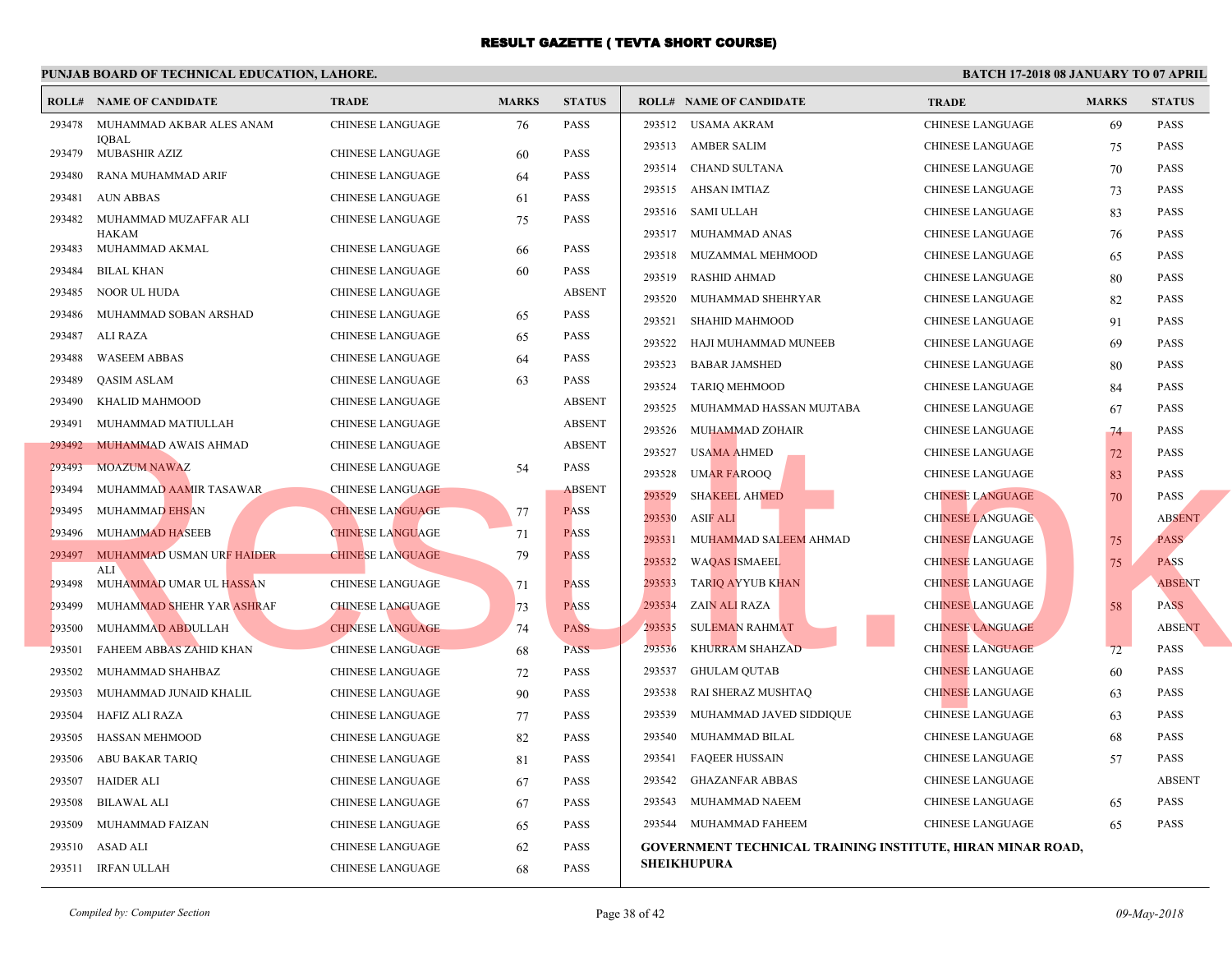|        | <b>ROLL# NAME OF CANDIDATE</b>        | <b>TRADE</b>            | <b>MARKS</b> | <b>STATUS</b> |                    | <b>ROLL# NAME OF CANDIDATE</b>                  | <b>TRA</b>  |
|--------|---------------------------------------|-------------------------|--------------|---------------|--------------------|-------------------------------------------------|-------------|
| 293478 | MUHAMMAD AKBAR ALES ANAM              | <b>CHINESE LANGUAGE</b> | 76           | <b>PASS</b>   |                    | 293512 USAMA AKRAM                              | <b>CHIN</b> |
| 293479 | <b>IOBAL</b><br>MUBASHIR AZIZ         | CHINESE LANGUAGE        | 60           | <b>PASS</b>   |                    | 293513 AMBER SALIM                              | <b>CHIN</b> |
| 293480 | RANA MUHAMMAD ARIF                    | CHINESE LANGUAGE        | 64           | <b>PASS</b>   |                    | 293514 CHAND SULTANA                            | <b>CHIN</b> |
| 293481 | <b>AUN ABBAS</b>                      | CHINESE LANGUAGE        | 61           | <b>PASS</b>   | 293515             | AHSAN IMTIAZ                                    | <b>CHIN</b> |
| 293482 | MUHAMMAD MUZAFFAR ALI                 | CHINESE LANGUAGE        | 75           | <b>PASS</b>   |                    | 293516 SAMI ULLAH                               | <b>CHIN</b> |
|        | HAKAM                                 |                         |              |               |                    | 293517 MUHAMMAD ANAS                            | <b>CHIN</b> |
| 293483 | MUHAMMAD AKMAL                        | CHINESE LANGUAGE        | 66           | <b>PASS</b>   | 293518             | MUZAMMAL MEHMOOD                                | <b>CHIN</b> |
| 293484 | BILAL KHAN                            | CHINESE LANGUAGE        | 60           | <b>PASS</b>   | 293519             | RASHID AHMAD                                    | <b>CHIN</b> |
| 293485 | NOOR UL HUDA                          | CHINESE LANGUAGE        |              | <b>ABSENT</b> | 293520             | MUHAMMAD SHEHRYAR                               | <b>CHIN</b> |
| 293486 | MUHAMMAD SOBAN ARSHAD                 | CHINESE LANGUAGE        | 65           | <b>PASS</b>   | 293521             | <b>SHAHID MAHMOOD</b>                           | <b>CHIN</b> |
| 293487 | ALI RAZA                              | CHINESE LANGUAGE        | 65           | <b>PASS</b>   | 293522             | HAJI MUHAMMAD MUNEEB                            | <b>CHIN</b> |
| 293488 | <b>WASEEM ABBAS</b>                   | CHINESE LANGUAGE        | 64           | <b>PASS</b>   | 293523             | <b>BABAR JAMSHED</b>                            | <b>CHIN</b> |
| 293489 | QASIM ASLAM                           | <b>CHINESE LANGUAGE</b> | 63           | <b>PASS</b>   | 293524             | <b>TARIQ MEHMOOD</b>                            | <b>CHIN</b> |
| 293490 | KHALID MAHMOOD                        | CHINESE LANGUAGE        |              | <b>ABSENT</b> | 293525             | MUHAMMAD HASSAN MUJTABA                         | <b>CHIN</b> |
| 293491 | MUHAMMAD MATIULLAH                    | <b>CHINESE LANGUAGE</b> |              | <b>ABSENT</b> | 293526             | MUHAMMAD ZOHAIR                                 | <b>CHIN</b> |
| 293492 | MUHAMMAD AWAIS AHMAD                  | CHINESE LANGUAGE        |              | <b>ABSENT</b> | 293527             | <b>USAMA AHMED</b>                              | <b>CHIN</b> |
| 293493 | <b>MOAZUM NAWAZ</b>                   | CHINESE LANGUAGE        | 54           | <b>PASS</b>   | 293528             | <b>UMAR FAROOQ</b>                              | <b>CHIN</b> |
| 293494 | MUHAMMAD AAMIR TASAWAR                | <b>CHINESE LANGUAGE</b> |              | <b>ABSENT</b> | 293529             | <b>SHAKEEL AHMED</b>                            | <b>CHIN</b> |
| 293495 | MUHAMMAD EHSAN                        | <b>CHINESE LANGUAGE</b> | 77           | <b>PASS</b>   | 293530             | <b>ASIF ALI</b>                                 | <b>CHIN</b> |
| 293496 | MUHAMMAD HASEEB                       | <b>CHINESE LANGUAGE</b> | 71           | <b>PASS</b>   | 293531             | MUHAMMAD SALEEM AHMAD                           | <b>CHIN</b> |
| 293497 | MUHAMMAD USMAN URF HAIDER             | <b>CHINESE LANGUAGE</b> | 79           | <b>PASS</b>   | 293532             | <b>WAQAS ISMAEEL</b>                            | <b>CHIN</b> |
| 293498 | <b>ALI</b><br>MUHAMMAD UMAR UL HASSAN | CHINESE LANGUAGE        | 71           | <b>PASS</b>   | 293533             | TARIQ AYYUB KHAN                                | <b>CHIN</b> |
| 293499 | MUHAMMAD SHEHR YAR ASHRAF             | <b>CHINESE LANGUAGE</b> | 73           | <b>PASS</b>   | 293534             | ZAIN ALI RAZA                                   | <b>CHIN</b> |
| 293500 | MUHAMMAD ABDULLAH                     | <b>CHINESE LANGUAGE</b> | 74           | <b>PASS</b>   | 293535             | <b>SULEMAN RAHMAT</b>                           | <b>CHIN</b> |
| 293501 | FAHEEM ABBAS ZAHID KHAN               | <b>CHINESE LANGUAGE</b> | 68           | <b>PASS</b>   | 293536             | KHURRAM SHAHZAD                                 | <b>CHIN</b> |
| 293502 | MUHAMMAD SHAHBAZ                      | <b>CHINESE LANGUAGE</b> | 72           | <b>PASS</b>   | 293537             | GHULAM QUTAB                                    | <b>CHIN</b> |
| 293503 | MUHAMMAD JUNAID KHALIL                | <b>CHINESE LANGUAGE</b> | 90           | <b>PASS</b>   | 293538             | RAI SHERAZ MUSHTAQ                              | <b>CHIN</b> |
| 293504 | HAFIZ ALI RAZA                        | CHINESE LANGUAGE        | 77           | <b>PASS</b>   | 293539             | MUHAMMAD JAVED SIDDIQUE                         | <b>CHIN</b> |
| 293505 | <b>HASSAN MEHMOOD</b>                 | CHINESE LANGUAGE        | 82           | <b>PASS</b>   | 293540             | MUHAMMAD BILAL                                  | <b>CHIN</b> |
| 293506 | ABU BAKAR TARIQ                       | CHINESE LANGUAGE        | 81           | <b>PASS</b>   | 293541             | FAQEER HUSSAIN                                  | <b>CHIN</b> |
| 293507 | HAIDER ALI                            | CHINESE LANGUAGE        | 67           | <b>PASS</b>   | 293542             | <b>GHAZANFAR ABBAS</b>                          | <b>CHIN</b> |
| 293508 | <b>BILAWAL ALI</b>                    | CHINESE LANGUAGE        | 67           | <b>PASS</b>   | 293543             | MUHAMMAD NAEEM                                  | <b>CHIN</b> |
| 293509 | MUHAMMAD FAIZAN                       | CHINESE LANGUAGE        | 65           | PASS          |                    | 293544 MUHAMMAD FAHEEM                          | <b>CHIN</b> |
| 293510 | ASAD ALI                              | CHINESE LANGUAGE        | 62           | <b>PASS</b>   |                    | <b>GOVERNMENT TECHNICAL TRAINING INSTITUTE,</b> |             |
|        | 293511 IRFAN ULLAH                    | <b>CHINESE LANGUAGE</b> | 68           | <b>PASS</b>   | <b>SHEIKHUPURA</b> |                                                 |             |
|        |                                       |                         |              |               |                    |                                                 |             |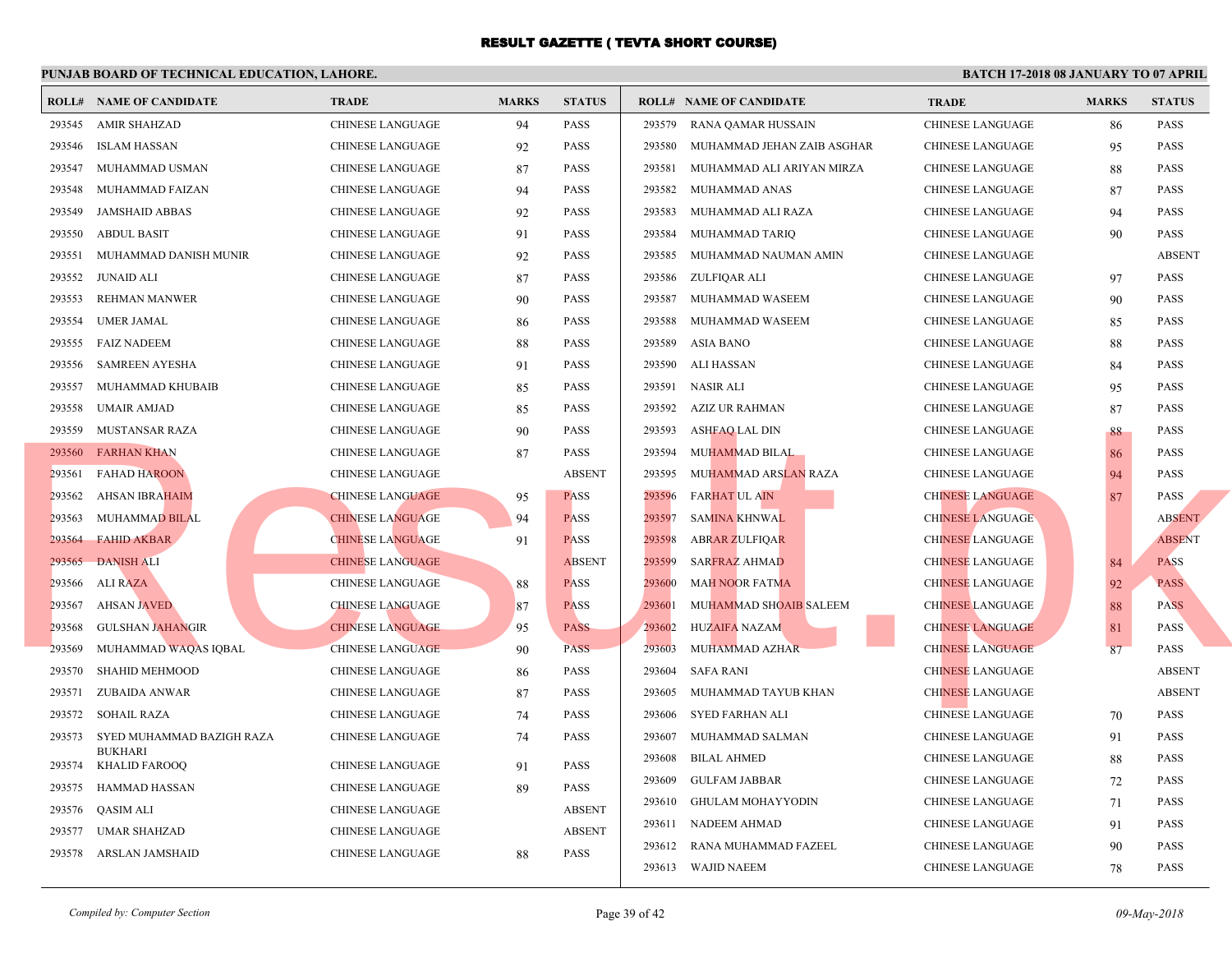|        | <b>ROLL# NAME OF CANDIDATE</b>  | <b>TRADE</b>            | <b>MARKS</b> | <b>STATUS</b> |        | <b>ROLL# NAME OF CANDIDATE</b> | <b>TRA</b>  |
|--------|---------------------------------|-------------------------|--------------|---------------|--------|--------------------------------|-------------|
| 293545 | AMIR SHAHZAD                    | CHINESE LANGUAGE        | 94           | <b>PASS</b>   | 293579 | RANA QAMAR HUSSAIN             | <b>CHIN</b> |
| 293546 | ISLAM HASSAN                    | CHINESE LANGUAGE        | 92           | <b>PASS</b>   | 293580 | MUHAMMAD JEHAN ZAIB ASGHAR     | <b>CHIN</b> |
| 293547 | MUHAMMAD USMAN                  | CHINESE LANGUAGE        | 87           | <b>PASS</b>   | 293581 | MUHAMMAD ALI ARIYAN MIRZA      | <b>CHIN</b> |
| 293548 | MUHAMMAD FAIZAN                 | CHINESE LANGUAGE        | 94           | <b>PASS</b>   | 293582 | MUHAMMAD ANAS                  | <b>CHIN</b> |
| 293549 | <b>JAMSHAID ABBAS</b>           | CHINESE LANGUAGE        | 92           | <b>PASS</b>   | 293583 | MUHAMMAD ALI RAZA              | <b>CHIN</b> |
| 293550 | <b>ABDUL BASIT</b>              | <b>CHINESE LANGUAGE</b> | 91           | <b>PASS</b>   | 293584 | MUHAMMAD TARIQ                 | <b>CHIN</b> |
| 293551 | MUHAMMAD DANISH MUNIR           | CHINESE LANGUAGE        | 92           | <b>PASS</b>   | 293585 | MUHAMMAD NAUMAN AMIN           | <b>CHIN</b> |
| 293552 | JUNAID ALI                      | <b>CHINESE LANGUAGE</b> | 87           | <b>PASS</b>   | 293586 | ZULFIQAR ALI                   | <b>CHIN</b> |
| 293553 | <b>REHMAN MANWER</b>            | <b>CHINESE LANGUAGE</b> | 90           | <b>PASS</b>   | 293587 | MUHAMMAD WASEEM                | <b>CHIN</b> |
| 293554 | UMER JAMAL                      | CHINESE LANGUAGE        | 86           | <b>PASS</b>   | 293588 | MUHAMMAD WASEEM                | <b>CHIN</b> |
| 293555 | <b>FAIZ NADEEM</b>              | CHINESE LANGUAGE        | 88           | <b>PASS</b>   | 293589 | <b>ASIA BANO</b>               | <b>CHIN</b> |
| 293556 | <b>SAMREEN AYESHA</b>           | <b>CHINESE LANGUAGE</b> | 91           | <b>PASS</b>   | 293590 | ALI HASSAN                     | <b>CHIN</b> |
| 293557 | MUHAMMAD KHUBAIB                | <b>CHINESE LANGUAGE</b> | 85           | <b>PASS</b>   | 293591 | NASIR ALI                      | <b>CHIN</b> |
| 293558 | <b>UMAIR AMJAD</b>              | CHINESE LANGUAGE        | 85           | <b>PASS</b>   | 293592 | AZIZ UR RAHMAN                 | <b>CHIN</b> |
| 293559 | MUSTANSAR RAZA                  | CHINESE LANGUAGE        | 90           | <b>PASS</b>   | 293593 | ASHFAQ LAL DIN                 | <b>CHIN</b> |
| 293560 | <b>FARHAN KHAN</b>              | <b>CHINESE LANGUAGE</b> | 87           | <b>PASS</b>   | 293594 | MUHAMMAD BILAL                 | <b>CHIN</b> |
| 293561 | <b>FAHAD HAROON</b>             | CHINESE LANGUAGE        |              | <b>ABSENT</b> | 293595 | MUHAMMAD ARSLAN RAZA           | <b>CHIN</b> |
| 293562 | <b>AHSAN IBRAHAIM</b>           | <b>CHINESE LANGUAGE</b> | 95           | <b>PASS</b>   | 293596 | <b>FARHAT UL AIN</b>           | <b>CHIN</b> |
| 293563 | <b>MUHAMMAD BILAL</b>           | <b>CHINESE LANGUAGE</b> | 94           | <b>PASS</b>   | 293597 | <b>SAMINA KHNWAL</b>           | <b>CHIN</b> |
| 293564 | <b>FAHID AKBAR</b>              | <b>CHINESE LANGUAGE</b> | 91           | <b>PASS</b>   | 293598 | <b>ABRAR ZULFIQAR</b>          | <b>CHIN</b> |
| 293565 | <b>DANISH ALI</b>               | <b>CHINESE LANGUAGE</b> |              | <b>ABSENT</b> | 293599 | <b>SARFRAZ AHMAD</b>           | <b>CHIN</b> |
| 293566 | <b>ALI RAZA</b>                 | CHINESE LANGUAGE        | 88           | <b>PASS</b>   | 293600 | <b>MAH NOOR FATMA</b>          | <b>CHIN</b> |
| 293567 | <b>AHSAN JAVED</b>              | <b>CHINESE LANGUAGE</b> | 87           | <b>PASS</b>   | 293601 | MUHAMMAD SHOAIB SALEEM         | <b>CHIN</b> |
| 293568 | <b>GULSHAN JAHANGIR</b>         | <b>CHINESE LANGUAGE</b> | 95           | <b>PASS</b>   | 293602 | <b>HUZAIFA NAZAM</b>           | <b>CHIN</b> |
| 293569 | MUHAMMAD WAQAS IQBAL            | <b>CHINESE LANGUAGE</b> | 90           | <b>PASS</b>   | 293603 | MUHAMMAD AZHAR                 | <b>CHIN</b> |
| 293570 | <b>SHAHID MEHMOOD</b>           | CHINESE LANGUAGE        | 86           | <b>PASS</b>   | 293604 | SAFA RANI                      | <b>CHIN</b> |
| 293571 | ZUBAIDA ANWAR                   | CHINESE LANGUAGE        | 87           | <b>PASS</b>   | 293605 | MUHAMMAD TAYUB KHAN            | <b>CHIN</b> |
| 293572 | <b>SOHAIL RAZA</b>              | CHINESE LANGUAGE        | 74           | <b>PASS</b>   | 293606 | SYED FARHAN ALI                | <b>CHIN</b> |
| 293573 | SYED MUHAMMAD BAZIGH RAZA       | CHINESE LANGUAGE        | 74           | <b>PASS</b>   | 293607 | MUHAMMAD SALMAN                | <b>CHIN</b> |
| 293574 | <b>BUKHARI</b><br>KHALID FAROOQ | <b>CHINESE LANGUAGE</b> | 91           | PASS          | 293608 | <b>BILAL AHMED</b>             | <b>CHIN</b> |
| 293575 | HAMMAD HASSAN                   | CHINESE LANGUAGE        | 89           | <b>PASS</b>   | 293609 | GULFAM JABBAR                  | <b>CHIN</b> |
| 293576 | QASIM ALI                       | <b>CHINESE LANGUAGE</b> |              | <b>ABSENT</b> | 293610 | GHULAM MOHAYYODIN              | CHIN.       |
| 293577 | UMAR SHAHZAD                    | <b>CHINESE LANGUAGE</b> |              | <b>ABSENT</b> | 293611 | NADEEM AHMAD                   | <b>CHIN</b> |
| 293578 | ARSLAN JAMSHAID                 | <b>CHINESE LANGUAGE</b> | 88           | <b>PASS</b>   | 293612 | RANA MUHAMMAD FAZEEL           | <b>CHIN</b> |
|        |                                 |                         |              |               |        | 293613 WAJID NAEEM             | <b>CHIN</b> |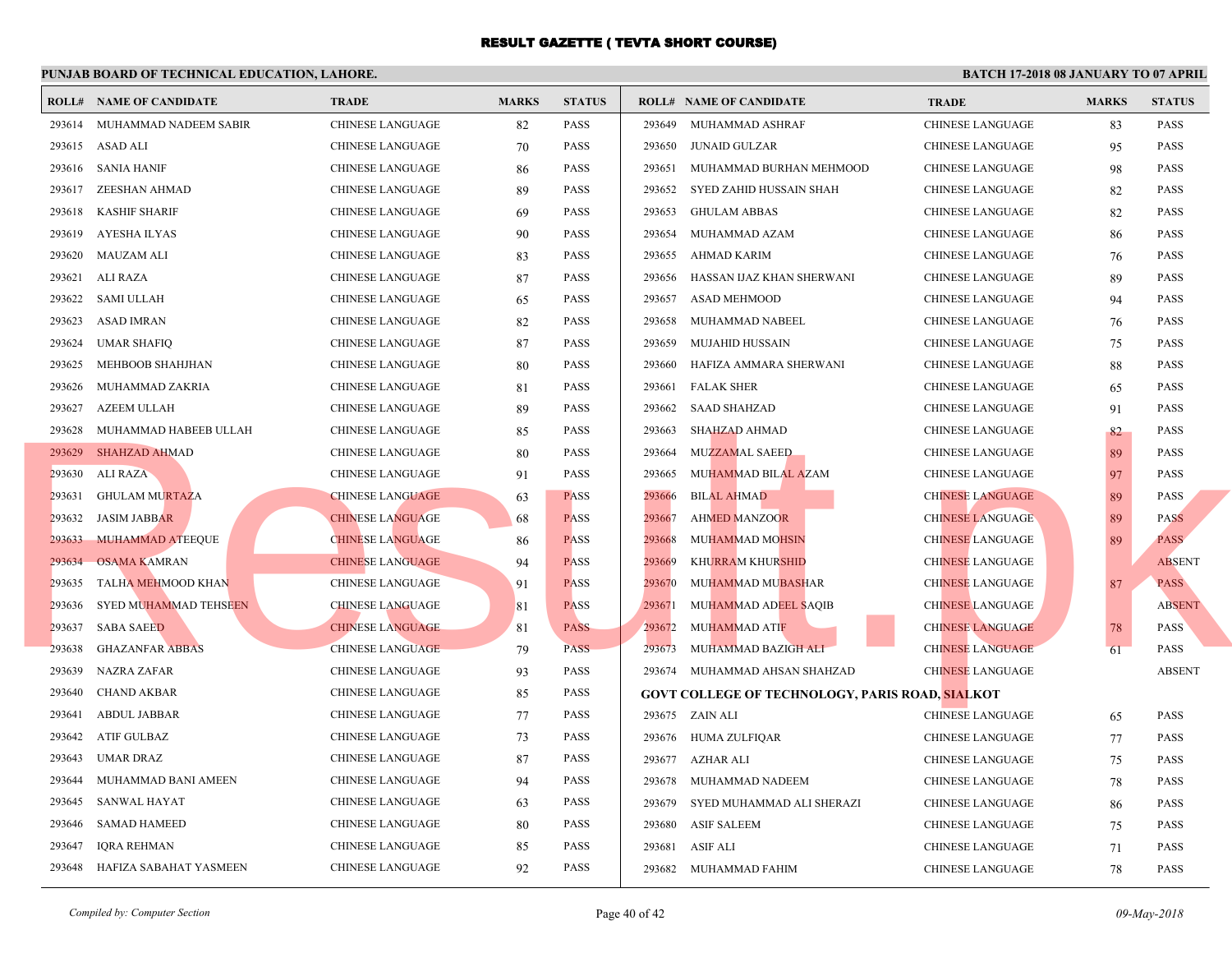|        | <b>ROLL# NAME OF CANDIDATE</b> | <b>TRADE</b>            | <b>MARKS</b> | <b>STATUS</b> |        | <b>ROLL# NAME OF CANDIDATE</b>                   | <b>TRA</b>  |
|--------|--------------------------------|-------------------------|--------------|---------------|--------|--------------------------------------------------|-------------|
|        | 293614 MUHAMMAD NADEEM SABIR   | CHINESE LANGUAGE        | 82           | PASS          | 293649 | MUHAMMAD ASHRAF                                  | <b>CHIN</b> |
|        | 293615 ASAD ALI                | CHINESE LANGUAGE        | 70           | <b>PASS</b>   | 293650 | <b>JUNAID GULZAR</b>                             | <b>CHIN</b> |
| 293616 | SANIA HANIF                    | CHINESE LANGUAGE        | 86           | <b>PASS</b>   | 293651 | MUHAMMAD BURHAN MEHMOOD                          | <b>CHIN</b> |
| 293617 | ZEESHAN AHMAD                  | <b>CHINESE LANGUAGE</b> | 89           | <b>PASS</b>   | 293652 | SYED ZAHID HUSSAIN SHAH                          | <b>CHIN</b> |
| 293618 | <b>KASHIF SHARIF</b>           | CHINESE LANGUAGE        | 69           | <b>PASS</b>   | 293653 | <b>GHULAM ABBAS</b>                              | <b>CHIN</b> |
| 293619 | AYESHA ILYAS                   | CHINESE LANGUAGE        | 90           | <b>PASS</b>   | 293654 | MUHAMMAD AZAM                                    | <b>CHIN</b> |
| 293620 | MAUZAM ALI                     | <b>CHINESE LANGUAGE</b> | 83           | <b>PASS</b>   | 293655 | AHMAD KARIM                                      | <b>CHIN</b> |
| 293621 | ALI RAZA                       | <b>CHINESE LANGUAGE</b> | 87           | <b>PASS</b>   | 293656 | HASSAN IJAZ KHAN SHERWANI                        | <b>CHIN</b> |
| 293622 | <b>SAMI ULLAH</b>              | <b>CHINESE LANGUAGE</b> | 65           | <b>PASS</b>   | 293657 | ASAD MEHMOOD                                     | <b>CHIN</b> |
| 293623 | ASAD IMRAN                     | <b>CHINESE LANGUAGE</b> | 82           | <b>PASS</b>   | 293658 | MUHAMMAD NABEEL                                  | <b>CHIN</b> |
| 293624 | <b>UMAR SHAFIQ</b>             | <b>CHINESE LANGUAGE</b> | 87           | <b>PASS</b>   | 293659 | <b>MUJAHID HUSSAIN</b>                           | <b>CHIN</b> |
| 293625 | MEHBOOB SHAHJHAN               | CHINESE LANGUAGE        | 80           | <b>PASS</b>   | 293660 | HAFIZA AMMARA SHERWANI                           | <b>CHIN</b> |
| 293626 | MUHAMMAD ZAKRIA                | CHINESE LANGUAGE        | 81           | <b>PASS</b>   | 293661 | <b>FALAK SHER</b>                                | <b>CHIN</b> |
| 293627 | AZEEM ULLAH                    | <b>CHINESE LANGUAGE</b> | 89           | <b>PASS</b>   | 293662 | <b>SAAD SHAHZAD</b>                              | <b>CHIN</b> |
| 293628 | MUHAMMAD HABEEB ULLAH          | CHINESE LANGUAGE        | 85           | <b>PASS</b>   | 293663 | SHAHZAD AHMAD                                    | <b>CHIN</b> |
|        | 293629 SHAHZAD AHMAD           | CHINESE LANGUAGE        | 80           | <b>PASS</b>   | 293664 | <b>MUZZAMAL SAEED</b>                            | <b>CHIN</b> |
| 293630 | ALI RAZA                       | CHINESE LANGUAGE        | 91           | PASS          | 293665 | MUHAMMAD BILAL AZAM                              | <b>CHIN</b> |
| 293631 | <b>GHULAM MURTAZA</b>          | <b>CHINESE LANGUAGE</b> | 63           | <b>PASS</b>   | 293666 | <b>BILAL AHMAD</b>                               | <b>CHIN</b> |
| 293632 | <b>JASIM JABBAR</b>            | <b>CHINESE LANGUAGE</b> | 68           | <b>PASS</b>   | 293667 | <b>AHMED MANZOOR</b>                             | <b>CHIN</b> |
| 293633 | MUHAMMAD ATEEQUE               | <b>CHINESE LANGUAGE</b> | 86           | <b>PASS</b>   | 293668 | <b>MUHAMMAD MOHSIN</b>                           | <b>CHIN</b> |
| 293634 | <b>OSAMA KAMRAN</b>            | <b>CHINESE LANGUAGE</b> | 94           | <b>PASS</b>   | 293669 | KHURRAM KHURSHID                                 | <b>CHIN</b> |
| 293635 | TALHA MEHMOOD KHAN             | CHINESE LANGUAGE        | 91           | <b>PASS</b>   | 293670 | MUHAMMAD MUBASHAR                                | <b>CHIN</b> |
| 293636 | SYED MUHAMMAD TEHSEEN          | <b>CHINESE LANGUAGE</b> | 81           | <b>PASS</b>   | 293671 | MUHAMMAD ADEEL SAQIB                             | <b>CHIN</b> |
| 293637 | <b>SABA SAEED</b>              | <b>CHINESE LANGUAGE</b> | 81           | <b>PASS</b>   | 293672 | MUHAMMAD ATIF                                    | <b>CHIN</b> |
| 293638 | <b>GHAZANFAR ABBAS</b>         | <b>CHINESE LANGUAGE</b> | 79           | <b>PASS</b>   | 293673 | MUHAMMAD BAZIGH ALI                              | <b>CHIN</b> |
| 293639 | <b>NAZRA ZAFAR</b>             | <b>CHINESE LANGUAGE</b> | 93           | <b>PASS</b>   |        | 293674 MUHAMMAD AHSAN SHAHZAD                    | <b>CHIN</b> |
| 293640 | <b>CHAND AKBAR</b>             | <b>CHINESE LANGUAGE</b> | 85           | <b>PASS</b>   |        | <b>GOVT COLLEGE OF TECHNOLOGY, PARIS ROAD, S</b> |             |
| 293641 | <b>ABDUL JABBAR</b>            | CHINESE LANGUAGE        | 77           | <b>PASS</b>   |        | 293675 ZAIN ALI                                  | <b>CHIN</b> |
| 293642 | ATIF GULBAZ                    | CHINESE LANGUAGE        | 73           | <b>PASS</b>   | 293676 | HUMA ZULFIQAR                                    | <b>CHIN</b> |
| 293643 | UMAR DRAZ                      | CHINESE LANGUAGE        | 87           | <b>PASS</b>   |        | 293677 AZHAR ALI                                 | <b>CHIN</b> |
| 293644 | MUHAMMAD BANI AMEEN            | CHINESE LANGUAGE        | 94           | <b>PASS</b>   | 293678 | MUHAMMAD NADEEM                                  | <b>CHIN</b> |
| 293645 | SANWAL HAYAT                   | CHINESE LANGUAGE        | 63           | <b>PASS</b>   | 293679 | SYED MUHAMMAD ALI SHERAZI                        | <b>CHIN</b> |
| 293646 | <b>SAMAD HAMEED</b>            | CHINESE LANGUAGE        | 80           | <b>PASS</b>   | 293680 | ASIF SALEEM                                      | <b>CHIN</b> |
| 293647 | IQRA REHMAN                    | <b>CHINESE LANGUAGE</b> | 85           | PASS          | 293681 | ASIF ALI                                         | CHIN.       |
| 293648 | HAFIZA SABAHAT YASMEEN         | <b>CHINESE LANGUAGE</b> | 92           | <b>PASS</b>   | 293682 | MUHAMMAD FAHIM                                   | <b>CHIN</b> |
|        |                                |                         |              |               |        |                                                  |             |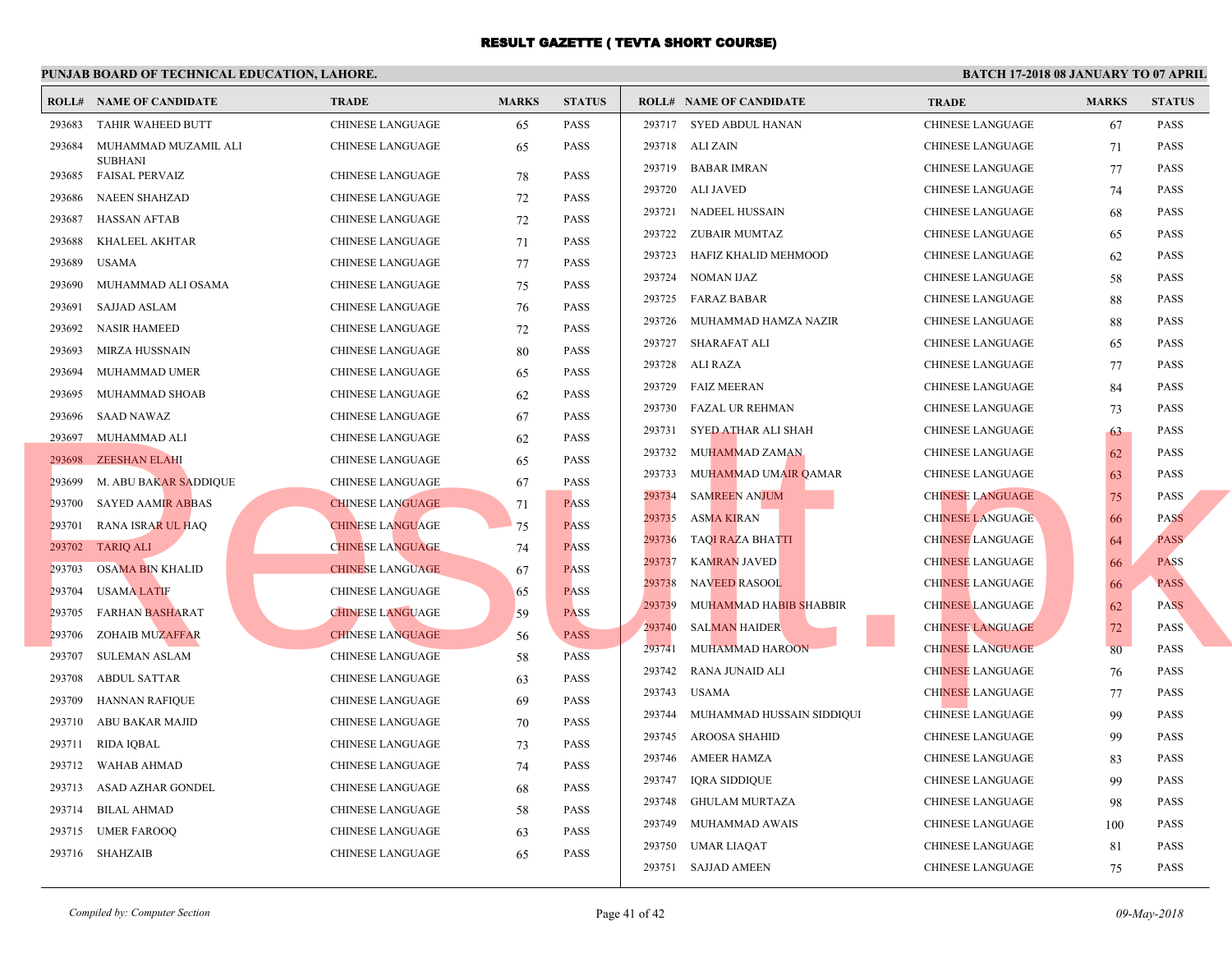|        | <b>ROLL# NAME OF CANDIDATE</b>          | <b>TRADE</b>            | <b>MARKS</b> | <b>STATUS</b> |        | <b>ROLL# NAME OF CANDIDATE</b> | <b>TRA</b>  |
|--------|-----------------------------------------|-------------------------|--------------|---------------|--------|--------------------------------|-------------|
| 293683 | TAHIR WAHEED BUTT                       | <b>CHINESE LANGUAGE</b> | 65           | PASS          |        | 293717 SYED ABDUL HANAN        | <b>CHIN</b> |
| 293684 | MUHAMMAD MUZAMIL ALI                    | <b>CHINESE LANGUAGE</b> | 65           | <b>PASS</b>   |        | 293718 ALI ZAIN                | <b>CHIN</b> |
| 293685 | <b>SUBHANI</b><br><b>FAISAL PERVAIZ</b> | CHINESE LANGUAGE        | 78           | <b>PASS</b>   | 293719 | <b>BABAR IMRAN</b>             | <b>CHIN</b> |
| 293686 | <b>NAEEN SHAHZAD</b>                    | <b>CHINESE LANGUAGE</b> | 72           | <b>PASS</b>   | 293720 | ALI JAVED                      | <b>CHIN</b> |
| 293687 | <b>HASSAN AFTAB</b>                     | <b>CHINESE LANGUAGE</b> | 72           | <b>PASS</b>   | 293721 | NADEEL HUSSAIN                 | <b>CHIN</b> |
| 293688 | KHALEEL AKHTAR                          | <b>CHINESE LANGUAGE</b> | 71           | <b>PASS</b>   | 293722 | ZUBAIR MUMTAZ                  | <b>CHIN</b> |
| 293689 | <b>USAMA</b>                            | <b>CHINESE LANGUAGE</b> | 77           | <b>PASS</b>   | 293723 | HAFIZ KHALID MEHMOOD           | <b>CHIN</b> |
| 293690 | MUHAMMAD ALI OSAMA                      | CHINESE LANGUAGE        | 75           | PASS          | 293724 | NOMAN IJAZ                     | <b>CHIN</b> |
| 293691 | <b>SAJJAD ASLAM</b>                     | CHINESE LANGUAGE        | 76           | <b>PASS</b>   | 293725 | <b>FARAZ BABAR</b>             | <b>CHIN</b> |
| 293692 | <b>NASIR HAMEED</b>                     | CHINESE LANGUAGE        | 72           | <b>PASS</b>   | 293726 | MUHAMMAD HAMZA NAZIR           | <b>CHIN</b> |
| 293693 | MIRZA HUSSNAIN                          | <b>CHINESE LANGUAGE</b> | 80           | <b>PASS</b>   | 293727 | SHARAFAT ALI                   | <b>CHIN</b> |
| 293694 | MUHAMMAD UMER                           | CHINESE LANGUAGE        | 65           | <b>PASS</b>   | 293728 | ALI RAZA                       | <b>CHIN</b> |
| 293695 | MUHAMMAD SHOAB                          | CHINESE LANGUAGE        | 62           | <b>PASS</b>   | 293729 | <b>FAIZ MEERAN</b>             | <b>CHIN</b> |
| 293696 | <b>SAAD NAWAZ</b>                       | <b>CHINESE LANGUAGE</b> | 67           | <b>PASS</b>   | 293730 | FAZAL UR REHMAN                | <b>CHIN</b> |
| 293697 | MUHAMMAD ALI                            | CHINESE LANGUAGE        | 62           | <b>PASS</b>   | 293731 | SYED ATHAR ALI SHAH            | <b>CHIN</b> |
| 293698 | <b>ZEESHAN ELAHI</b>                    | CHINESE LANGUAGE        | 65           | <b>PASS</b>   | 293732 | MUHAMMAD ZAMAN                 | <b>CHIN</b> |
| 293699 | M. ABU BAKAR SADDIQUE                   | CHINESE LANGUAGE        | 67           | <b>PASS</b>   | 293733 | MUHAMMAD UMAIR QAMAR           | <b>CHIN</b> |
| 293700 | <b>SAYED AAMIR ABBAS</b>                | <b>CHINESE LANGUAGE</b> | 71           | <b>PASS</b>   | 293734 | <b>SAMREEN ANJUM</b>           | <b>CHIN</b> |
| 293701 | <b>RANA ISRAR UL HAQ</b>                | <b>CHINESE LANGUAGE</b> | 75           | <b>PASS</b>   | 293735 | ASMA KIRAN                     | <b>CHIN</b> |
| 293702 | <b>TARIQ ALI</b>                        | <b>CHINESE LANGUAGE</b> | 74           | <b>PASS</b>   | 293736 | <b>TAQI RAZA BHATTI</b>        | <b>CHIN</b> |
| 293703 | OSAMA BIN KHALID                        | <b>CHINESE LANGUAGE</b> | 67           | <b>PASS</b>   | 293737 | <b>KAMRAN JAVED</b>            | <b>CHIN</b> |
| 293704 | <b>USAMA LATIF</b>                      | CHINESE LANGUAGE        | 65           | <b>PASS</b>   | 293738 | NAVEED RASOOL                  | <b>CHIN</b> |
| 293705 | <b>FARHAN BASHARAT</b>                  | <b>CHINESE LANGUAGE</b> | 59           | <b>PASS</b>   | 293739 | MUHAMMAD HABIB SHABBIR         | <b>CHIN</b> |
| 293706 | <b>ZOHAIB MUZAFFAR</b>                  | <b>CHINESE LANGUAGE</b> | 56           | <b>PASS</b>   | 293740 | <b>SALMAN HAIDER</b>           | <b>CHIN</b> |
| 293707 | SULEMAN ASLAM                           | CHINESE LANGUAGE        | 58           | <b>PASS</b>   | 293741 | <b>MUHAMMAD HAROON</b>         | <b>CHIN</b> |
| 293708 | <b>ABDUL SATTAR</b>                     | CHINESE LANGUAGE        | 63           | <b>PASS</b>   | 293742 | <b>RANA JUNAID ALI</b>         | <b>CHIN</b> |
| 293709 | <b>HANNAN RAFIQUE</b>                   | CHINESE LANGUAGE        | 69           | <b>PASS</b>   | 293743 | USAMA                          | <b>CHIN</b> |
| 293710 | ABU BAKAR MAJID                         | CHINESE LANGUAGE        | 70           | <b>PASS</b>   | 293744 | MUHAMMAD HUSSAIN SIDDIQUI      | <b>CHIN</b> |
| 293711 | <b>RIDA IQBAL</b>                       | CHINESE LANGUAGE        | 73           | <b>PASS</b>   | 293745 | AROOSA SHAHID                  | <b>CHIN</b> |
| 293712 | WAHAB AHMAD                             | CHINESE LANGUAGE        | 74           | <b>PASS</b>   | 293746 | AMEER HAMZA                    | <b>CHIN</b> |
| 293713 | ASAD AZHAR GONDEL                       | CHINESE LANGUAGE        | 68           | <b>PASS</b>   | 293747 | IQRA SIDDIQUE                  | <b>CHIN</b> |
| 293714 | <b>BILAL AHMAD</b>                      | CHINESE LANGUAGE        | 58           | <b>PASS</b>   | 293748 | GHULAM MURTAZA                 | <b>CHIN</b> |
| 293715 | <b>UMER FAROOQ</b>                      | CHINESE LANGUAGE        | 63           | PASS          | 293749 | MUHAMMAD AWAIS                 | <b>CHIN</b> |
|        | 293716 SHAHZAIB                         | <b>CHINESE LANGUAGE</b> | 65           | PASS          | 293750 | UMAR LIAQAT                    | <b>CHIN</b> |
|        |                                         |                         |              |               |        | 293751 SAJJAD AMEEN            | <b>CHIN</b> |